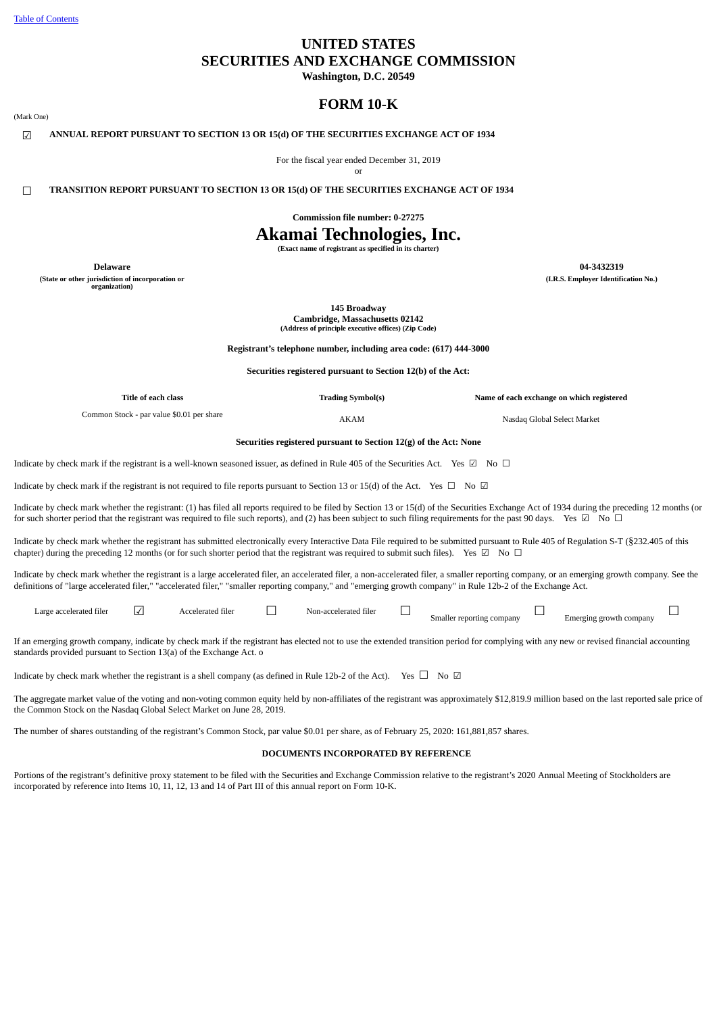# **UNITED STATES SECURITIES AND EXCHANGE COMMISSION**

**Washington, D.C. 20549**

# **FORM 10-K**

(Mark One)

☑ **ANNUAL REPORT PURSUANT TO SECTION 13 OR 15(d) OF THE SECURITIES EXCHANGE ACT OF 1934**

For the fiscal year ended December 31, 2019

or

☐ **TRANSITION REPORT PURSUANT TO SECTION 13 OR 15(d) OF THE SECURITIES EXCHANGE ACT OF 1934**

**Commission file number: 0-27275**

**Akamai Technologies, Inc.**

**(Exact name of registrant as specified in its charter)**

**Delaware 04-3432319 (I.R.S. Employer Identification No.)**

**(State or other jurisdiction of incorporation or organization)**

**145 Broadway**

**Cambridge, Massachusetts 02142 (Address of principle executive offices) (Zip Code)**

**Registrant's telephone number, including area code: (617) 444-3000**

**Securities registered pursuant to Section 12(b) of the Act:**

**Title of each class Trading Symbol(s) Name of each exchange on which registered**

Common Stock - par value \$0.01 per share AKAM AKAM Nasdaq Global Select Market

**Securities registered pursuant to Section 12(g) of the Act: None**

Indicate by check mark if the registrant is a well-known seasoned issuer, as defined in Rule 405 of the Securities Act. Yes  $\boxtimes$  No  $\Box$ 

Indicate by check mark if the registrant is not required to file reports pursuant to Section 13 or 15(d) of the Act. Yes  $\Box$  No  $\Box$ 

Indicate by check mark whether the registrant: (1) has filed all reports required to be filed by Section 13 or 15(d) of the Securities Exchange Act of 1934 during the preceding 12 months (or for such shorter period that the registrant was required to file such reports), and (2) has been subject to such filing requirements for the past 90 days. Yes ☑ No □

Indicate by check mark whether the registrant has submitted electronically every Interactive Data File required to be submitted pursuant to Rule 405 of Regulation S-T (§232.405 of this chapter) during the preceding 12 months (or for such shorter period that the registrant was required to submit such files). Yes  $\boxtimes$  No  $\Box$ 

Indicate by check mark whether the registrant is a large accelerated filer, an accelerated filer, a non-accelerated filer, a smaller reporting company, or an emerging growth company. See the definitions of "large accelerated filer," "accelerated filer," "smaller reporting company," and "emerging growth company" in Rule 12b-2 of the Exchange Act.

Large accelerated filer  $□$  Accelerated filer □ Non-accelerated filer □ Smaller reporting company  $E$ merging growth company

If an emerging growth company, indicate by check mark if the registrant has elected not to use the extended transition period for complying with any new or revised financial accounting standards provided pursuant to Section 13(a) of the Exchange Act. o

Indicate by check mark whether the registrant is a shell company (as defined in Rule 12b-2 of the Act). Yes  $\Box$  No  $\Box$ 

The aggregate market value of the voting and non-voting common equity held by non-affiliates of the registrant was approximately \$12,819.9 million based on the last reported sale price of the Common Stock on the Nasdaq Global Select Market on June 28, 2019.

The number of shares outstanding of the registrant's Common Stock, par value \$0.01 per share, as of February 25, 2020: 161,881,857 shares.

## **DOCUMENTS INCORPORATED BY REFERENCE**

Portions of the registrant's definitive proxy statement to be filed with the Securities and Exchange Commission relative to the registrant's 2020 Annual Meeting of Stockholders are incorporated by reference into Items 10, 11, 12, 13 and 14 of Part III of this annual report on Form 10-K.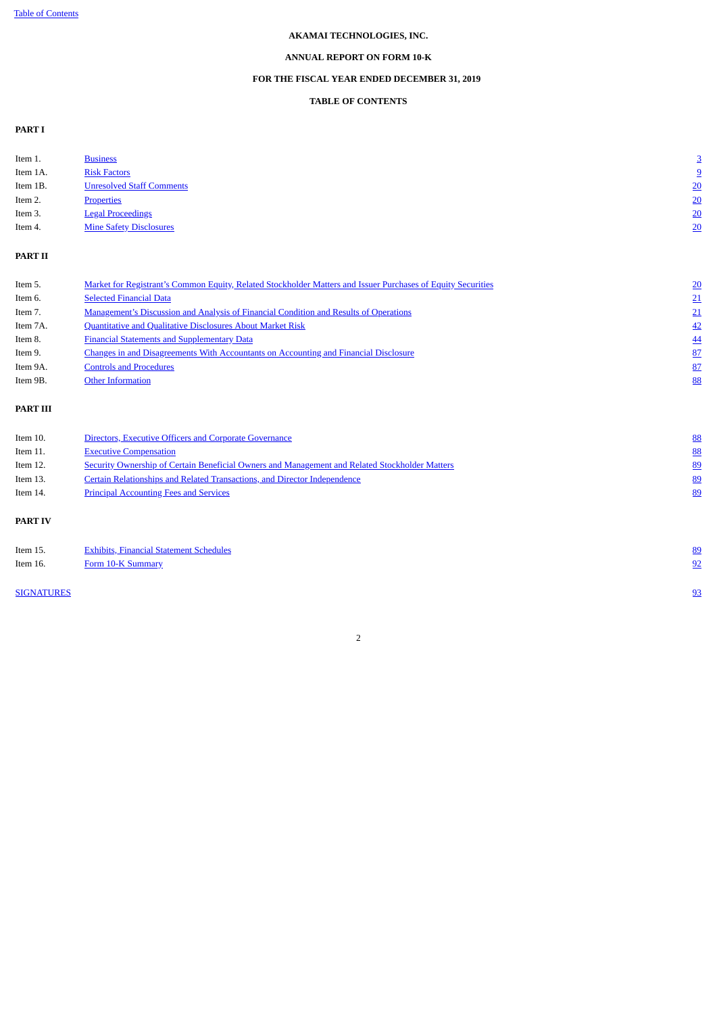# **AKAMAI TECHNOLOGIES, INC.**

## **ANNUAL REPORT ON FORM 10-K**

# **FOR THE FISCAL YEAR ENDED DECEMBER 31, 2019**

# **TABLE OF CONTENTS**

# <span id="page-1-0"></span>**PART I**

| Item 1.           | <b>Business</b>                                                                                              | $\overline{3}$  |
|-------------------|--------------------------------------------------------------------------------------------------------------|-----------------|
| Item 1A.          | <b>Risk Factors</b>                                                                                          | $\underline{9}$ |
| Item 1B.          | <b>Unresolved Staff Comments</b>                                                                             | $\overline{20}$ |
| Item 2.           | <b>Properties</b>                                                                                            | $\overline{20}$ |
| Item 3.           | <b>Legal Proceedings</b>                                                                                     | $\overline{20}$ |
| Item 4.           | <b>Mine Safety Disclosures</b>                                                                               | 20              |
| PART II           |                                                                                                              |                 |
| Item 5.           | Market for Registrant's Common Equity, Related Stockholder Matters and Issuer Purchases of Equity Securities | 20              |
| Item 6.           | <b>Selected Financial Data</b>                                                                               | $\overline{21}$ |
| Item 7.           | <b>Management's Discussion and Analysis of Financial Condition and Results of Operations</b>                 | 21              |
| Item 7A.          | Quantitative and Qualitative Disclosures About Market Risk                                                   | 42              |
| Item 8.           | <b>Financial Statements and Supplementary Data</b>                                                           | $\frac{44}{1}$  |
| Item 9.           | Changes in and Disagreements With Accountants on Accounting and Financial Disclosure                         | $\frac{87}{2}$  |
| Item 9A.          | <b>Controls and Procedures</b>                                                                               | 87              |
| Item 9B.          | <b>Other Information</b>                                                                                     | 88              |
| PART III          |                                                                                                              |                 |
| Item 10.          | Directors, Executive Officers and Corporate Governance                                                       | <b>88</b>       |
| Item 11.          | <b>Executive Compensation</b>                                                                                | 88              |
| Item 12.          | Security Ownership of Certain Beneficial Owners and Management and Related Stockholder Matters               | $\frac{89}{2}$  |
| Item 13.          | Certain Relationships and Related Transactions, and Director Independence                                    | 89              |
| Item 14.          | <b>Principal Accounting Fees and Services</b>                                                                | 89              |
| <b>PART IV</b>    |                                                                                                              |                 |
| Item 15.          | <b>Exhibits, Financial Statement Schedules</b>                                                               | 89              |
| Item 16.          | Form 10-K Summary                                                                                            | 92              |
| <b>SIGNATURES</b> |                                                                                                              | 93              |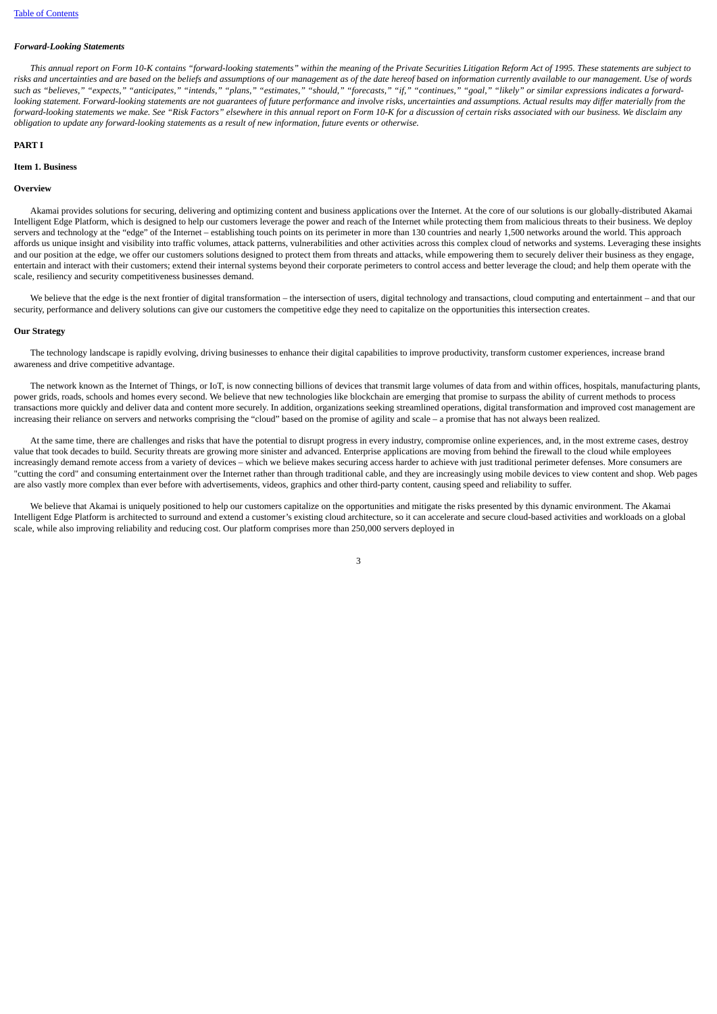## *Forward-Looking Statements*

This annual report on Form 10-K contains "forward-looking statements" within the meaning of the Private Securities Litigation Reform Act of 1995. These statements are subject to risks and uncertainties and are based on the beliefs and assumptions of our management as of the date hereof based on information currently available to our management. Use of words such as "believes," "expects," "anticipates," "intends," "plans," "estimates," "should," "forecasts," "if," "continues," "goal," "likely" or similar expressions indicates a forwardlooking statement. Forward-looking statements are not quarantees of future performance and involve risks, uncertainties and assumptions. Actual results may differ materially from the forward-looking statements we make. See "Risk Factors" elsewhere in this annual report on Form 10-K for a discussion of certain risks associated with our business. We disclaim any *obligation to update any forward-looking statements as a result of new information, future events or otherwise.*

### **PART I**

#### <span id="page-2-0"></span>**Item 1. Business**

#### **Overview**

Akamai provides solutions for securing, delivering and optimizing content and business applications over the Internet. At the core of our solutions is our globally-distributed Akamai Intelligent Edge Platform, which is designed to help our customers leverage the power and reach of the Internet while protecting them from malicious threats to their business. We deploy servers and technology at the "edge" of the Internet – establishing touch points on its perimeter in more than 130 countries and nearly 1,500 networks around the world. This approach affords us unique insight and visibility into traffic volumes, attack patterns, vulnerabilities and other activities across this complex cloud of networks and systems. Leveraging these insights and our position at the edge, we offer our customers solutions designed to protect them from threats and attacks, while empowering them to securely deliver their business as they engage, entertain and interact with their customers; extend their internal systems beyond their corporate perimeters to control access and better leverage the cloud; and help them operate with the scale, resiliency and security competitiveness businesses demand.

We believe that the edge is the next frontier of digital transformation – the intersection of users, digital technology and transactions, cloud computing and entertainment – and that our security, performance and delivery solutions can give our customers the competitive edge they need to capitalize on the opportunities this intersection creates.

#### **Our Strategy**

The technology landscape is rapidly evolving, driving businesses to enhance their digital capabilities to improve productivity, transform customer experiences, increase brand awareness and drive competitive advantage.

The network known as the Internet of Things, or IoT, is now connecting billions of devices that transmit large volumes of data from and within offices, hospitals, manufacturing plants, power grids, roads, schools and homes every second. We believe that new technologies like blockchain are emerging that promise to surpass the ability of current methods to process transactions more quickly and deliver data and content more securely. In addition, organizations seeking streamlined operations, digital transformation and improved cost management are increasing their reliance on servers and networks comprising the "cloud" based on the promise of agility and scale – a promise that has not always been realized.

At the same time, there are challenges and risks that have the potential to disrupt progress in every industry, compromise online experiences, and, in the most extreme cases, destroy value that took decades to build. Security threats are growing more sinister and advanced. Enterprise applications are moving from behind the firewall to the cloud while employees increasingly demand remote access from a variety of devices – which we believe makes securing access harder to achieve with just traditional perimeter defenses. More consumers are "cutting the cord" and consuming entertainment over the Internet rather than through traditional cable, and they are increasingly using mobile devices to view content and shop. Web pages are also vastly more complex than ever before with advertisements, videos, graphics and other third-party content, causing speed and reliability to suffer.

We believe that Akamai is uniquely positioned to help our customers capitalize on the opportunities and mitigate the risks presented by this dynamic environment. The Akamai Intelligent Edge Platform is architected to surround and extend a customer's existing cloud architecture, so it can accelerate and secure cloud-based activities and workloads on a global scale, while also improving reliability and reducing cost. Our platform comprises more than 250,000 servers deployed in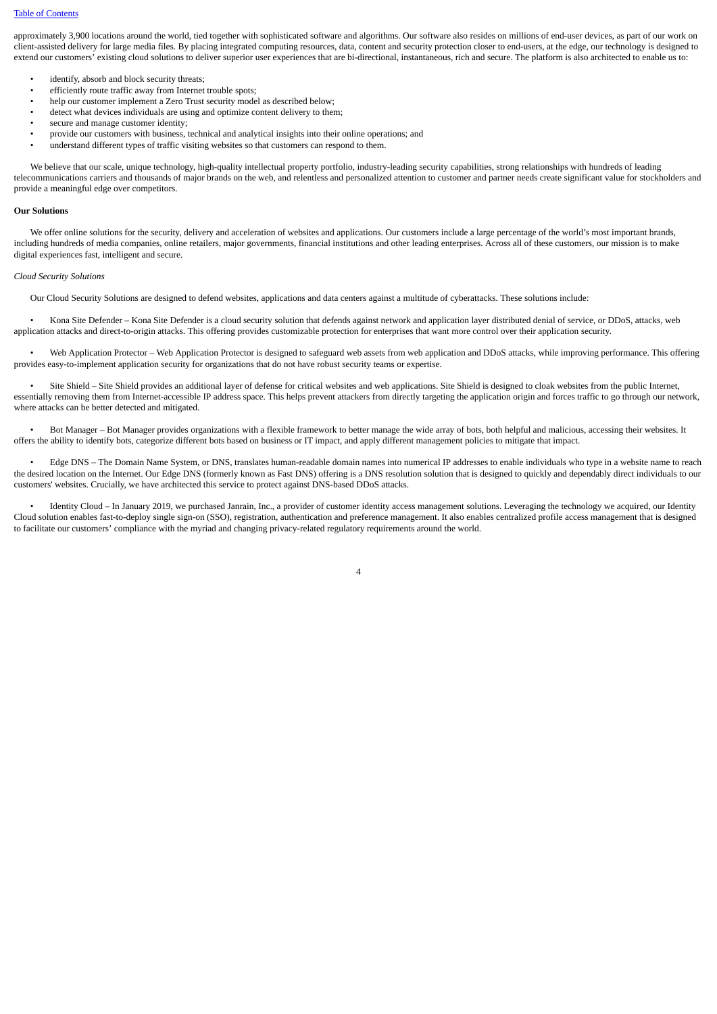approximately 3,900 locations around the world, tied together with sophisticated software and algorithms. Our software also resides on millions of end-user devices, as part of our work on client-assisted delivery for large media files. By placing integrated computing resources, data, content and security protection closer to end-users, at the edge, our technology is designed to extend our customers' existing cloud solutions to deliver superior user experiences that are bi-directional, instantaneous, rich and secure. The platform is also architected to enable us to:

- identify, absorb and block security threats:
- efficiently route traffic away from Internet trouble spots;
- help our customer implement a Zero Trust security model as described below:
- detect what devices individuals are using and optimize content delivery to them;
- secure and manage customer identity;
- provide our customers with business, technical and analytical insights into their online operations; and
- understand different types of traffic visiting websites so that customers can respond to them.

We believe that our scale, unique technology, high-quality intellectual property portfolio, industry-leading security capabilities, strong relationships with hundreds of leading telecommunications carriers and thousands of major brands on the web, and relentless and personalized attention to customer and partner needs create significant value for stockholders and provide a meaningful edge over competitors.

#### **Our Solutions**

We offer online solutions for the security, delivery and acceleration of websites and applications. Our customers include a large percentage of the world's most important brands, including hundreds of media companies, online retailers, major governments, financial institutions and other leading enterprises. Across all of these customers, our mission is to make digital experiences fast, intelligent and secure.

#### *Cloud Security Solutions*

Our Cloud Security Solutions are designed to defend websites, applications and data centers against a multitude of cyberattacks. These solutions include:

• Kona Site Defender – Kona Site Defender is a cloud security solution that defends against network and application layer distributed denial of service, or DDoS, attacks, web application attacks and direct-to-origin attacks. This offering provides customizable protection for enterprises that want more control over their application security.

• Web Application Protector – Web Application Protector is designed to safeguard web assets from web application and DDoS attacks, while improving performance. This offering provides easy-to-implement application security for organizations that do not have robust security teams or expertise.

• Site Shield – Site Shield provides an additional layer of defense for critical websites and web applications. Site Shield is designed to cloak websites from the public Internet, essentially removing them from Internet-accessible IP address space. This helps prevent attackers from directly targeting the application origin and forces traffic to go through our network, where attacks can be better detected and mitigated.

• Bot Manager – Bot Manager provides organizations with a flexible framework to better manage the wide array of bots, both helpful and malicious, accessing their websites. It offers the ability to identify bots, categorize different bots based on business or IT impact, and apply different management policies to mitigate that impact.

• Edge DNS – The Domain Name System, or DNS, translates human-readable domain names into numerical IP addresses to enable individuals who type in a website name to reach the desired location on the Internet. Our Edge DNS (formerly known as Fast DNS) offering is a DNS resolution solution that is designed to quickly and dependably direct individuals to our customers' websites. Crucially, we have architected this service to protect against DNS-based DDoS attacks.

• Identity Cloud – In January 2019, we purchased Janrain, Inc., a provider of customer identity access management solutions. Leveraging the technology we acquired, our Identity Cloud solution enables fast-to-deploy single sign-on (SSO), registration, authentication and preference management. It also enables centralized profile access management that is designed to facilitate our customers' compliance with the myriad and changing privacy-related regulatory requirements around the world.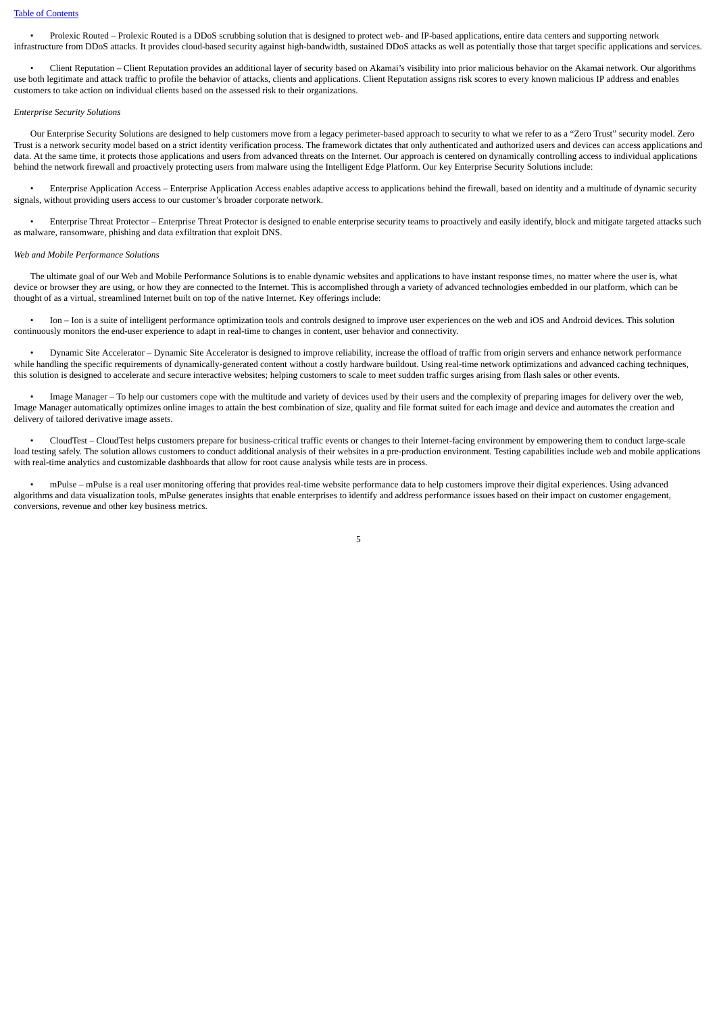• Prolexic Routed – Prolexic Routed is a DDoS scrubbing solution that is designed to protect web- and IP-based applications, entire data centers and supporting network infrastructure from DDoS attacks. It provides cloud-based security against high-bandwidth, sustained DDoS attacks as well as potentially those that target specific applications and services.

• Client Reputation – Client Reputation provides an additional layer of security based on Akamai's visibility into prior malicious behavior on the Akamai network. Our algorithms use both legitimate and attack traffic to profile the behavior of attacks, clients and applications. Client Reputation assigns risk scores to every known malicious IP address and enables customers to take action on individual clients based on the assessed risk to their organizations.

#### *Enterprise Security Solutions*

Our Enterprise Security Solutions are designed to help customers move from a legacy perimeter-based approach to security to what we refer to as a "Zero Trust" security model. Zero Trust is a network security model based on a strict identity verification process. The framework dictates that only authenticated and authorized users and devices can access applications and data. At the same time, it protects those applications and users from advanced threats on the Internet. Our approach is centered on dynamically controlling access to individual applications behind the network firewall and proactively protecting users from malware using the Intelligent Edge Platform. Our key Enterprise Security Solutions include:

• Enterprise Application Access – Enterprise Application Access enables adaptive access to applications behind the firewall, based on identity and a multitude of dynamic security signals, without providing users access to our customer's broader corporate network.

• Enterprise Threat Protector – Enterprise Threat Protector is designed to enable enterprise security teams to proactively and easily identify, block and mitigate targeted attacks such as malware, ransomware, phishing and data exfiltration that exploit DNS.

#### *Web and Mobile Performance Solutions*

The ultimate goal of our Web and Mobile Performance Solutions is to enable dynamic websites and applications to have instant response times, no matter where the user is, what device or browser they are using, or how they are connected to the Internet. This is accomplished through a variety of advanced technologies embedded in our platform, which can be thought of as a virtual, streamlined Internet built on top of the native Internet. Key offerings include:

• Ion – Ion is a suite of intelligent performance optimization tools and controls designed to improve user experiences on the web and iOS and Android devices. This solution continuously monitors the end-user experience to adapt in real-time to changes in content, user behavior and connectivity.

• Dynamic Site Accelerator – Dynamic Site Accelerator is designed to improve reliability, increase the offload of traffic from origin servers and enhance network performance while handling the specific requirements of dynamically-generated content without a costly hardware buildout. Using real-time network optimizations and advanced caching techniques, this solution is designed to accelerate and secure interactive websites; helping customers to scale to meet sudden traffic surges arising from flash sales or other events.

• Image Manager – To help our customers cope with the multitude and variety of devices used by their users and the complexity of preparing images for delivery over the web, Image Manager automatically optimizes online images to attain the best combination of size, quality and file format suited for each image and device and automates the creation and delivery of tailored derivative image assets.

• CloudTest – CloudTest helps customers prepare for business-critical traffic events or changes to their Internet-facing environment by empowering them to conduct large-scale load testing safely. The solution allows customers to conduct additional analysis of their websites in a pre-production environment. Testing capabilities include web and mobile applications with real-time analytics and customizable dashboards that allow for root cause analysis while tests are in process.

• mPulse – mPulse is a real user monitoring offering that provides real-time website performance data to help customers improve their digital experiences. Using advanced algorithms and data visualization tools, mPulse generates insights that enable enterprises to identify and address performance issues based on their impact on customer engagement, conversions, revenue and other key business metrics.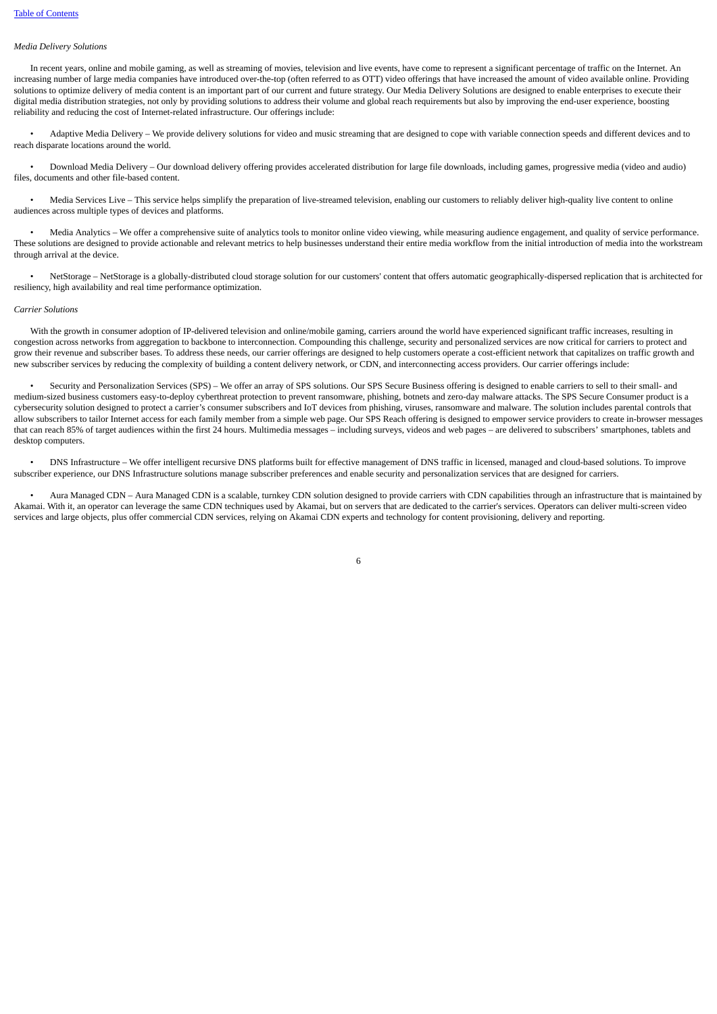## *Media Delivery Solutions*

In recent years, online and mobile gaming, as well as streaming of movies, television and live events, have come to represent a significant percentage of traffic on the Internet. An increasing number of large media companies have introduced over-the-top (often referred to as OTT) video offerings that have increased the amount of video available online. Providing solutions to optimize delivery of media content is an important part of our current and future strategy. Our Media Delivery Solutions are designed to enable enterprises to execute their digital media distribution strategies, not only by providing solutions to address their volume and global reach requirements but also by improving the end-user experience, boosting reliability and reducing the cost of Internet-related infrastructure. Our offerings include:

• Adaptive Media Delivery – We provide delivery solutions for video and music streaming that are designed to cope with variable connection speeds and different devices and to reach disparate locations around the world.

• Download Media Delivery – Our download delivery offering provides accelerated distribution for large file downloads, including games, progressive media (video and audio) files, documents and other file-based content.

• Media Services Live – This service helps simplify the preparation of live-streamed television, enabling our customers to reliably deliver high-quality live content to online audiences across multiple types of devices and platforms.

• Media Analytics – We offer a comprehensive suite of analytics tools to monitor online video viewing, while measuring audience engagement, and quality of service performance. These solutions are designed to provide actionable and relevant metrics to help businesses understand their entire media workflow from the initial introduction of media into the workstream through arrival at the device.

NetStorage – NetStorage is a globally-distributed cloud storage solution for our customers' content that offers automatic geographically-dispersed replication that is architected for resiliency, high availability and real time performance optimization.

#### *Carrier Solutions*

With the growth in consumer adoption of IP-delivered television and online/mobile gaming, carriers around the world have experienced significant traffic increases, resulting in congestion across networks from aggregation to backbone to interconnection. Compounding this challenge, security and personalized services are now critical for carriers to protect and grow their revenue and subscriber bases. To address these needs, our carrier offerings are designed to help customers operate a cost-efficient network that capitalizes on traffic growth and new subscriber services by reducing the complexity of building a content delivery network, or CDN, and interconnecting access providers. Our carrier offerings include:

Security and Personalization Services (SPS) – We offer an array of SPS solutions. Our SPS Secure Business offering is designed to enable carriers to sell to their small- and medium-sized business customers easy-to-deploy cyberthreat protection to prevent ransomware, phishing, botnets and zero-day malware attacks. The SPS Secure Consumer product is a cybersecurity solution designed to protect a carrier's consumer subscribers and IoT devices from phishing, viruses, ransomware and malware. The solution includes parental controls that allow subscribers to tailor Internet access for each family member from a simple web page. Our SPS Reach offering is designed to empower service providers to create in-browser messages that can reach 85% of target audiences within the first 24 hours. Multimedia messages – including surveys, videos and web pages – are delivered to subscribers' smartphones, tablets and desktop computers.

• DNS Infrastructure – We offer intelligent recursive DNS platforms built for effective management of DNS traffic in licensed, managed and cloud-based solutions. To improve subscriber experience, our DNS Infrastructure solutions manage subscriber preferences and enable security and personalization services that are designed for carriers.

• Aura Managed CDN – Aura Managed CDN is a scalable, turnkey CDN solution designed to provide carriers with CDN capabilities through an infrastructure that is maintained by Akamai. With it, an operator can leverage the same CDN techniques used by Akamai, but on servers that are dedicated to the carrier's services. Operators can deliver multi-screen video services and large objects, plus offer commercial CDN services, relying on Akamai CDN experts and technology for content provisioning, delivery and reporting.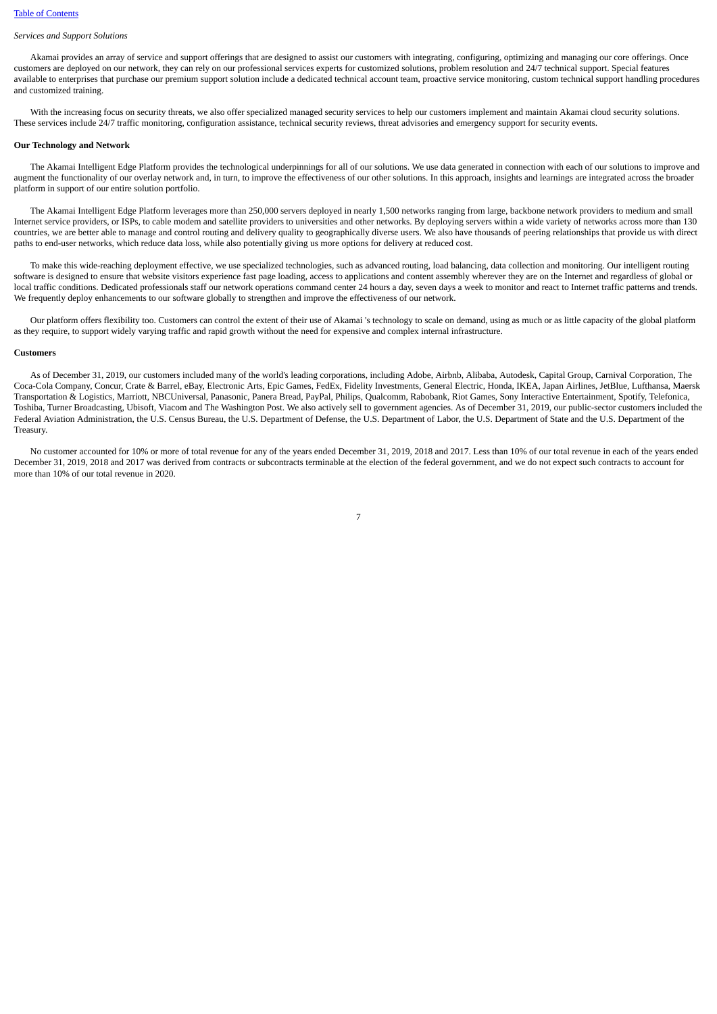#### *Services and Support Solutions*

Akamai provides an array of service and support offerings that are designed to assist our customers with integrating, configuring, optimizing and managing our core offerings. Once customers are deployed on our network, they can rely on our professional services experts for customized solutions, problem resolution and 24/7 technical support. Special features available to enterprises that purchase our premium support solution include a dedicated technical account team, proactive service monitoring, custom technical support handling procedures and customized training.

With the increasing focus on security threats, we also offer specialized managed security services to help our customers implement and maintain Akamai cloud security solutions. These services include 24/7 traffic monitoring, configuration assistance, technical security reviews, threat advisories and emergency support for security events.

#### **Our Technology and Network**

The Akamai Intelligent Edge Platform provides the technological underpinnings for all of our solutions. We use data generated in connection with each of our solutions to improve and augment the functionality of our overlay network and, in turn, to improve the effectiveness of our other solutions. In this approach, insights and learnings are integrated across the broader platform in support of our entire solution portfolio.

The Akamai Intelligent Edge Platform leverages more than 250,000 servers deployed in nearly 1,500 networks ranging from large, backbone network providers to medium and small Internet service providers, or ISPs, to cable modem and satellite providers to universities and other networks. By deploying servers within a wide variety of networks across more than 130 countries, we are better able to manage and control routing and delivery quality to geographically diverse users. We also have thousands of peering relationships that provide us with direct paths to end-user networks, which reduce data loss, while also potentially giving us more options for delivery at reduced cost.

To make this wide-reaching deployment effective, we use specialized technologies, such as advanced routing, load balancing, data collection and monitoring. Our intelligent routing software is designed to ensure that website visitors experience fast page loading, access to applications and content assembly wherever they are on the Internet and regardless of global or local traffic conditions. Dedicated professionals staff our network operations command center 24 hours a day, seven days a week to monitor and react to Internet traffic patterns and trends. We frequently deploy enhancements to our software globally to strengthen and improve the effectiveness of our network.

Our platform offers flexibility too. Customers can control the extent of their use of Akamai 's technology to scale on demand, using as much or as little capacity of the global platform as they require, to support widely varying traffic and rapid growth without the need for expensive and complex internal infrastructure.

#### **Customers**

As of December 31, 2019, our customers included many of the world's leading corporations, including Adobe, Airbnb, Alibaba, Autodesk, Capital Group, Carnival Corporation, The Coca-Cola Company, Concur, Crate & Barrel, eBay, Electronic Arts, Epic Games, FedEx, Fidelity Investments, General Electric, Honda, IKEA, Japan Airlines, JetBlue, Lufthansa, Maersk Transportation & Logistics, Marriott, NBCUniversal, Panasonic, Panera Bread, PayPal, Philips, Qualcomm, Rabobank, Riot Games, Sony Interactive Entertainment, Spotify, Telefonica, Toshiba, Turner Broadcasting, Ubisoft, Viacom and The Washington Post. We also actively sell to government agencies. As of December 31, 2019, our public-sector customers included the Federal Aviation Administration, the U.S. Census Bureau, the U.S. Department of Defense, the U.S. Department of Labor, the U.S. Department of State and the U.S. Department of the Treasury.

No customer accounted for 10% or more of total revenue for any of the years ended December 31, 2019, 2018 and 2017. Less than 10% of our total revenue in each of the years ended December 31, 2019, 2018 and 2017 was derived from contracts or subcontracts terminable at the election of the federal government, and we do not expect such contracts to account for more than 10% of our total revenue in 2020.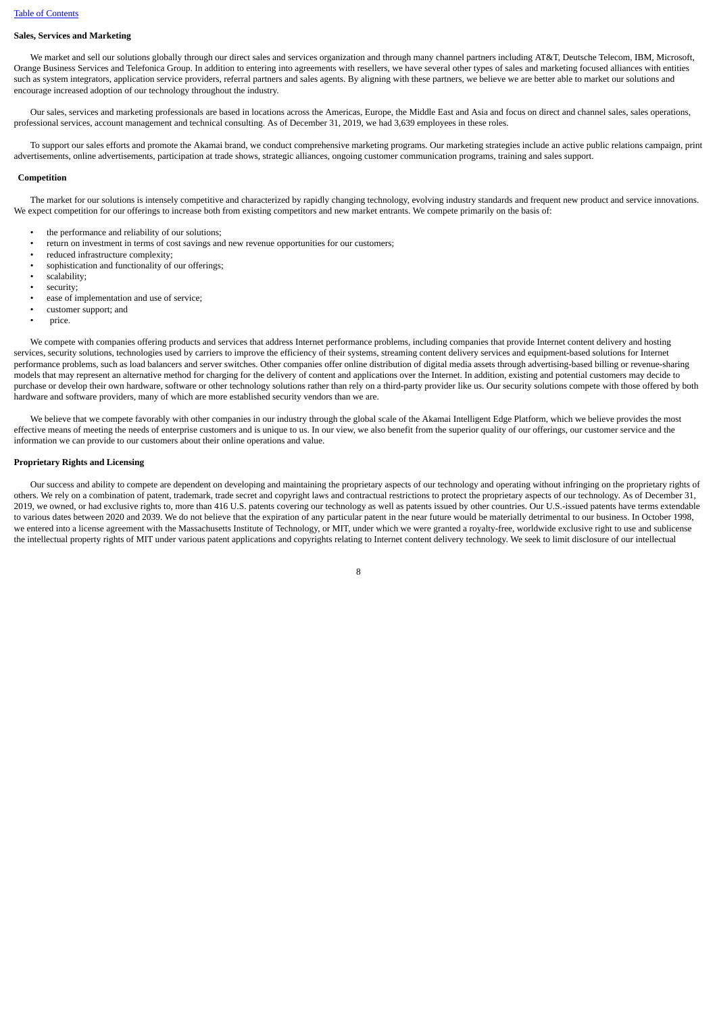#### **Sales, Services and Marketing**

We market and sell our solutions globally through our direct sales and services organization and through many channel partners including AT&T, Deutsche Telecom, IBM, Microsoft, Orange Business Services and Telefonica Group. In addition to entering into agreements with resellers, we have several other types of sales and marketing focused alliances with entities such as system integrators, application service providers, referral partners and sales agents. By aligning with these partners, we believe we are better able to market our solutions and encourage increased adoption of our technology throughout the industry.

Our sales, services and marketing professionals are based in locations across the Americas, Europe, the Middle East and Asia and focus on direct and channel sales, sales operations, professional services, account management and technical consulting. As of December 31, 2019, we had 3,639 employees in these roles.

To support our sales efforts and promote the Akamai brand, we conduct comprehensive marketing programs. Our marketing strategies include an active public relations campaign, print advertisements, online advertisements, participation at trade shows, strategic alliances, ongoing customer communication programs, training and sales support.

#### **Competition**

The market for our solutions is intensely competitive and characterized by rapidly changing technology, evolving industry standards and frequent new product and service innovations. We expect competition for our offerings to increase both from existing competitors and new market entrants. We compete primarily on the basis of:

- the performance and reliability of our solutions;
- return on investment in terms of cost savings and new revenue opportunities for our customers;
- reduced infrastructure complexity;
- sophistication and functionality of our offerings:
- scalability;
- security:
- ease of implementation and use of service:
- customer support; and
- price.

We compete with companies offering products and services that address Internet performance problems, including companies that provide Internet content delivery and hosting services, security solutions, technologies used by carriers to improve the efficiency of their systems, streaming content delivery services and equipment-based solutions for Internet performance problems, such as load balancers and server switches. Other companies offer online distribution of digital media assets through advertising-based billing or revenue-sharing models that may represent an alternative method for charging for the delivery of content and applications over the Internet. In addition, existing and potential customers may decide to purchase or develop their own hardware, software or other technology solutions rather than rely on a third-party provider like us. Our security solutions compete with those offered by both hardware and software providers, many of which are more established security vendors than we are.

We believe that we compete favorably with other companies in our industry through the global scale of the Akamai Intelligent Edge Platform, which we believe provides the most effective means of meeting the needs of enterprise customers and is unique to us. In our view, we also benefit from the superior quality of our offerings, our customer service and the information we can provide to our customers about their online operations and value.

#### **Proprietary Rights and Licensing**

Our success and ability to compete are dependent on developing and maintaining the proprietary aspects of our technology and operating without infringing on the proprietary rights of others. We rely on a combination of patent, trademark, trade secret and copyright laws and contractual restrictions to protect the proprietary aspects of our technology. As of December 31, 2019, we owned, or had exclusive rights to, more than 416 U.S. patents covering our technology as well as patents issued by other countries. Our U.S.-issued patents have terms extendable to various dates between 2020 and 2039. We do not believe that the expiration of any particular patent in the near future would be materially detrimental to our business. In October 1998, we entered into a license agreement with the Massachusetts Institute of Technology, or MIT, under which we were granted a royalty-free, worldwide exclusive right to use and sublicense the intellectual property rights of MIT under various patent applications and copyrights relating to Internet content delivery technology. We seek to limit disclosure of our intellectual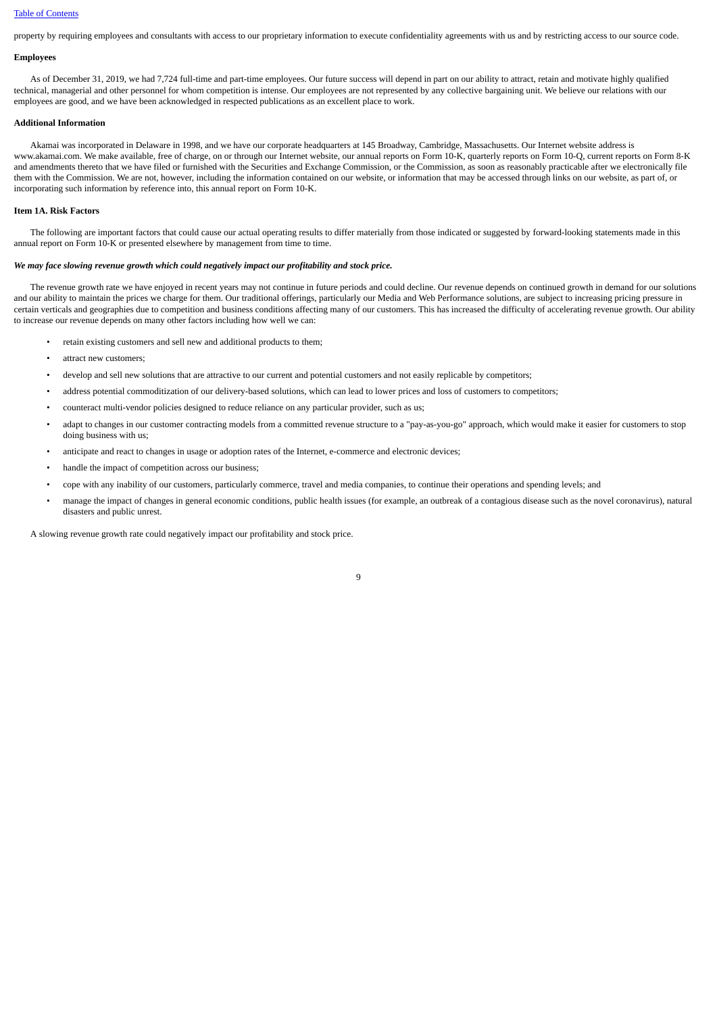property by requiring employees and consultants with access to our proprietary information to execute confidentiality agreements with us and by restricting access to our source code.

## **Employees**

As of December 31, 2019, we had 7,724 full-time and part-time employees. Our future success will depend in part on our ability to attract, retain and motivate highly qualified technical, managerial and other personnel for whom competition is intense. Our employees are not represented by any collective bargaining unit. We believe our relations with our employees are good, and we have been acknowledged in respected publications as an excellent place to work.

## **Additional Information**

Akamai was incorporated in Delaware in 1998, and we have our corporate headquarters at 145 Broadway, Cambridge, Massachusetts. Our Internet website address is www.akamai.com. We make available, free of charge, on or through our Internet website, our annual reports on Form 10-K, quarterly reports on Form 10-Q, current reports on Form 8-K and amendments thereto that we have filed or furnished with the Securities and Exchange Commission, or the Commission, as soon as reasonably practicable after we electronically file them with the Commission. We are not, however, including the information contained on our website, or information that may be accessed through links on our website, as part of, or incorporating such information by reference into, this annual report on Form 10-K.

## <span id="page-8-0"></span>**Item 1A. Risk Factors**

The following are important factors that could cause our actual operating results to differ materially from those indicated or suggested by forward-looking statements made in this annual report on Form 10-K or presented elsewhere by management from time to time.

## *We may face slowing revenue growth which could negatively impact our profitability and stock price.*

The revenue growth rate we have enjoyed in recent years may not continue in future periods and could decline. Our revenue depends on continued growth in demand for our solutions and our ability to maintain the prices we charge for them. Our traditional offerings, particularly our Media and Web Performance solutions, are subject to increasing pricing pressure in certain verticals and geographies due to competition and business conditions affecting many of our customers. This has increased the difficulty of accelerating revenue growth. Our ability to increase our revenue depends on many other factors including how well we can:

- retain existing customers and sell new and additional products to them;
- attract new customers;
- develop and sell new solutions that are attractive to our current and potential customers and not easily replicable by competitors;
- address potential commoditization of our delivery-based solutions, which can lead to lower prices and loss of customers to competitors;
- counteract multi-vendor policies designed to reduce reliance on any particular provider, such as us;
- adapt to changes in our customer contracting models from a committed revenue structure to a "pay-as-you-go" approach, which would make it easier for customers to stop doing business with us;
- anticipate and react to changes in usage or adoption rates of the Internet, e-commerce and electronic devices;
- handle the impact of competition across our business;
- cope with any inability of our customers, particularly commerce, travel and media companies, to continue their operations and spending levels; and
- manage the impact of changes in general economic conditions, public health issues (for example, an outbreak of a contagious disease such as the novel coronavirus), natural disasters and public unrest.

A slowing revenue growth rate could negatively impact our profitability and stock price.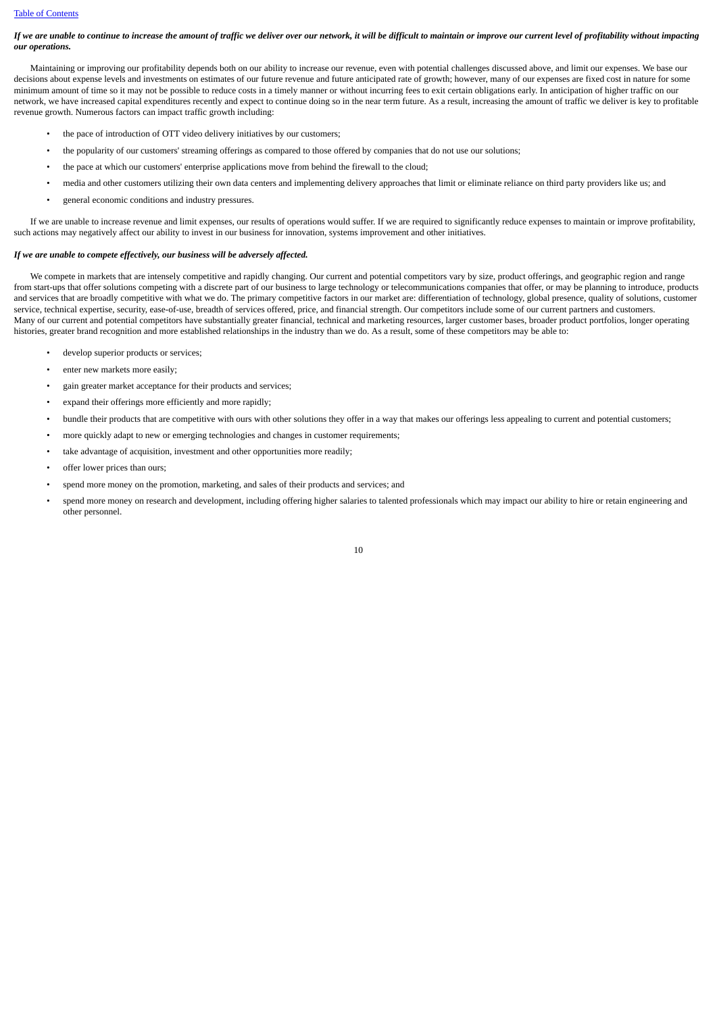## If we are unable to continue to increase the amount of traffic we deliver over our network, it will be difficult to maintain or improve our current level of profitability without impacting *our operations.*

Maintaining or improving our profitability depends both on our ability to increase our revenue, even with potential challenges discussed above, and limit our expenses. We base our decisions about expense levels and investments on estimates of our future revenue and future anticipated rate of growth; however, many of our expenses are fixed cost in nature for some minimum amount of time so it may not be possible to reduce costs in a timely manner or without incurring fees to exit certain obligations early. In anticipation of higher traffic on our network, we have increased capital expenditures recently and expect to continue doing so in the near term future. As a result, increasing the amount of traffic we deliver is key to profitable revenue growth. Numerous factors can impact traffic growth including:

- the pace of introduction of OTT video delivery initiatives by our customers;
- the popularity of our customers' streaming offerings as compared to those offered by companies that do not use our solutions;
- the pace at which our customers' enterprise applications move from behind the firewall to the cloud;
- media and other customers utilizing their own data centers and implementing delivery approaches that limit or eliminate reliance on third party providers like us; and
- general economic conditions and industry pressures.

If we are unable to increase revenue and limit expenses, our results of operations would suffer. If we are required to significantly reduce expenses to maintain or improve profitability, such actions may negatively affect our ability to invest in our business for innovation, systems improvement and other initiatives.

#### *If we are unable to compete effectively, our business will be adversely affected.*

We compete in markets that are intensely competitive and rapidly changing. Our current and potential competitors vary by size, product offerings, and geographic region and range from start-ups that offer solutions competing with a discrete part of our business to large technology or telecommunications companies that offer, or may be planning to introduce, products and services that are broadly competitive with what we do. The primary competitive factors in our market are: differentiation of technology, global presence, quality of solutions, customer service, technical expertise, security, ease-of-use, breadth of services offered, price, and financial strength. Our competitors include some of our current partners and customers. Many of our current and potential competitors have substantially greater financial, technical and marketing resources, larger customer bases, broader product portfolios, longer operating histories, greater brand recognition and more established relationships in the industry than we do. As a result, some of these competitors may be able to:

- develop superior products or services;
- enter new markets more easily;
- gain greater market acceptance for their products and services;
- expand their offerings more efficiently and more rapidly;
- bundle their products that are competitive with ours with other solutions they offer in a way that makes our offerings less appealing to current and potential customers;
- more quickly adapt to new or emerging technologies and changes in customer requirements;
- take advantage of acquisition, investment and other opportunities more readily;
- offer lower prices than ours;
- spend more money on the promotion, marketing, and sales of their products and services; and
- spend more money on research and development, including offering higher salaries to talented professionals which may impact our ability to hire or retain engineering and other personnel.

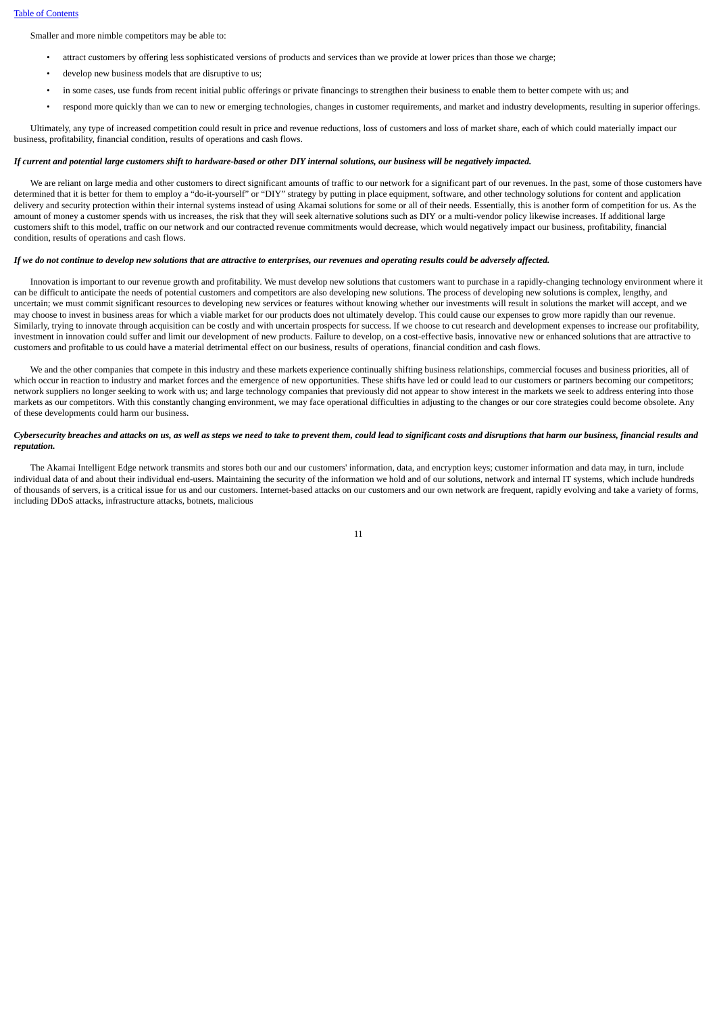Smaller and more nimble competitors may be able to:

- attract customers by offering less sophisticated versions of products and services than we provide at lower prices than those we charge;
- develop new business models that are disruptive to us;
- in some cases, use funds from recent initial public offerings or private financings to strengthen their business to enable them to better compete with us; and
- respond more quickly than we can to new or emerging technologies, changes in customer requirements, and market and industry developments, resulting in superior offerings.

Ultimately, any type of increased competition could result in price and revenue reductions, loss of customers and loss of market share, each of which could materially impact our business, profitability, financial condition, results of operations and cash flows.

#### If current and potential large customers shift to hardware-based or other DIY internal solutions, our business will be negatively impacted.

We are reliant on large media and other customers to direct significant amounts of traffic to our network for a significant part of our revenues. In the past, some of those customers have determined that it is better for them to employ a "do-it-yourself" or "DIY" strategy by putting in place equipment, software, and other technology solutions for content and application delivery and security protection within their internal systems instead of using Akamai solutions for some or all of their needs. Essentially, this is another form of competition for us. As the amount of money a customer spends with us increases, the risk that they will seek alternative solutions such as DIY or a multi-vendor policy likewise increases. If additional large customers shift to this model, traffic on our network and our contracted revenue commitments would decrease, which would negatively impact our business, profitability, financial condition, results of operations and cash flows.

### If we do not continue to develop new solutions that are attractive to enterprises, our revenues and operatina results could be adversely affected.

Innovation is important to our revenue growth and profitability. We must develop new solutions that customers want to purchase in a rapidly-changing technology environment where it can be difficult to anticipate the needs of potential customers and competitors are also developing new solutions. The process of developing new solutions is complex, lengthy, and uncertain; we must commit significant resources to developing new services or features without knowing whether our investments will result in solutions the market will accept, and we may choose to invest in business areas for which a viable market for our products does not ultimately develop. This could cause our expenses to grow more rapidly than our revenue. Similarly, trying to innovate through acquisition can be costly and with uncertain prospects for success. If we choose to cut research and development expenses to increase our profitability, investment in innovation could suffer and limit our development of new products. Failure to develop, on a cost-effective basis, innovative new or enhanced solutions that are attractive to customers and profitable to us could have a material detrimental effect on our business, results of operations, financial condition and cash flows.

We and the other companies that compete in this industry and these markets experience continually shifting business relationships, commercial focuses and business priorities, all of which occur in reaction to industry and market forces and the emergence of new opportunities. These shifts have led or could lead to our customers or partners becoming our competitors; network suppliers no longer seeking to work with us; and large technology companies that previously did not appear to show interest in the markets we seek to address entering into those markets as our competitors. With this constantly changing environment, we may face operational difficulties in adjusting to the changes or our core strategies could become obsolete. Any of these developments could harm our business.

### Cybersecurity breaches and attacks on us, as well as steps we need to take to prevent them, could lead to significant costs and disruptions that harm our business, financial results and *reputation.*

The Akamai Intelligent Edge network transmits and stores both our and our customers' information, data, and encryption keys; customer information and data may, in turn, include individual data of and about their individual end-users. Maintaining the security of the information we hold and of our solutions, network and internal IT systems, which include hundreds of thousands of servers, is a critical issue for us and our customers. Internet-based attacks on our customers and our own network are frequent, rapidly evolving and take a variety of forms, including DDoS attacks, infrastructure attacks, botnets, malicious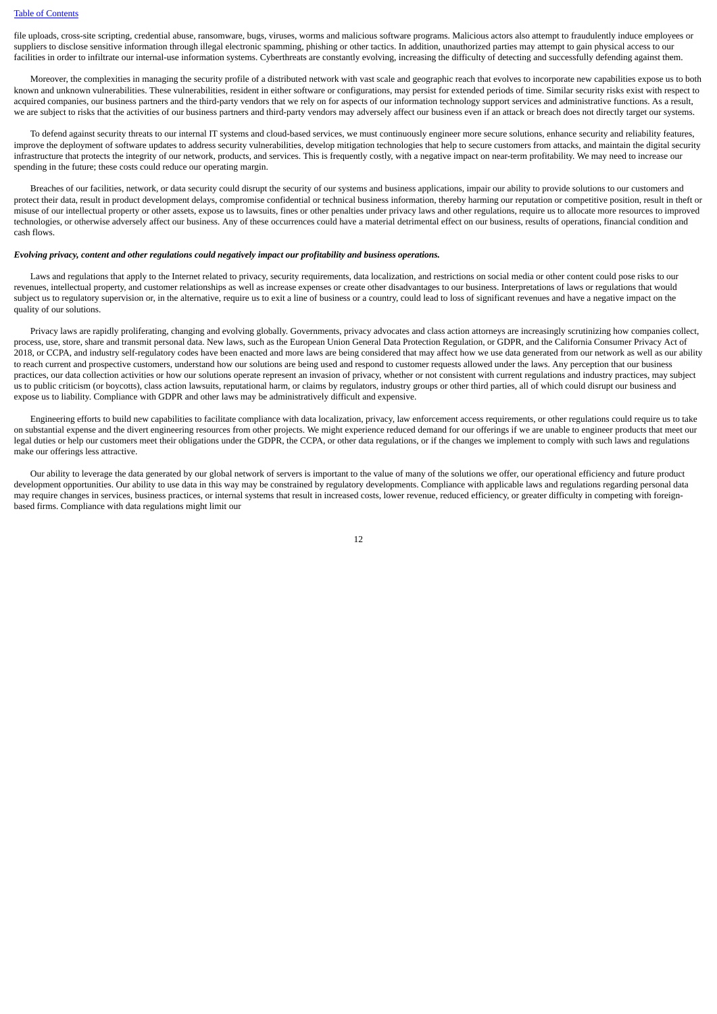file uploads, cross-site scripting, credential abuse, ransomware, bugs, viruses, worms and malicious software programs. Malicious actors also attempt to fraudulently induce employees or suppliers to disclose sensitive information through illegal electronic spamming, phishing or other tactics. In addition, unauthorized parties may attempt to gain physical access to our facilities in order to infiltrate our internal-use information systems. Cyberthreats are constantly evolving, increasing the difficulty of detecting and successfully defending against them.

Moreover, the complexities in managing the security profile of a distributed network with vast scale and geographic reach that evolves to incorporate new capabilities expose us to both known and unknown vulnerabilities. These vulnerabilities, resident in either software or configurations, may persist for extended periods of time. Similar security risks exist with respect to acquired companies, our business partners and the third-party vendors that we rely on for aspects of our information technology support services and administrative functions. As a result, we are subject to risks that the activities of our business partners and third-party vendors may adversely affect our business even if an attack or breach does not directly target our systems.

To defend against security threats to our internal IT systems and cloud-based services, we must continuously engineer more secure solutions, enhance security and reliability features, improve the deployment of software updates to address security vulnerabilities, develop mitigation technologies that help to secure customers from attacks, and maintain the digital security infrastructure that protects the integrity of our network, products, and services. This is frequently costly, with a negative impact on near-term profitability. We may need to increase our spending in the future; these costs could reduce our operating margin.

Breaches of our facilities, network, or data security could disrupt the security of our systems and business applications, impair our ability to provide solutions to our customers and protect their data, result in product development delays, compromise confidential or technical business information, thereby harming our reputation or competitive position, result in theft or misuse of our intellectual property or other assets, expose us to lawsuits, fines or other penalties under privacy laws and other regulations, require us to allocate more resources to improved technologies, or otherwise adversely affect our business. Any of these occurrences could have a material detrimental effect on our business, results of operations, financial condition and cash flows.

#### *Evolving privacy, content and other regulations could negatively impact our profitability and business operations.*

Laws and regulations that apply to the Internet related to privacy, security requirements, data localization, and restrictions on social media or other content could pose risks to our revenues, intellectual property, and customer relationships as well as increase expenses or create other disadvantages to our business. Interpretations of laws or regulations that would subject us to regulatory supervision or, in the alternative, require us to exit a line of business or a country, could lead to loss of significant revenues and have a negative impact on the quality of our solutions.

Privacy laws are rapidly proliferating, changing and evolving globally. Governments, privacy advocates and class action attorneys are increasingly scrutinizing how companies collect, process, use, store, share and transmit personal data. New laws, such as the European Union General Data Protection Regulation, or GDPR, and the California Consumer Privacy Act of 2018, or CCPA, and industry self-regulatory codes have been enacted and more laws are being considered that may affect how we use data generated from our network as well as our ability to reach current and prospective customers, understand how our solutions are being used and respond to customer requests allowed under the laws. Any perception that our business practices, our data collection activities or how our solutions operate represent an invasion of privacy, whether or not consistent with current regulations and industry practices, may subject us to public criticism (or boycotts), class action lawsuits, reputational harm, or claims by regulators, industry groups or other third parties, all of which could disrupt our business and expose us to liability. Compliance with GDPR and other laws may be administratively difficult and expensive.

Engineering efforts to build new capabilities to facilitate compliance with data localization, privacy, law enforcement access requirements, or other regulations could require us to take on substantial expense and the divert engineering resources from other projects. We might experience reduced demand for our offerings if we are unable to engineer products that meet our legal duties or help our customers meet their obligations under the GDPR, the CCPA, or other data regulations, or if the changes we implement to comply with such laws and regulations make our offerings less attractive.

Our ability to leverage the data generated by our global network of servers is important to the value of many of the solutions we offer, our operational efficiency and future product development opportunities. Our ability to use data in this way may be constrained by regulatory developments. Compliance with applicable laws and regulations regarding personal data may require changes in services, business practices, or internal systems that result in increased costs, lower revenue, reduced efficiency, or greater difficulty in competing with foreignbased firms. Compliance with data regulations might limit our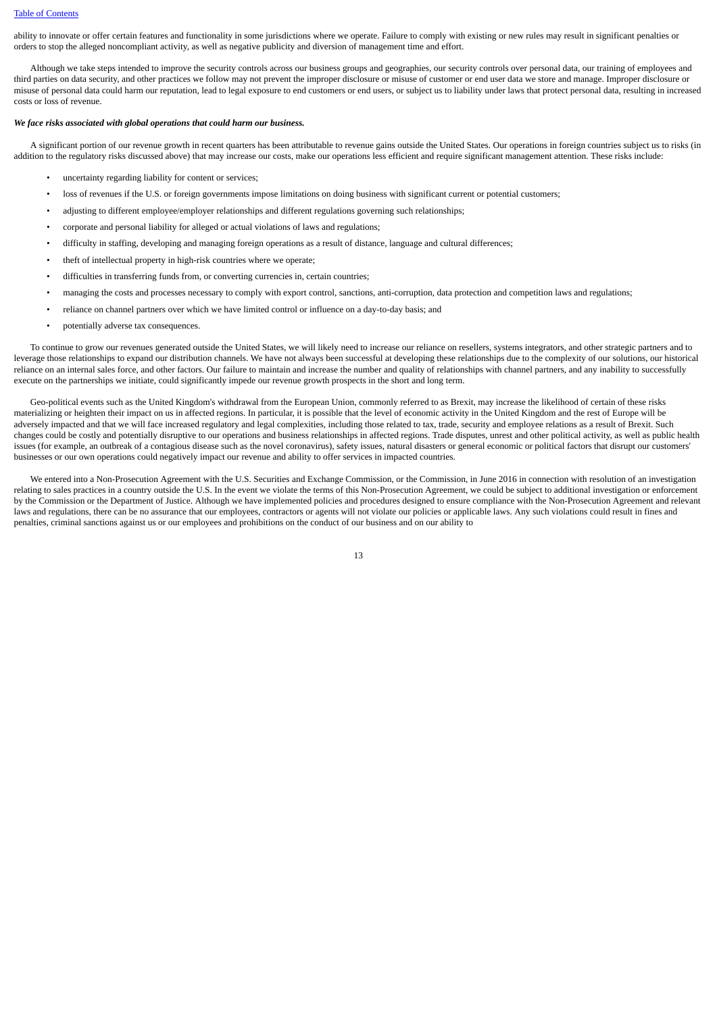ability to innovate or offer certain features and functionality in some jurisdictions where we operate. Failure to comply with existing or new rules may result in significant penalties or orders to stop the alleged noncompliant activity, as well as negative publicity and diversion of management time and effort.

Although we take steps intended to improve the security controls across our business groups and geographies, our security controls over personal data, our training of employees and third parties on data security, and other practices we follow may not prevent the improper disclosure or misuse of customer or end user data we store and manage. Improper disclosure or misuse of personal data could harm our reputation, lead to legal exposure to end customers or end users, or subject us to liability under laws that protect personal data, resulting in increased costs or loss of revenue.

## *We face risks associated with global operations that could harm our business.*

A significant portion of our revenue growth in recent quarters has been attributable to revenue gains outside the United States. Our operations in foreign countries subject us to risks (in addition to the regulatory risks discussed above) that may increase our costs, make our operations less efficient and require significant management attention. These risks include:

- uncertainty regarding liability for content or services:
- loss of revenues if the U.S. or foreign governments impose limitations on doing business with significant current or potential customers;
- adjusting to different employee/employer relationships and different regulations governing such relationships;
- corporate and personal liability for alleged or actual violations of laws and regulations;
- difficulty in staffing, developing and managing foreign operations as a result of distance, language and cultural differences;
- theft of intellectual property in high-risk countries where we operate;
- difficulties in transferring funds from, or converting currencies in, certain countries;
- managing the costs and processes necessary to comply with export control, sanctions, anti-corruption, data protection and competition laws and regulations;
- reliance on channel partners over which we have limited control or influence on a day-to-day basis; and
- potentially adverse tax consequences.

To continue to grow our revenues generated outside the United States, we will likely need to increase our reliance on resellers, systems integrators, and other strategic partners and to leverage those relationships to expand our distribution channels. We have not always been successful at developing these relationships due to the complexity of our solutions, our historical reliance on an internal sales force, and other factors. Our failure to maintain and increase the number and quality of relationships with channel partners, and any inability to successfully execute on the partnerships we initiate, could significantly impede our revenue growth prospects in the short and long term.

Geo-political events such as the United Kingdom's withdrawal from the European Union, commonly referred to as Brexit, may increase the likelihood of certain of these risks materializing or heighten their impact on us in affected regions. In particular, it is possible that the level of economic activity in the United Kingdom and the rest of Europe will be adversely impacted and that we will face increased regulatory and legal complexities, including those related to tax, trade, security and employee relations as a result of Brexit. Such changes could be costly and potentially disruptive to our operations and business relationships in affected regions. Trade disputes, unrest and other political activity, as well as public health issues (for example, an outbreak of a contagious disease such as the novel coronavirus), safety issues, natural disasters or general economic or political factors that disrupt our customers' businesses or our own operations could negatively impact our revenue and ability to offer services in impacted countries.

We entered into a Non-Prosecution Agreement with the U.S. Securities and Exchange Commission, or the Commission, in June 2016 in connection with resolution of an investigation relating to sales practices in a country outside the U.S. In the event we violate the terms of this Non-Prosecution Agreement, we could be subject to additional investigation or enforcement by the Commission or the Department of Justice. Although we have implemented policies and procedures designed to ensure compliance with the Non-Prosecution Agreement and relevant laws and regulations, there can be no assurance that our employees, contractors or agents will not violate our policies or applicable laws. Any such violations could result in fines and penalties, criminal sanctions against us or our employees and prohibitions on the conduct of our business and on our ability to

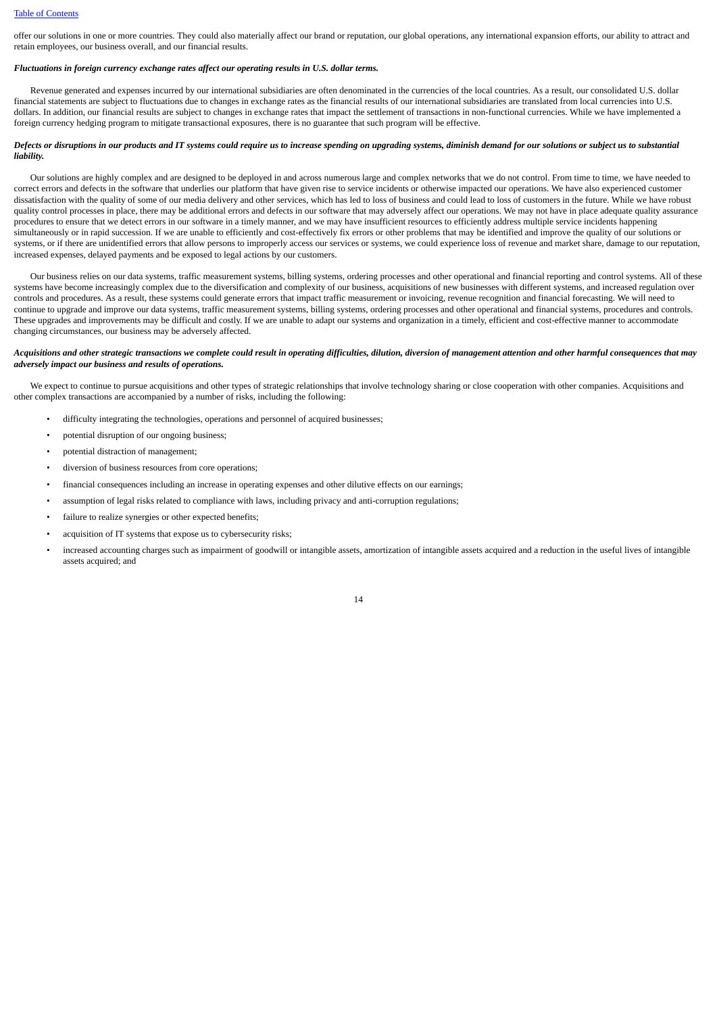offer our solutions in one or more countries. They could also materially affect our brand or reputation, our global operations, any international expansion efforts, our ability to attract and retain employees, our business overall, and our financial results.

#### *Fluctuations in foreign currency exchange rates affect our operating results in U.S. dollar terms.*

Revenue generated and expenses incurred by our international subsidiaries are often denominated in the currencies of the local countries. As a result, our consolidated U.S. dollar financial statements are subject to fluctuations due to changes in exchange rates as the financial results of our international subsidiaries are translated from local currencies into U.S. dollars. In addition, our financial results are subject to changes in exchange rates that impact the settlement of transactions in non-functional currencies. While we have implemented a foreign currency hedging program to mitigate transactional exposures, there is no guarantee that such program will be effective.

### Defects or disruptions in our products and IT systems could require us to increase spending on upgrading systems, diminish demand for our solutions or subject us to substantial *liability.*

Our solutions are highly complex and are designed to be deployed in and across numerous large and complex networks that we do not control. From time to time, we have needed to correct errors and defects in the software that underlies our platform that have given rise to service incidents or otherwise impacted our operations. We have also experienced customer dissatisfaction with the quality of some of our media delivery and other services, which has led to loss of business and could lead to loss of customers in the future. While we have robust quality control processes in place, there may be additional errors and defects in our software that may adversely affect our operations. We may not have in place adequate quality assurance procedures to ensure that we detect errors in our software in a timely manner, and we may have insufficient resources to efficiently address multiple service incidents happening simultaneously or in rapid succession. If we are unable to efficiently and cost-effectively fix errors or other problems that may be identified and improve the quality of our solutions or systems, or if there are unidentified errors that allow persons to improperly access our services or systems, we could experience loss of revenue and market share, damage to our reputation, increased expenses, delayed payments and be exposed to legal actions by our customers.

Our business relies on our data systems, traffic measurement systems, billing systems, ordering processes and other operational and financial reporting and control systems. All of these systems have become increasingly complex due to the diversification and complexity of our business, acquisitions of new businesses with different systems, and increased regulation over controls and procedures. As a result, these systems could generate errors that impact traffic measurement or invoicing, revenue recognition and financial forecasting. We will need to continue to upgrade and improve our data systems, traffic measurement systems, billing systems, ordering processes and other operational and financial systems, procedures and controls. These upgrades and improvements may be difficult and costly. If we are unable to adapt our systems and organization in a timely, efficient and cost-effective manner to accommodate changing circumstances, our business may be adversely affected.

## Acquisitions and other strategic transactions we complete could result in operating difficulties, dilution, diversion of management attention and other harmful consequences that may *adversely impact our business and results of operations.*

We expect to continue to pursue acquisitions and other types of strategic relationships that involve technology sharing or close cooperation with other companies. Acquisitions and other complex transactions are accompanied by a number of risks, including the following:

- difficulty integrating the technologies, operations and personnel of acquired businesses;
- potential disruption of our ongoing business;
- potential distraction of management;
- diversion of business resources from core operations;
- financial consequences including an increase in operating expenses and other dilutive effects on our earnings;
- assumption of legal risks related to compliance with laws, including privacy and anti-corruption regulations;
- failure to realize synergies or other expected benefits;
- acquisition of IT systems that expose us to cybersecurity risks;
- increased accounting charges such as impairment of goodwill or intangible assets, amortization of intangible assets acquired and a reduction in the useful lives of intangible assets acquired; and

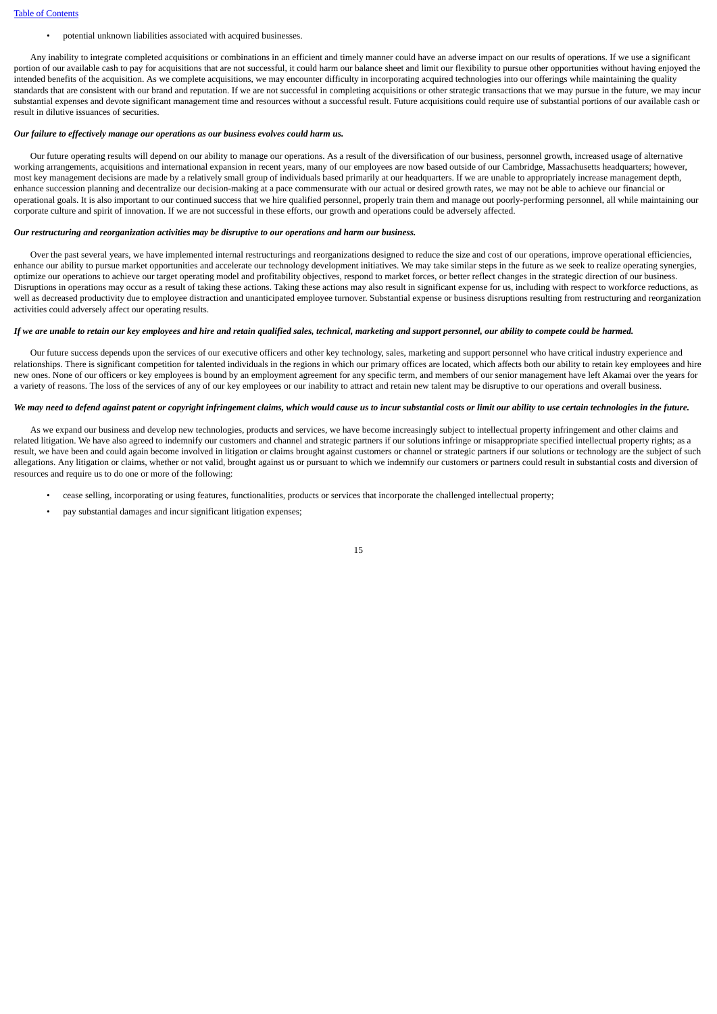• potential unknown liabilities associated with acquired businesses.

Any inability to integrate completed acquisitions or combinations in an efficient and timely manner could have an adverse impact on our results of operations. If we use a significant portion of our available cash to pay for acquisitions that are not successful, it could harm our balance sheet and limit our flexibility to pursue other opportunities without having enjoyed the intended benefits of the acquisition. As we complete acquisitions, we may encounter difficulty in incorporating acquired technologies into our offerings while maintaining the quality standards that are consistent with our brand and reputation. If we are not successful in completing acquisitions or other strategic transactions that we may pursue in the future, we may incur substantial expenses and devote significant management time and resources without a successful result. Future acquisitions could require use of substantial portions of our available cash or result in dilutive issuances of securities.

#### *Our failure to effectively manage our operations as our business evolves could harm us.*

Our future operating results will depend on our ability to manage our operations. As a result of the diversification of our business, personnel growth, increased usage of alternative working arrangements, acquisitions and international expansion in recent years, many of our employees are now based outside of our Cambridge, Massachusetts headquarters; however, most key management decisions are made by a relatively small group of individuals based primarily at our headquarters. If we are unable to appropriately increase management depth, enhance succession planning and decentralize our decision-making at a pace commensurate with our actual or desired growth rates, we may not be able to achieve our financial or operational goals. It is also important to our continued success that we hire qualified personnel, properly train them and manage out poorly-performing personnel, all while maintaining our corporate culture and spirit of innovation. If we are not successful in these efforts, our growth and operations could be adversely affected.

## *Our restructuring and reorganization activities may be disruptive to our operations and harm our business.*

Over the past several years, we have implemented internal restructurings and reorganizations designed to reduce the size and cost of our operations, improve operational efficiencies, enhance our ability to pursue market opportunities and accelerate our technology development initiatives. We may take similar steps in the future as we seek to realize operating synergies, optimize our operations to achieve our target operating model and profitability objectives, respond to market forces, or better reflect changes in the strategic direction of our business. Disruptions in operations may occur as a result of taking these actions. Taking these actions may also result in significant expense for us, including with respect to workforce reductions, as well as decreased productivity due to employee distraction and unanticipated employee turnover. Substantial expense or business disruptions resulting from restructuring and reorganization activities could adversely affect our operating results.

#### If we are unable to retain our key employees and hire and retain qualified sales, technical, marketing and support personnel, our ability to compete could be harmed.

Our future success depends upon the services of our executive officers and other key technology, sales, marketing and support personnel who have critical industry experience and relationships. There is significant competition for talented individuals in the regions in which our primary offices are located, which affects both our ability to retain key employees and hire new ones. None of our officers or key employees is bound by an employment agreement for any specific term, and members of our senior management have left Akamai over the years for a variety of reasons. The loss of the services of any of our key employees or our inability to attract and retain new talent may be disruptive to our operations and overall business.

#### We may need to defend against patent or copyright infringement claims, which would cause us to incur substantial costs or limit our ability to use certain technologies in the future.

As we expand our business and develop new technologies, products and services, we have become increasingly subject to intellectual property infringement and other claims and related litigation. We have also agreed to indemnify our customers and channel and strategic partners if our solutions infringe or misappropriate specified intellectual property rights; as a result, we have been and could again become involved in litigation or claims brought against customers or channel or strategic partners if our solutions or technology are the subject of such allegations. Any litigation or claims, whether or not valid, brought against us or pursuant to which we indemnify our customers or partners could result in substantial costs and diversion of resources and require us to do one or more of the following:

- cease selling, incorporating or using features, functionalities, products or services that incorporate the challenged intellectual property;
- pay substantial damages and incur significant litigation expenses;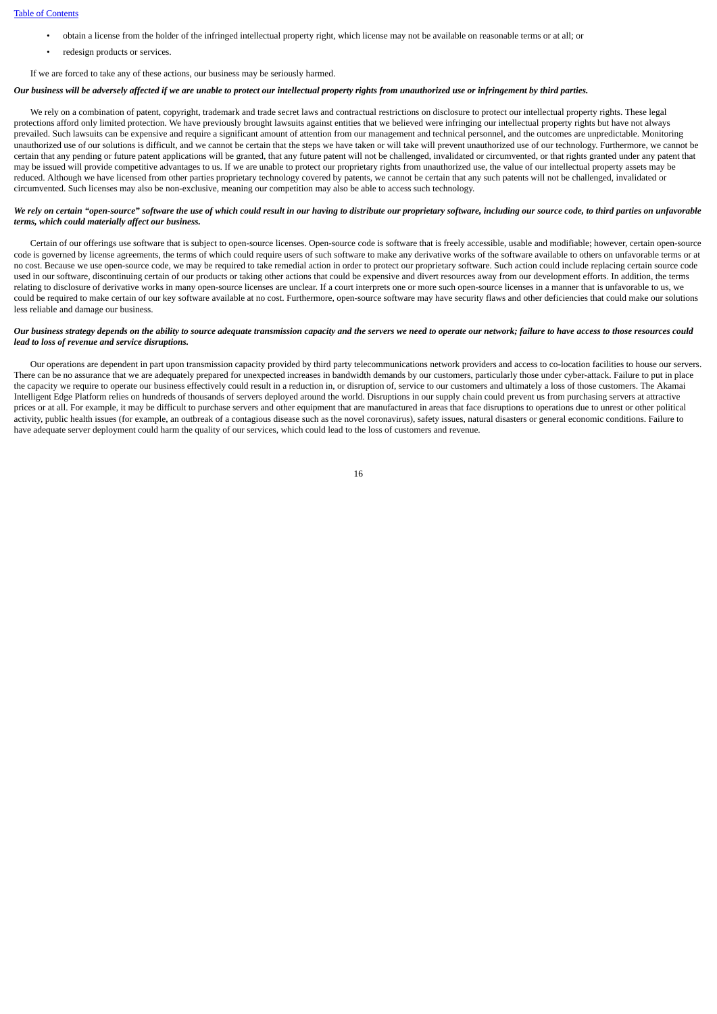- obtain a license from the holder of the infringed intellectual property right, which license may not be available on reasonable terms or at all; or
- redesign products or services.

If we are forced to take any of these actions, our business may be seriously harmed.

#### Our business will be adversely affected if we are unable to protect our intellectual property rights from unauthorized use or infringement by third parties.

We rely on a combination of patent, copyright, trademark and trade secret laws and contractual restrictions on disclosure to protect our intellectual property rights. These legal protections afford only limited protection. We have previously brought lawsuits against entities that we believed were infringing our intellectual property rights but have not always prevailed. Such lawsuits can be expensive and require a significant amount of attention from our management and technical personnel, and the outcomes are unpredictable. Monitoring unauthorized use of our solutions is difficult, and we cannot be certain that the steps we have taken or will take will prevent unauthorized use of our technology. Furthermore, we cannot be certain that any pending or future patent applications will be granted, that any future patent will not be challenged, invalidated or circumvented, or that rights granted under any patent that may be issued will provide competitive advantages to us. If we are unable to protect our proprietary rights from unauthorized use, the value of our intellectual property assets may be reduced. Although we have licensed from other parties proprietary technology covered by patents, we cannot be certain that any such patents will not be challenged, invalidated or circumvented. Such licenses may also be non-exclusive, meaning our competition may also be able to access such technology.

#### We rely on certain "open-source" software the use of which could result in our having to distribute our proprietary software, including our source code, to third parties on unfavorable *terms, which could materially affect our business.*

Certain of our offerings use software that is subject to open-source licenses. Open-source code is software that is freely accessible, usable and modifiable; however, certain open-source code is governed by license agreements, the terms of which could require users of such software to make any derivative works of the software available to others on unfavorable terms or at no cost. Because we use open-source code, we may be required to take remedial action in order to protect our proprietary software. Such action could include replacing certain source code used in our software, discontinuing certain of our products or taking other actions that could be expensive and divert resources away from our development efforts. In addition, the terms relating to disclosure of derivative works in many open-source licenses are unclear. If a court interprets one or more such open-source licenses in a manner that is unfavorable to us, we could be required to make certain of our key software available at no cost. Furthermore, open-source software may have security flaws and other deficiencies that could make our solutions less reliable and damage our business.

#### Our business strategy depends on the ability to source adequate transmission capacity and the servers we need to operate our network; failure to have access to those resources could *lead to loss of revenue and service disruptions.*

Our operations are dependent in part upon transmission capacity provided by third party telecommunications network providers and access to co-location facilities to house our servers. There can be no assurance that we are adequately prepared for unexpected increases in bandwidth demands by our customers, particularly those under cyber-attack. Failure to put in place the capacity we require to operate our business effectively could result in a reduction in, or disruption of, service to our customers and ultimately a loss of those customers. The Akamai Intelligent Edge Platform relies on hundreds of thousands of servers deployed around the world. Disruptions in our supply chain could prevent us from purchasing servers at attractive prices or at all. For example, it may be difficult to purchase servers and other equipment that are manufactured in areas that face disruptions to operations due to unrest or other political activity, public health issues (for example, an outbreak of a contagious disease such as the novel coronavirus), safety issues, natural disasters or general economic conditions. Failure to have adequate server deployment could harm the quality of our services, which could lead to the loss of customers and revenue.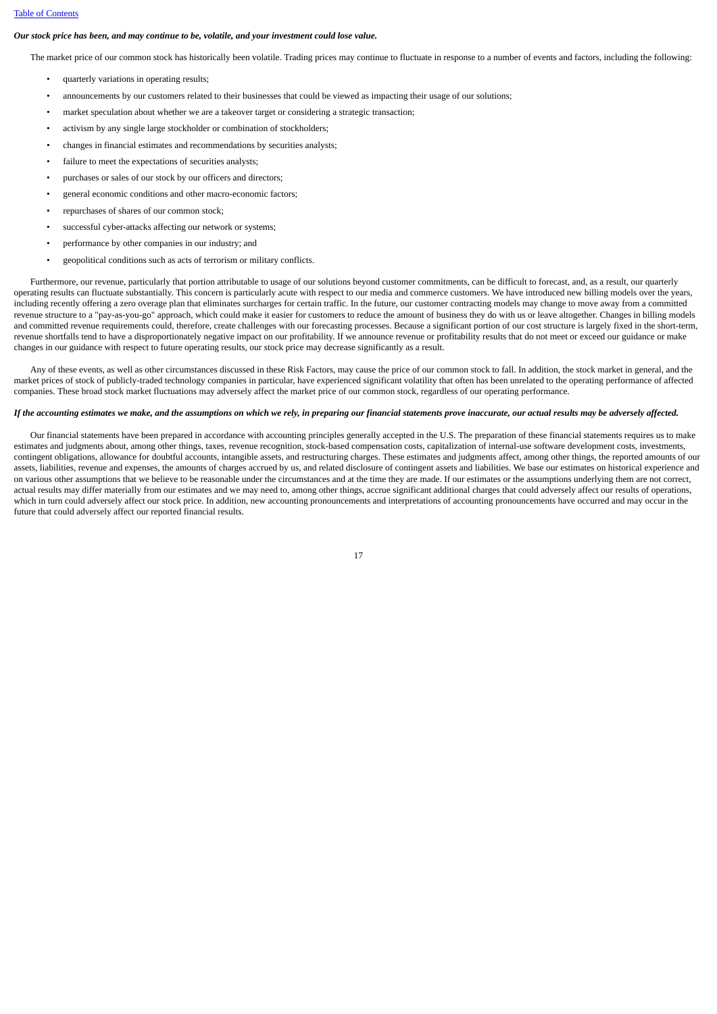## *Our stock price has been, and may continue to be, volatile, and your investment could lose value.*

The market price of our common stock has historically been volatile. Trading prices may continue to fluctuate in response to a number of events and factors, including the following:

- quarterly variations in operating results;
- announcements by our customers related to their businesses that could be viewed as impacting their usage of our solutions;
- market speculation about whether we are a takeover target or considering a strategic transaction;
- activism by any single large stockholder or combination of stockholders;
- changes in financial estimates and recommendations by securities analysts;
- failure to meet the expectations of securities analysts;
- purchases or sales of our stock by our officers and directors;
- general economic conditions and other macro-economic factors;
- repurchases of shares of our common stock;
- successful cyber-attacks affecting our network or systems;
- performance by other companies in our industry; and
- geopolitical conditions such as acts of terrorism or military conflicts.

Furthermore, our revenue, particularly that portion attributable to usage of our solutions beyond customer commitments, can be difficult to forecast, and, as a result, our quarterly operating results can fluctuate substantially. This concern is particularly acute with respect to our media and commerce customers. We have introduced new billing models over the years, including recently offering a zero overage plan that eliminates surcharges for certain traffic. In the future, our customer contracting models may change to move away from a committed revenue structure to a "pay-as-you-go" approach, which could make it easier for customers to reduce the amount of business they do with us or leave altogether. Changes in billing models and committed revenue requirements could, therefore, create challenges with our forecasting processes. Because a significant portion of our cost structure is largely fixed in the short-term, revenue shortfalls tend to have a disproportionately negative impact on our profitability. If we announce revenue or profitability results that do not meet or exceed our guidance or make changes in our guidance with respect to future operating results, our stock price may decrease significantly as a result.

Any of these events, as well as other circumstances discussed in these Risk Factors, may cause the price of our common stock to fall. In addition, the stock market in general, and the market prices of stock of publicly-traded technology companies in particular, have experienced significant volatility that often has been unrelated to the operating performance of affected companies. These broad stock market fluctuations may adversely affect the market price of our common stock, regardless of our operating performance.

## If the accounting estimates we make, and the assumptions on which we rely, in preparing our financial statements prove inaccurate, our actual results may be adversely affected.

Our financial statements have been prepared in accordance with accounting principles generally accepted in the U.S. The preparation of these financial statements requires us to make estimates and judgments about, among other things, taxes, revenue recognition, stock-based compensation costs, capitalization of internal-use software development costs, investments, contingent obligations, allowance for doubtful accounts, intangible assets, and restructuring charges. These estimates and judgments affect, among other things, the reported amounts of our assets, liabilities, revenue and expenses, the amounts of charges accrued by us, and related disclosure of contingent assets and liabilities. We base our estimates on historical experience and on various other assumptions that we believe to be reasonable under the circumstances and at the time they are made. If our estimates or the assumptions underlying them are not correct, actual results may differ materially from our estimates and we may need to, among other things, accrue significant additional charges that could adversely affect our results of operations, which in turn could adversely affect our stock price. In addition, new accounting pronouncements and interpretations of accounting pronouncements have occurred and may occur in the future that could adversely affect our reported financial results.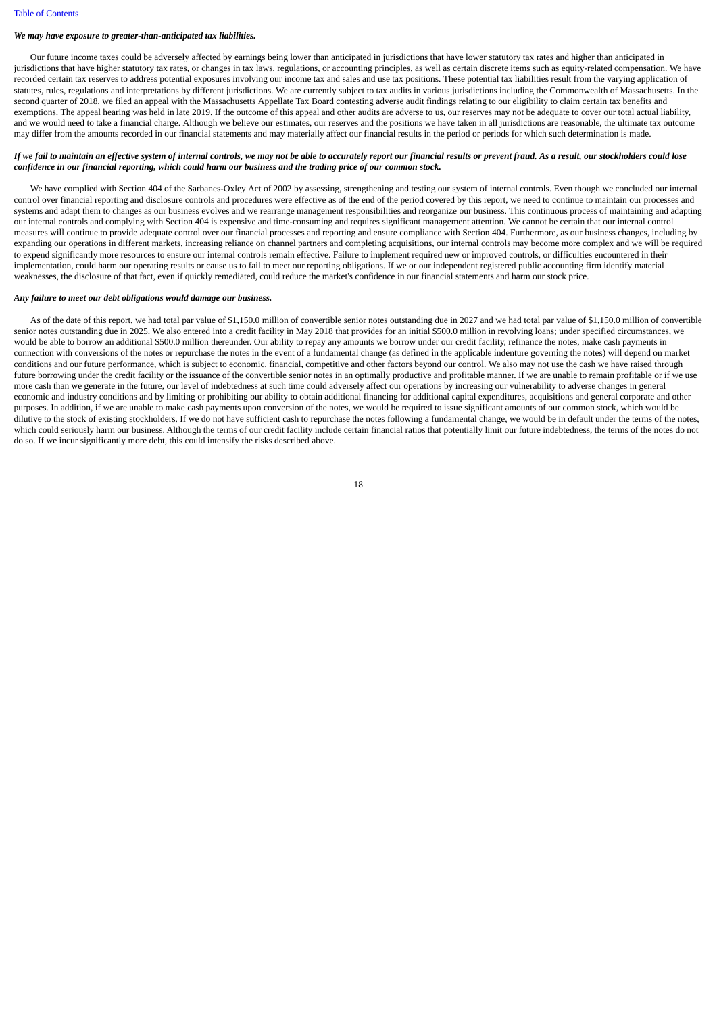## *We may have exposure to greater-than-anticipated tax liabilities.*

Our future income taxes could be adversely affected by earnings being lower than anticipated in jurisdictions that have lower statutory tax rates and higher than anticipated in jurisdictions that have higher statutory tax rates, or changes in tax laws, regulations, or accounting principles, as well as certain discrete items such as equity-related compensation. We have recorded certain tax reserves to address potential exposures involving our income tax and sales and use tax positions. These potential tax liabilities result from the varying application of statutes, rules, regulations and interpretations by different jurisdictions. We are currently subject to tax audits in various jurisdictions including the Commonwealth of Massachusetts. In the second quarter of 2018, we filed an appeal with the Massachusetts Appellate Tax Board contesting adverse audit findings relating to our eligibility to claim certain tax benefits and exemptions. The appeal hearing was held in late 2019. If the outcome of this appeal and other audits are adverse to us, our reserves may not be adequate to cover our total actual liability, and we would need to take a financial charge. Although we believe our estimates, our reserves and the positions we have taken in all jurisdictions are reasonable, the ultimate tax outcome may differ from the amounts recorded in our financial statements and may materially affect our financial results in the period or periods for which such determination is made.

## If we fail to maintain an effective system of internal controls, we may not be able to accurately report our financial results or prevent fraud. As a result, our stockholders could lose confidence in our financial reporting, which could harm our business and the trading price of our common stock.

We have complied with Section 404 of the Sarbanes-Oxley Act of 2002 by assessing, strengthening and testing our system of internal controls. Even though we concluded our internal control over financial reporting and disclosure controls and procedures were effective as of the end of the period covered by this report, we need to continue to maintain our processes and systems and adapt them to changes as our business evolves and we rearrange management responsibilities and reorganize our business. This continuous process of maintaining and adapting our internal controls and complying with Section 404 is expensive and time-consuming and requires significant management attention. We cannot be certain that our internal control measures will continue to provide adequate control over our financial processes and reporting and ensure compliance with Section 404. Furthermore, as our business changes, including by expanding our operations in different markets, increasing reliance on channel partners and completing acquisitions, our internal controls may become more complex and we will be required to expend significantly more resources to ensure our internal controls remain effective. Failure to implement required new or improved controls, or difficulties encountered in their implementation, could harm our operating results or cause us to fail to meet our reporting obligations. If we or our independent registered public accounting firm identify material weaknesses, the disclosure of that fact, even if quickly remediated, could reduce the market's confidence in our financial statements and harm our stock price.

## *Any failure to meet our debt obligations would damage our business.*

As of the date of this report, we had total par value of \$1,150.0 million of convertible senior notes outstanding due in 2027 and we had total par value of \$1,150.0 million of convertible senior notes outstanding due in 2025. We also entered into a credit facility in May 2018 that provides for an initial \$500.0 million in revolving loans; under specified circumstances, we would be able to borrow an additional \$500.0 million thereunder. Our ability to repay any amounts we borrow under our credit facility, refinance the notes, make cash payments in connection with conversions of the notes or repurchase the notes in the event of a fundamental change (as defined in the applicable indenture governing the notes) will depend on market conditions and our future performance, which is subject to economic, financial, competitive and other factors beyond our control. We also may not use the cash we have raised through future borrowing under the credit facility or the issuance of the convertible senior notes in an optimally productive and profitable manner. If we are unable to remain profitable or if we use more cash than we generate in the future, our level of indebtedness at such time could adversely affect our operations by increasing our vulnerability to adverse changes in general economic and industry conditions and by limiting or prohibiting our ability to obtain additional financing for additional capital expenditures, acquisitions and general corporate and other purposes. In addition, if we are unable to make cash payments upon conversion of the notes, we would be required to issue significant amounts of our common stock, which would be dilutive to the stock of existing stockholders. If we do not have sufficient cash to repurchase the notes following a fundamental change, we would be in default under the terms of the notes, which could seriously harm our business. Although the terms of our credit facility include certain financial ratios that potentially limit our future indebtedness, the terms of the notes do not do so. If we incur significantly more debt, this could intensify the risks described above.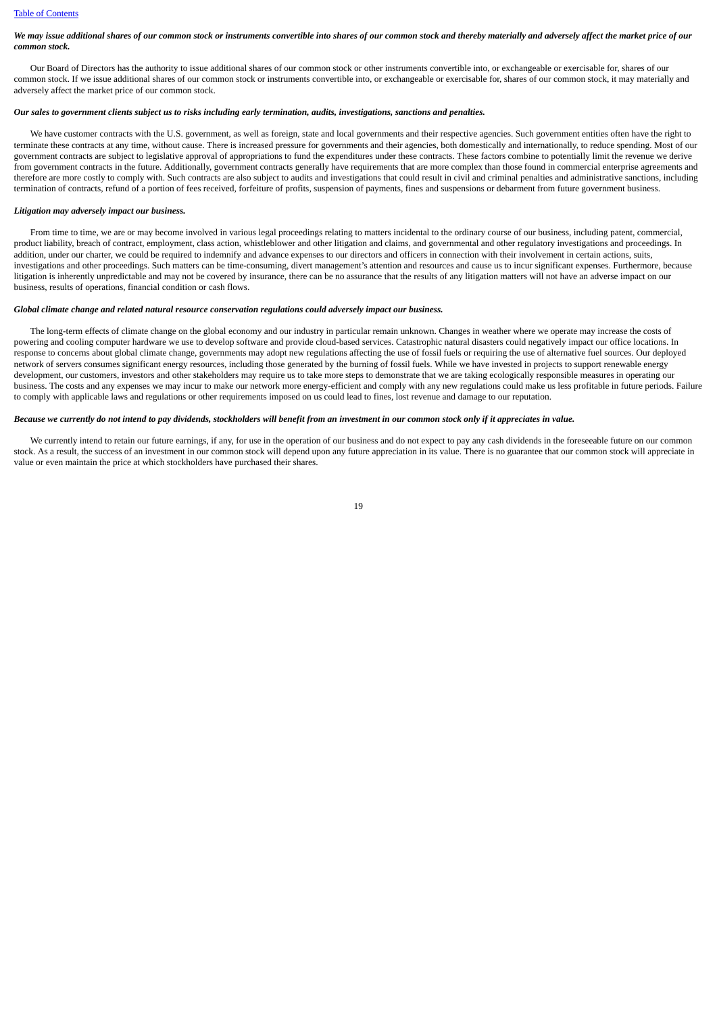#### We may issue additional shares of our common stock or instruments convertible into shares of our common stock and thereby materially and adversely affect the market price of our *common stock.*

Our Board of Directors has the authority to issue additional shares of our common stock or other instruments convertible into, or exchangeable or exercisable for, shares of our common stock. If we issue additional shares of our common stock or instruments convertible into, or exchangeable or exercisable for, shares of our common stock, it may materially and adversely affect the market price of our common stock.

## Our sales to government clients subject us to risks including early termination, audits, investigations, sanctions and penalties.

We have customer contracts with the U.S. government, as well as foreign, state and local governments and their respective agencies. Such government entities often have the right to terminate these contracts at any time, without cause. There is increased pressure for governments and their agencies, both domestically and internationally, to reduce spending. Most of our government contracts are subject to legislative approval of appropriations to fund the expenditures under these contracts. These factors combine to potentially limit the revenue we derive from government contracts in the future. Additionally, government contracts generally have requirements that are more complex than those found in commercial enterprise agreements and therefore are more costly to comply with. Such contracts are also subject to audits and investigations that could result in civil and criminal penalties and administrative sanctions, including termination of contracts, refund of a portion of fees received, forfeiture of profits, suspension of payments, fines and suspensions or debarment from future government business.

#### *Litigation may adversely impact our business.*

From time to time, we are or may become involved in various legal proceedings relating to matters incidental to the ordinary course of our business, including patent, commercial, product liability, breach of contract, employment, class action, whistleblower and other litigation and claims, and governmental and other regulatory investigations and proceedings. In addition, under our charter, we could be required to indemnify and advance expenses to our directors and officers in connection with their involvement in certain actions, suits, investigations and other proceedings. Such matters can be time-consuming, divert management's attention and resources and cause us to incur significant expenses. Furthermore, because litigation is inherently unpredictable and may not be covered by insurance, there can be no assurance that the results of any litigation matters will not have an adverse impact on our business, results of operations, financial condition or cash flows.

#### *Global climate change and related natural resource conservation regulations could adversely impact our business.*

The long-term effects of climate change on the global economy and our industry in particular remain unknown. Changes in weather where we operate may increase the costs of powering and cooling computer hardware we use to develop software and provide cloud-based services. Catastrophic natural disasters could negatively impact our office locations. In response to concerns about global climate change, governments may adopt new regulations affecting the use of fossil fuels or requiring the use of alternative fuel sources. Our deployed network of servers consumes significant energy resources, including those generated by the burning of fossil fuels. While we have invested in projects to support renewable energy development, our customers, investors and other stakeholders may require us to take more steps to demonstrate that we are taking ecologically responsible measures in operating our business. The costs and any expenses we may incur to make our network more energy-efficient and comply with any new regulations could make us less profitable in future periods. Failure to comply with applicable laws and regulations or other requirements imposed on us could lead to fines, lost revenue and damage to our reputation.

## Because we currently do not intend to pay dividends, stockholders will benefit from an investment in our common stock only if it appreciates in value.

We currently intend to retain our future earnings, if any, for use in the operation of our business and do not expect to pay any cash dividends in the foreseeable future on our common stock. As a result, the success of an investment in our common stock will depend upon any future appreciation in its value. There is no guarantee that our common stock will appreciate in value or even maintain the price at which stockholders have purchased their shares.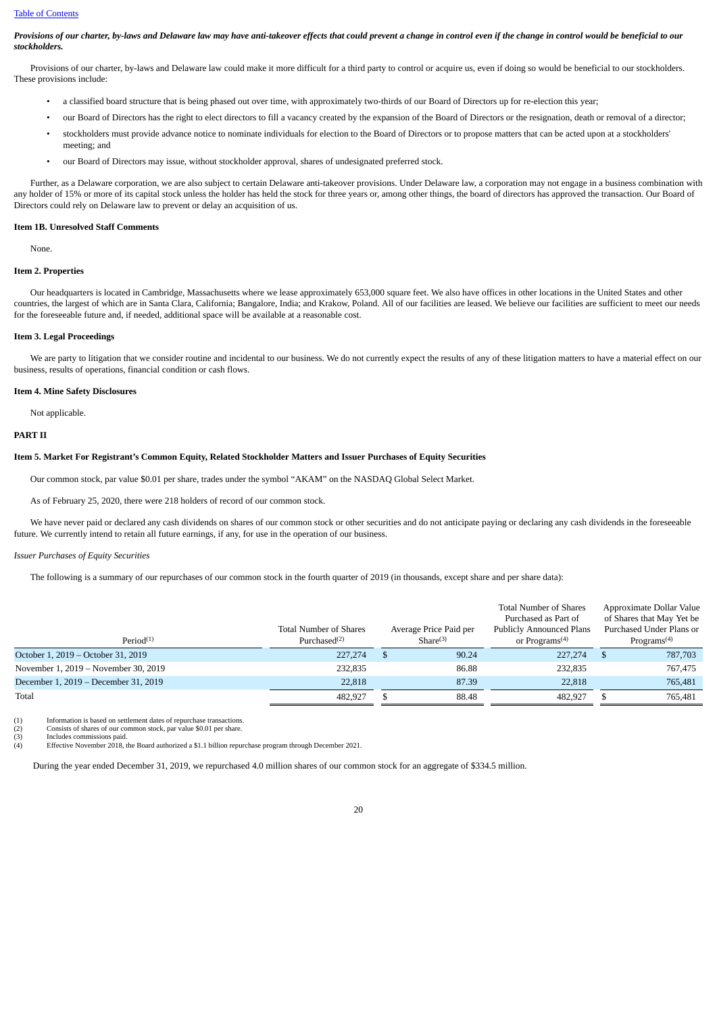Provisions of our charter, by-laws and Delaware law may have anti-takeover effects that could prevent a change in control even if the change in control would be beneficial to our *stockholders.*

Provisions of our charter, by-laws and Delaware law could make it more difficult for a third party to control or acquire us, even if doing so would be beneficial to our stockholders. These provisions include:

- a classified board structure that is being phased out over time, with approximately two-thirds of our Board of Directors up for re-election this year;
- our Board of Directors has the right to elect directors to fill a vacancy created by the expansion of the Board of Directors or the resignation, death or removal of a director;
- stockholders must provide advance notice to nominate individuals for election to the Board of Directors or to propose matters that can be acted upon at a stockholders' meeting; and
- our Board of Directors may issue, without stockholder approval, shares of undesignated preferred stock.

Further, as a Delaware corporation, we are also subject to certain Delaware anti-takeover provisions. Under Delaware law, a corporation may not engage in a business combination with any holder of 15% or more of its capital stock unless the holder has held the stock for three years or, among other things, the board of directors has approved the transaction. Our Board of Directors could rely on Delaware law to prevent or delay an acquisition of us.

## <span id="page-19-0"></span>**Item 1B. Unresolved Staff Comments**

None.

## <span id="page-19-1"></span>**Item 2. Properties**

Our headquarters is located in Cambridge, Massachusetts where we lease approximately 653,000 square feet. We also have offices in other locations in the United States and other countries, the largest of which are in Santa Clara, California; Bangalore, India; and Krakow, Poland. All of our facilities are leased. We believe our facilities are sufficient to meet our needs for the foreseeable future and, if needed, additional space will be available at a reasonable cost.

#### <span id="page-19-2"></span>**Item 3. Legal Proceedings**

We are party to litigation that we consider routine and incidental to our business. We do not currently expect the results of any of these litigation matters to have a material effect on our business, results of operations, financial condition or cash flows.

## <span id="page-19-3"></span>**Item 4. Mine Safety Disclosures**

Not applicable.

## **PART II**

## <span id="page-19-4"></span>Item 5. Market For Registrant's Common Equity, Related Stockholder Matters and Issuer Purchases of Equity Securities

Our common stock, par value \$0.01 per share, trades under the symbol "AKAM" on the NASDAQ Global Select Market.

As of February 25, 2020, there were 218 holders of record of our common stock.

We have never paid or declared any cash dividends on shares of our common stock or other securities and do not anticipate paying or declaring any cash dividends in the foreseeable future. We currently intend to retain all future earnings, if any, for use in the operation of our business.

#### *Issuer Purchases of Equity Securities*

The following is a summary of our repurchases of our common stock in the fourth quarter of 2019 (in thousands, except share and per share data):

| Period <sup>(1)</sup>                | <b>Total Number of Shares</b><br>Purchase $d^{(2)}$ | Average Price Paid per<br>Share <sup>(3)</sup> | <b>Total Number of Shares</b><br>Purchased as Part of<br><b>Publicly Announced Plans</b><br>or $Programs(4)$ | Approximate Dollar Value<br>of Shares that May Yet be<br>Purchased Under Plans or<br>Programs <sup>(4)</sup> |
|--------------------------------------|-----------------------------------------------------|------------------------------------------------|--------------------------------------------------------------------------------------------------------------|--------------------------------------------------------------------------------------------------------------|
| October 1, 2019 – October 31, 2019   | 227,274                                             | 90.24                                          | 227,274                                                                                                      | 787,703                                                                                                      |
| November 1, 2019 - November 30, 2019 | 232,835                                             | 86.88                                          | 232,835                                                                                                      | 767,475                                                                                                      |
| December 1, 2019 - December 31, 2019 | 22,818                                              | 87.39                                          | 22,818                                                                                                       | 765,481                                                                                                      |
| Total                                | 482,927                                             | 88.48                                          | 482,927                                                                                                      | 765.481                                                                                                      |

(1) Information is based on settlement dates of repurchase transactions<br>
(2) Consists of shares of our common stock, par value \$0.01 per share.<br>
(3) Includes commissions paid.<br>
Effective November 2018, the Board authorized

Consists of shares of our common stock, par value \$0.01 per share. Includes commissions paid

(4) Effective November 2018, the Board authorized a \$1.1 billion repurchase program through December 2021.

During the year ended December 31, 2019, we repurchased 4.0 million shares of our common stock for an aggregate of \$334.5 million.

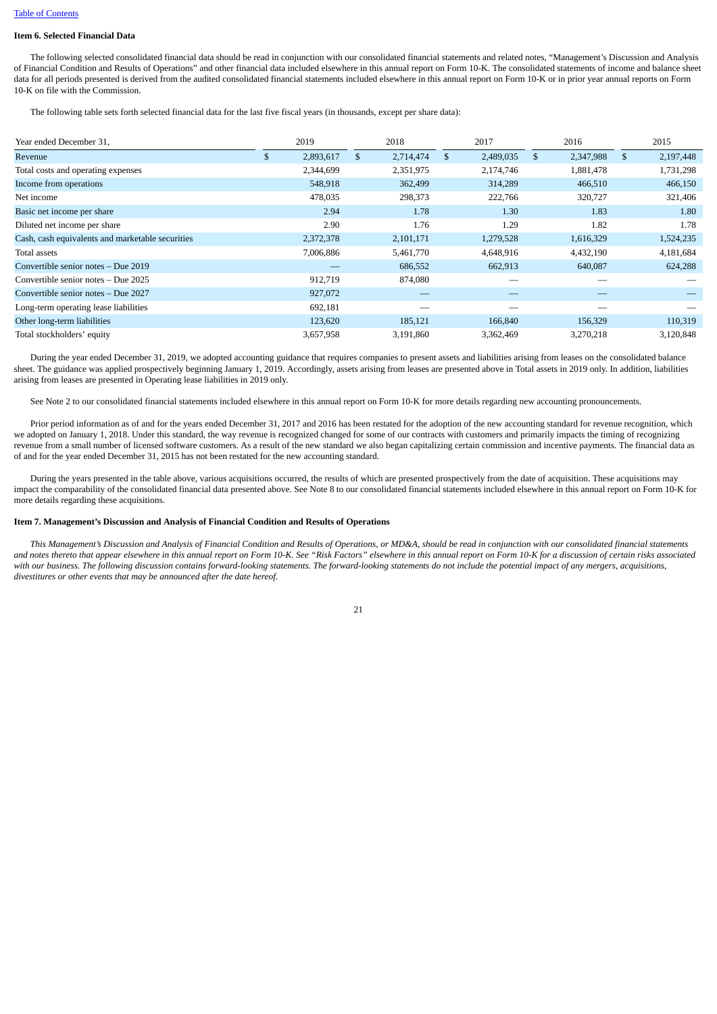## <span id="page-20-0"></span>**Item 6. Selected Financial Data**

The following selected consolidated financial data should be read in conjunction with our consolidated financial statements and related notes, "Management's Discussion and Analysis of Financial Condition and Results of Operations" and other financial data included elsewhere in this annual report on Form 10-K. The consolidated statements of income and balance sheet data for all periods presented is derived from the audited consolidated financial statements included elsewhere in this annual report on Form 10-K or in prior year annual reports on Form 10-K on file with the Commission.

The following table sets forth selected financial data for the last five fiscal years (in thousands, except per share data):

| Year ended December 31,                          | 2019            | 2018                     | 2017            |               | 2016      | 2015            |
|--------------------------------------------------|-----------------|--------------------------|-----------------|---------------|-----------|-----------------|
| Revenue                                          | \$<br>2,893,617 | \$<br>2,714,474          | \$<br>2,489,035 | <sup>\$</sup> | 2,347,988 | \$<br>2,197,448 |
| Total costs and operating expenses               | 2,344,699       | 2,351,975                | 2,174,746       |               | 1,881,478 | 1,731,298       |
| Income from operations                           | 548,918         | 362,499                  | 314,289         |               | 466,510   | 466,150         |
| Net income                                       | 478,035         | 298,373                  | 222,766         |               | 320,727   | 321,406         |
| Basic net income per share                       | 2.94            | 1.78                     | 1.30            |               | 1.83      | 1.80            |
| Diluted net income per share                     | 2.90            | 1.76                     | 1.29            |               | 1.82      | 1.78            |
| Cash, cash equivalents and marketable securities | 2,372,378       | 2,101,171                | 1,279,528       |               | 1,616,329 | 1,524,235       |
| Total assets                                     | 7,006,886       | 5,461,770                | 4,648,916       |               | 4,432,190 | 4,181,684       |
| Convertible senior notes - Due 2019              |                 | 686,552                  | 662,913         |               | 640,087   | 624,288         |
| Convertible senior notes - Due 2025              | 912,719         | 874,080                  |                 |               |           |                 |
| Convertible senior notes - Due 2027              | 927,072         | $\overline{\phantom{m}}$ |                 |               |           |                 |
| Long-term operating lease liabilities            | 692,181         |                          |                 |               | -         |                 |
| Other long-term liabilities                      | 123,620         | 185,121                  | 166,840         |               | 156,329   | 110,319         |
| Total stockholders' equity                       | 3,657,958       | 3,191,860                | 3,362,469       |               | 3,270,218 | 3,120,848       |

During the year ended December 31, 2019, we adopted accounting guidance that requires companies to present assets and liabilities arising from leases on the consolidated balance sheet. The guidance was applied prospectively beginning January 1, 2019. Accordingly, assets arising from leases are presented above in Total assets in 2019 only. In addition, liabilities arising from leases are presented in Operating lease liabilities in 2019 only.

See Note 2 to our consolidated financial statements included elsewhere in this annual report on Form 10-K for more details regarding new accounting pronouncements.

Prior period information as of and for the years ended December 31, 2017 and 2016 has been restated for the adoption of the new accounting standard for revenue recognition, which we adopted on January 1, 2018. Under this standard, the way revenue is recognized changed for some of our contracts with customers and primarily impacts the timing of recognizing revenue from a small number of licensed software customers. As a result of the new standard we also began capitalizing certain commission and incentive payments. The financial data as of and for the year ended December 31, 2015 has not been restated for the new accounting standard.

During the years presented in the table above, various acquisitions occurred, the results of which are presented prospectively from the date of acquisition. These acquisitions may impact the comparability of the consolidated financial data presented above. See Note 8 to our consolidated financial statements included elsewhere in this annual report on Form 10-K for more details regarding these acquisitions.

## <span id="page-20-1"></span>**Item 7. Management's Discussion and Analysis of Financial Condition and Results of Operations**

This Management's Discussion and Analysis of Financial Condition and Results of Operations, or MD&A, should be read in conjunction with our consolidated financial statements and notes thereto that appear elsewhere in this annual report on Form 10-K. See "Risk Factors" elsewhere in this annual report on Form 10-K for a discussion of certain risks associated with our business. The following discussion contains forward-looking statements. The forward-looking statements do not include the potential impact of any mergers, acquisitions, *divestitures or other events that may be announced after the date hereof.*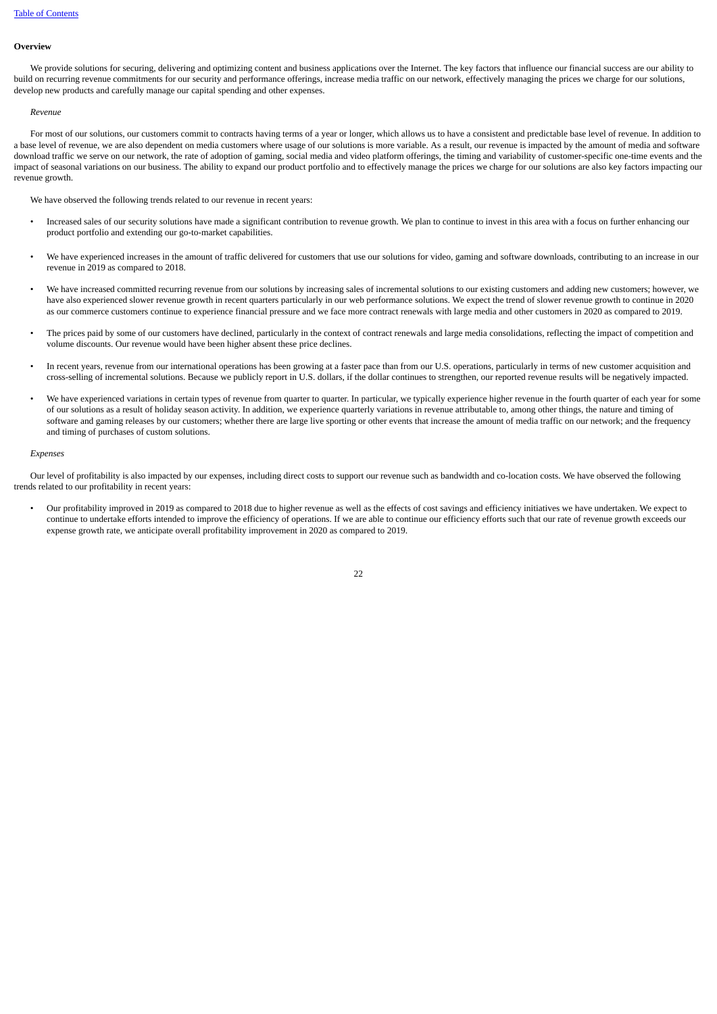## **Overview**

We provide solutions for securing, delivering and optimizing content and business applications over the Internet. The key factors that influence our financial success are our ability to build on recurring revenue commitments for our security and performance offerings, increase media traffic on our network, effectively managing the prices we charge for our solutions, develop new products and carefully manage our capital spending and other expenses.

#### *Revenue*

For most of our solutions, our customers commit to contracts having terms of a year or longer, which allows us to have a consistent and predictable base level of revenue. In addition to a base level of revenue, we are also dependent on media customers where usage of our solutions is more variable. As a result, our revenue is impacted by the amount of media and software download traffic we serve on our network, the rate of adoption of gaming, social media and video platform offerings, the timing and variability of customer-specific one-time events and the impact of seasonal variations on our business. The ability to expand our product portfolio and to effectively manage the prices we charge for our solutions are also key factors impacting our revenue growth.

We have observed the following trends related to our revenue in recent years:

- Increased sales of our security solutions have made a significant contribution to revenue growth. We plan to continue to invest in this area with a focus on further enhancing our product portfolio and extending our go-to-market capabilities.
- We have experienced increases in the amount of traffic delivered for customers that use our solutions for video, gaming and software downloads, contributing to an increase in our revenue in 2019 as compared to 2018.
- We have increased committed recurring revenue from our solutions by increasing sales of incremental solutions to our existing customers and adding new customers; however, we have also experienced slower revenue growth in recent quarters particularly in our web performance solutions. We expect the trend of slower revenue growth to continue in 2020 as our commerce customers continue to experience financial pressure and we face more contract renewals with large media and other customers in 2020 as compared to 2019.
- The prices paid by some of our customers have declined, particularly in the context of contract renewals and large media consolidations, reflecting the impact of competition and volume discounts. Our revenue would have been higher absent these price declines.
- In recent years, revenue from our international operations has been growing at a faster pace than from our U.S. operations, particularly in terms of new customer acquisition and cross-selling of incremental solutions. Because we publicly report in U.S. dollars, if the dollar continues to strengthen, our reported revenue results will be negatively impacted.
- We have experienced variations in certain types of revenue from quarter to quarter. In particular, we typically experience higher revenue in the fourth quarter of each year for some of our solutions as a result of holiday season activity. In addition, we experience quarterly variations in revenue attributable to, among other things, the nature and timing of software and gaming releases by our customers; whether there are large live sporting or other events that increase the amount of media traffic on our network; and the frequency and timing of purchases of custom solutions.

#### *Expenses*

Our level of profitability is also impacted by our expenses, including direct costs to support our revenue such as bandwidth and co-location costs. We have observed the following trends related to our profitability in recent years:

• Our profitability improved in 2019 as compared to 2018 due to higher revenue as well as the effects of cost savings and efficiency initiatives we have undertaken. We expect to continue to undertake efforts intended to improve the efficiency of operations. If we are able to continue our efficiency efforts such that our rate of revenue growth exceeds our expense growth rate, we anticipate overall profitability improvement in 2020 as compared to 2019.

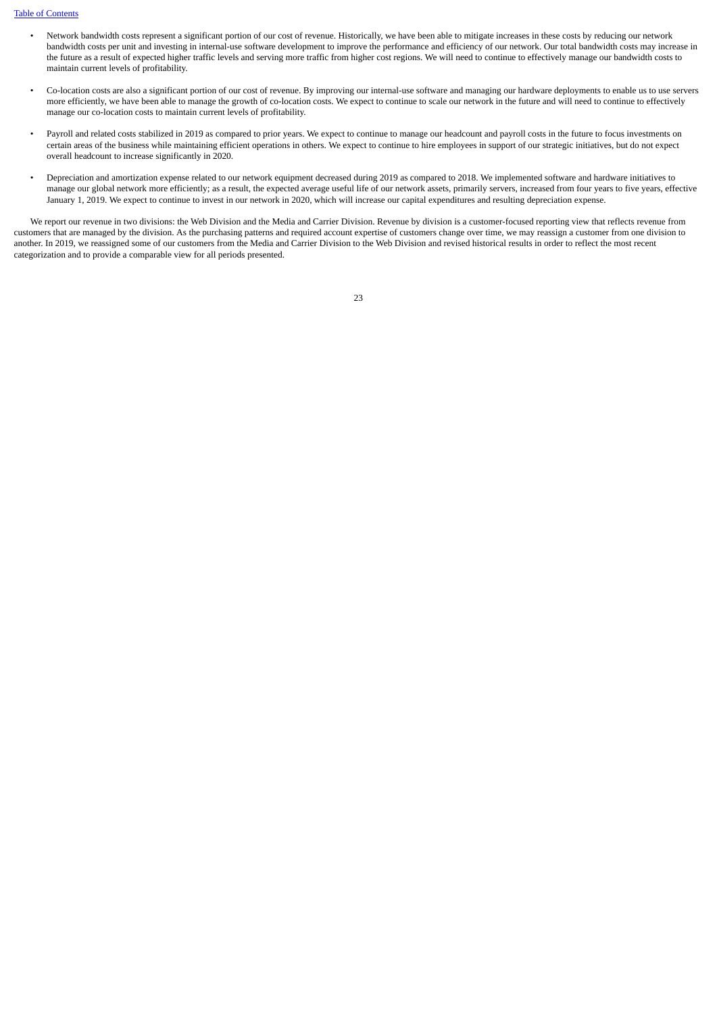- Network bandwidth costs represent a significant portion of our cost of revenue. Historically, we have been able to mitigate increases in these costs by reducing our network bandwidth costs per unit and investing in internal-use software development to improve the performance and efficiency of our network. Our total bandwidth costs may increase in the future as a result of expected higher traffic levels and serving more traffic from higher cost regions. We will need to continue to effectively manage our bandwidth costs to maintain current levels of profitability.
- Co-location costs are also a significant portion of our cost of revenue. By improving our internal-use software and managing our hardware deployments to enable us to use servers more efficiently, we have been able to manage the growth of co-location costs. We expect to continue to scale our network in the future and will need to continue to effectively manage our co-location costs to maintain current levels of profitability.
- Payroll and related costs stabilized in 2019 as compared to prior years. We expect to continue to manage our headcount and payroll costs in the future to focus investments on certain areas of the business while maintaining efficient operations in others. We expect to continue to hire employees in support of our strategic initiatives, but do not expect overall headcount to increase significantly in 2020.
- Depreciation and amortization expense related to our network equipment decreased during 2019 as compared to 2018. We implemented software and hardware initiatives to manage our global network more efficiently; as a result, the expected average useful life of our network assets, primarily servers, increased from four years to five years, effective January 1, 2019. We expect to continue to invest in our network in 2020, which will increase our capital expenditures and resulting depreciation expense.

We report our revenue in two divisions: the Web Division and the Media and Carrier Division. Revenue by division is a customer-focused reporting view that reflects revenue from customers that are managed by the division. As the purchasing patterns and required account expertise of customers change over time, we may reassign a customer from one division to another. In 2019, we reassigned some of our customers from the Media and Carrier Division to the Web Division and revised historical results in order to reflect the most recent categorization and to provide a comparable view for all periods presented.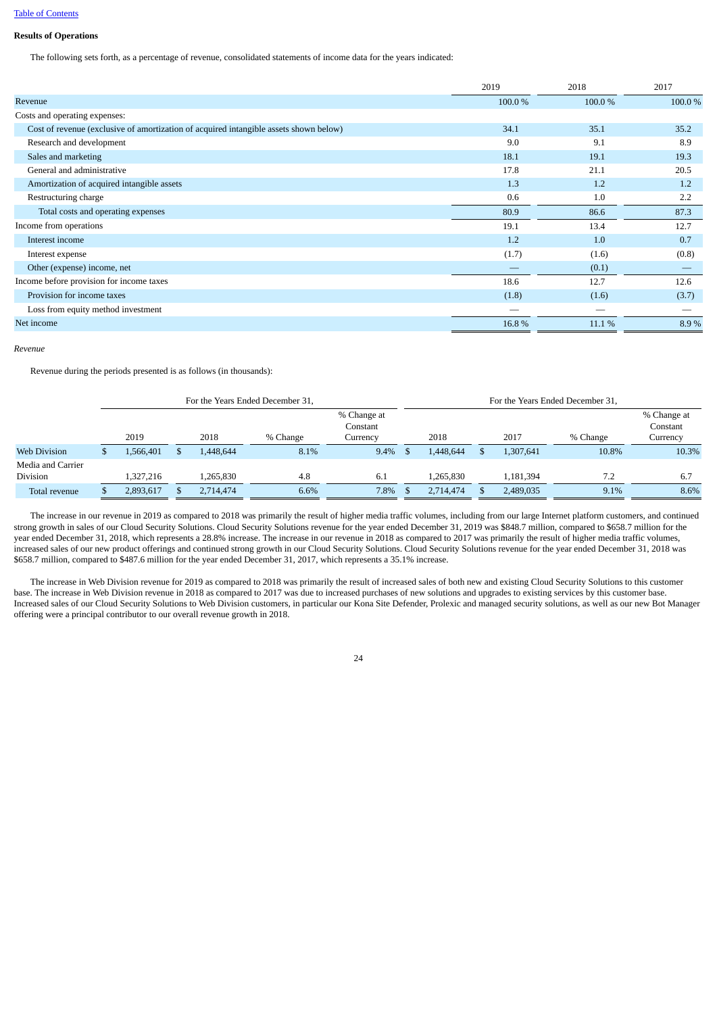# **Results of Operations**

The following sets forth, as a percentage of revenue, consolidated statements of income data for the years indicated:

|                                                                                       | 2019   | 2018   | 2017   |
|---------------------------------------------------------------------------------------|--------|--------|--------|
| Revenue                                                                               | 100.0% | 100.0% | 100.0% |
| Costs and operating expenses:                                                         |        |        |        |
| Cost of revenue (exclusive of amortization of acquired intangible assets shown below) | 34.1   | 35.1   | 35.2   |
| Research and development                                                              | 9.0    | 9.1    | 8.9    |
| Sales and marketing                                                                   | 18.1   | 19.1   | 19.3   |
| General and administrative                                                            | 17.8   | 21.1   | 20.5   |
| Amortization of acquired intangible assets                                            | 1.3    | 1.2    | 1.2    |
| Restructuring charge                                                                  | 0.6    | 1.0    | 2.2    |
| Total costs and operating expenses                                                    | 80.9   | 86.6   | 87.3   |
| Income from operations                                                                | 19.1   | 13.4   | 12.7   |
| Interest income                                                                       | 1.2    | 1.0    | 0.7    |
| Interest expense                                                                      | (1.7)  | (1.6)  | (0.8)  |
| Other (expense) income, net                                                           |        | (0.1)  |        |
| Income before provision for income taxes                                              | 18.6   | 12.7   | 12.6   |
| Provision for income taxes                                                            | (1.8)  | (1.6)  | (3.7)  |
| Loss from equity method investment                                                    |        |        |        |
| Net income                                                                            | 16.8%  | 11.1%  | 8.9%   |

## *Revenue*

Revenue during the periods presented is as follows (in thousands):

|                               |           |           | For the Years Ended December 31, |      |                                     |      | For the Years Ended December 31, |           |  |           |          |       |                                     |  |  |
|-------------------------------|-----------|-----------|----------------------------------|------|-------------------------------------|------|----------------------------------|-----------|--|-----------|----------|-------|-------------------------------------|--|--|
|                               | 2019      | 2018      | % Change                         |      | % Change at<br>Constant<br>Currencv |      |                                  | 2018      |  | 2017      | % Change |       | % Change at<br>Constant<br>Currency |  |  |
| <b>Web Division</b>           | 1,566,401 | .448,644  |                                  | 8.1% |                                     | 9.4% |                                  | 1,448,644 |  | 1,307,641 |          | 10.8% | 10.3%                               |  |  |
| Media and Carrier<br>Division | 1,327,216 | 1,265,830 |                                  | 4.8  |                                     | 6.1  |                                  | 1,265,830 |  | 1,181,394 |          | 7.2   | 6.7                                 |  |  |
| Total revenue                 | 2,893,617 | 2,714,474 |                                  | 6.6% |                                     | 7.8% |                                  | 2,714,474 |  | 2,489,035 |          | 9.1%  | 8.6%                                |  |  |

The increase in our revenue in 2019 as compared to 2018 was primarily the result of higher media traffic volumes, including from our large Internet platform customers, and continued strong growth in sales of our Cloud Security Solutions. Cloud Security Solutions revenue for the year ended December 31, 2019 was \$848.7 million, compared to \$658.7 million for the year ended December 31, 2018, which represents a 28.8% increase. The increase in our revenue in 2018 as compared to 2017 was primarily the result of higher media traffic volumes, increased sales of our new product offerings and continued strong growth in our Cloud Security Solutions. Cloud Security Solutions revenue for the year ended December 31, 2018 was \$658.7 million, compared to \$487.6 million for the year ended December 31, 2017, which represents a 35.1% increase.

The increase in Web Division revenue for 2019 as compared to 2018 was primarily the result of increased sales of both new and existing Cloud Security Solutions to this customer base. The increase in Web Division revenue in 2018 as compared to 2017 was due to increased purchases of new solutions and upgrades to existing services by this customer base. Increased sales of our Cloud Security Solutions to Web Division customers, in particular our Kona Site Defender, Prolexic and managed security solutions, as well as our new Bot Manager offering were a principal contributor to our overall revenue growth in 2018.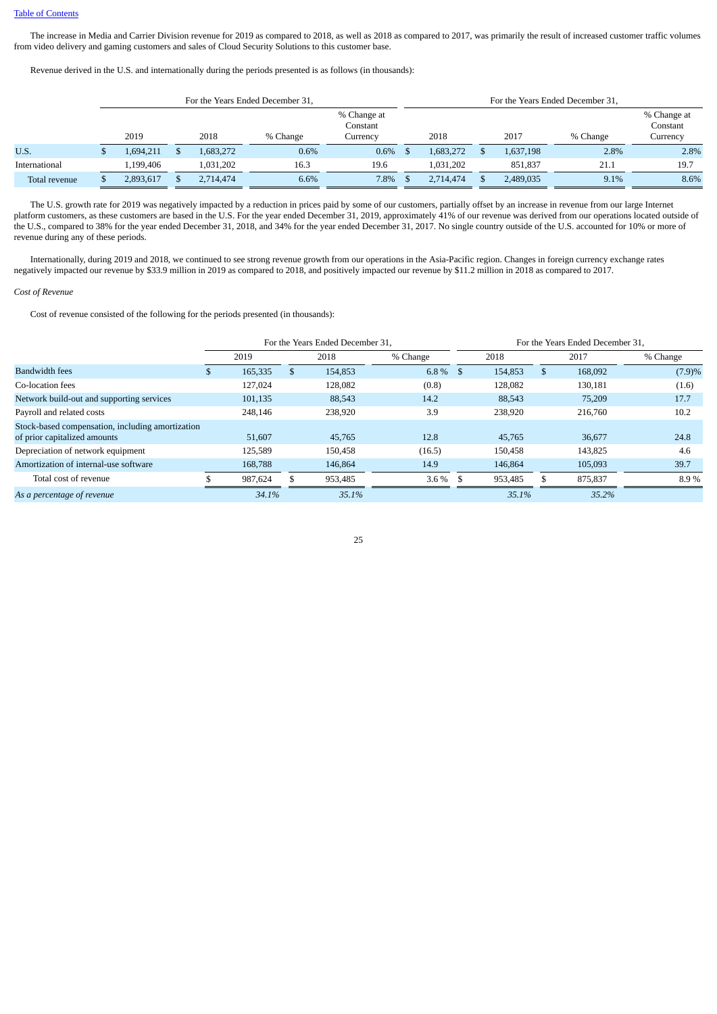The increase in Media and Carrier Division revenue for 2019 as compared to 2018, as well as 2018 as compared to 2017, was primarily the result of increased customer traffic volumes from video delivery and gaming customers and sales of Cloud Security Solutions to this customer base.

Revenue derived in the U.S. and internationally during the periods presented is as follows (in thousands):

|               |           |           | For the Years Ended December 31, |                                     | For the Years Ended December 31, |           |  |           |          |                                     |  |  |  |
|---------------|-----------|-----------|----------------------------------|-------------------------------------|----------------------------------|-----------|--|-----------|----------|-------------------------------------|--|--|--|
|               | 2019      | 2018      | % Change                         | % Change at<br>Constant<br>Currencv |                                  | 2018      |  | 2017      | % Change | % Change at<br>Constant<br>Currency |  |  |  |
| U.S.          | 1,694,211 | 1,683,272 | 0.6%                             | 0.6%                                |                                  | 1,683,272 |  | 1,637,198 | 2.8%     | 2.8%                                |  |  |  |
| International | 1,199,406 | 1,031,202 | 16.3                             | 19.6                                |                                  | 1,031,202 |  | 851,837   | 21.1     | 19.7                                |  |  |  |
| Total revenue | 2,893,617 | 2,714,474 | 6.6%                             | 7.8%                                |                                  | 2,714,474 |  | 2,489,035 | 9.1%     | 8.6%                                |  |  |  |

The U.S. growth rate for 2019 was negatively impacted by a reduction in prices paid by some of our customers, partially offset by an increase in revenue from our large Internet platform customers, as these customers are based in the U.S. For the year ended December 31, 2019, approximately 41% of our revenue was derived from our operations located outside of the U.S., compared to 38% for the year ended December 31, 2018, and 34% for the year ended December 31, 2017. No single country outside of the U.S. accounted for 10% or more of revenue during any of these periods.

Internationally, during 2019 and 2018, we continued to see strong revenue growth from our operations in the Asia-Pacific region. Changes in foreign currency exchange rates negatively impacted our revenue by \$33.9 million in 2019 as compared to 2018, and positively impacted our revenue by \$11.2 million in 2018 as compared to 2017.

#### *Cost of Revenue*

Cost of revenue consisted of the following for the periods presented (in thousands):

|                                                  |         |     | For the Years Ended December 31. |            | For the Years Ended December 31. |         |     |         |          |  |  |
|--------------------------------------------------|---------|-----|----------------------------------|------------|----------------------------------|---------|-----|---------|----------|--|--|
|                                                  | 2019    |     | 2018                             | % Change   |                                  | 2018    |     | 2017    | % Change |  |  |
| <b>Bandwidth fees</b>                            | 165,335 | Эħ. | 154,853                          | $6.8\%$ \$ |                                  | 154,853 | \$. | 168,092 | (7.9)%   |  |  |
| Co-location fees                                 | 127,024 |     | 128,082                          | (0.8)      |                                  | 128.082 |     | 130,181 | (1.6)    |  |  |
| Network build-out and supporting services        | 101,135 |     | 88,543                           | 14.2       |                                  | 88,543  |     | 75,209  | 17.7     |  |  |
| Payroll and related costs                        | 248,146 |     | 238,920                          | 3.9        |                                  | 238,920 |     | 216,760 | 10.2     |  |  |
| Stock-based compensation, including amortization |         |     |                                  |            |                                  |         |     |         |          |  |  |
| of prior capitalized amounts                     | 51,607  |     | 45,765                           | 12.8       |                                  | 45,765  |     | 36,677  | 24.8     |  |  |
| Depreciation of network equipment                | 125,589 |     | 150,458                          | (16.5)     |                                  | 150,458 |     | 143.825 | 4.6      |  |  |
| Amortization of internal-use software            | 168,788 |     | 146,864                          | 14.9       |                                  | 146,864 |     | 105,093 | 39.7     |  |  |
| Total cost of revenue                            | 987.624 |     | 953,485                          | $3.6\%$    | Ŝ.                               | 953.485 |     | 875.837 | 8.9%     |  |  |
| As a percentage of revenue                       | 34.1%   |     | 35.1%                            |            |                                  | 35.1%   |     | 35.2%   |          |  |  |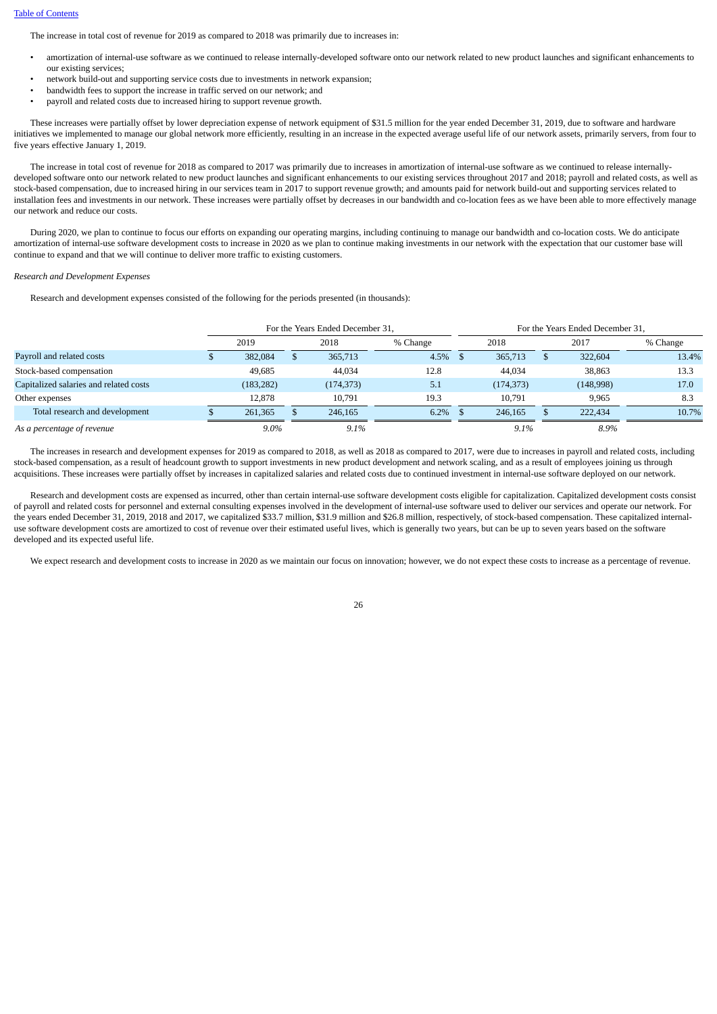The increase in total cost of revenue for 2019 as compared to 2018 was primarily due to increases in:

- amortization of internal-use software as we continued to release internally-developed software onto our network related to new product launches and significant enhancements to our existing services;
- network build-out and supporting service costs due to investments in network expansion;
- bandwidth fees to support the increase in traffic served on our network; and
- payroll and related costs due to increased hiring to support revenue growth.

These increases were partially offset by lower depreciation expense of network equipment of \$31.5 million for the year ended December 31, 2019, due to software and hardware initiatives we implemented to manage our global network more efficiently, resulting in an increase in the expected average useful life of our network assets, primarily servers, from four to five years effective January 1, 2019.

The increase in total cost of revenue for 2018 as compared to 2017 was primarily due to increases in amortization of internal-use software as we continued to release internallydeveloped software onto our network related to new product launches and significant enhancements to our existing services throughout 2017 and 2018; payroll and related costs, as well as stock-based compensation, due to increased hiring in our services team in 2017 to support revenue growth; and amounts paid for network build-out and supporting services related to installation fees and investments in our network. These increases were partially offset by decreases in our bandwidth and co-location fees as we have been able to more effectively manage our network and reduce our costs.

During 2020, we plan to continue to focus our efforts on expanding our operating margins, including continuing to manage our bandwidth and co-location costs. We do anticipate amortization of internal-use software development costs to increase in 2020 as we plan to continue making investments in our network with the expectation that our customer base will continue to expand and that we will continue to deliver more traffic to existing customers.

## *Research and Development Expenses*

Research and development expenses consisted of the following for the periods presented (in thousands):

|                                        |            |    | For the Years Ended December 31, |          |      | For the Years Ended December 31, |      |           |          |  |  |  |
|----------------------------------------|------------|----|----------------------------------|----------|------|----------------------------------|------|-----------|----------|--|--|--|
|                                        | 2019       |    | 2018                             | % Change | 2018 |                                  | 2017 |           | % Change |  |  |  |
| Payroll and related costs              | 382,084    | J. | 365,713                          | 4.5%     |      | 365,713                          | S    | 322,604   | 13.4%    |  |  |  |
| Stock-based compensation               | 49.685     |    | 44,034                           | 12.8     |      | 44,034                           |      | 38,863    | 13.3     |  |  |  |
| Capitalized salaries and related costs | (183, 282) |    | (174, 373)                       | 5.1      |      | (174, 373)                       |      | (148,998) | 17.0     |  |  |  |
| Other expenses                         | 12.878     |    | 10.791                           | 19.3     |      | 10.791                           |      | 9.965     | 8.3      |  |  |  |
| Total research and development         | 261,365    |    | 246,165                          | 6.2%     |      | 246,165                          |      | 222,434   | 10.7%    |  |  |  |
| As a percentage of revenue             | 9.0%       |    | 9.1%                             |          |      | 9.1%                             |      | 8.9%      |          |  |  |  |

The increases in research and development expenses for 2019 as compared to 2018, as well as 2018 as compared to 2017, were due to increases in payroll and related costs, including stock-based compensation, as a result of headcount growth to support investments in new product development and network scaling, and as a result of employees joining us through acquisitions. These increases were partially offset by increases in capitalized salaries and related costs due to continued investment in internal-use software deployed on our network.

Research and development costs are expensed as incurred, other than certain internal-use software development costs eligible for capitalization. Capitalized development costs consist of payroll and related costs for personnel and external consulting expenses involved in the development of internal-use software used to deliver our services and operate our network. For the years ended December 31, 2019, 2018 and 2017, we capitalized \$33.7 million, \$31.9 million and \$26.8 million, respectively, of stock-based compensation. These capitalized internaluse software development costs are amortized to cost of revenue over their estimated useful lives, which is generally two years, but can be up to seven years based on the software developed and its expected useful life.

We expect research and development costs to increase in 2020 as we maintain our focus on innovation; however, we do not expect these costs to increase as a percentage of revenue.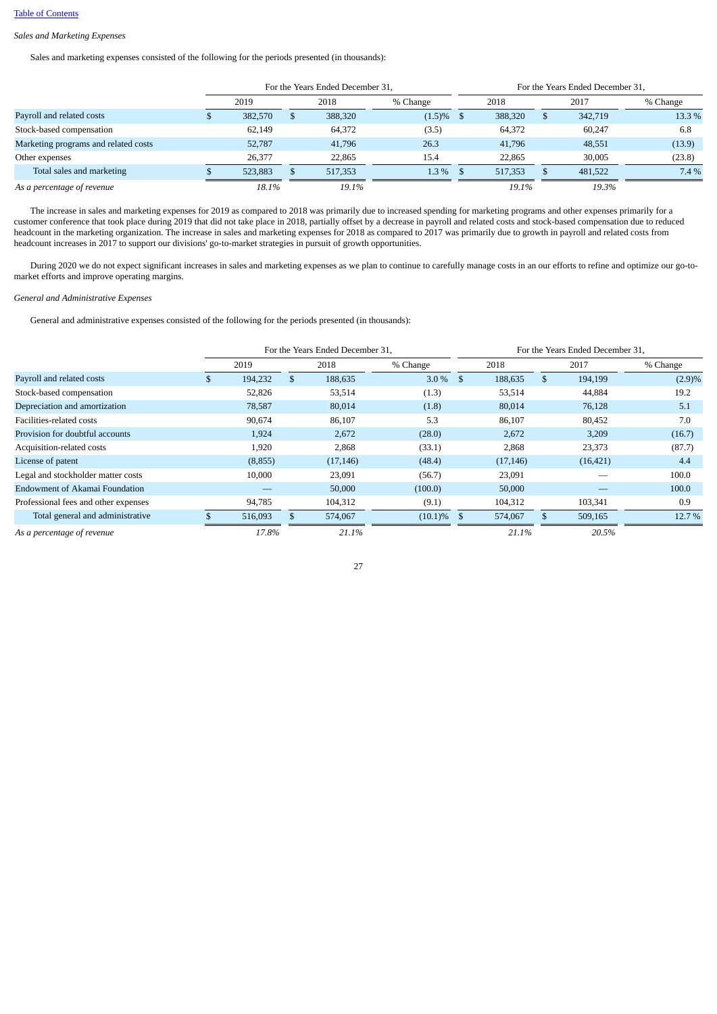# *Sales and Marketing Expenses*

Sales and marketing expenses consisted of the following for the periods presented (in thousands):

|                                      |         | For the Years Ended December 31, |           | For the Years Ended December 31, |  |         |          |  |  |  |
|--------------------------------------|---------|----------------------------------|-----------|----------------------------------|--|---------|----------|--|--|--|
|                                      | 2019    | 2018                             | % Change  | 2018                             |  | 2017    | % Change |  |  |  |
| Payroll and related costs            | 382,570 | 388,320                          | $(1.5)\%$ | 388,320                          |  | 342,719 | 13.3%    |  |  |  |
| Stock-based compensation             | 62,149  | 64.372                           | (3.5)     | 64,372                           |  | 60.247  | 6.8      |  |  |  |
| Marketing programs and related costs | 52,787  | 41,796                           | 26.3      | 41,796                           |  | 48.551  | (13.9)   |  |  |  |
| Other expenses                       | 26,377  | 22.865                           | 15.4      | 22.865                           |  | 30,005  | (23.8)   |  |  |  |
| Total sales and marketing            | 523.883 | 517,353                          | 1.3%      | 517,353                          |  | 481,522 | 7.4 %    |  |  |  |
| As a percentage of revenue           | 18.1%   | 19.1%                            |           | 19.1%                            |  | 19.3%   |          |  |  |  |

The increase in sales and marketing expenses for 2019 as compared to 2018 was primarily due to increased spending for marketing programs and other expenses primarily for a customer conference that took place during 2019 that did not take place in 2018, partially offset by a decrease in payroll and related costs and stock-based compensation due to reduced headcount in the marketing organization. The increase in sales and marketing expenses for 2018 as compared to 2017 was primarily due to growth in payroll and related costs from headcount increases in 2017 to support our divisions' go-to-market strategies in pursuit of growth opportunities.

During 2020 we do not expect significant increases in sales and marketing expenses as we plan to continue to carefully manage costs in an our efforts to refine and optimize our go-tomarket efforts and improve operating margins.

# *General and Administrative Expenses*

General and administrative expenses consisted of the following for the periods presented (in thousands):

|                                      |          | For the Years Ended December 31, |            |     | For the Years Ended December 31, |      |           |          |  |  |  |
|--------------------------------------|----------|----------------------------------|------------|-----|----------------------------------|------|-----------|----------|--|--|--|
|                                      | 2019     | 2018                             | % Change   |     | 2018                             | 2017 |           | % Change |  |  |  |
| Payroll and related costs            | 194,232  | \$<br>188,635                    | $3.0\%$    | -\$ | 188,635                          | \$   | 194,199   | (2.9)%   |  |  |  |
| Stock-based compensation             | 52,826   | 53,514                           | (1.3)      |     | 53,514                           |      | 44,884    | 19.2     |  |  |  |
| Depreciation and amortization        | 78,587   | 80,014                           | (1.8)      |     | 80,014                           |      | 76,128    | 5.1      |  |  |  |
| <b>Facilities-related costs</b>      | 90,674   | 86,107                           | 5.3        |     | 86,107                           |      | 80,452    | 7.0      |  |  |  |
| Provision for doubtful accounts      | 1,924    | 2,672                            | (28.0)     |     | 2,672                            |      | 3,209     | (16.7)   |  |  |  |
| Acquisition-related costs            | 1,920    | 2,868                            | (33.1)     |     | 2,868                            |      | 23,373    | (87.7)   |  |  |  |
| License of patent                    | (8, 855) | (17, 146)                        | (48.4)     |     | (17, 146)                        |      | (16, 421) | 4.4      |  |  |  |
| Legal and stockholder matter costs   | 10,000   | 23,091                           | (56.7)     |     | 23,091                           |      |           | 100.0    |  |  |  |
| Endowment of Akamai Foundation       | –        | 50,000                           | (100.0)    |     | 50,000                           |      |           | 100.0    |  |  |  |
| Professional fees and other expenses | 94,785   | 104,312                          | (9.1)      |     | 104,312                          |      | 103,341   | 0.9      |  |  |  |
| Total general and administrative     | 516,093  | 574,067                          | $(10.1)\%$ | -\$ | 574,067                          |      | 509,165   | 12.7%    |  |  |  |
| As a percentage of revenue           | 17.8%    | 21.1%                            |            |     | 21.1%                            |      | 20.5%     |          |  |  |  |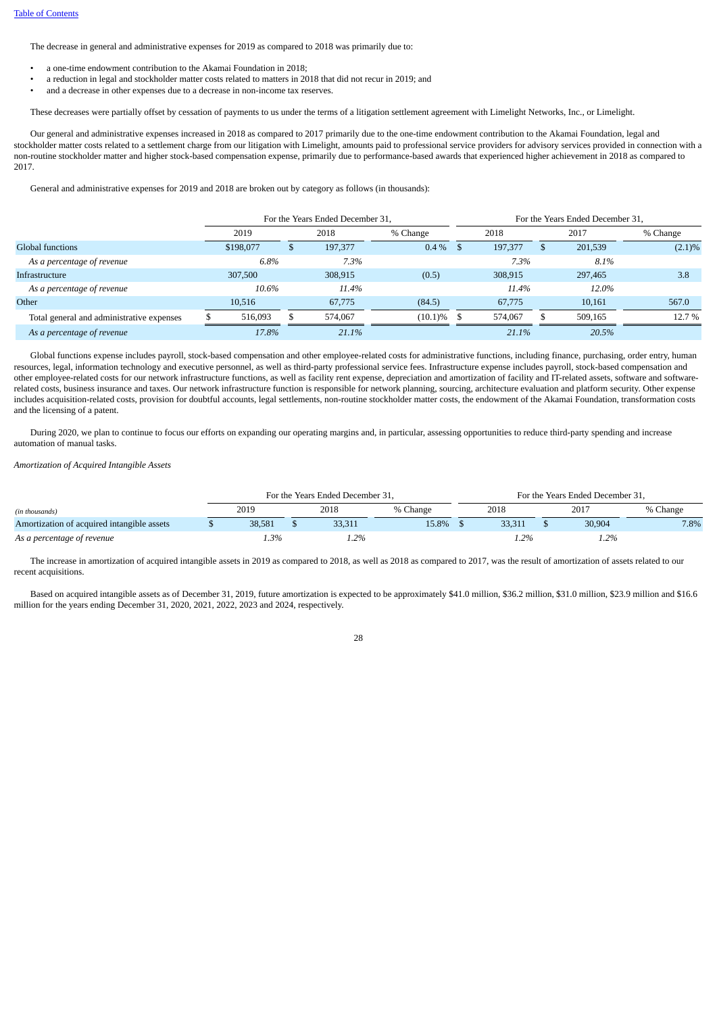The decrease in general and administrative expenses for 2019 as compared to 2018 was primarily due to:

- a one-time endowment contribution to the Akamai Foundation in 2018;
- a reduction in legal and stockholder matter costs related to matters in 2018 that did not recur in 2019; and<br>• and a decrease in other expenses due to a decrease in pop income tax receptes
- and a decrease in other expenses due to a decrease in non-income tax reserves.

These decreases were partially offset by cessation of payments to us under the terms of a litigation settlement agreement with Limelight Networks, Inc., or Limelight.

Our general and administrative expenses increased in 2018 as compared to 2017 primarily due to the one-time endowment contribution to the Akamai Foundation, legal and stockholder matter costs related to a settlement charge from our litigation with Limelight, amounts paid to professional service providers for advisory services provided in connection with a non-routine stockholder matter and higher stock-based compensation expense, primarily due to performance-based awards that experienced higher achievement in 2018 as compared to 2017.

General and administrative expenses for 2019 and 2018 are broken out by category as follows (in thousands):

|                                           |         |           |   | For the Years Ended December 31, |            |    | For the Years Ended December 31, |         |         |           |  |  |  |
|-------------------------------------------|---------|-----------|---|----------------------------------|------------|----|----------------------------------|---------|---------|-----------|--|--|--|
|                                           |         | 2019      |   | 2018                             | % Change   |    | 2018                             |         | 2017    | % Change  |  |  |  |
| <b>Global functions</b>                   |         | \$198,077 | D | 197,377                          | $0.4\%$    | -S | 197,377                          | -S      | 201,539 | $(2.1)\%$ |  |  |  |
| As a percentage of revenue                |         | 6.8%      |   | 7.3%                             |            |    |                                  |         | 8.1%    |           |  |  |  |
| Infrastructure                            |         | 307,500   |   | 308,915                          | (0.5)      |    | 308,915                          |         | 297,465 | 3.8       |  |  |  |
| As a percentage of revenue                |         | 10.6%     |   | 11.4%                            |            |    | 11.4%                            |         | 12.0%   |           |  |  |  |
| Other                                     |         | 10.516    |   | 67,775                           | (84.5)     |    | 67,775                           |         | 10.161  | 567.0     |  |  |  |
| Total general and administrative expenses | 516.093 |           |   | 574.067                          | $(10.1)\%$ |    | 574,067                          | 509.165 |         | 12.7 %    |  |  |  |
| As a percentage of revenue                |         |           |   |                                  |            |    | 21.1%                            |         | 20.5%   |           |  |  |  |

Global functions expense includes payroll, stock-based compensation and other employee-related costs for administrative functions, including finance, purchasing, order entry, human resources, legal, information technology and executive personnel, as well as third-party professional service fees. Infrastructure expense includes payroll, stock-based compensation and other employee-related costs for our network infrastructure functions, as well as facility rent expense, depreciation and amortization of facility and IT-related assets, software and softwarerelated costs, business insurance and taxes. Our network infrastructure function is responsible for network planning, sourcing, architecture evaluation and platform security. Other expense includes acquisition-related costs, provision for doubtful accounts, legal settlements, non-routine stockholder matter costs, the endowment of the Akamai Foundation, transformation costs and the licensing of a patent.

During 2020, we plan to continue to focus our efforts on expanding our operating margins and, in particular, assessing opportunities to reduce third-party spending and increase automation of manual tasks.

## *Amortization of Acquired Intangible Assets*

|                                            |        | For the Years Ended December 31. |          | For the Years Ended December 31, |  |        |          |  |  |
|--------------------------------------------|--------|----------------------------------|----------|----------------------------------|--|--------|----------|--|--|
| (in thousands)                             | 2019   | 2018                             | % Change | 2018                             |  | 2017   | % Change |  |  |
| Amortization of acquired intangible assets | 38,581 | 33.311                           | 15.8%    | 33.311                           |  | 30,904 | 7.8%     |  |  |
| As a percentage of revenue                 | 1.3%   | 1.2%                             |          | 1.2%                             |  | 1.2%   |          |  |  |

The increase in amortization of acquired intangible assets in 2019 as compared to 2018, as well as 2018 as compared to 2017, was the result of amortization of assets related to our recent acquisitions.

Based on acquired intangible assets as of December 31, 2019, future amortization is expected to be approximately \$41.0 million, \$36.2 million, \$31.0 million, \$23.9 million and \$16.6 million for the years ending December 31, 2020, 2021, 2022, 2023 and 2024, respectively.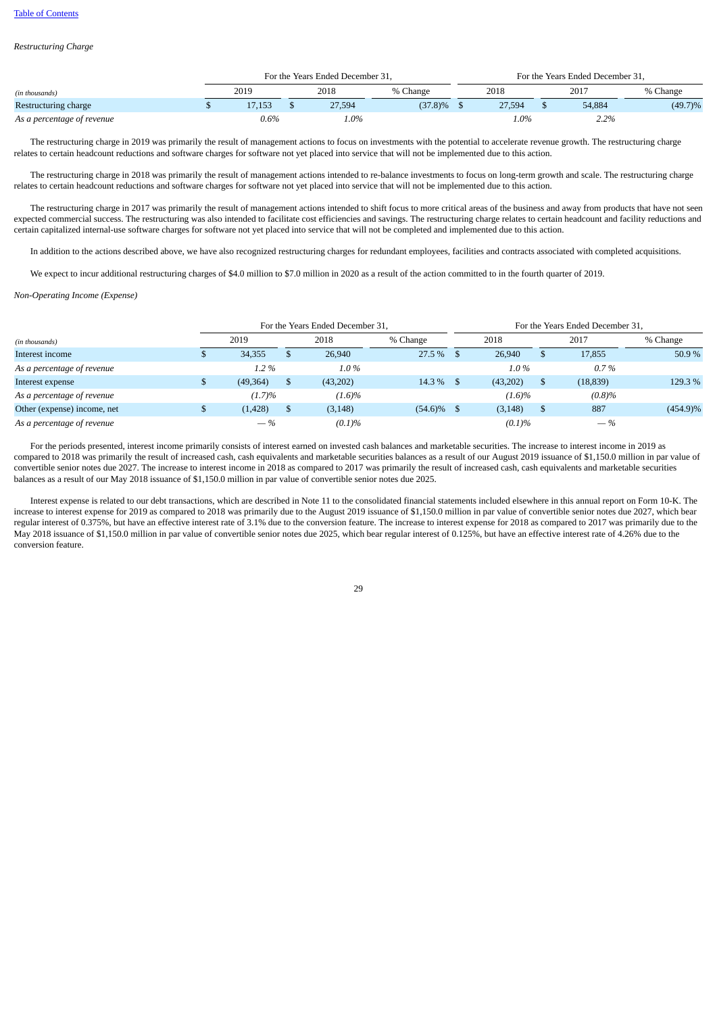## *Restructuring Charge*

|                            |  |        | For the Years Ended December 31. |        | For the Years Ended December 31, |  |        |  |        |            |  |  |
|----------------------------|--|--------|----------------------------------|--------|----------------------------------|--|--------|--|--------|------------|--|--|
| (in thousands)             |  | 2019   |                                  | 2018   | % Change                         |  | 2018   |  | 2017   | % Change   |  |  |
| Restructuring charge       |  | 17.153 |                                  | 27.594 | $(37.8)\%$                       |  | 27,594 |  | 54,884 | $(49.7)\%$ |  |  |
| As a percentage of revenue |  | 0.6%   |                                  | 1.0%   |                                  |  | 1.0%   |  | 2.2%   |            |  |  |

The restructuring charge in 2019 was primarily the result of management actions to focus on investments with the potential to accelerate revenue growth. The restructuring charge relates to certain headcount reductions and software charges for software not yet placed into service that will not be implemented due to this action.

The restructuring charge in 2018 was primarily the result of management actions intended to re-balance investments to focus on long-term growth and scale. The restructuring charge relates to certain headcount reductions and software charges for software not yet placed into service that will not be implemented due to this action.

The restructuring charge in 2017 was primarily the result of management actions intended to shift focus to more critical areas of the business and away from products that have not seen expected commercial success. The restructuring was also intended to facilitate cost efficiencies and savings. The restructuring charge relates to certain headcount and facility reductions and certain capitalized internal-use software charges for software not yet placed into service that will not be completed and implemented due to this action.

In addition to the actions described above, we have also recognized restructuring charges for redundant employees, facilities and contracts associated with completed acquisitions.

We expect to incur additional restructuring charges of \$4.0 million to \$7.0 million in 2020 as a result of the action committed to in the fourth quarter of 2019.

## *Non-Operating Income (Expense)*

|                             |           | For the Years Ended December 31, |          | For the Years Ended December 31, |  |          |  |           |             |  |  |
|-----------------------------|-----------|----------------------------------|----------|----------------------------------|--|----------|--|-----------|-------------|--|--|
| (in thousands)              | 2019      |                                  | 2018     | % Change                         |  | 2018     |  | 2017      | % Change    |  |  |
| Interest income             | 34,355    | S                                | 26,940   | $27.5\%$ \$                      |  | 26,940   |  | 17,855    | 50.9%       |  |  |
| As a percentage of revenue  | 1.2%      |                                  | 1.0%     |                                  |  | 1.0 %    |  | $0.7\%$   |             |  |  |
| Interest expense            | (49, 364) | - \$                             | (43,202) | $14.3\%$ \$                      |  | (43,202) |  | (18, 839) | 129.3%      |  |  |
| As a percentage of revenue  | (1.7)%    |                                  | (1.6)%   |                                  |  | (1.6)%   |  | (0.8)%    |             |  |  |
| Other (expense) income, net | (1, 428)  | - \$                             | (3, 148) | $(54.6)\%$ \$                    |  | (3, 148) |  | 887       | $(454.9)\%$ |  |  |
| As a percentage of revenue  | $-\%$     |                                  | (0.1)%   |                                  |  | (0.1)%   |  | $-\%$     |             |  |  |

For the periods presented, interest income primarily consists of interest earned on invested cash balances and marketable securities. The increase to interest income in 2019 as compared to 2018 was primarily the result of increased cash, cash equivalents and marketable securities balances as a result of our August 2019 issuance of \$1,150.0 million in par value of convertible senior notes due 2027. The increase to interest income in 2018 as compared to 2017 was primarily the result of increased cash, cash equivalents and marketable securities balances as a result of our May 2018 issuance of \$1,150.0 million in par value of convertible senior notes due 2025.

Interest expense is related to our debt transactions, which are described in Note 11 to the consolidated financial statements included elsewhere in this annual report on Form 10-K. The increase to interest expense for 2019 as compared to 2018 was primarily due to the August 2019 issuance of \$1,150.0 million in par value of convertible senior notes due 2027, which bear regular interest of 0.375%, but have an effective interest rate of 3.1% due to the conversion feature. The increase to interest expense for 2018 as compared to 2017 was primarily due to the May 2018 issuance of \$1,150.0 million in par value of convertible senior notes due 2025, which bear regular interest of 0.125%, but have an effective interest rate of 4.26% due to the conversion feature.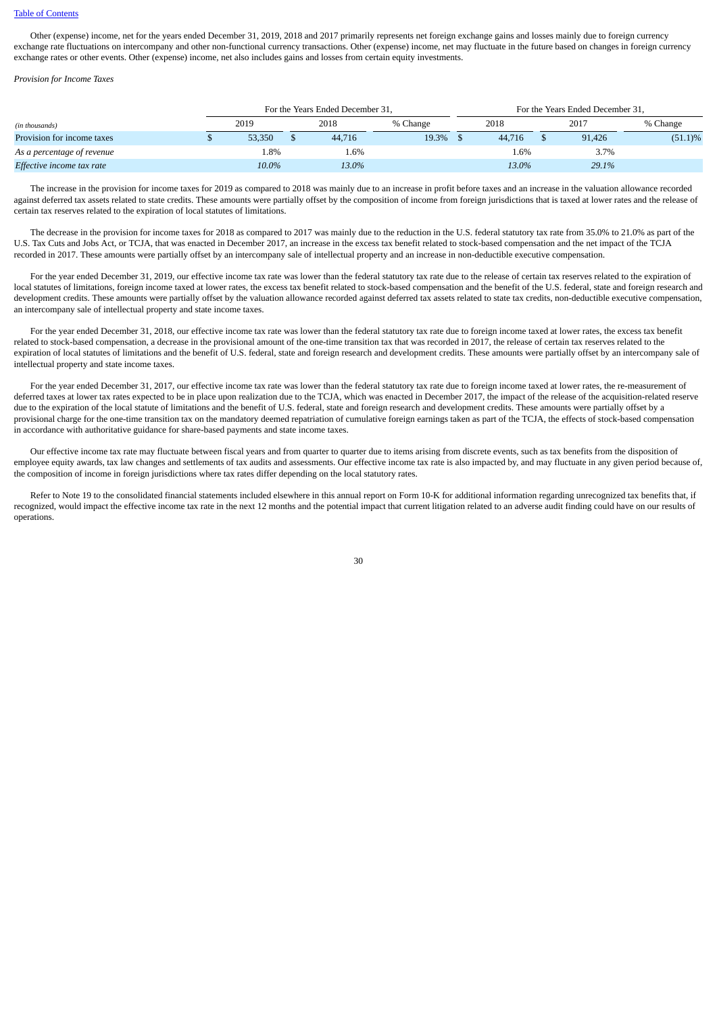Other (expense) income, net for the years ended December 31, 2019, 2018 and 2017 primarily represents net foreign exchange gains and losses mainly due to foreign currency exchange rate fluctuations on intercompany and other non-functional currency transactions. Other (expense) income, net may fluctuate in the future based on changes in foreign currency exchange rates or other events. Other (expense) income, net also includes gains and losses from certain equity investments.

*Provision for Income Taxes*

|                            |  |        | For the Years Ended December 31. |        | For the Years Ended December 31, |      |        |      |        |            |  |  |
|----------------------------|--|--------|----------------------------------|--------|----------------------------------|------|--------|------|--------|------------|--|--|
| (in thousands)             |  | 2019   |                                  | 2018   | % Change                         | 2018 |        | 2017 |        | % Change   |  |  |
| Provision for income taxes |  | 53,350 |                                  | 44,716 | 19.3%                            |      | 44,716 |      | 91.426 | $(51.1)\%$ |  |  |
| As a percentage of revenue |  | 1.8%   |                                  | 1.6%   |                                  |      | 1.6%   |      | 3.7%   |            |  |  |
| Effective income tax rate  |  | 10.0%  |                                  | 13.0%  |                                  |      | 13.0%  |      | 29.1%  |            |  |  |

The increase in the provision for income taxes for 2019 as compared to 2018 was mainly due to an increase in profit before taxes and an increase in the valuation allowance recorded against deferred tax assets related to state credits. These amounts were partially offset by the composition of income from foreign jurisdictions that is taxed at lower rates and the release of certain tax reserves related to the expiration of local statutes of limitations.

The decrease in the provision for income taxes for 2018 as compared to 2017 was mainly due to the reduction in the U.S. federal statutory tax rate from 35.0% to 21.0% as part of the U.S. Tax Cuts and Jobs Act, or TCJA, that was enacted in December 2017, an increase in the excess tax benefit related to stock-based compensation and the net impact of the TCJA recorded in 2017. These amounts were partially offset by an intercompany sale of intellectual property and an increase in non-deductible executive compensation.

For the year ended December 31, 2019, our effective income tax rate was lower than the federal statutory tax rate due to the release of certain tax reserves related to the expiration of local statutes of limitations, foreign income taxed at lower rates, the excess tax benefit related to stock-based compensation and the benefit of the U.S. federal, state and foreign research and development credits. These amounts were partially offset by the valuation allowance recorded against deferred tax assets related to state tax credits, non-deductible executive compensation, an intercompany sale of intellectual property and state income taxes.

For the year ended December 31, 2018, our effective income tax rate was lower than the federal statutory tax rate due to foreign income taxed at lower rates, the excess tax benefit related to stock-based compensation, a decrease in the provisional amount of the one-time transition tax that was recorded in 2017, the release of certain tax reserves related to the expiration of local statutes of limitations and the benefit of U.S. federal, state and foreign research and development credits. These amounts were partially offset by an intercompany sale of intellectual property and state income taxes.

For the year ended December 31, 2017, our effective income tax rate was lower than the federal statutory tax rate due to foreign income taxed at lower rates, the re-measurement of deferred taxes at lower tax rates expected to be in place upon realization due to the TCJA, which was enacted in December 2017, the impact of the release of the acquisition-related reserve due to the expiration of the local statute of limitations and the benefit of U.S. federal, state and foreign research and development credits. These amounts were partially offset by a provisional charge for the one-time transition tax on the mandatory deemed repatriation of cumulative foreign earnings taken as part of the TCJA, the effects of stock-based compensation in accordance with authoritative guidance for share-based payments and state income taxes.

Our effective income tax rate may fluctuate between fiscal years and from quarter to quarter due to items arising from discrete events, such as tax benefits from the disposition of employee equity awards, tax law changes and settlements of tax audits and assessments. Our effective income tax rate is also impacted by, and may fluctuate in any given period because of, the composition of income in foreign jurisdictions where tax rates differ depending on the local statutory rates.

Refer to Note 19 to the consolidated financial statements included elsewhere in this annual report on Form 10-K for additional information regarding unrecognized tax benefits that, if recognized, would impact the effective income tax rate in the next 12 months and the potential impact that current litigation related to an adverse audit finding could have on our results of operations.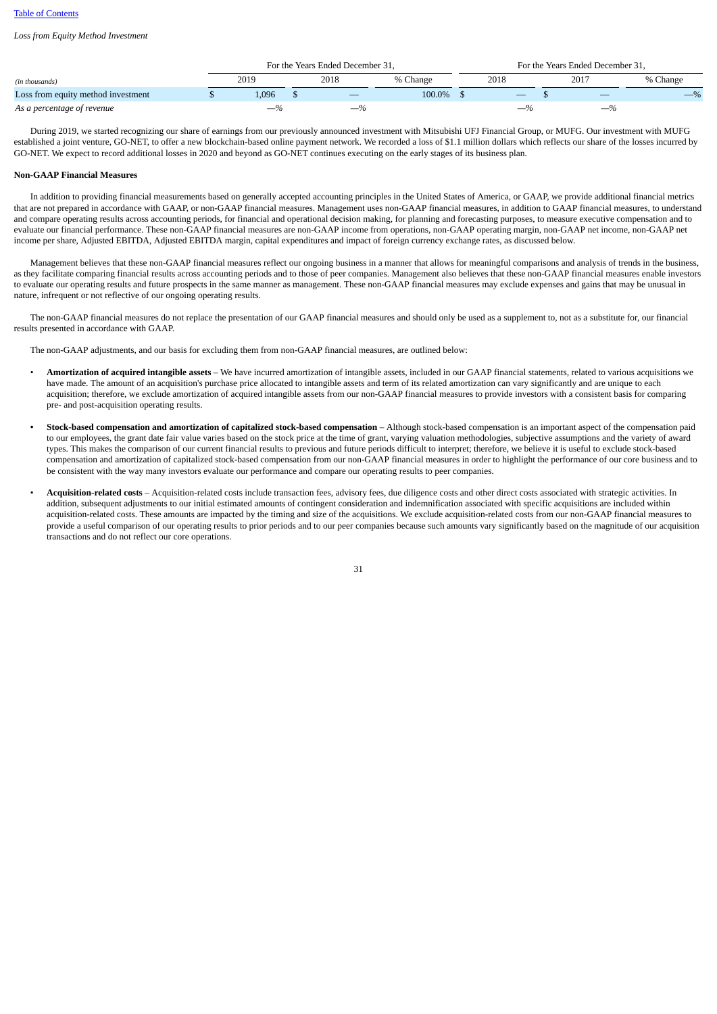*Loss from Equity Method Investment*

|                                    |       | For the Years Ended December 31, |       | For the Years Ended December 31, |  |                |  |       |          |  |
|------------------------------------|-------|----------------------------------|-------|----------------------------------|--|----------------|--|-------|----------|--|
| (in thousands)                     | 2019  |                                  | 2018  | % Change                         |  | 2018           |  | 201'  | % Change |  |
| Loss from equity method investment | L.096 |                                  |       | 100.0%                           |  |                |  |       | $-$ %    |  |
| As a percentage of revenue         | $-\%$ |                                  | $-\%$ |                                  |  | $ \frac{1}{2}$ |  | $-\%$ |          |  |

During 2019, we started recognizing our share of earnings from our previously announced investment with Mitsubishi UFJ Financial Group, or MUFG. Our investment with MUFG established a joint venture, GO-NET, to offer a new blockchain-based online payment network. We recorded a loss of \$1.1 million dollars which reflects our share of the losses incurred by GO-NET. We expect to record additional losses in 2020 and beyond as GO-NET continues executing on the early stages of its business plan.

## **Non-GAAP Financial Measures**

In addition to providing financial measurements based on generally accepted accounting principles in the United States of America, or GAAP, we provide additional financial metrics that are not prepared in accordance with GAAP, or non-GAAP financial measures. Management uses non-GAAP financial measures, in addition to GAAP financial measures, to understand and compare operating results across accounting periods, for financial and operational decision making, for planning and forecasting purposes, to measure executive compensation and to evaluate our financial performance. These non-GAAP financial measures are non-GAAP income from operations, non-GAAP operating margin, non-GAAP net income, non-GAAP net income per share, Adjusted EBITDA, Adjusted EBITDA margin, capital expenditures and impact of foreign currency exchange rates, as discussed below.

Management believes that these non-GAAP financial measures reflect our ongoing business in a manner that allows for meaningful comparisons and analysis of trends in the business, as they facilitate comparing financial results across accounting periods and to those of peer companies. Management also believes that these non-GAAP financial measures enable investors to evaluate our operating results and future prospects in the same manner as management. These non-GAAP financial measures may exclude expenses and gains that may be unusual in nature, infrequent or not reflective of our ongoing operating results.

The non-GAAP financial measures do not replace the presentation of our GAAP financial measures and should only be used as a supplement to, not as a substitute for, our financial results presented in accordance with GAAP.

The non-GAAP adjustments, and our basis for excluding them from non-GAAP financial measures, are outlined below:

- **Amortization of acquired intangible assets** We have incurred amortization of intangible assets, included in our GAAP financial statements, related to various acquisitions we have made. The amount of an acquisition's purchase price allocated to intangible assets and term of its related amortization can vary significantly and are unique to each acquisition; therefore, we exclude amortization of acquired intangible assets from our non-GAAP financial measures to provide investors with a consistent basis for comparing pre- and post-acquisition operating results.
- Stock-based compensation and amortization of capitalized stock-based compensation Although stock-based compensation is an important aspect of the compensation paid to our employees, the grant date fair value varies based on the stock price at the time of grant, varying valuation methodologies, subjective assumptions and the variety of award types. This makes the comparison of our current financial results to previous and future periods difficult to interpret; therefore, we believe it is useful to exclude stock-based compensation and amortization of capitalized stock-based compensation from our non-GAAP financial measures in order to highlight the performance of our core business and to be consistent with the way many investors evaluate our performance and compare our operating results to peer companies.
- **Acquisition-related costs** Acquisition-related costs include transaction fees, advisory fees, due diligence costs and other direct costs associated with strategic activities. In addition, subsequent adjustments to our initial estimated amounts of contingent consideration and indemnification associated with specific acquisitions are included within acquisition-related costs. These amounts are impacted by the timing and size of the acquisitions. We exclude acquisition-related costs from our non-GAAP financial measures to provide a useful comparison of our operating results to prior periods and to our peer companies because such amounts vary significantly based on the magnitude of our acquisition transactions and do not reflect our core operations.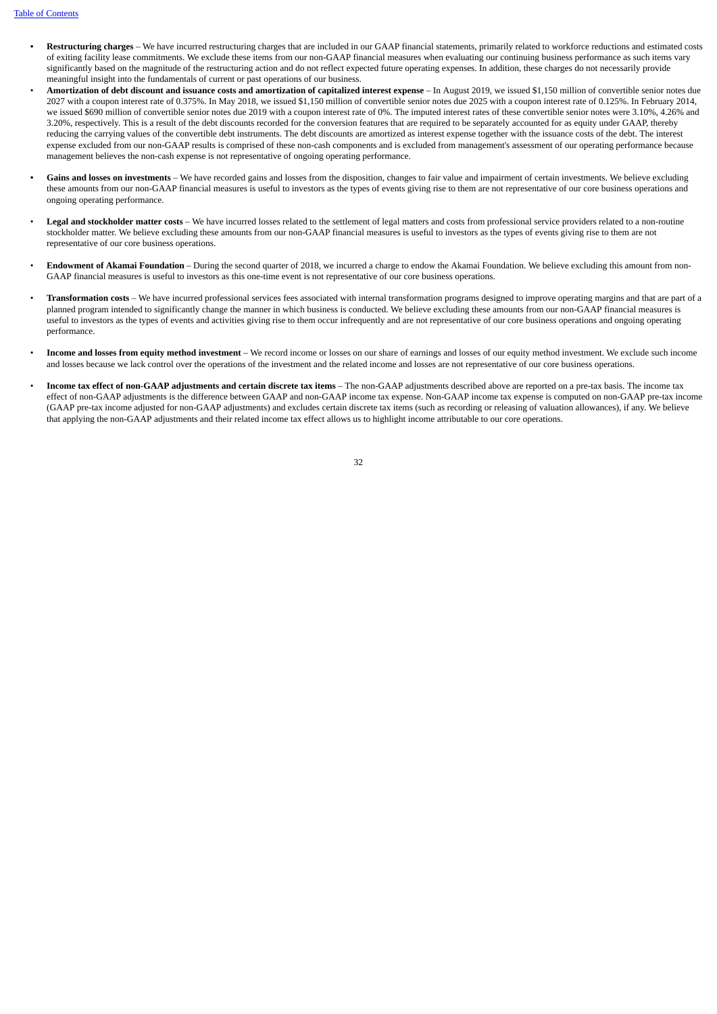- **• Restructuring charges** We have incurred restructuring charges that are included in our GAAP financial statements, primarily related to workforce reductions and estimated costs of exiting facility lease commitments. We exclude these items from our non-GAAP financial measures when evaluating our continuing business performance as such items vary significantly based on the magnitude of the restructuring action and do not reflect expected future operating expenses. In addition, these charges do not necessarily provide meaningful insight into the fundamentals of current or past operations of our business.
- Amortization of debt discount and issuance costs and amortization of capitalized interest expense In August 2019, we issued \$1,150 million of convertible senior notes due 2027 with a coupon interest rate of 0.375%. In May 2018, we issued \$1,150 million of convertible senior notes due 2025 with a coupon interest rate of 0.125%. In February 2014, we issued \$690 million of convertible senior notes due 2019 with a coupon interest rate of 0%. The imputed interest rates of these convertible senior notes were 3.10%, 4.26% and 3.20%, respectively. This is a result of the debt discounts recorded for the conversion features that are required to be separately accounted for as equity under GAAP, thereby reducing the carrying values of the convertible debt instruments. The debt discounts are amortized as interest expense together with the issuance costs of the debt. The interest expense excluded from our non-GAAP results is comprised of these non-cash components and is excluded from management's assessment of our operating performance because management believes the non-cash expense is not representative of ongoing operating performance.
- **• Gains and losses on investments** We have recorded gains and losses from the disposition, changes to fair value and impairment of certain investments. We believe excluding these amounts from our non-GAAP financial measures is useful to investors as the types of events giving rise to them are not representative of our core business operations and ongoing operating performance.
- **Legal and stockholder matter costs** We have incurred losses related to the settlement of legal matters and costs from professional service providers related to a non-routine stockholder matter. We believe excluding these amounts from our non-GAAP financial measures is useful to investors as the types of events giving rise to them are not representative of our core business operations.
- **Endowment of Akamai Foundation** During the second quarter of 2018, we incurred a charge to endow the Akamai Foundation. We believe excluding this amount from non-GAAP financial measures is useful to investors as this one-time event is not representative of our core business operations.
- **Transformation costs** We have incurred professional services fees associated with internal transformation programs designed to improve operating margins and that are part of a planned program intended to significantly change the manner in which business is conducted. We believe excluding these amounts from our non-GAAP financial measures is useful to investors as the types of events and activities giving rise to them occur infrequently and are not representative of our core business operations and ongoing operating performance.
- **Income and losses from equity method investment** We record income or losses on our share of earnings and losses of our equity method investment. We exclude such income and losses because we lack control over the operations of the investment and the related income and losses are not representative of our core business operations.
- Income tax effect of non-GAAP adjustments and certain discrete tax items The non-GAAP adjustments described above are reported on a pre-tax basis. The income tax effect of non-GAAP adjustments is the difference between GAAP and non-GAAP income tax expense. Non-GAAP income tax expense is computed on non-GAAP pre-tax income (GAAP pre-tax income adjusted for non-GAAP adjustments) and excludes certain discrete tax items (such as recording or releasing of valuation allowances), if any. We believe that applying the non-GAAP adjustments and their related income tax effect allows us to highlight income attributable to our core operations.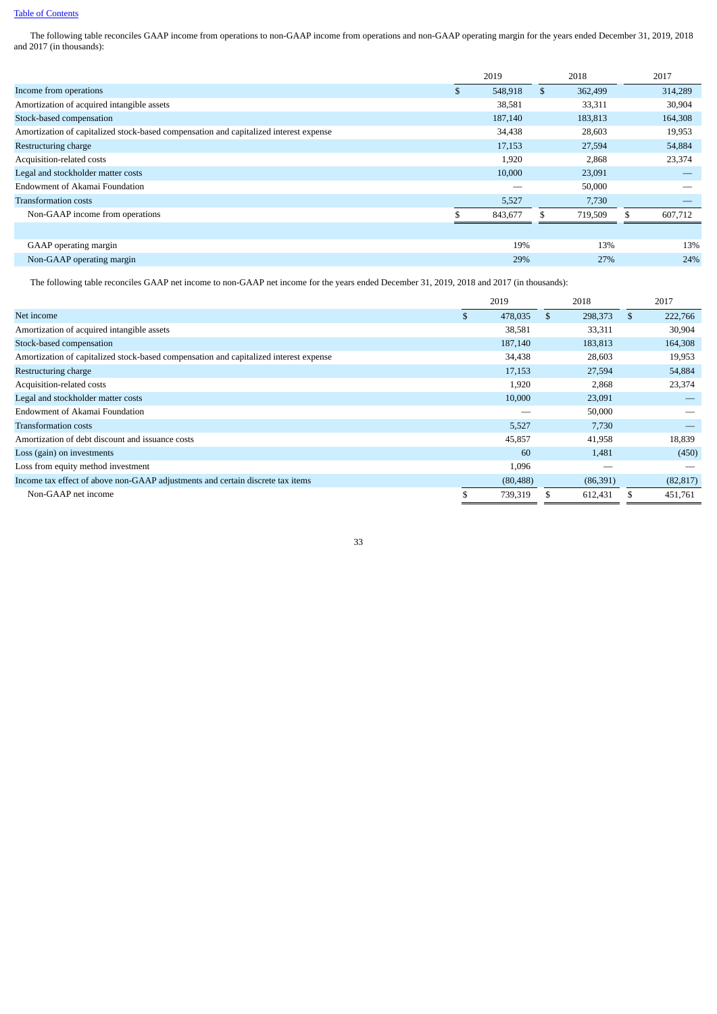The following table reconciles GAAP income from operations to non-GAAP income from operations and non-GAAP operating margin for the years ended December 31, 2019, 2018 and 2017 (in thousands):

|                                                                                       |    | 2019    |     | 2018    | 2017    |
|---------------------------------------------------------------------------------------|----|---------|-----|---------|---------|
| Income from operations                                                                | S. | 548,918 | \$. | 362,499 | 314,289 |
| Amortization of acquired intangible assets                                            |    | 38,581  |     | 33,311  | 30,904  |
| Stock-based compensation                                                              |    | 187,140 |     | 183,813 | 164,308 |
| Amortization of capitalized stock-based compensation and capitalized interest expense |    | 34,438  |     | 28,603  | 19,953  |
| Restructuring charge                                                                  |    | 17,153  |     | 27,594  | 54,884  |
| Acquisition-related costs                                                             |    | 1,920   |     | 2,868   | 23,374  |
| Legal and stockholder matter costs                                                    |    | 10,000  |     | 23,091  |         |
| Endowment of Akamai Foundation                                                        |    |         |     | 50,000  |         |
| <b>Transformation costs</b>                                                           |    | 5,527   |     | 7,730   |         |
| Non-GAAP income from operations                                                       |    | 843.677 |     | 719.509 | 607,712 |
|                                                                                       |    |         |     |         |         |
| GAAP operating margin                                                                 |    | 19%     |     | 13%     | 13%     |
| Non-GAAP operating margin                                                             |    | 29%     |     | 27%     | 24%     |

The following table reconciles GAAP net income to non-GAAP net income for the years ended December 31, 2019, 2018 and 2017 (in thousands):

|                                                                                       | 2019 |           |     | 2018                     |     | 2017      |
|---------------------------------------------------------------------------------------|------|-----------|-----|--------------------------|-----|-----------|
| Net income                                                                            |      | 478,035   | \$. | 298,373                  | \$. | 222,766   |
| Amortization of acquired intangible assets                                            |      | 38,581    |     | 33,311                   |     | 30,904    |
| Stock-based compensation                                                              |      | 187,140   |     | 183,813                  |     | 164,308   |
| Amortization of capitalized stock-based compensation and capitalized interest expense |      | 34,438    |     | 28,603                   |     | 19,953    |
| Restructuring charge                                                                  |      | 17,153    |     | 27,594                   |     | 54,884    |
| Acquisition-related costs                                                             |      | 1,920     |     | 2,868                    |     | 23,374    |
| Legal and stockholder matter costs                                                    |      | 10,000    |     | 23,091                   |     |           |
| Endowment of Akamai Foundation                                                        |      |           |     | 50,000                   |     |           |
| <b>Transformation costs</b>                                                           |      | 5,527     |     | 7,730                    |     |           |
| Amortization of debt discount and issuance costs                                      |      | 45,857    |     | 41,958                   |     | 18,839    |
| Loss (gain) on investments                                                            |      | 60        |     | 1,481                    |     | (450)     |
| Loss from equity method investment                                                    |      | 1,096     |     | $\overline{\phantom{a}}$ |     |           |
| Income tax effect of above non-GAAP adjustments and certain discrete tax items        |      | (80, 488) |     | (86,391)                 |     | (82, 817) |
| Non-GAAP net income                                                                   |      | 739,319   |     | 612,431                  |     | 451,761   |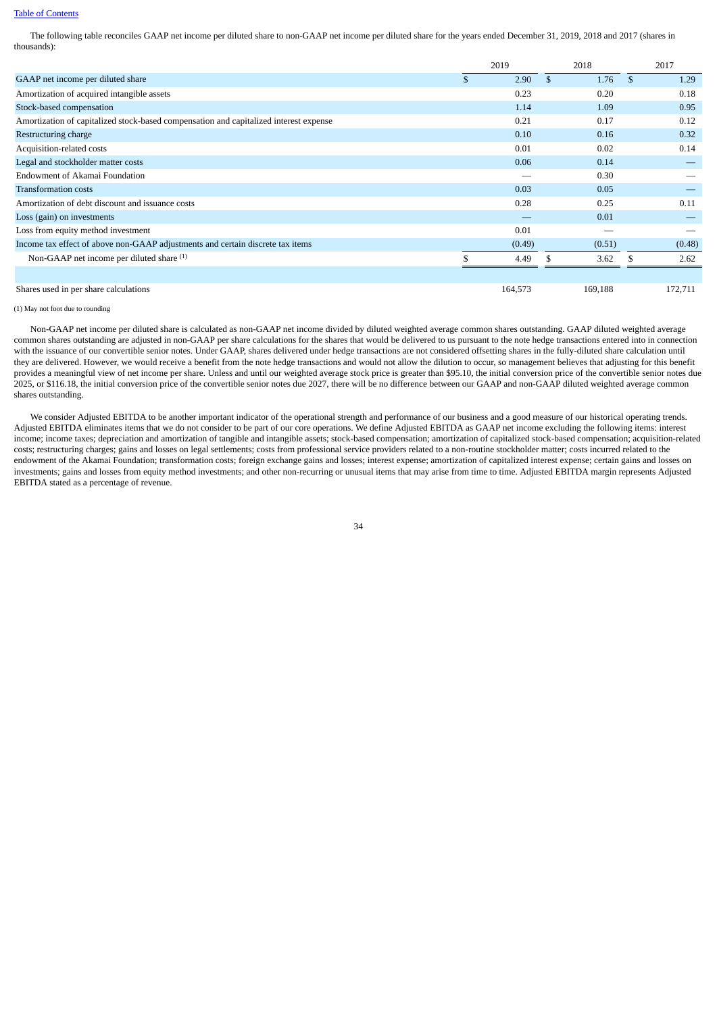The following table reconciles GAAP net income per diluted share to non-GAAP net income per diluted share for the years ended December 31, 2019, 2018 and 2017 (shares in thousands):

|                                                                                       | 2019                          |              | 2018    |              | 2017    |
|---------------------------------------------------------------------------------------|-------------------------------|--------------|---------|--------------|---------|
| GAAP net income per diluted share                                                     | \$<br>2.90                    | $\mathbf{s}$ | 1.76    | $\mathbf{s}$ | 1.29    |
| Amortization of acquired intangible assets                                            | 0.23                          |              | 0.20    |              | 0.18    |
| Stock-based compensation                                                              | 1.14                          |              | 1.09    |              | 0.95    |
| Amortization of capitalized stock-based compensation and capitalized interest expense | 0.21                          |              | 0.17    |              | 0.12    |
| Restructuring charge                                                                  | 0.10                          |              | 0.16    |              | 0.32    |
| Acquisition-related costs                                                             | 0.01                          |              | 0.02    |              | 0.14    |
| Legal and stockholder matter costs                                                    | 0.06                          |              | 0.14    |              |         |
| Endowment of Akamai Foundation                                                        |                               |              | 0.30    |              |         |
| <b>Transformation costs</b>                                                           | 0.03                          |              | 0.05    |              |         |
| Amortization of debt discount and issuance costs                                      | 0.28                          |              | 0.25    |              | 0.11    |
| Loss (gain) on investments                                                            | $\overbrace{\phantom{aaaaa}}$ |              | 0.01    |              |         |
| Loss from equity method investment                                                    | 0.01                          |              |         |              |         |
| Income tax effect of above non-GAAP adjustments and certain discrete tax items        | (0.49)                        |              | (0.51)  |              | (0.48)  |
| Non-GAAP net income per diluted share (1)                                             | 4.49                          |              | 3.62    |              | 2.62    |
|                                                                                       |                               |              |         |              |         |
| Shares used in per share calculations                                                 | 164,573                       |              | 169,188 |              | 172,711 |

(1) May not foot due to rounding

Non-GAAP net income per diluted share is calculated as non-GAAP net income divided by diluted weighted average common shares outstanding. GAAP diluted weighted average common shares outstanding are adjusted in non-GAAP per share calculations for the shares that would be delivered to us pursuant to the note hedge transactions entered into in connection with the issuance of our convertible senior notes. Under GAAP, shares delivered under hedge transactions are not considered offsetting shares in the fully-diluted share calculation until they are delivered. However, we would receive a benefit from the note hedge transactions and would not allow the dilution to occur, so management believes that adjusting for this benefit provides a meaningful view of net income per share. Unless and until our weighted average stock price is greater than \$95.10, the initial conversion price of the convertible senior notes due 2025, or \$116.18, the initial conversion price of the convertible senior notes due 2027, there will be no difference between our GAAP and non-GAAP diluted weighted average common shares outstanding.

We consider Adjusted EBITDA to be another important indicator of the operational strength and performance of our business and a good measure of our historical operating trends. Adjusted EBITDA eliminates items that we do not consider to be part of our core operations. We define Adjusted EBITDA as GAAP net income excluding the following items: interest income; income taxes; depreciation and amortization of tangible and intangible assets; stock-based compensation; amortization of capitalized stock-based compensation; acquisition-related costs; restructuring charges; gains and losses on legal settlements; costs from professional service providers related to a non-routine stockholder matter; costs incurred related to the endowment of the Akamai Foundation; transformation costs; foreign exchange gains and losses; interest expense; amortization of capitalized interest expense; certain gains and losses on investments; gains and losses from equity method investments; and other non-recurring or unusual items that may arise from time to time. Adjusted EBITDA margin represents Adjusted EBITDA stated as a percentage of revenue.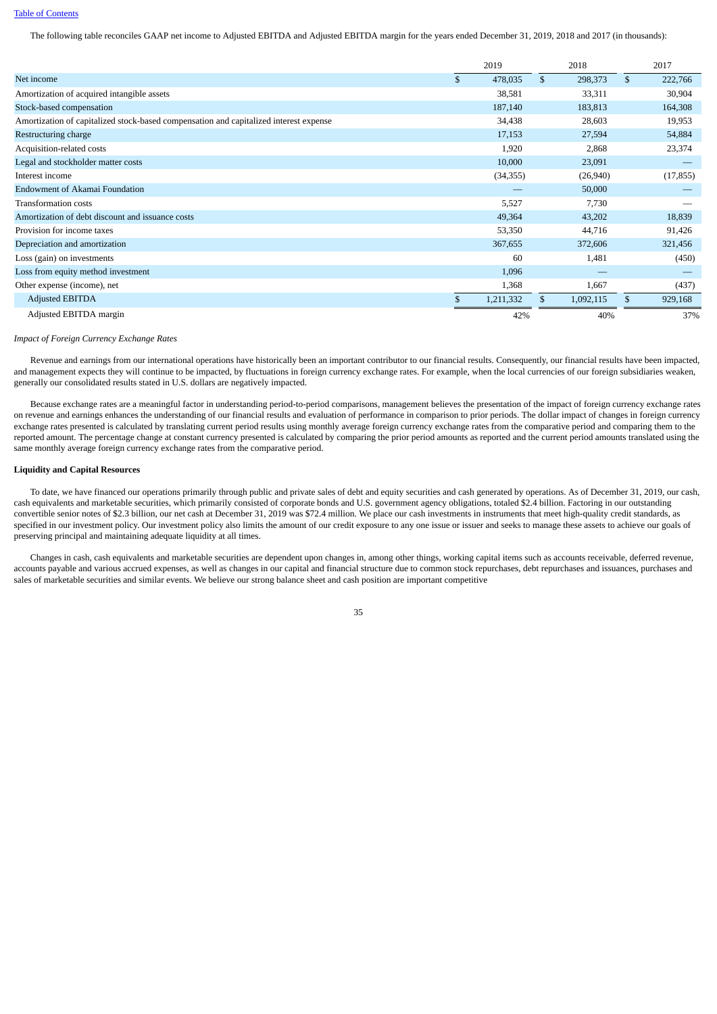The following table reconciles GAAP net income to Adjusted EBITDA and Adjusted EBITDA margin for the years ended December 31, 2019, 2018 and 2017 (in thousands):

|                                                                                       | 2019          |              | 2018      | 2017         |                          |  |
|---------------------------------------------------------------------------------------|---------------|--------------|-----------|--------------|--------------------------|--|
| Net income                                                                            | \$<br>478,035 | $\mathbb{S}$ | 298,373   | $\mathbf{s}$ | 222,766                  |  |
| Amortization of acquired intangible assets                                            | 38,581        |              | 33,311    |              | 30,904                   |  |
| Stock-based compensation                                                              | 187,140       |              | 183,813   |              | 164,308                  |  |
| Amortization of capitalized stock-based compensation and capitalized interest expense | 34,438        |              | 28,603    |              | 19,953                   |  |
| Restructuring charge                                                                  | 17,153        |              | 27,594    |              | 54,884                   |  |
| Acquisition-related costs                                                             | 1,920         |              | 2,868     |              | 23,374                   |  |
| Legal and stockholder matter costs                                                    | 10,000        |              | 23,091    |              | $\overline{\phantom{a}}$ |  |
| Interest income                                                                       | (34, 355)     |              | (26, 940) |              | (17, 855)                |  |
| Endowment of Akamai Foundation                                                        | –             |              | 50,000    |              |                          |  |
| <b>Transformation costs</b>                                                           | 5,527         |              | 7,730     |              |                          |  |
| Amortization of debt discount and issuance costs                                      | 49,364        |              | 43,202    |              | 18,839                   |  |
| Provision for income taxes                                                            | 53,350        |              | 44,716    |              | 91,426                   |  |
| Depreciation and amortization                                                         | 367,655       |              | 372,606   |              | 321,456                  |  |
| Loss (gain) on investments                                                            | 60            |              | 1,481     |              | (450)                    |  |
| Loss from equity method investment                                                    | 1,096         |              |           |              |                          |  |
| Other expense (income), net                                                           | 1,368         |              | 1,667     |              | (437)                    |  |
| Adjusted EBITDA                                                                       | 1,211,332     | \$.          | 1,092,115 | \$           | 929,168                  |  |
| Adjusted EBITDA margin                                                                | 42%           |              | 40%       |              | 37%                      |  |

#### *Impact of Foreign Currency Exchange Rates*

Revenue and earnings from our international operations have historically been an important contributor to our financial results. Consequently, our financial results have been impacted, and management expects they will continue to be impacted, by fluctuations in foreign currency exchange rates. For example, when the local currencies of our foreign subsidiaries weaken, generally our consolidated results stated in U.S. dollars are negatively impacted.

Because exchange rates are a meaningful factor in understanding period-to-period comparisons, management believes the presentation of the impact of foreign currency exchange rates on revenue and earnings enhances the understanding of our financial results and evaluation of performance in comparison to prior periods. The dollar impact of changes in foreign currency exchange rates presented is calculated by translating current period results using monthly average foreign currency exchange rates from the comparative period and comparing them to the reported amount. The percentage change at constant currency presented is calculated by comparing the prior period amounts as reported and the current period amounts translated using the same monthly average foreign currency exchange rates from the comparative period.

## **Liquidity and Capital Resources**

To date, we have financed our operations primarily through public and private sales of debt and equity securities and cash generated by operations. As of December 31, 2019, our cash, cash equivalents and marketable securities, which primarily consisted of corporate bonds and U.S. government agency obligations, totaled \$2.4 billion. Factoring in our outstanding convertible senior notes of \$2.3 billion, our net cash at December 31, 2019 was \$72.4 million. We place our cash investments in instruments that meet high-quality credit standards, as specified in our investment policy. Our investment policy also limits the amount of our credit exposure to any one issue or issuer and seeks to manage these assets to achieve our goals of preserving principal and maintaining adequate liquidity at all times.

Changes in cash, cash equivalents and marketable securities are dependent upon changes in, among other things, working capital items such as accounts receivable, deferred revenue, accounts payable and various accrued expenses, as well as changes in our capital and financial structure due to common stock repurchases, debt repurchases and issuances, purchases and sales of marketable securities and similar events. We believe our strong balance sheet and cash position are important competitive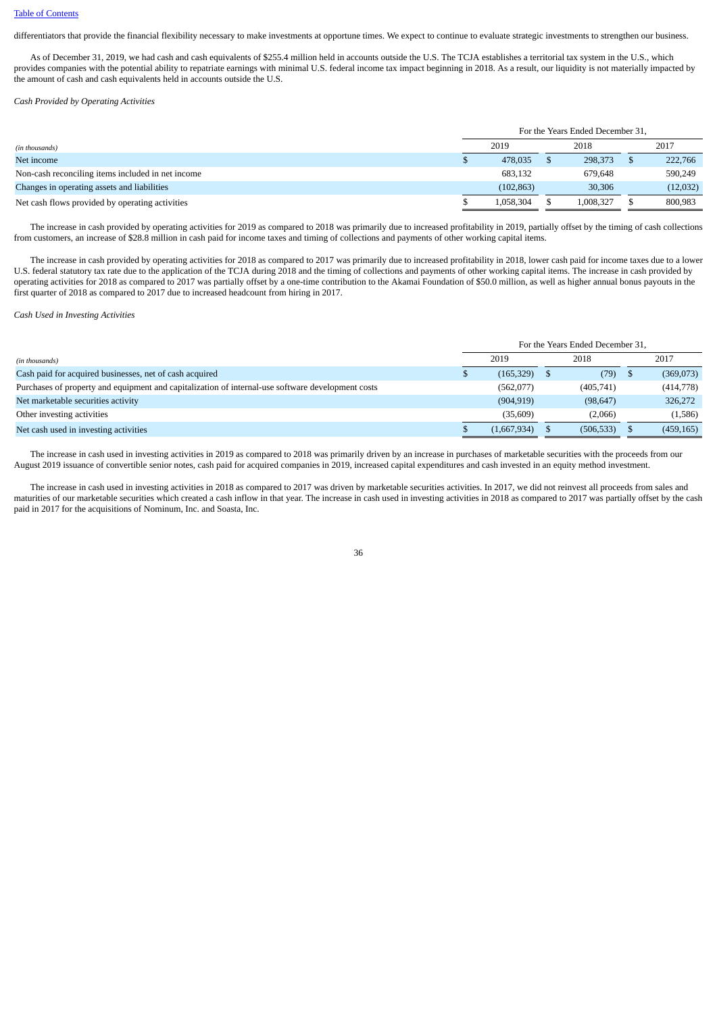differentiators that provide the financial flexibility necessary to make investments at opportune times. We expect to continue to evaluate strategic investments to strengthen our business.

As of December 31, 2019, we had cash and cash equivalents of \$255.4 million held in accounts outside the U.S. The TCJA establishes a territorial tax system in the U.S., which provides companies with the potential ability to repatriate earnings with minimal U.S. federal income tax impact beginning in 2018. As a result, our liquidity is not materially impacted by the amount of cash and cash equivalents held in accounts outside the U.S.

*Cash Provided by Operating Activities*

|                                                   |  | For the Years Ended December 31, |  |           |      |          |
|---------------------------------------------------|--|----------------------------------|--|-----------|------|----------|
| (in thousands)                                    |  | 2019<br>2018                     |  |           | 2017 |          |
| Net income                                        |  | 478,035                          |  | 298,373   |      | 222,766  |
| Non-cash reconciling items included in net income |  | 683.132                          |  | 679.648   |      | 590,249  |
| Changes in operating assets and liabilities       |  | (102, 863)                       |  | 30,306    |      | (12,032) |
| Net cash flows provided by operating activities   |  | 1,058,304                        |  | 1,008,327 |      | 800.983  |

The increase in cash provided by operating activities for 2019 as compared to 2018 was primarily due to increased profitability in 2019, partially offset by the timing of cash collections from customers, an increase of \$28.8 million in cash paid for income taxes and timing of collections and payments of other working capital items.

The increase in cash provided by operating activities for 2018 as compared to 2017 was primarily due to increased profitability in 2018, lower cash paid for income taxes due to a lower U.S. federal statutory tax rate due to the application of the TCJA during 2018 and the timing of collections and payments of other working capital items. The increase in cash provided by operating activities for 2018 as compared to 2017 was partially offset by a one-time contribution to the Akamai Foundation of \$50.0 million, as well as higher annual bonus payouts in the first quarter of 2018 as compared to 2017 due to increased headcount from hiring in 2017.

*Cash Used in Investing Activities*

|                                                                                                   | For the Years Ended December 31, |             |  |            |  |            |  |  |
|---------------------------------------------------------------------------------------------------|----------------------------------|-------------|--|------------|--|------------|--|--|
| (in thousands)                                                                                    |                                  | 2019        |  | 2018       |  | 2017       |  |  |
| Cash paid for acquired businesses, net of cash acquired                                           |                                  | (165, 329)  |  | (79)       |  | (369,073)  |  |  |
| Purchases of property and equipment and capitalization of internal-use software development costs |                                  | (562,077)   |  | (405, 741) |  | (414,778)  |  |  |
| Net marketable securities activity                                                                |                                  | (904, 919)  |  | (98, 647)  |  | 326,272    |  |  |
| Other investing activities                                                                        |                                  | (35,609)    |  | (2,066)    |  | (1,586)    |  |  |
| Net cash used in investing activities                                                             |                                  | (1,667,934) |  | (506, 533) |  | (459, 165) |  |  |

The increase in cash used in investing activities in 2019 as compared to 2018 was primarily driven by an increase in purchases of marketable securities with the proceeds from our August 2019 issuance of convertible senior notes, cash paid for acquired companies in 2019, increased capital expenditures and cash invested in an equity method investment.

The increase in cash used in investing activities in 2018 as compared to 2017 was driven by marketable securities activities. In 2017, we did not reinvest all proceeds from sales and maturities of our marketable securities which created a cash inflow in that year. The increase in cash used in investing activities in 2018 as compared to 2017 was partially offset by the cash paid in 2017 for the acquisitions of Nominum, Inc. and Soasta, Inc.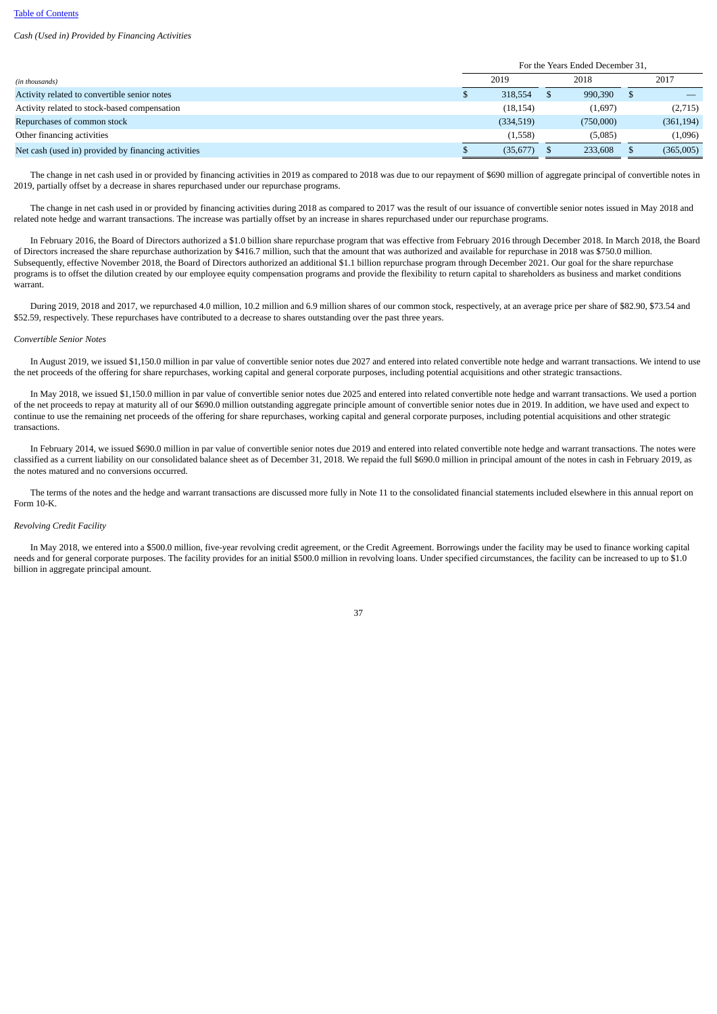*Cash (Used in) Provided by Financing Activities*

|                                                     | For the Years Ended December 31, |           |  |           |  |            |  |  |
|-----------------------------------------------------|----------------------------------|-----------|--|-----------|--|------------|--|--|
| (in thousands)                                      | 2019<br>2018                     |           |  |           |  | 2017       |  |  |
| Activity related to convertible senior notes        |                                  | 318,554   |  | 990,390   |  |            |  |  |
| Activity related to stock-based compensation        |                                  | (18, 154) |  | (1,697)   |  | (2,715)    |  |  |
| Repurchases of common stock                         |                                  | (334,519) |  | (750,000) |  | (361, 194) |  |  |
| Other financing activities                          |                                  | (1,558)   |  | (5,085)   |  | (1,096)    |  |  |
| Net cash (used in) provided by financing activities |                                  | (35,677)  |  | 233,608   |  | (365,005)  |  |  |

The change in net cash used in or provided by financing activities in 2019 as compared to 2018 was due to our repayment of \$690 million of aggregate principal of convertible notes in 2019, partially offset by a decrease in shares repurchased under our repurchase programs.

The change in net cash used in or provided by financing activities during 2018 as compared to 2017 was the result of our issuance of convertible senior notes issued in May 2018 and related note hedge and warrant transactions. The increase was partially offset by an increase in shares repurchased under our repurchase programs.

In February 2016, the Board of Directors authorized a \$1.0 billion share repurchase program that was effective from February 2016 through December 2018. In March 2018, the Board of Directors increased the share repurchase authorization by \$416.7 million, such that the amount that was authorized and available for repurchase in 2018 was \$750.0 million. Subsequently, effective November 2018, the Board of Directors authorized an additional \$1.1 billion repurchase program through December 2021. Our goal for the share repurchase programs is to offset the dilution created by our employee equity compensation programs and provide the flexibility to return capital to shareholders as business and market conditions warrant.

During 2019, 2018 and 2017, we repurchased 4.0 million, 10.2 million and 6.9 million shares of our common stock, respectively, at an average price per share of \$82.90, \$73.54 and \$52.59, respectively. These repurchases have contributed to a decrease to shares outstanding over the past three years.

#### *Convertible Senior Notes*

In August 2019, we issued \$1,150.0 million in par value of convertible senior notes due 2027 and entered into related convertible note hedge and warrant transactions. We intend to use the net proceeds of the offering for share repurchases, working capital and general corporate purposes, including potential acquisitions and other strategic transactions.

In May 2018, we issued \$1,150.0 million in par value of convertible senior notes due 2025 and entered into related convertible note hedge and warrant transactions. We used a portion of the net proceeds to repay at maturity all of our \$690.0 million outstanding aggregate principle amount of convertible senior notes due in 2019. In addition, we have used and expect to continue to use the remaining net proceeds of the offering for share repurchases, working capital and general corporate purposes, including potential acquisitions and other strategic transactions.

In February 2014, we issued \$690.0 million in par value of convertible senior notes due 2019 and entered into related convertible note hedge and warrant transactions. The notes were classified as a current liability on our consolidated balance sheet as of December 31, 2018. We repaid the full \$690.0 million in principal amount of the notes in cash in February 2019, as the notes matured and no conversions occurred.

The terms of the notes and the hedge and warrant transactions are discussed more fully in Note 11 to the consolidated financial statements included elsewhere in this annual report on Form 10-K.

#### *Revolving Credit Facility*

In May 2018, we entered into a \$500.0 million, five-year revolving credit agreement, or the Credit Agreement. Borrowings under the facility may be used to finance working capital needs and for general corporate purposes. The facility provides for an initial \$500.0 million in revolving loans. Under specified circumstances, the facility can be increased to up to \$1.0 billion in aggregate principal amount.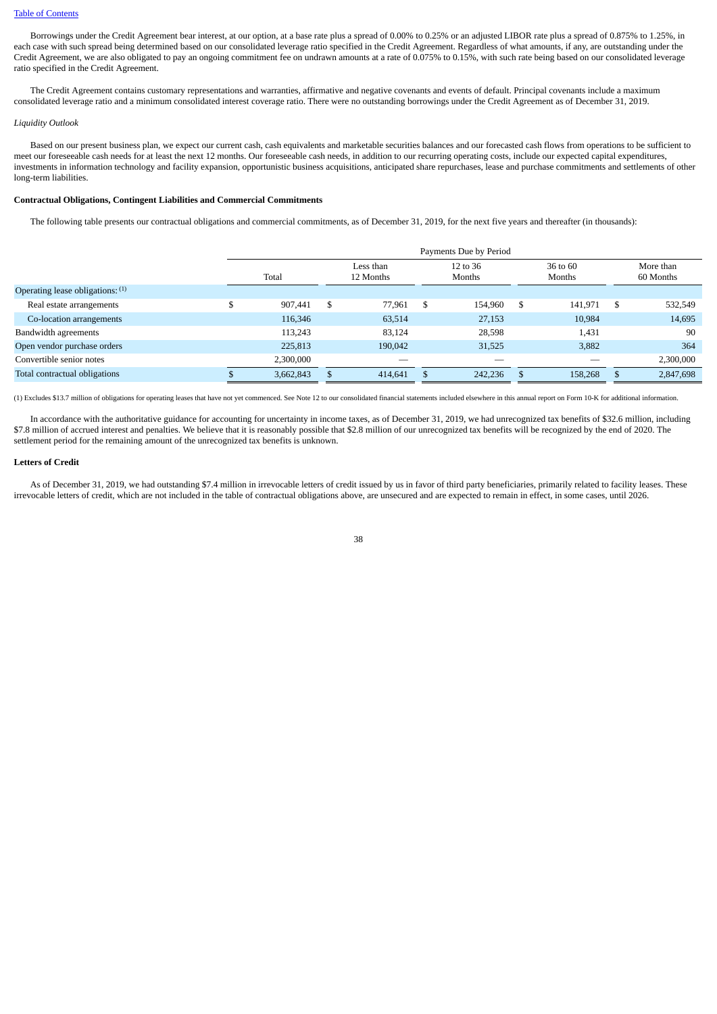Borrowings under the Credit Agreement bear interest, at our option, at a base rate plus a spread of 0.00% to 0.25% or an adjusted LIBOR rate plus a spread of 0.875% to 1.25%, in each case with such spread being determined based on our consolidated leverage ratio specified in the Credit Agreement. Regardless of what amounts, if any, are outstanding under the Credit Agreement, we are also obligated to pay an ongoing commitment fee on undrawn amounts at a rate of 0.075% to 0.15%, with such rate being based on our consolidated leverage ratio specified in the Credit Agreement.

The Credit Agreement contains customary representations and warranties, affirmative and negative covenants and events of default. Principal covenants include a maximum consolidated leverage ratio and a minimum consolidated interest coverage ratio. There were no outstanding borrowings under the Credit Agreement as of December 31, 2019.

#### *Liquidity Outlook*

Based on our present business plan, we expect our current cash, cash equivalents and marketable securities balances and our forecasted cash flows from operations to be sufficient to meet our foreseeable cash needs for at least the next 12 months. Our foreseeable cash needs, in addition to our recurring operating costs, include our expected capital expenditures, investments in information technology and facility expansion, opportunistic business acquisitions, anticipated share repurchases, lease and purchase commitments and settlements of other long-term liabilities.

# **Contractual Obligations, Contingent Liabilities and Commercial Commitments**

The following table presents our contractual obligations and commercial commitments, as of December 31, 2019, for the next five years and thereafter (in thousands):

|                                    |   | Payments Due by Period |    |                        |                    |         |                    |         |      |                        |  |  |  |  |
|------------------------------------|---|------------------------|----|------------------------|--------------------|---------|--------------------|---------|------|------------------------|--|--|--|--|
|                                    |   | Total                  |    | Less than<br>12 Months | 12 to 36<br>Months |         | 36 to 60<br>Months |         |      | More than<br>60 Months |  |  |  |  |
| Operating lease obligations: $(1)$ |   |                        |    |                        |                    |         |                    |         |      |                        |  |  |  |  |
| Real estate arrangements           | ¢ | 907,441                | \$ | 77.961                 | -S                 | 154,960 | \$                 | 141,971 | - \$ | 532,549                |  |  |  |  |
| Co-location arrangements           |   | 116,346                |    | 63,514                 |                    | 27,153  |                    | 10,984  |      | 14,695                 |  |  |  |  |
| Bandwidth agreements               |   | 113.243                |    | 83.124                 |                    | 28,598  |                    | 1,431   |      | 90                     |  |  |  |  |
| Open vendor purchase orders        |   | 225,813                |    | 190,042                |                    | 31,525  |                    | 3,882   |      | 364                    |  |  |  |  |
| Convertible senior notes           |   | 2,300,000              |    |                        |                    |         |                    |         |      | 2,300,000              |  |  |  |  |
| Total contractual obligations      |   | 3,662,843              |    | 414,641                |                    | 242,236 |                    | 158,268 |      | 2,847,698              |  |  |  |  |

(1) Excludes \$13.7 million of obligations for operating leases that have not yet commenced. See Note 12 to our consolidated financial statements included elsewhere in this annual report on Form 10-K for additional informat

In accordance with the authoritative guidance for accounting for uncertainty in income taxes, as of December 31, 2019, we had unrecognized tax benefits of \$32.6 million, including \$7.8 million of accrued interest and penalties. We believe that it is reasonably possible that \$2.8 million of our unrecognized tax benefits will be recognized by the end of 2020. The settlement period for the remaining amount of the unrecognized tax benefits is unknown.

#### **Letters of Credit**

As of December 31, 2019, we had outstanding \$7.4 million in irrevocable letters of credit issued by us in favor of third party beneficiaries, primarily related to facility leases. These irrevocable letters of credit, which are not included in the table of contractual obligations above, are unsecured and are expected to remain in effect, in some cases, until 2026.

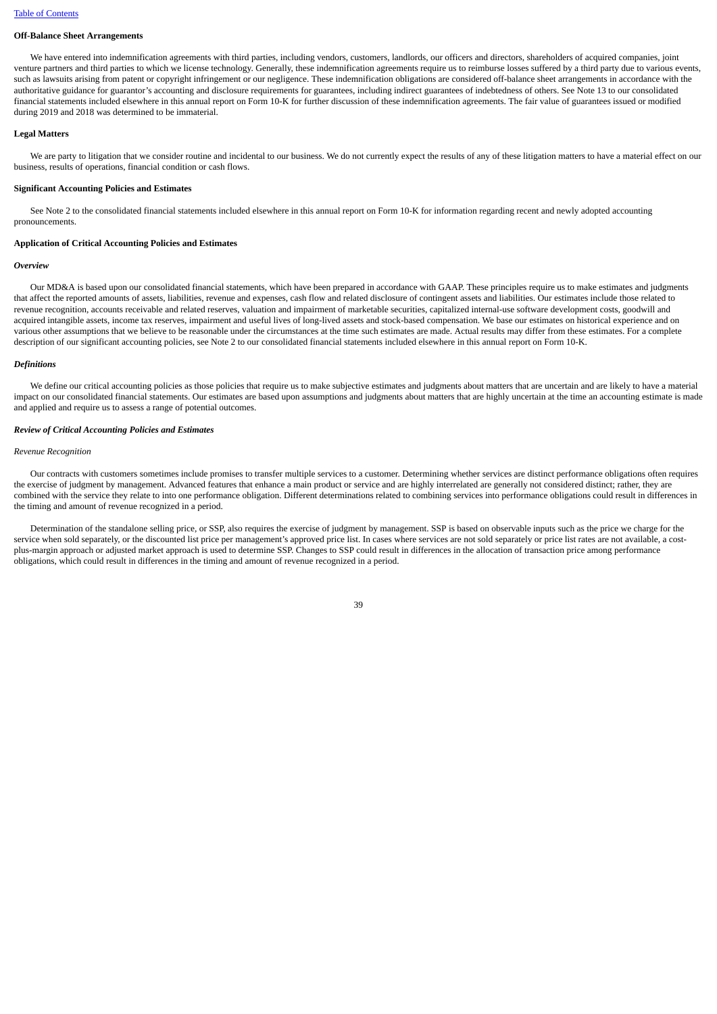#### **Off-Balance Sheet Arrangements**

We have entered into indemnification agreements with third parties, including vendors, customers, landlords, our officers and directors, shareholders of acquired companies, joint venture partners and third parties to which we license technology. Generally, these indemnification agreements require us to reimburse losses suffered by a third party due to various events, such as lawsuits arising from patent or copyright infringement or our negligence. These indemnification obligations are considered off-balance sheet arrangements in accordance with the authoritative guidance for guarantor's accounting and disclosure requirements for guarantees, including indirect guarantees of indebtedness of others. See Note 13 to our consolidated financial statements included elsewhere in this annual report on Form 10-K for further discussion of these indemnification agreements. The fair value of guarantees issued or modified during 2019 and 2018 was determined to be immaterial.

#### **Legal Matters**

We are party to litigation that we consider routine and incidental to our business. We do not currently expect the results of any of these litigation matters to have a material effect on our business, results of operations, financial condition or cash flows.

#### **Significant Accounting Policies and Estimates**

See Note 2 to the consolidated financial statements included elsewhere in this annual report on Form 10-K for information regarding recent and newly adopted accounting pronouncements.

#### **Application of Critical Accounting Policies and Estimates**

#### *Overview*

Our MD&A is based upon our consolidated financial statements, which have been prepared in accordance with GAAP. These principles require us to make estimates and judgments that affect the reported amounts of assets, liabilities, revenue and expenses, cash flow and related disclosure of contingent assets and liabilities. Our estimates include those related to revenue recognition, accounts receivable and related reserves, valuation and impairment of marketable securities, capitalized internal-use software development costs, goodwill and acquired intangible assets, income tax reserves, impairment and useful lives of long-lived assets and stock-based compensation. We base our estimates on historical experience and on various other assumptions that we believe to be reasonable under the circumstances at the time such estimates are made. Actual results may differ from these estimates. For a complete description of our significant accounting policies, see Note 2 to our consolidated financial statements included elsewhere in this annual report on Form 10-K.

#### *Definitions*

We define our critical accounting policies as those policies that require us to make subjective estimates and judgments about matters that are uncertain and are likely to have a material impact on our consolidated financial statements. Our estimates are based upon assumptions and judgments about matters that are highly uncertain at the time an accounting estimate is made and applied and require us to assess a range of potential outcomes.

#### *Review of Critical Accounting Policies and Estimates*

#### *Revenue Recognition*

Our contracts with customers sometimes include promises to transfer multiple services to a customer. Determining whether services are distinct performance obligations often requires the exercise of judgment by management. Advanced features that enhance a main product or service and are highly interrelated are generally not considered distinct; rather, they are combined with the service they relate to into one performance obligation. Different determinations related to combining services into performance obligations could result in differences in the timing and amount of revenue recognized in a period.

Determination of the standalone selling price, or SSP, also requires the exercise of judgment by management. SSP is based on observable inputs such as the price we charge for the service when sold separately, or the discounted list price per management's approved price list. In cases where services are not sold separately or price list rates are not available, a costplus-margin approach or adjusted market approach is used to determine SSP. Changes to SSP could result in differences in the allocation of transaction price among performance obligations, which could result in differences in the timing and amount of revenue recognized in a period.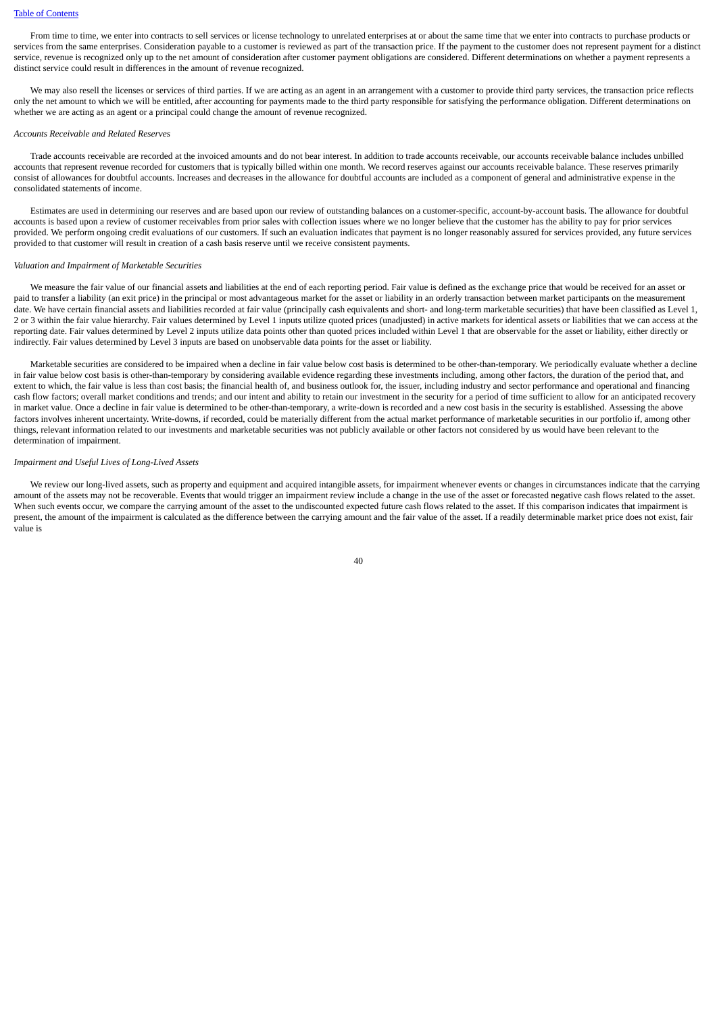From time to time, we enter into contracts to sell services or license technology to unrelated enterprises at or about the same time that we enter into contracts to purchase products or services from the same enterprises. Consideration payable to a customer is reviewed as part of the transaction price. If the payment to the customer does not represent payment for a distinct service, revenue is recognized only up to the net amount of consideration after customer payment obligations are considered. Different determinations on whether a payment represents a distinct service could result in differences in the amount of revenue recognized.

We may also resell the licenses or services of third parties. If we are acting as an agent in an arrangement with a customer to provide third party services, the transaction price reflects only the net amount to which we will be entitled, after accounting for payments made to the third party responsible for satisfying the performance obligation. Different determinations on whether we are acting as an agent or a principal could change the amount of revenue recognized.

#### *Accounts Receivable and Related Reserves*

Trade accounts receivable are recorded at the invoiced amounts and do not bear interest. In addition to trade accounts receivable, our accounts receivable balance includes unbilled accounts that represent revenue recorded for customers that is typically billed within one month. We record reserves against our accounts receivable balance. These reserves primarily consist of allowances for doubtful accounts. Increases and decreases in the allowance for doubtful accounts are included as a component of general and administrative expense in the consolidated statements of income.

Estimates are used in determining our reserves and are based upon our review of outstanding balances on a customer-specific, account-by-account basis. The allowance for doubtful accounts is based upon a review of customer receivables from prior sales with collection issues where we no longer believe that the customer has the ability to pay for prior services provided. We perform ongoing credit evaluations of our customers. If such an evaluation indicates that payment is no longer reasonably assured for services provided, any future services provided to that customer will result in creation of a cash basis reserve until we receive consistent payments.

# *Valuation and Impairment of Marketable Securities*

We measure the fair value of our financial assets and liabilities at the end of each reporting period. Fair value is defined as the exchange price that would be received for an asset or paid to transfer a liability (an exit price) in the principal or most advantageous market for the asset or liability in an orderly transaction between market participants on the measurement date. We have certain financial assets and liabilities recorded at fair value (principally cash equivalents and short- and long-term marketable securities) that have been classified as Level 1, 2 or 3 within the fair value hierarchy. Fair values determined by Level 1 inputs utilize quoted prices (unadjusted) in active markets for identical assets or liabilities that we can access at the reporting date. Fair values determined by Level 2 inputs utilize data points other than quoted prices included within Level 1 that are observable for the asset or liability, either directly or indirectly. Fair values determined by Level 3 inputs are based on unobservable data points for the asset or liability.

Marketable securities are considered to be impaired when a decline in fair value below cost basis is determined to be other-than-temporary. We periodically evaluate whether a decline in fair value below cost basis is other-than-temporary by considering available evidence regarding these investments including, among other factors, the duration of the period that, and extent to which, the fair value is less than cost basis; the financial health of, and business outlook for, the issuer, including industry and sector performance and operational and financing cash flow factors; overall market conditions and trends; and our intent and ability to retain our investment in the security for a period of time sufficient to allow for an anticipated recovery in market value. Once a decline in fair value is determined to be other-than-temporary, a write-down is recorded and a new cost basis in the security is established. Assessing the above factors involves inherent uncertainty. Write-downs, if recorded, could be materially different from the actual market performance of marketable securities in our portfolio if, among other things, relevant information related to our investments and marketable securities was not publicly available or other factors not considered by us would have been relevant to the determination of impairment.

#### *Impairment and Useful Lives of Long-Lived Assets*

We review our long-lived assets, such as property and equipment and acquired intangible assets, for impairment whenever events or changes in circumstances indicate that the carrying amount of the assets may not be recoverable. Events that would trigger an impairment review include a change in the use of the asset or forecasted negative cash flows related to the asset. When such events occur, we compare the carrying amount of the asset to the undiscounted expected future cash flows related to the asset. If this comparison indicates that impairment is present, the amount of the impairment is calculated as the difference between the carrying amount and the fair value of the asset. If a readily determinable market price does not exist, fair .<br>value is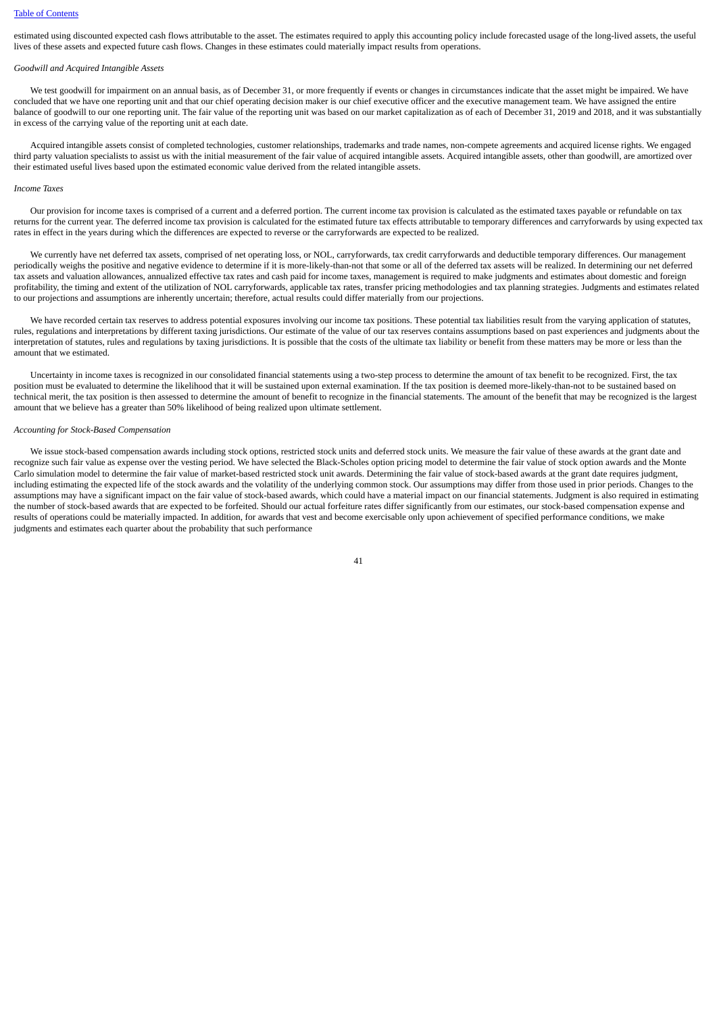estimated using discounted expected cash flows attributable to the asset. The estimates required to apply this accounting policy include forecasted usage of the long-lived assets, the useful lives of these assets and expected future cash flows. Changes in these estimates could materially impact results from operations.

#### *Goodwill and Acquired Intangible Assets*

We test goodwill for impairment on an annual basis, as of December 31, or more frequently if events or changes in circumstances indicate that the asset might be impaired. We have concluded that we have one reporting unit and that our chief operating decision maker is our chief executive officer and the executive management team. We have assigned the entire balance of goodwill to our one reporting unit. The fair value of the reporting unit was based on our market capitalization as of each of December 31, 2019 and 2018, and it was substantially in excess of the carrying value of the reporting unit at each date.

Acquired intangible assets consist of completed technologies, customer relationships, trademarks and trade names, non-compete agreements and acquired license rights. We engaged third party valuation specialists to assist us with the initial measurement of the fair value of acquired intangible assets. Acquired intangible assets, other than goodwill, are amortized over their estimated useful lives based upon the estimated economic value derived from the related intangible assets.

#### *Income Taxes*

Our provision for income taxes is comprised of a current and a deferred portion. The current income tax provision is calculated as the estimated taxes payable or refundable on tax returns for the current year. The deferred income tax provision is calculated for the estimated future tax effects attributable to temporary differences and carryforwards by using expected tax rates in effect in the years during which the differences are expected to reverse or the carryforwards are expected to be realized.

We currently have net deferred tax assets, comprised of net operating loss, or NOL, carryforwards, tax credit carryforwards and deductible temporary differences. Our management periodically weighs the positive and negative evidence to determine if it is more-likely-than-not that some or all of the deferred tax assets will be realized. In determining our net deferred tax assets and valuation allowances, annualized effective tax rates and cash paid for income taxes, management is required to make judgments and estimates about domestic and foreign profitability, the timing and extent of the utilization of NOL carryforwards, applicable tax rates, transfer pricing methodologies and tax planning strategies. Judgments and estimates related to our projections and assumptions are inherently uncertain; therefore, actual results could differ materially from our projections.

We have recorded certain tax reserves to address potential exposures involving our income tax positions. These potential tax liabilities result from the varying application of statutes, rules, regulations and interpretations by different taxing jurisdictions. Our estimate of the value of our tax reserves contains assumptions based on past experiences and judgments about the interpretation of statutes, rules and regulations by taxing jurisdictions. It is possible that the costs of the ultimate tax liability or benefit from these matters may be more or less than the amount that we estimated.

Uncertainty in income taxes is recognized in our consolidated financial statements using a two-step process to determine the amount of tax benefit to be recognized. First, the tax position must be evaluated to determine the likelihood that it will be sustained upon external examination. If the tax position is deemed more-likely-than-not to be sustained based on technical merit, the tax position is then assessed to determine the amount of benefit to recognize in the financial statements. The amount of the benefit that may be recognized is the largest amount that we believe has a greater than 50% likelihood of being realized upon ultimate settlement.

#### *Accounting for Stock-Based Compensation*

We issue stock-based compensation awards including stock options, restricted stock units and deferred stock units. We measure the fair value of these awards at the grant date and recognize such fair value as expense over the vesting period. We have selected the Black-Scholes option pricing model to determine the fair value of stock option awards and the Monte Carlo simulation model to determine the fair value of market-based restricted stock unit awards. Determining the fair value of stock-based awards at the grant date requires judgment, including estimating the expected life of the stock awards and the volatility of the underlying common stock. Our assumptions may differ from those used in prior periods. Changes to the assumptions may have a significant impact on the fair value of stock-based awards, which could have a material impact on our financial statements. Judgment is also required in estimating the number of stock-based awards that are expected to be forfeited. Should our actual forfeiture rates differ significantly from our estimates, our stock-based compensation expense and results of operations could be materially impacted. In addition, for awards that vest and become exercisable only upon achievement of specified performance conditions, we make judgments and estimates each quarter about the probability that such performance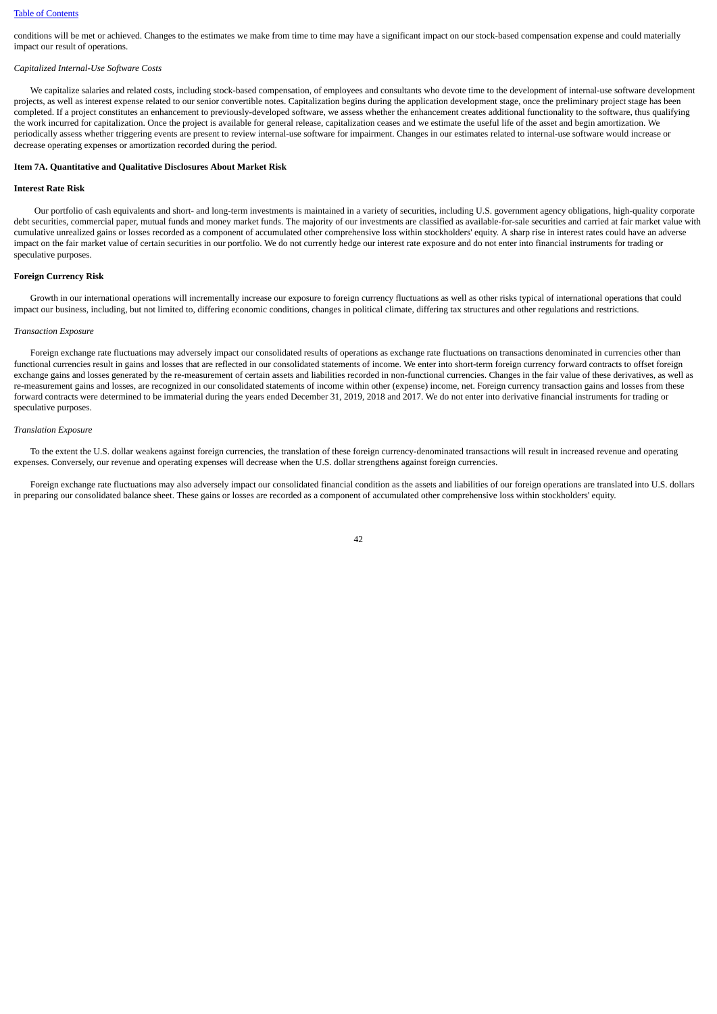conditions will be met or achieved. Changes to the estimates we make from time to time may have a significant impact on our stock-based compensation expense and could materially impact our result of operations.

#### *Capitalized Internal-Use Software Costs*

We capitalize salaries and related costs, including stock-based compensation, of employees and consultants who devote time to the development of internal-use software development projects, as well as interest expense related to our senior convertible notes. Capitalization begins during the application development stage, once the preliminary project stage has been completed. If a project constitutes an enhancement to previously-developed software, we assess whether the enhancement creates additional functionality to the software, thus qualifying the work incurred for capitalization. Once the project is available for general release, capitalization ceases and we estimate the useful life of the asset and begin amortization. We periodically assess whether triggering events are present to review internal-use software for impairment. Changes in our estimates related to internal-use software would increase or decrease operating expenses or amortization recorded during the period.

#### **Item 7A. Quantitative and Qualitative Disclosures About Market Risk**

#### **Interest Rate Risk**

Our portfolio of cash equivalents and short- and long-term investments is maintained in a variety of securities, including U.S. government agency obligations, high-quality corporate debt securities, commercial paper, mutual funds and money market funds. The majority of our investments are classified as available-for-sale securities and carried at fair market value with cumulative unrealized gains or losses recorded as a component of accumulated other comprehensive loss within stockholders' equity. A sharp rise in interest rates could have an adverse impact on the fair market value of certain securities in our portfolio. We do not currently hedge our interest rate exposure and do not enter into financial instruments for trading or speculative purposes.

#### **Foreign Currency Risk**

Growth in our international operations will incrementally increase our exposure to foreign currency fluctuations as well as other risks typical of international operations that could impact our business, including, but not limited to, differing economic conditions, changes in political climate, differing tax structures and other regulations and restrictions.

#### *Transaction Exposure*

Foreign exchange rate fluctuations may adversely impact our consolidated results of operations as exchange rate fluctuations on transactions denominated in currencies other than functional currencies result in gains and losses that are reflected in our consolidated statements of income. We enter into short-term foreign currency forward contracts to offset foreign exchange gains and losses generated by the re-measurement of certain assets and liabilities recorded in non-functional currencies. Changes in the fair value of these derivatives, as well as re-measurement gains and losses, are recognized in our consolidated statements of income within other (expense) income, net. Foreign currency transaction gains and losses from these forward contracts were determined to be immaterial during the years ended December 31, 2019, 2018 and 2017. We do not enter into derivative financial instruments for trading or speculative purposes.

#### *Translation Exposure*

To the extent the U.S. dollar weakens against foreign currencies, the translation of these foreign currency-denominated transactions will result in increased revenue and operating expenses. Conversely, our revenue and operating expenses will decrease when the U.S. dollar strengthens against foreign currencies.

Foreign exchange rate fluctuations may also adversely impact our consolidated financial condition as the assets and liabilities of our foreign operations are translated into U.S. dollars in preparing our consolidated balance sheet. These gains or losses are recorded as a component of accumulated other comprehensive loss within stockholders' equity.

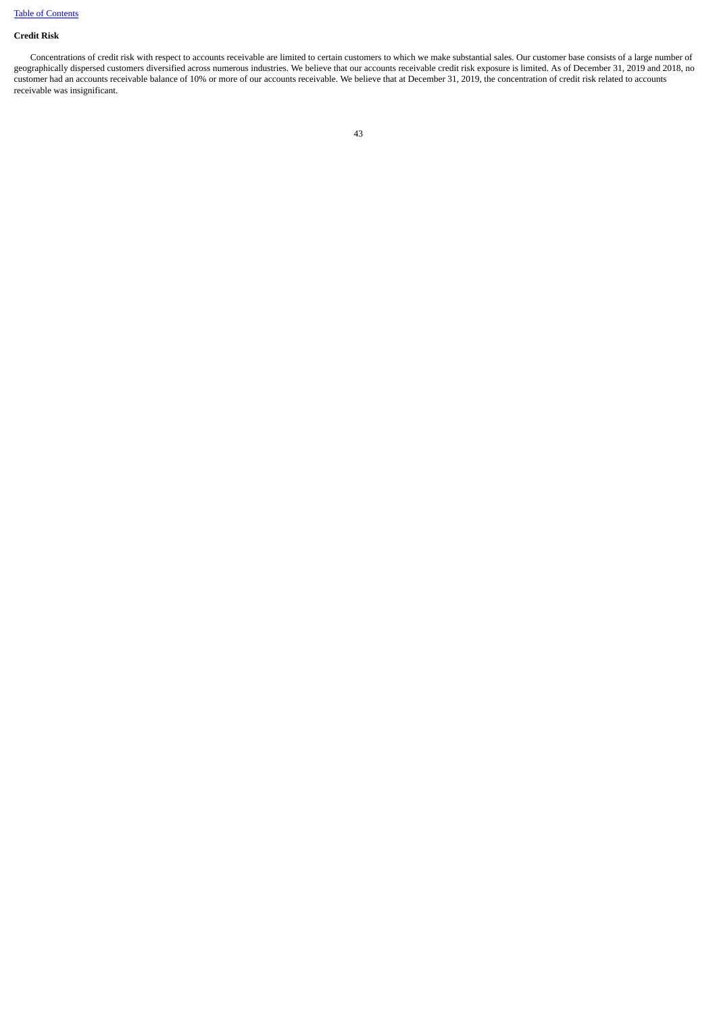# **Credit Risk**

Concentrations of credit risk with respect to accounts receivable are limited to certain customers to which we make substantial sales. Our customer base consists of a large number of geographically dispersed customers diversified across numerous industries. We believe that our accounts receivable credit risk exposure is limited. As of December 31, 2019 and 2018, no customer had an accounts receivable balance of 10% or more of our accounts receivable. We believe that at December 31, 2019, the concentration of credit risk related to accounts receivable was insignificant.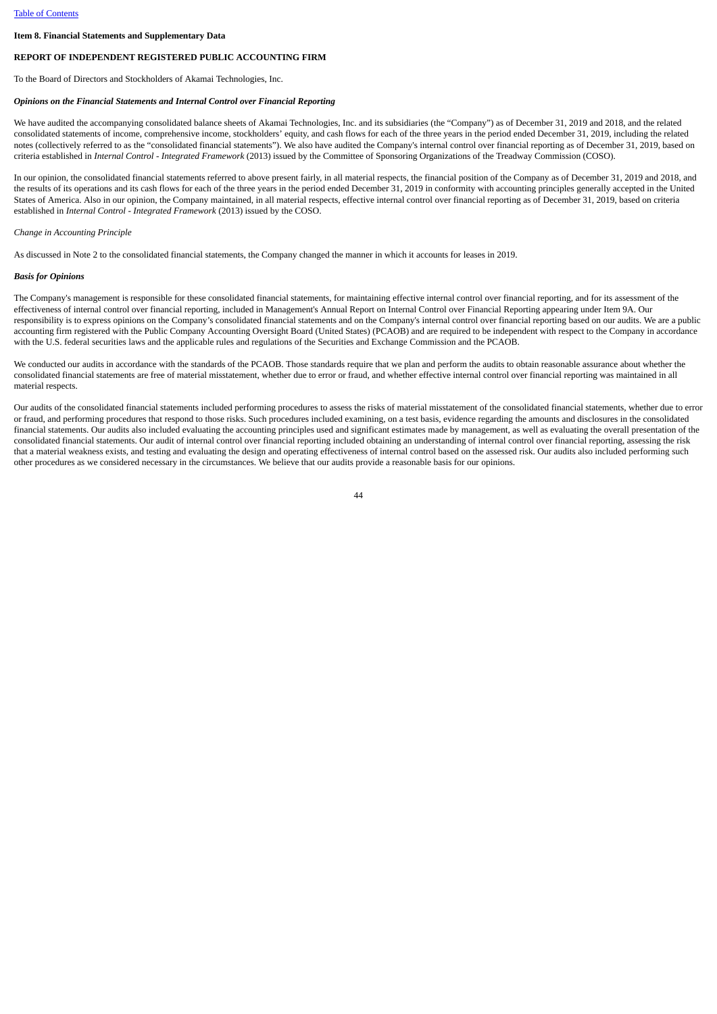# **Item 8. Financial Statements and Supplementary Data**

# **REPORT OF INDEPENDENT REGISTERED PUBLIC ACCOUNTING FIRM**

To the Board of Directors and Stockholders of Akamai Technologies, Inc.

#### *Opinions on the Financial Statements and Internal Control over Financial Reporting*

We have audited the accompanying consolidated balance sheets of Akamai Technologies, Inc. and its subsidiaries (the "Company") as of December 31, 2019 and 2018, and the related consolidated statements of income, comprehensive income, stockholders' equity, and cash flows for each of the three years in the period ended December 31, 2019, including the related notes (collectively referred to as the "consolidated financial statements"). We also have audited the Company's internal control over financial reporting as of December 31, 2019, based on criteria established in *Internal Control - Integrated Framework* (2013) issued by the Committee of Sponsoring Organizations of the Treadway Commission (COSO).

In our opinion, the consolidated financial statements referred to above present fairly, in all material respects, the financial position of the Company as of December 31, 2019 and 2018, and the results of its operations and its cash flows for each of the three years in the period ended December 31, 2019 in conformity with accounting principles generally accepted in the United States of America. Also in our opinion, the Company maintained, in all material respects, effective internal control over financial reporting as of December 31, 2019, based on criteria established in *Internal Control - Integrated Framework* (2013) issued by the COSO.

#### *Change in Accounting Principle*

As discussed in Note 2 to the consolidated financial statements, the Company changed the manner in which it accounts for leases in 2019.

#### *Basis for Opinions*

The Company's management is responsible for these consolidated financial statements, for maintaining effective internal control over financial reporting, and for its assessment of the effectiveness of internal control over financial reporting, included in Management's Annual Report on Internal Control over Financial Reporting appearing under Item 9A. Our responsibility is to express opinions on the Company's consolidated financial statements and on the Company's internal control over financial reporting based on our audits. We are a public accounting firm registered with the Public Company Accounting Oversight Board (United States) (PCAOB) and are required to be independent with respect to the Company in accordance with the U.S. federal securities laws and the applicable rules and regulations of the Securities and Exchange Commission and the PCAOB.

We conducted our audits in accordance with the standards of the PCAOB. Those standards require that we plan and perform the audits to obtain reasonable assurance about whether the consolidated financial statements are free of material misstatement, whether due to error or fraud, and whether effective internal control over financial reporting was maintained in all material respects.

Our audits of the consolidated financial statements included performing procedures to assess the risks of material misstatement of the consolidated financial statements, whether due to error or fraud, and performing procedures that respond to those risks. Such procedures included examining, on a test basis, evidence regarding the amounts and disclosures in the consolidated financial statements. Our audits also included evaluating the accounting principles used and significant estimates made by management, as well as evaluating the overall presentation of the consolidated financial statements. Our audit of internal control over financial reporting included obtaining an understanding of internal control over financial reporting, assessing the risk that a material weakness exists, and testing and evaluating the design and operating effectiveness of internal control based on the assessed risk. Our audits also included performing such other procedures as we considered necessary in the circumstances. We believe that our audits provide a reasonable basis for our opinions.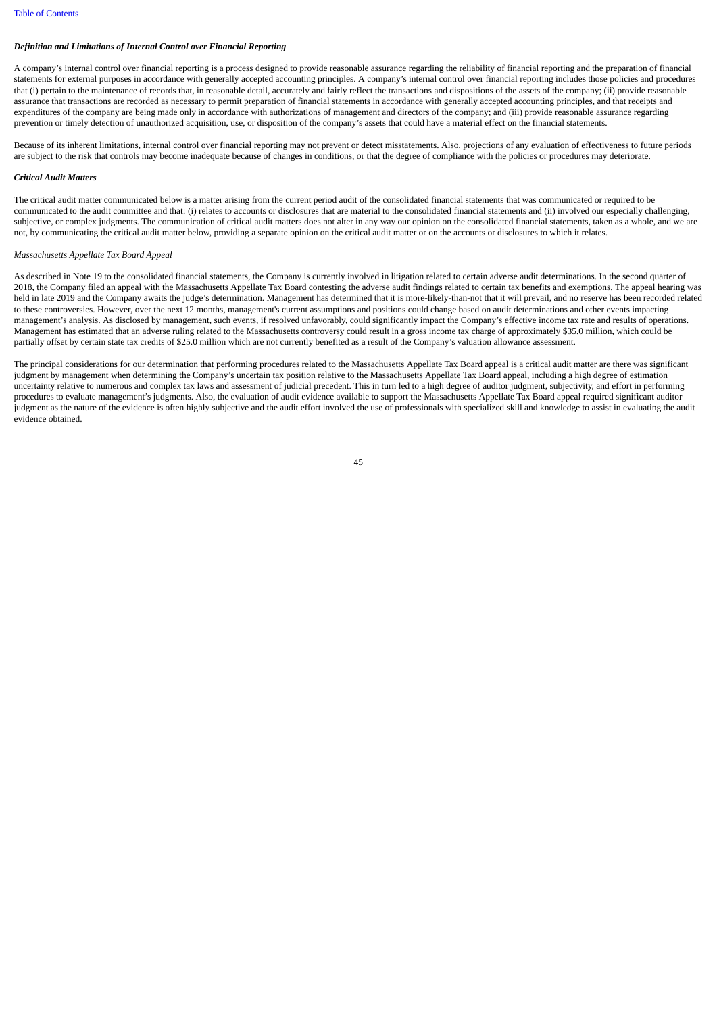# *Definition and Limitations of Internal Control over Financial Reporting*

A company's internal control over financial reporting is a process designed to provide reasonable assurance regarding the reliability of financial reporting and the preparation of financial statements for external purposes in accordance with generally accepted accounting principles. A company's internal control over financial reporting includes those policies and procedures that (i) pertain to the maintenance of records that, in reasonable detail, accurately and fairly reflect the transactions and dispositions of the assets of the company; (ii) provide reasonable assurance that transactions are recorded as necessary to permit preparation of financial statements in accordance with generally accepted accounting principles, and that receipts and expenditures of the company are being made only in accordance with authorizations of management and directors of the company; and (iii) provide reasonable assurance regarding prevention or timely detection of unauthorized acquisition, use, or disposition of the company's assets that could have a material effect on the financial statements.

Because of its inherent limitations, internal control over financial reporting may not prevent or detect misstatements. Also, projections of any evaluation of effectiveness to future periods are subject to the risk that controls may become inadequate because of changes in conditions, or that the degree of compliance with the policies or procedures may deteriorate.

#### *Critical Audit Matters*

The critical audit matter communicated below is a matter arising from the current period audit of the consolidated financial statements that was communicated or required to be communicated to the audit committee and that: (i) relates to accounts or disclosures that are material to the consolidated financial statements and (ii) involved our especially challenging, subjective, or complex judgments. The communication of critical audit matters does not alter in any way our opinion on the consolidated financial statements, taken as a whole, and we are not, by communicating the critical audit matter below, providing a separate opinion on the critical audit matter or on the accounts or disclosures to which it relates.

#### *Massachusetts Appellate Tax Board Appeal*

As described in Note 19 to the consolidated financial statements, the Company is currently involved in litigation related to certain adverse audit determinations. In the second quarter of 2018, the Company filed an appeal with the Massachusetts Appellate Tax Board contesting the adverse audit findings related to certain tax benefits and exemptions. The appeal hearing was held in late 2019 and the Company awaits the judge's determination. Management has determined that it is more-likely-than-not that it will prevail, and no reserve has been recorded related to these controversies. However, over the next 12 months, management's current assumptions and positions could change based on audit determinations and other events impacting management's analysis. As disclosed by management, such events, if resolved unfavorably, could significantly impact the Company's effective income tax rate and results of operations. Management has estimated that an adverse ruling related to the Massachusetts controversy could result in a gross income tax charge of approximately \$35.0 million, which could be partially offset by certain state tax credits of \$25.0 million which are not currently benefited as a result of the Company's valuation allowance assessment.

The principal considerations for our determination that performing procedures related to the Massachusetts Appellate Tax Board appeal is a critical audit matter are there was significant judgment by management when determining the Company's uncertain tax position relative to the Massachusetts Appellate Tax Board appeal, including a high degree of estimation uncertainty relative to numerous and complex tax laws and assessment of judicial precedent. This in turn led to a high degree of auditor judgment, subjectivity, and effort in performing procedures to evaluate management's judgments. Also, the evaluation of audit evidence available to support the Massachusetts Appellate Tax Board appeal required significant auditor judgment as the nature of the evidence is often highly subjective and the audit effort involved the use of professionals with specialized skill and knowledge to assist in evaluating the audit evidence obtained.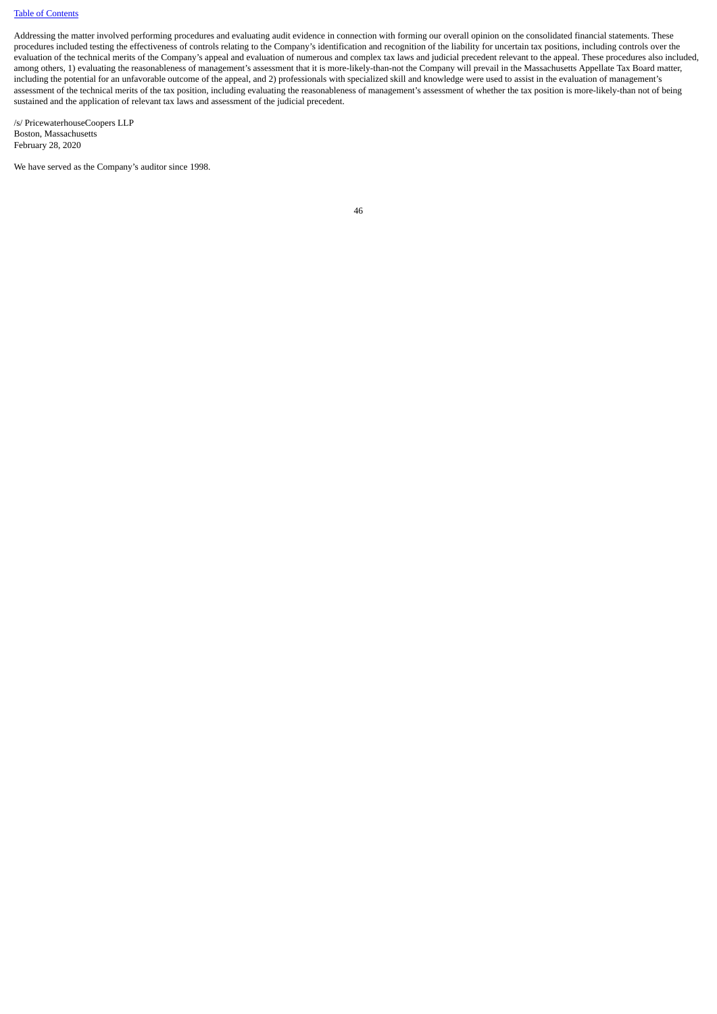Addressing the matter involved performing procedures and evaluating audit evidence in connection with forming our overall opinion on the consolidated financial statements. These procedures included testing the effectiveness of controls relating to the Company's identification and recognition of the liability for uncertain tax positions, including controls over the evaluation of the technical merits of the Company's appeal and evaluation of numerous and complex tax laws and judicial precedent relevant to the appeal. These procedures also included, among others, 1) evaluating the reasonableness of management's assessment that it is more-likely-than-not the Company will prevail in the Massachusetts Appellate Tax Board matter, including the potential for an unfavorable outcome of the appeal, and 2) professionals with specialized skill and knowledge were used to assist in the evaluation of management's assessment of the technical merits of the tax position, including evaluating the reasonableness of management's assessment of whether the tax position is more-likely-than not of being sustained and the application of relevant tax laws and assessment of the judicial precedent.

/s/ PricewaterhouseCoopers LLP Boston, Massachusetts February 28, 2020

We have served as the Company's auditor since 1998.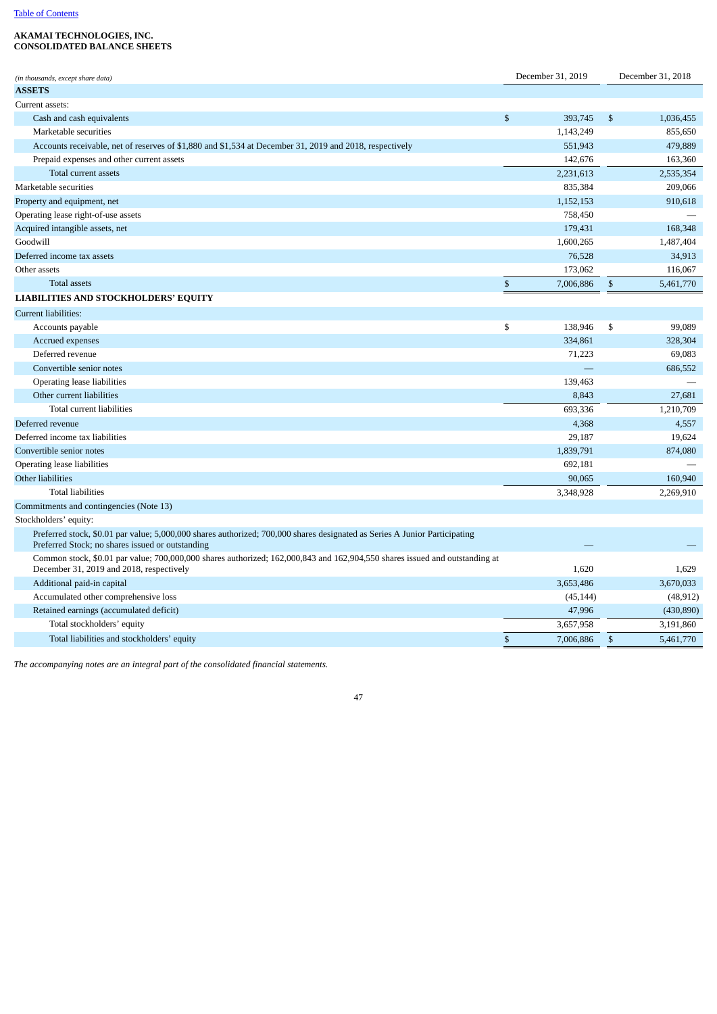# **AKAMAI TECHNOLOGIES, INC. CONSOLIDATED BALANCE SHEETS**

| (in thousands, except share data)                                                                                                                                              |              | December 31, 2019 | December 31, 2018 |
|--------------------------------------------------------------------------------------------------------------------------------------------------------------------------------|--------------|-------------------|-------------------|
| <b>ASSETS</b>                                                                                                                                                                  |              |                   |                   |
| Current assets:                                                                                                                                                                |              |                   |                   |
| Cash and cash equivalents                                                                                                                                                      | \$           | 393,745           | \$<br>1,036,455   |
| Marketable securities                                                                                                                                                          |              | 1,143,249         | 855,650           |
| Accounts receivable, net of reserves of \$1,880 and \$1,534 at December 31, 2019 and 2018, respectively                                                                        |              | 551,943           | 479,889           |
| Prepaid expenses and other current assets                                                                                                                                      |              | 142,676           | 163,360           |
| Total current assets                                                                                                                                                           |              | 2,231,613         | 2,535,354         |
| Marketable securities                                                                                                                                                          |              | 835,384           | 209,066           |
| Property and equipment, net                                                                                                                                                    |              | 1,152,153         | 910,618           |
| Operating lease right-of-use assets                                                                                                                                            |              | 758,450           |                   |
| Acquired intangible assets, net                                                                                                                                                |              | 179,431           | 168,348           |
| Goodwill                                                                                                                                                                       |              | 1,600,265         | 1,487,404         |
| Deferred income tax assets                                                                                                                                                     |              | 76,528            | 34,913            |
| Other assets                                                                                                                                                                   |              | 173,062           | 116,067           |
| <b>Total assets</b>                                                                                                                                                            | \$           | 7,006,886         | \$<br>5,461,770   |
| <b>LIABILITIES AND STOCKHOLDERS' EQUITY</b>                                                                                                                                    |              |                   |                   |
| Current liabilities:                                                                                                                                                           |              |                   |                   |
| Accounts payable                                                                                                                                                               | \$           | 138,946           | \$<br>99,089      |
| Accrued expenses                                                                                                                                                               |              | 334,861           | 328,304           |
| Deferred revenue                                                                                                                                                               |              | 71,223            | 69,083            |
| Convertible senior notes                                                                                                                                                       |              |                   | 686,552           |
| Operating lease liabilities                                                                                                                                                    |              | 139,463           |                   |
| Other current liabilities                                                                                                                                                      |              | 8,843             | 27,681            |
| Total current liabilities                                                                                                                                                      |              | 693,336           | 1,210,709         |
| Deferred revenue                                                                                                                                                               |              | 4,368             | 4,557             |
| Deferred income tax liabilities                                                                                                                                                |              | 29,187            | 19,624            |
| Convertible senior notes                                                                                                                                                       |              | 1,839,791         | 874,080           |
| Operating lease liabilities                                                                                                                                                    |              | 692,181           |                   |
| Other liabilities                                                                                                                                                              |              | 90,065            | 160,940           |
| <b>Total liabilities</b>                                                                                                                                                       |              | 3,348,928         | 2,269,910         |
| Commitments and contingencies (Note 13)                                                                                                                                        |              |                   |                   |
| Stockholders' equity:                                                                                                                                                          |              |                   |                   |
| Preferred stock, \$0.01 par value; 5,000,000 shares authorized; 700,000 shares designated as Series A Junior Participating<br>Preferred Stock; no shares issued or outstanding |              |                   |                   |
| Common stock, \$0.01 par value; 700,000,000 shares authorized; 162,000,843 and 162,904,550 shares issued and outstanding at<br>December 31, 2019 and 2018, respectively        |              | 1,620             | 1,629             |
| Additional paid-in capital                                                                                                                                                     |              | 3,653,486         | 3,670,033         |
| Accumulated other comprehensive loss                                                                                                                                           |              | (45, 144)         | (48, 912)         |
| Retained earnings (accumulated deficit)                                                                                                                                        |              | 47,996            | (430, 890)        |
| Total stockholders' equity                                                                                                                                                     |              | 3,657,958         | 3,191,860         |
| Total liabilities and stockholders' equity                                                                                                                                     | $\mathbb{S}$ | 7,006,886         | \$<br>5,461,770   |

*The accompanying notes are an integral part of the consolidated financial statements.*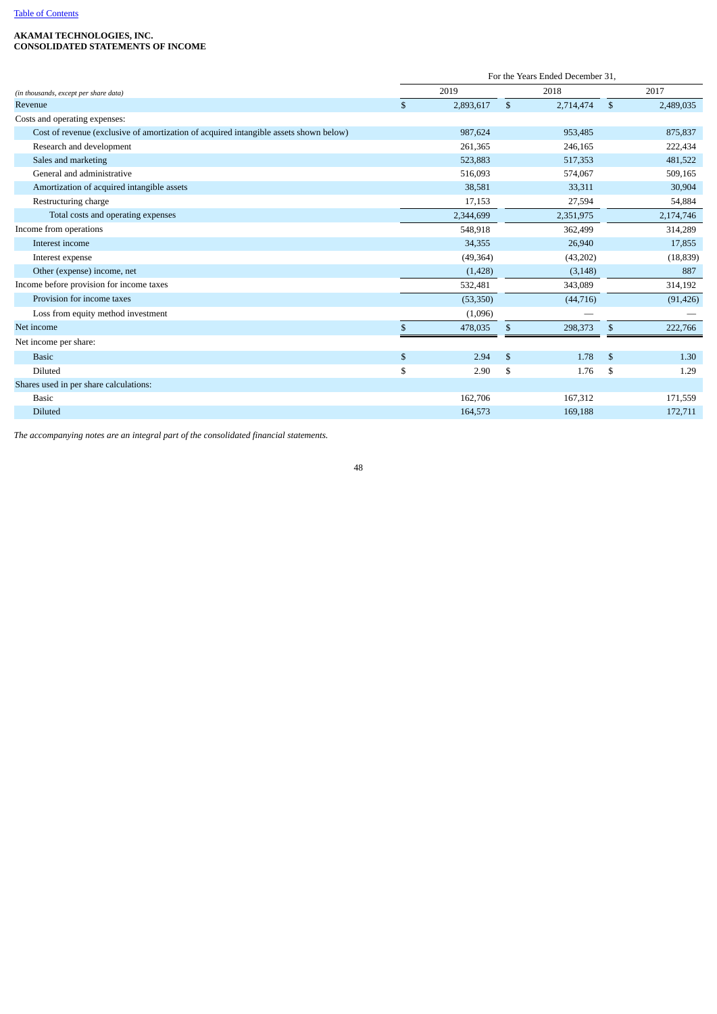# **AKAMAI TECHNOLOGIES, INC. CONSOLIDATED STATEMENTS OF INCOME**

|                                                                                       | For the Years Ended December 31. |           |                |           |                |           |  |  |  |
|---------------------------------------------------------------------------------------|----------------------------------|-----------|----------------|-----------|----------------|-----------|--|--|--|
| (in thousands, except per share data)                                                 |                                  | 2019      |                | 2018      |                | 2017      |  |  |  |
| Revenue                                                                               | $\mathbf{s}$                     | 2,893,617 | $\mathfrak{S}$ | 2,714,474 | $\mathbf{s}$   | 2,489,035 |  |  |  |
| Costs and operating expenses:                                                         |                                  |           |                |           |                |           |  |  |  |
| Cost of revenue (exclusive of amortization of acquired intangible assets shown below) |                                  | 987,624   |                | 953,485   |                | 875,837   |  |  |  |
| Research and development                                                              |                                  | 261,365   |                | 246,165   |                | 222,434   |  |  |  |
| Sales and marketing                                                                   |                                  | 523,883   |                | 517,353   |                | 481,522   |  |  |  |
| General and administrative                                                            |                                  | 516,093   |                | 574,067   |                | 509,165   |  |  |  |
| Amortization of acquired intangible assets                                            |                                  | 38,581    |                | 33,311    |                | 30,904    |  |  |  |
| Restructuring charge                                                                  |                                  | 17,153    |                | 27,594    |                | 54,884    |  |  |  |
| Total costs and operating expenses                                                    |                                  | 2,344,699 |                | 2,351,975 |                | 2,174,746 |  |  |  |
| Income from operations                                                                |                                  | 548,918   |                | 362,499   |                | 314,289   |  |  |  |
| Interest income                                                                       |                                  | 34,355    |                | 26,940    |                | 17,855    |  |  |  |
| Interest expense                                                                      |                                  | (49, 364) |                | (43,202)  |                | (18, 839) |  |  |  |
| Other (expense) income, net                                                           |                                  | (1,428)   |                | (3, 148)  |                | 887       |  |  |  |
| Income before provision for income taxes                                              |                                  | 532,481   |                | 343,089   |                | 314,192   |  |  |  |
| Provision for income taxes                                                            |                                  | (53,350)  |                | (44,716)  |                | (91, 426) |  |  |  |
| Loss from equity method investment                                                    |                                  | (1,096)   |                |           |                |           |  |  |  |
| Net income                                                                            | $\mathfrak{s}$                   | 478,035   | \$             | 298,373   | \$             | 222,766   |  |  |  |
| Net income per share:                                                                 |                                  |           |                |           |                |           |  |  |  |
| <b>Basic</b>                                                                          | $\mathfrak{S}$                   | 2.94      | $\mathfrak{S}$ | 1.78      | $\mathfrak{S}$ | 1.30      |  |  |  |
| Diluted                                                                               | \$                               | 2.90      | \$             | 1.76      | \$             | 1.29      |  |  |  |
| Shares used in per share calculations:                                                |                                  |           |                |           |                |           |  |  |  |
| <b>Basic</b>                                                                          |                                  | 162,706   |                | 167,312   |                | 171,559   |  |  |  |
| <b>Diluted</b>                                                                        |                                  | 164,573   |                | 169,188   |                | 172,711   |  |  |  |

*The accompanying notes are an integral part of the consolidated financial statements.*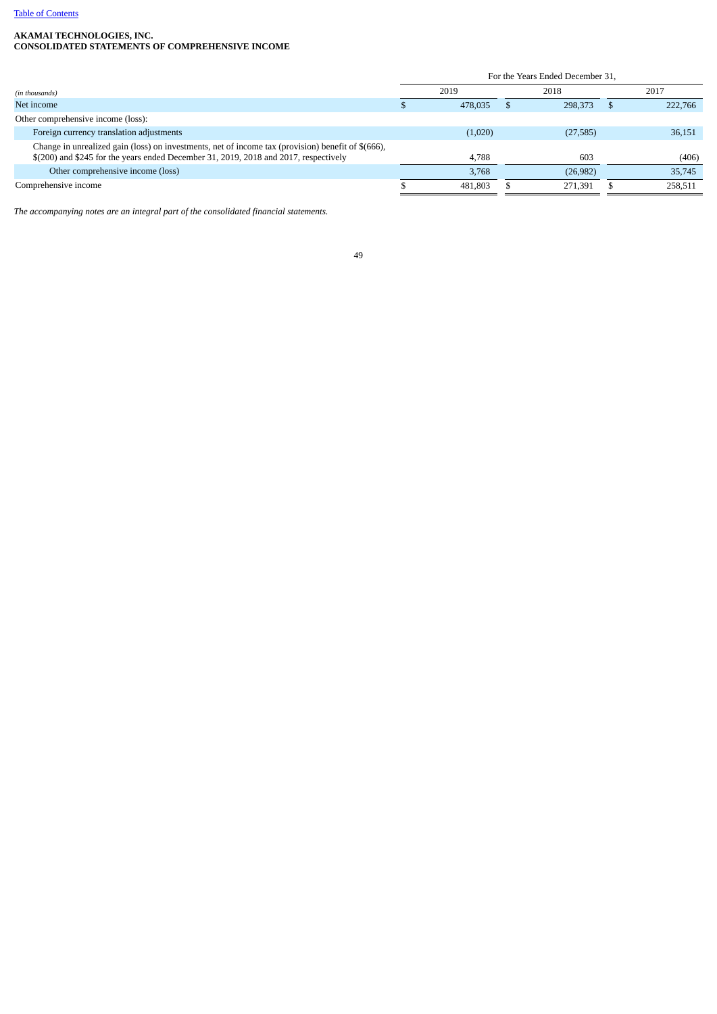# **CONSOLIDATED STATEMENTS OF COMPREHENSIVE INCOME**

|                                                                                                                                                                                            | For the Years Ended December 31, |         |  |           |  |         |  |  |  |  |  |
|--------------------------------------------------------------------------------------------------------------------------------------------------------------------------------------------|----------------------------------|---------|--|-----------|--|---------|--|--|--|--|--|
| (in thousands)                                                                                                                                                                             |                                  | 2019    |  | 2018      |  | 2017    |  |  |  |  |  |
| Net income                                                                                                                                                                                 |                                  | 478.035 |  | 298,373   |  | 222,766 |  |  |  |  |  |
| Other comprehensive income (loss):                                                                                                                                                         |                                  |         |  |           |  |         |  |  |  |  |  |
| Foreign currency translation adjustments                                                                                                                                                   |                                  | (1,020) |  | (27, 585) |  | 36,151  |  |  |  |  |  |
| Change in unrealized gain (loss) on investments, net of income tax (provision) benefit of \$(666),<br>\$(200) and \$245 for the years ended December 31, 2019, 2018 and 2017, respectively |                                  | 4.788   |  | 603       |  | (406)   |  |  |  |  |  |
| Other comprehensive income (loss)                                                                                                                                                          |                                  | 3,768   |  | (26,982)  |  | 35,745  |  |  |  |  |  |
| Comprehensive income                                                                                                                                                                       |                                  | 481,803 |  | 271.391   |  | 258,511 |  |  |  |  |  |

*The accompanying notes are an integral part of the consolidated financial statements.*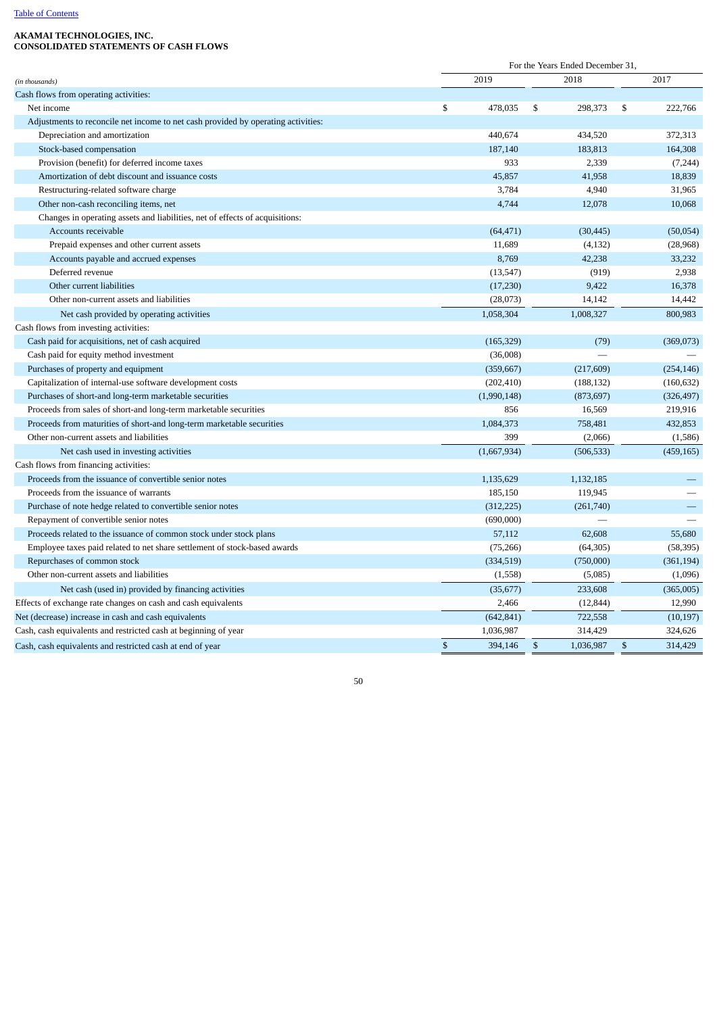# **CONSOLIDATED STATEMENTS OF CASH FLOWS**

|                                                                                   |              | For the Years Ended December 31, |                |            |                |            |  |  |
|-----------------------------------------------------------------------------------|--------------|----------------------------------|----------------|------------|----------------|------------|--|--|
| (in thousands)                                                                    |              | 2019                             |                | 2018       |                | 2017       |  |  |
| Cash flows from operating activities:                                             |              |                                  |                |            |                |            |  |  |
| Net income                                                                        | \$           | 478.035                          | \$             | 298.373    | \$             | 222,766    |  |  |
| Adjustments to reconcile net income to net cash provided by operating activities: |              |                                  |                |            |                |            |  |  |
| Depreciation and amortization                                                     |              | 440,674                          |                | 434,520    |                | 372,313    |  |  |
| Stock-based compensation                                                          |              | 187,140                          |                | 183,813    |                | 164,308    |  |  |
| Provision (benefit) for deferred income taxes                                     |              | 933                              |                | 2,339      |                | (7,244)    |  |  |
| Amortization of debt discount and issuance costs                                  |              | 45,857                           |                | 41,958     |                | 18,839     |  |  |
| Restructuring-related software charge                                             |              | 3,784                            |                | 4,940      |                | 31,965     |  |  |
| Other non-cash reconciling items, net                                             |              | 4,744                            |                | 12,078     |                | 10,068     |  |  |
| Changes in operating assets and liabilities, net of effects of acquisitions:      |              |                                  |                |            |                |            |  |  |
| Accounts receivable                                                               |              | (64, 471)                        |                | (30, 445)  |                | (50,054)   |  |  |
| Prepaid expenses and other current assets                                         |              | 11,689                           |                | (4, 132)   |                | (28, 968)  |  |  |
| Accounts payable and accrued expenses                                             |              | 8,769                            |                | 42,238     |                | 33,232     |  |  |
| Deferred revenue                                                                  |              | (13,547)                         |                | (919)      |                | 2,938      |  |  |
| Other current liabilities                                                         |              | (17,230)                         |                | 9,422      |                | 16,378     |  |  |
| Other non-current assets and liabilities                                          |              | (28,073)                         |                | 14,142     |                | 14,442     |  |  |
| Net cash provided by operating activities                                         |              | 1,058,304                        |                | 1,008,327  |                | 800,983    |  |  |
| Cash flows from investing activities:                                             |              |                                  |                |            |                |            |  |  |
| Cash paid for acquisitions, net of cash acquired                                  |              | (165, 329)                       |                | (79)       |                | (369,073)  |  |  |
| Cash paid for equity method investment                                            |              | (36,008)                         |                |            |                |            |  |  |
| Purchases of property and equipment                                               |              | (359, 667)                       |                | (217,609)  |                | (254, 146) |  |  |
| Capitalization of internal-use software development costs                         |              | (202, 410)                       |                | (188, 132) |                | (160, 632) |  |  |
| Purchases of short-and long-term marketable securities                            |              | (1,990,148)                      |                | (873, 697) |                | (326, 497) |  |  |
| Proceeds from sales of short-and long-term marketable securities                  |              | 856                              |                | 16,569     |                | 219,916    |  |  |
| Proceeds from maturities of short-and long-term marketable securities             |              | 1,084,373                        |                | 758,481    |                | 432,853    |  |  |
| Other non-current assets and liabilities                                          |              | 399                              |                | (2,066)    |                | (1,586)    |  |  |
| Net cash used in investing activities                                             |              | (1,667,934)                      |                | (506, 533) |                | (459, 165) |  |  |
| Cash flows from financing activities:                                             |              |                                  |                |            |                |            |  |  |
| Proceeds from the issuance of convertible senior notes                            |              | 1,135,629                        |                | 1,132,185  |                |            |  |  |
| Proceeds from the issuance of warrants                                            |              | 185,150                          |                | 119,945    |                |            |  |  |
| Purchase of note hedge related to convertible senior notes                        |              | (312, 225)                       |                | (261,740)  |                |            |  |  |
| Repayment of convertible senior notes                                             |              | (690,000)                        |                |            |                |            |  |  |
| Proceeds related to the issuance of common stock under stock plans                |              | 57,112                           |                | 62,608     |                | 55,680     |  |  |
| Employee taxes paid related to net share settlement of stock-based awards         |              | (75, 266)                        |                | (64, 305)  |                | (58, 395)  |  |  |
| Repurchases of common stock                                                       |              | (334, 519)                       |                | (750,000)  |                | (361, 194) |  |  |
| Other non-current assets and liabilities                                          |              | (1,558)                          |                | (5,085)    |                | (1,096)    |  |  |
| Net cash (used in) provided by financing activities                               |              | (35,677)                         |                | 233,608    |                | (365,005)  |  |  |
| Effects of exchange rate changes on cash and cash equivalents                     |              | 2,466                            |                | (12, 844)  |                | 12,990     |  |  |
| Net (decrease) increase in cash and cash equivalents                              |              | (642, 841)                       |                | 722,558    |                | (10, 197)  |  |  |
| Cash, cash equivalents and restricted cash at beginning of year                   |              | 1,036,987                        |                | 314,429    |                | 324,626    |  |  |
| Cash, cash equivalents and restricted cash at end of year                         | $\mathbb{S}$ | 394,146                          | $\mathfrak{S}$ | 1,036,987  | $\mathfrak{s}$ | 314,429    |  |  |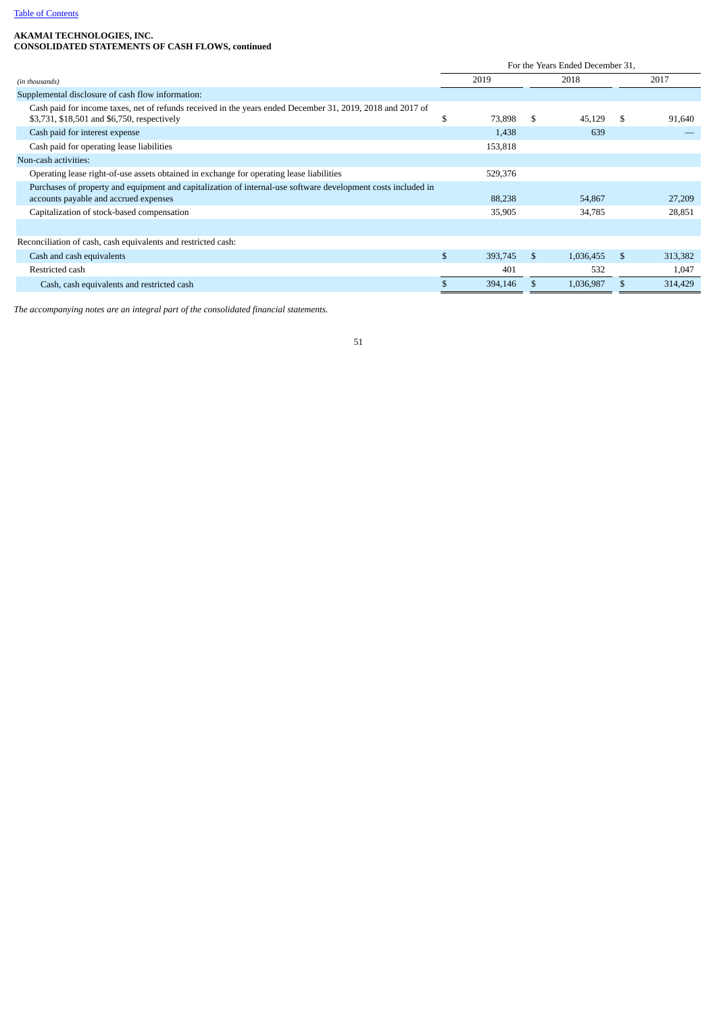**CONSOLIDATED STATEMENTS OF CASH FLOWS, continued**

|                                                                                                                                                           | For the Years Ended December 31, |         |    |           |     |         |  |  |
|-----------------------------------------------------------------------------------------------------------------------------------------------------------|----------------------------------|---------|----|-----------|-----|---------|--|--|
| (in thousands)                                                                                                                                            | 2019                             |         |    | 2018      |     | 2017    |  |  |
| Supplemental disclosure of cash flow information:                                                                                                         |                                  |         |    |           |     |         |  |  |
| Cash paid for income taxes, net of refunds received in the years ended December 31, 2019, 2018 and 2017 of<br>\$3,731, \$18,501 and \$6,750, respectively | \$                               | 73,898  | \$ | 45,129    | S   | 91,640  |  |  |
| Cash paid for interest expense                                                                                                                            |                                  | 1,438   |    | 639       |     |         |  |  |
| Cash paid for operating lease liabilities                                                                                                                 |                                  | 153,818 |    |           |     |         |  |  |
| Non-cash activities:                                                                                                                                      |                                  |         |    |           |     |         |  |  |
| Operating lease right-of-use assets obtained in exchange for operating lease liabilities                                                                  |                                  | 529,376 |    |           |     |         |  |  |
| Purchases of property and equipment and capitalization of internal-use software development costs included in<br>accounts payable and accrued expenses    |                                  | 88,238  |    | 54,867    |     | 27,209  |  |  |
| Capitalization of stock-based compensation                                                                                                                |                                  | 35,905  |    | 34,785    |     | 28,851  |  |  |
|                                                                                                                                                           |                                  |         |    |           |     |         |  |  |
| Reconciliation of cash, cash equivalents and restricted cash:                                                                                             |                                  |         |    |           |     |         |  |  |
| Cash and cash equivalents                                                                                                                                 | $\mathbf{s}$                     | 393,745 | S  | 1,036,455 | \$. | 313,382 |  |  |
| Restricted cash                                                                                                                                           |                                  | 401     |    | 532       |     | 1,047   |  |  |
| Cash, cash equivalents and restricted cash                                                                                                                |                                  | 394,146 |    | 1,036,987 |     | 314,429 |  |  |

*The accompanying notes are an integral part of the consolidated financial statements.*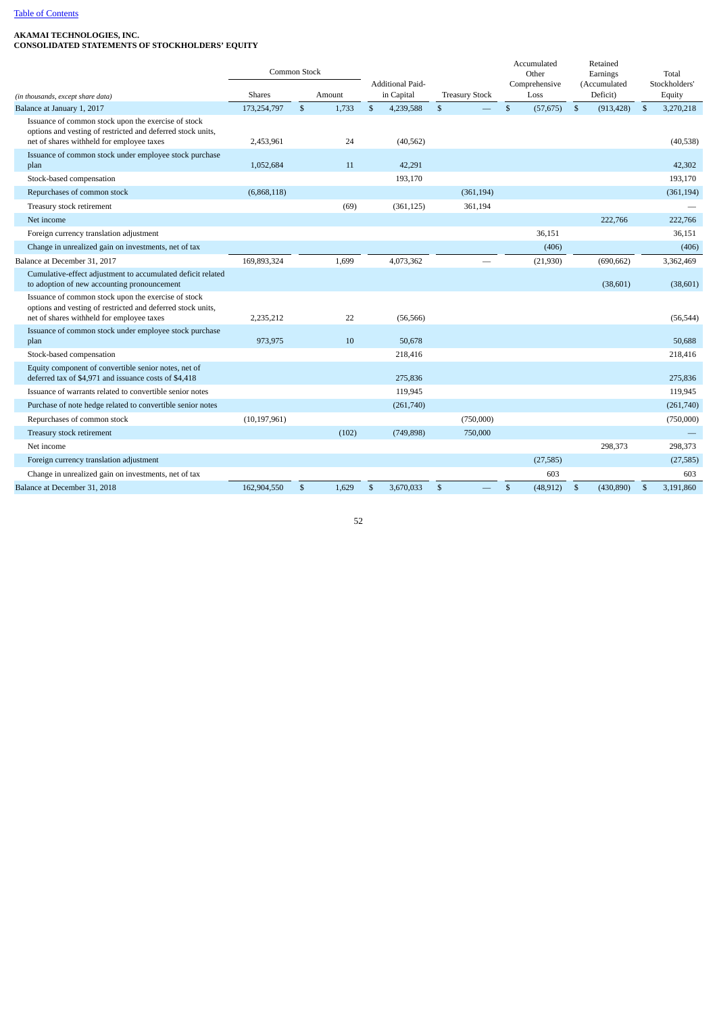**CONSOLIDATED STATEMENTS OF STOCKHOLDERS' EQUITY**

|                                                                                                                                                                 | Common Stock   |              |        |              |                                |                |                       | Accumulated<br>Other |                       | Retained<br>Earnings | Total                    |                |                         |  |
|-----------------------------------------------------------------------------------------------------------------------------------------------------------------|----------------|--------------|--------|--------------|--------------------------------|----------------|-----------------------|----------------------|-----------------------|----------------------|--------------------------|----------------|-------------------------|--|
| (in thousands, except share data)                                                                                                                               | Shares         |              | Amount |              | Additional Paid-<br>in Capital |                | <b>Treasury Stock</b> |                      | Comprehensive<br>Loss |                      | (Accumulated<br>Deficit) |                | Stockholders'<br>Equity |  |
| Balance at January 1, 2017                                                                                                                                      | 173,254,797    | $\mathbb{S}$ | 1,733  | $\mathbb{S}$ | 4,239,588                      | $\mathfrak{s}$ |                       | $\mathbb{S}$         | (57, 675)             | $\mathbb{S}$         | (913, 428)               | $\mathfrak{s}$ | 3,270,218               |  |
| Issuance of common stock upon the exercise of stock<br>options and vesting of restricted and deferred stock units,<br>net of shares withheld for employee taxes | 2,453,961      |              | 24     |              | (40, 562)                      |                |                       |                      |                       |                      |                          |                | (40,538)                |  |
| Issuance of common stock under employee stock purchase<br>plan                                                                                                  | 1,052,684      |              | 11     |              | 42,291                         |                |                       |                      |                       |                      |                          |                | 42,302                  |  |
| Stock-based compensation                                                                                                                                        |                |              |        |              | 193,170                        |                |                       |                      |                       |                      |                          |                | 193,170                 |  |
| Repurchases of common stock                                                                                                                                     | (6,868,118)    |              |        |              |                                |                | (361, 194)            |                      |                       |                      |                          |                | (361, 194)              |  |
| Treasury stock retirement                                                                                                                                       |                |              | (69)   |              | (361, 125)                     |                | 361,194               |                      |                       |                      |                          |                |                         |  |
| Net income                                                                                                                                                      |                |              |        |              |                                |                |                       |                      |                       |                      | 222,766                  |                | 222,766                 |  |
| Foreign currency translation adjustment                                                                                                                         |                |              |        |              |                                |                |                       |                      | 36,151                |                      |                          |                | 36,151                  |  |
| Change in unrealized gain on investments, net of tax                                                                                                            |                |              |        |              |                                |                |                       |                      | (406)                 |                      |                          |                | (406)                   |  |
| Balance at December 31, 2017                                                                                                                                    | 169,893,324    |              | 1,699  |              | 4,073,362                      |                |                       |                      | (21, 930)             |                      | (690, 662)               |                | 3,362,469               |  |
| Cumulative-effect adjustment to accumulated deficit related<br>to adoption of new accounting pronouncement                                                      |                |              |        |              |                                |                |                       |                      |                       |                      | (38,601)                 |                | (38, 601)               |  |
| Issuance of common stock upon the exercise of stock<br>options and vesting of restricted and deferred stock units,<br>net of shares withheld for employee taxes | 2,235,212      |              | 22     |              | (56, 566)                      |                |                       |                      |                       |                      |                          |                | (56, 544)               |  |
| Issuance of common stock under employee stock purchase<br>plan                                                                                                  | 973,975        |              | 10     |              | 50,678                         |                |                       |                      |                       |                      |                          |                | 50,688                  |  |
| Stock-based compensation                                                                                                                                        |                |              |        |              | 218,416                        |                |                       |                      |                       |                      |                          |                | 218,416                 |  |
| Equity component of convertible senior notes, net of<br>deferred tax of \$4,971 and issuance costs of \$4,418                                                   |                |              |        |              | 275,836                        |                |                       |                      |                       |                      |                          |                | 275,836                 |  |
| Issuance of warrants related to convertible senior notes                                                                                                        |                |              |        |              | 119,945                        |                |                       |                      |                       |                      |                          |                | 119,945                 |  |
| Purchase of note hedge related to convertible senior notes                                                                                                      |                |              |        |              | (261,740)                      |                |                       |                      |                       |                      |                          |                | (261,740)               |  |
| Repurchases of common stock                                                                                                                                     | (10, 197, 961) |              |        |              |                                |                | (750,000)             |                      |                       |                      |                          |                | (750,000)               |  |
| Treasury stock retirement                                                                                                                                       |                |              | (102)  |              | (749, 898)                     |                | 750,000               |                      |                       |                      |                          |                |                         |  |
| Net income                                                                                                                                                      |                |              |        |              |                                |                |                       |                      |                       |                      | 298,373                  |                | 298,373                 |  |
| Foreign currency translation adjustment                                                                                                                         |                |              |        |              |                                |                |                       |                      | (27, 585)             |                      |                          |                | (27, 585)               |  |
| Change in unrealized gain on investments, net of tax                                                                                                            |                |              |        |              |                                |                |                       |                      | 603                   |                      |                          |                | 603                     |  |
| Balance at December 31, 2018                                                                                                                                    | 162,904,550    | $\mathbf{s}$ | 1.629  | $\mathbb{S}$ | 3,670,033                      | $\mathbf{s}$   |                       | $\mathbf{s}$         | (48, 912)             | $\mathbb{S}$         | (430, 890)               | $\mathfrak{s}$ | 3,191,860               |  |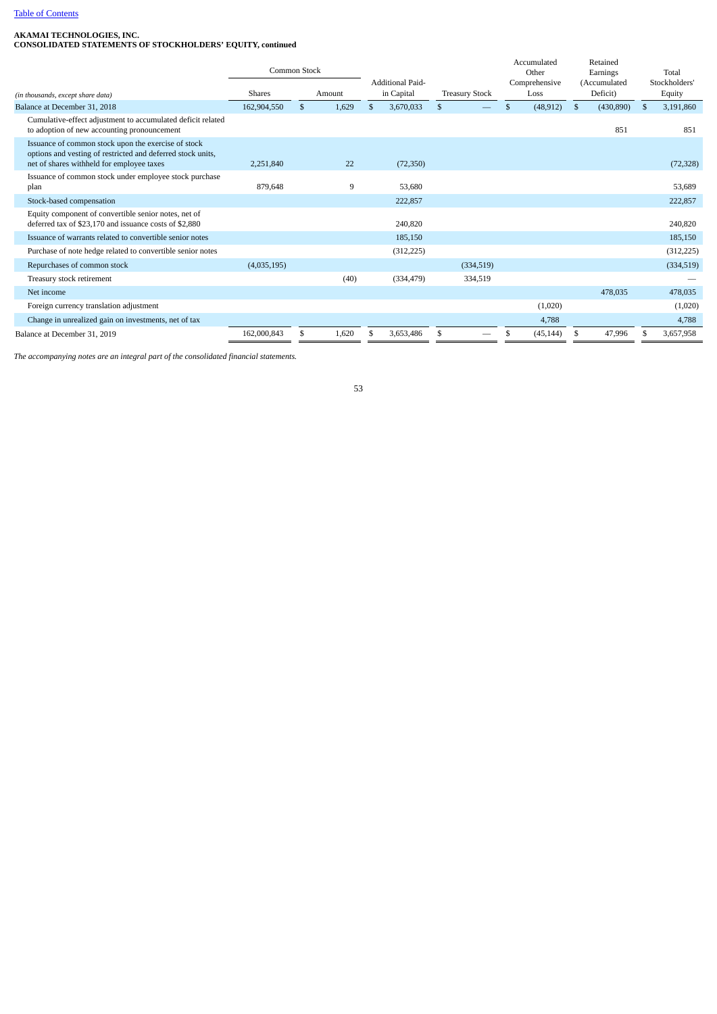# **AKAMAI TECHNOLOGIES, INC. CONSOLIDATED STATEMENTS OF STOCKHOLDERS' EQUITY, continued**

|                                                                                                                                                                 | Common Stock  |             |    | Additional Paid- |    |                       | Accumulated<br>Other<br>Comprehensive |    | Retained<br>Earnings<br>(Accumulated |              | Total<br>Stockholders' |
|-----------------------------------------------------------------------------------------------------------------------------------------------------------------|---------------|-------------|----|------------------|----|-----------------------|---------------------------------------|----|--------------------------------------|--------------|------------------------|
| (in thousands, except share data)                                                                                                                               | <b>Shares</b> | Amount      |    | in Capital       |    | <b>Treasury Stock</b> | Loss                                  |    | Deficit)                             |              | Equity                 |
| Balance at December 31, 2018                                                                                                                                    | 162,904,550   | \$<br>1,629 | Ŝ. | 3,670,033        | \$ |                       | \$<br>(48, 912)                       | \$ | (430, 890)                           | $\mathbf{s}$ | 3,191,860              |
| Cumulative-effect adjustment to accumulated deficit related<br>to adoption of new accounting pronouncement                                                      |               |             |    |                  |    |                       |                                       |    | 851                                  |              | 851                    |
| Issuance of common stock upon the exercise of stock<br>options and vesting of restricted and deferred stock units,<br>net of shares withheld for employee taxes | 2.251.840     | 22          |    | (72, 350)        |    |                       |                                       |    |                                      |              | (72, 328)              |
| Issuance of common stock under employee stock purchase<br>plan                                                                                                  | 879,648       | 9           |    | 53,680           |    |                       |                                       |    |                                      |              | 53,689                 |
| Stock-based compensation                                                                                                                                        |               |             |    | 222,857          |    |                       |                                       |    |                                      |              | 222,857                |
| Equity component of convertible senior notes, net of<br>deferred tax of \$23,170 and issuance costs of \$2,880                                                  |               |             |    | 240,820          |    |                       |                                       |    |                                      |              | 240,820                |
| Issuance of warrants related to convertible senior notes                                                                                                        |               |             |    | 185,150          |    |                       |                                       |    |                                      |              | 185,150                |
| Purchase of note hedge related to convertible senior notes                                                                                                      |               |             |    | (312, 225)       |    |                       |                                       |    |                                      |              | (312, 225)             |
| Repurchases of common stock                                                                                                                                     | (4,035,195)   |             |    |                  |    | (334, 519)            |                                       |    |                                      |              | (334,519)              |
| Treasury stock retirement                                                                                                                                       |               | (40)        |    | (334, 479)       |    | 334,519               |                                       |    |                                      |              |                        |
| Net income                                                                                                                                                      |               |             |    |                  |    |                       |                                       |    | 478,035                              |              | 478,035                |
| Foreign currency translation adjustment                                                                                                                         |               |             |    |                  |    |                       | (1,020)                               |    |                                      |              | (1,020)                |
| Change in unrealized gain on investments, net of tax                                                                                                            |               |             |    |                  |    |                       | 4,788                                 |    |                                      |              | 4,788                  |
| Balance at December 31, 2019                                                                                                                                    | 162,000,843   | \$<br>1,620 |    | 3,653,486        | \$ |                       | (45, 144)                             | S. | 47,996                               |              | 3,657,958              |

*The accompanying notes are an integral part of the consolidated financial statements.*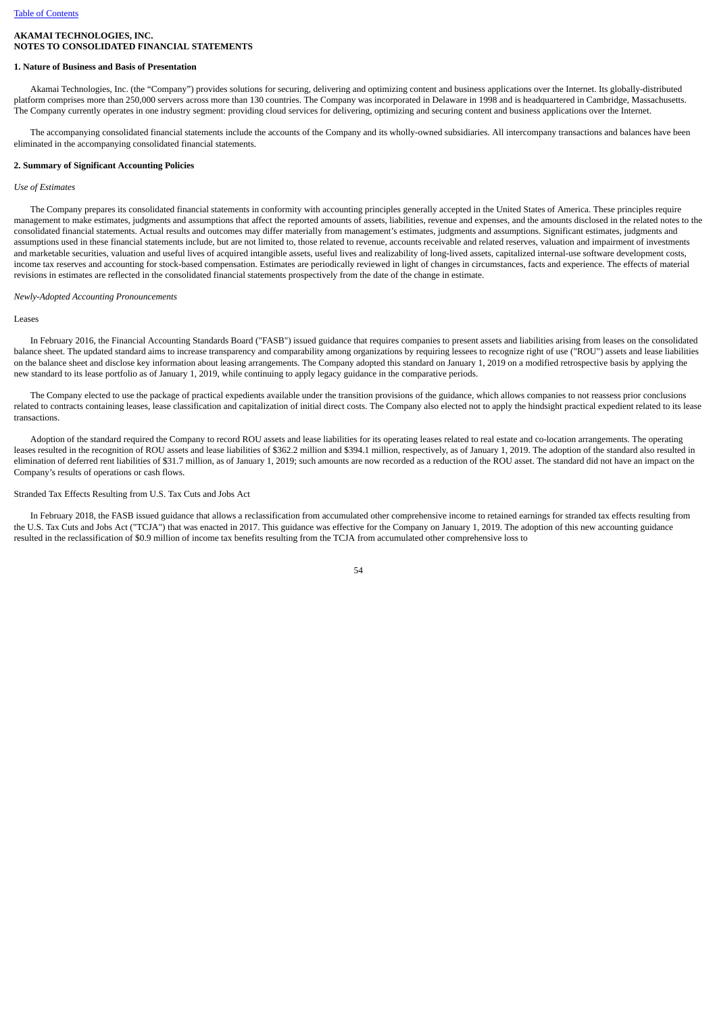# **AKAMAI TECHNOLOGIES, INC. NOTES TO CONSOLIDATED FINANCIAL STATEMENTS**

# **1. Nature of Business and Basis of Presentation**

Akamai Technologies, Inc. (the "Company") provides solutions for securing, delivering and optimizing content and business applications over the Internet. Its globally-distributed platform comprises more than 250,000 servers across more than 130 countries. The Company was incorporated in Delaware in 1998 and is headquartered in Cambridge, Massachusetts. The Company currently operates in one industry segment: providing cloud services for delivering, optimizing and securing content and business applications over the Internet.

The accompanying consolidated financial statements include the accounts of the Company and its wholly-owned subsidiaries. All intercompany transactions and balances have been eliminated in the accompanying consolidated financial statements.

# **2. Summary of Significant Accounting Policies**

# *Use of Estimates*

The Company prepares its consolidated financial statements in conformity with accounting principles generally accepted in the United States of America. These principles require management to make estimates, judgments and assumptions that affect the reported amounts of assets, liabilities, revenue and expenses, and the amounts disclosed in the related notes to the consolidated financial statements. Actual results and outcomes may differ materially from management's estimates, judgments and assumptions. Significant estimates, judgments and assumptions used in these financial statements include, but are not limited to, those related to revenue, accounts receivable and related reserves, valuation and impairment of investments and marketable securities, valuation and useful lives of acquired intangible assets, useful lives and realizability of long-lived assets, capitalized internal-use software development costs, income tax reserves and accounting for stock-based compensation. Estimates are periodically reviewed in light of changes in circumstances, facts and experience. The effects of material revisions in estimates are reflected in the consolidated financial statements prospectively from the date of the change in estimate.

# *Newly-Adopted Accounting Pronouncements*

#### Leases

In February 2016, the Financial Accounting Standards Board ("FASB") issued guidance that requires companies to present assets and liabilities arising from leases on the consolidated balance sheet. The updated standard aims to increase transparency and comparability among organizations by requiring lessees to recognize right of use ("ROU") assets and lease liabilities on the balance sheet and disclose key information about leasing arrangements. The Company adopted this standard on January 1, 2019 on a modified retrospective basis by applying the new standard to its lease portfolio as of January 1, 2019, while continuing to apply legacy guidance in the comparative periods.

The Company elected to use the package of practical expedients available under the transition provisions of the guidance, which allows companies to not reassess prior conclusions related to contracts containing leases, lease classification and capitalization of initial direct costs. The Company also elected not to apply the hindsight practical expedient related to its lease transactions.

Adoption of the standard required the Company to record ROU assets and lease liabilities for its operating leases related to real estate and co-location arrangements. The operating leases resulted in the recognition of ROU assets and lease liabilities of \$362.2 million and \$394.1 million, respectively, as of January 1, 2019. The adoption of the standard also resulted in elimination of deferred rent liabilities of \$31.7 million, as of January 1, 2019; such amounts are now recorded as a reduction of the ROU asset. The standard did not have an impact on the Company's results of operations or cash flows.

# Stranded Tax Effects Resulting from U.S. Tax Cuts and Jobs Act

In February 2018, the FASB issued guidance that allows a reclassification from accumulated other comprehensive income to retained earnings for stranded tax effects resulting from the U.S. Tax Cuts and Jobs Act ("TCJA") that was enacted in 2017. This guidance was effective for the Company on January 1, 2019. The adoption of this new accounting guidance resulted in the reclassification of \$0.9 million of income tax benefits resulting from the TCJA from accumulated other comprehensive loss to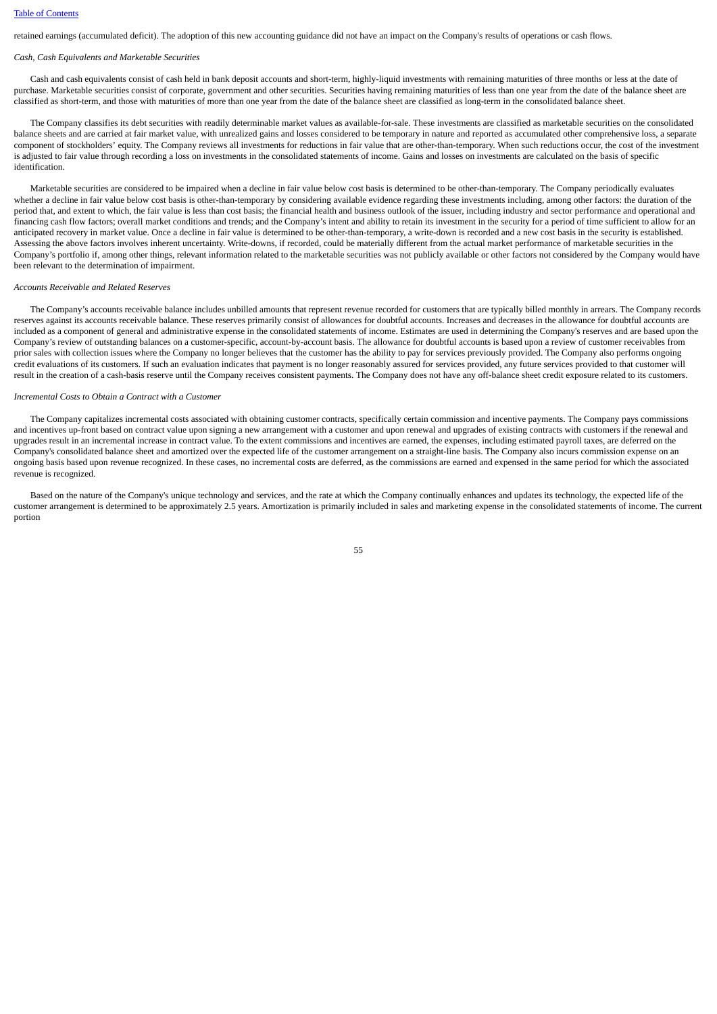retained earnings (accumulated deficit). The adoption of this new accounting guidance did not have an impact on the Company's results of operations or cash flows.

# *Cash, Cash Equivalents and Marketable Securities*

Cash and cash equivalents consist of cash held in bank deposit accounts and short-term, highly-liquid investments with remaining maturities of three months or less at the date of purchase. Marketable securities consist of corporate, government and other securities. Securities having remaining maturities of less than one year from the date of the balance sheet are classified as short-term, and those with maturities of more than one year from the date of the balance sheet are classified as long-term in the consolidated balance sheet.

The Company classifies its debt securities with readily determinable market values as available-for-sale. These investments are classified as marketable securities on the consolidated balance sheets and are carried at fair market value, with unrealized gains and losses considered to be temporary in nature and reported as accumulated other comprehensive loss, a separate component of stockholders' equity. The Company reviews all investments for reductions in fair value that are other-than-temporary. When such reductions occur, the cost of the investment is adjusted to fair value through recording a loss on investments in the consolidated statements of income. Gains and losses on investments are calculated on the basis of specific identification.

Marketable securities are considered to be impaired when a decline in fair value below cost basis is determined to be other-than-temporary. The Company periodically evaluates whether a decline in fair value below cost basis is other-than-temporary by considering available evidence regarding these investments including, among other factors: the duration of the period that, and extent to which, the fair value is less than cost basis; the financial health and business outlook of the issuer, including industry and sector performance and operational and financing cash flow factors; overall market conditions and trends; and the Company's intent and ability to retain its investment in the security for a period of time sufficient to allow for an anticipated recovery in market value. Once a decline in fair value is determined to be other-than-temporary, a write-down is recorded and a new cost basis in the security is established. Assessing the above factors involves inherent uncertainty. Write-downs, if recorded, could be materially different from the actual market performance of marketable securities in the Company's portfolio if, among other things, relevant information related to the marketable securities was not publicly available or other factors not considered by the Company would have been relevant to the determination of impairment.

# *Accounts Receivable and Related Reserves*

The Company's accounts receivable balance includes unbilled amounts that represent revenue recorded for customers that are typically billed monthly in arrears. The Company records reserves against its accounts receivable balance. These reserves primarily consist of allowances for doubtful accounts. Increases and decreases in the allowance for doubtful accounts are included as a component of general and administrative expense in the consolidated statements of income. Estimates are used in determining the Company's reserves and are based upon the Company's review of outstanding balances on a customer-specific, account-by-account basis. The allowance for doubtful accounts is based upon a review of customer receivables from prior sales with collection issues where the Company no longer believes that the customer has the ability to pay for services previously provided. The Company also performs ongoing credit evaluations of its customers. If such an evaluation indicates that payment is no longer reasonably assured for services provided, any future services provided to that customer will result in the creation of a cash-basis reserve until the Company receives consistent payments. The Company does not have any off-balance sheet credit exposure related to its customers.

#### *Incremental Costs to Obtain a Contract with a Customer*

The Company capitalizes incremental costs associated with obtaining customer contracts, specifically certain commission and incentive payments. The Company pays commissions and incentives up-front based on contract value upon signing a new arrangement with a customer and upon renewal and upgrades of existing contracts with customers if the renewal and upgrades result in an incremental increase in contract value. To the extent commissions and incentives are earned, the expenses, including estimated payroll taxes, are deferred on the Company's consolidated balance sheet and amortized over the expected life of the customer arrangement on a straight-line basis. The Company also incurs commission expense on an ongoing basis based upon revenue recognized. In these cases, no incremental costs are deferred, as the commissions are earned and expensed in the same period for which the associated revenue is recognized.

Based on the nature of the Company's unique technology and services, and the rate at which the Company continually enhances and updates its technology, the expected life of the customer arrangement is determined to be approximately 2.5 years. Amortization is primarily included in sales and marketing expense in the consolidated statements of income. The current portion

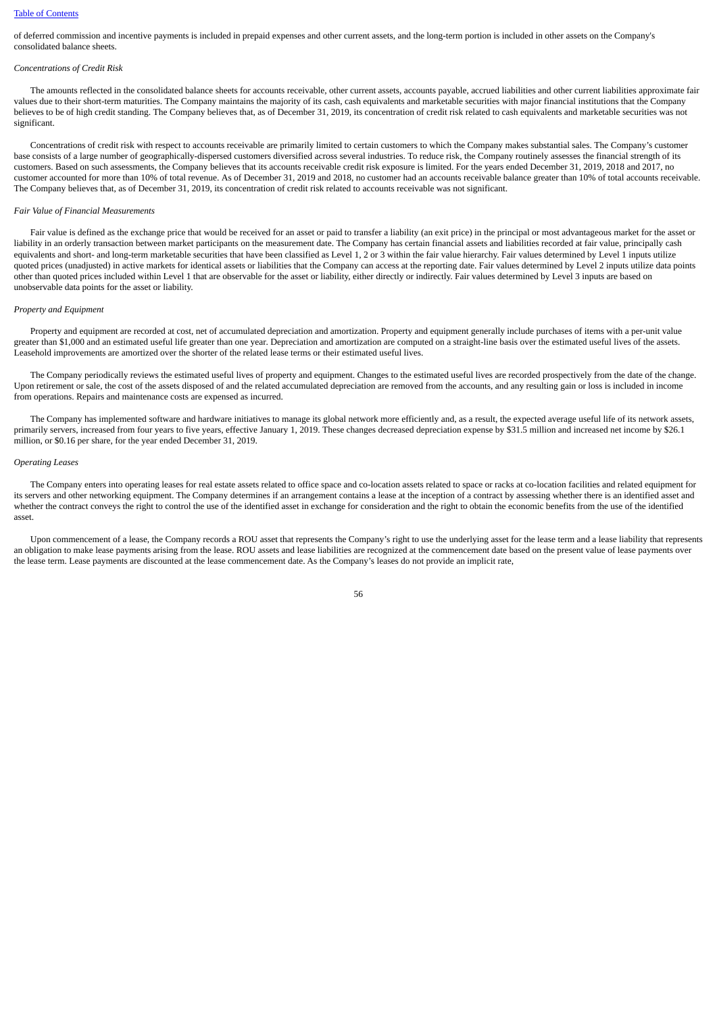of deferred commission and incentive payments is included in prepaid expenses and other current assets, and the long-term portion is included in other assets on the Company's consolidated balance sheets.

#### *Concentrations of Credit Risk*

The amounts reflected in the consolidated balance sheets for accounts receivable, other current assets, accounts payable, accrued liabilities and other current liabilities approximate fair values due to their short-term maturities. The Company maintains the majority of its cash, cash equivalents and marketable securities with major financial institutions that the Company believes to be of high credit standing. The Company believes that, as of December 31, 2019, its concentration of credit risk related to cash equivalents and marketable securities was not significant.

Concentrations of credit risk with respect to accounts receivable are primarily limited to certain customers to which the Company makes substantial sales. The Company's customer base consists of a large number of geographically-dispersed customers diversified across several industries. To reduce risk, the Company routinely assesses the financial strength of its customers. Based on such assessments, the Company believes that its accounts receivable credit risk exposure is limited. For the years ended December 31, 2019, 2018 and 2017, no customer accounted for more than 10% of total revenue. As of December 31, 2019 and 2018, no customer had an accounts receivable balance greater than 10% of total accounts receivable. The Company believes that, as of December 31, 2019, its concentration of credit risk related to accounts receivable was not significant.

#### *Fair Value of Financial Measurements*

Fair value is defined as the exchange price that would be received for an asset or paid to transfer a liability (an exit price) in the principal or most advantageous market for the asset or liability in an orderly transaction between market participants on the measurement date. The Company has certain financial assets and liabilities recorded at fair value, principally cash equivalents and short- and long-term marketable securities that have been classified as Level 1, 2 or 3 within the fair value hierarchy. Fair values determined by Level 1 inputs utilize quoted prices (unadjusted) in active markets for identical assets or liabilities that the Company can access at the reporting date. Fair values determined by Level 2 inputs utilize data points other than quoted prices included within Level 1 that are observable for the asset or liability, either directly or indirectly. Fair values determined by Level 3 inputs are based on unobservable data points for the asset or liability.

# *Property and Equipment*

Property and equipment are recorded at cost, net of accumulated depreciation and amortization. Property and equipment generally include purchases of items with a per-unit value greater than \$1,000 and an estimated useful life greater than one year. Depreciation and amortization are computed on a straight-line basis over the estimated useful lives of the assets. Leasehold improvements are amortized over the shorter of the related lease terms or their estimated useful lives.

The Company periodically reviews the estimated useful lives of property and equipment. Changes to the estimated useful lives are recorded prospectively from the date of the change. Upon retirement or sale, the cost of the assets disposed of and the related accumulated depreciation are removed from the accounts, and any resulting gain or loss is included in income from operations. Repairs and maintenance costs are expensed as incurred.

The Company has implemented software and hardware initiatives to manage its global network more efficiently and, as a result, the expected average useful life of its network assets, primarily servers, increased from four years to five years, effective January 1, 2019. These changes decreased depreciation expense by \$31.5 million and increased net income by \$26.1 million, or \$0.16 per share, for the year ended December 31, 2019.

#### *Operating Leases*

The Company enters into operating leases for real estate assets related to office space and co-location assets related to space or racks at co-location facilities and related equipment for its servers and other networking equipment. The Company determines if an arrangement contains a lease at the inception of a contract by assessing whether there is an identified asset and whether the contract conveys the right to control the use of the identified asset in exchange for consideration and the right to obtain the economic benefits from the use of the identified asset.

Upon commencement of a lease, the Company records a ROU asset that represents the Company's right to use the underlying asset for the lease term and a lease liability that represents an obligation to make lease payments arising from the lease. ROU assets and lease liabilities are recognized at the commencement date based on the present value of lease payments over the lease term. Lease payments are discounted at the lease commencement date. As the Company's leases do not provide an implicit rate,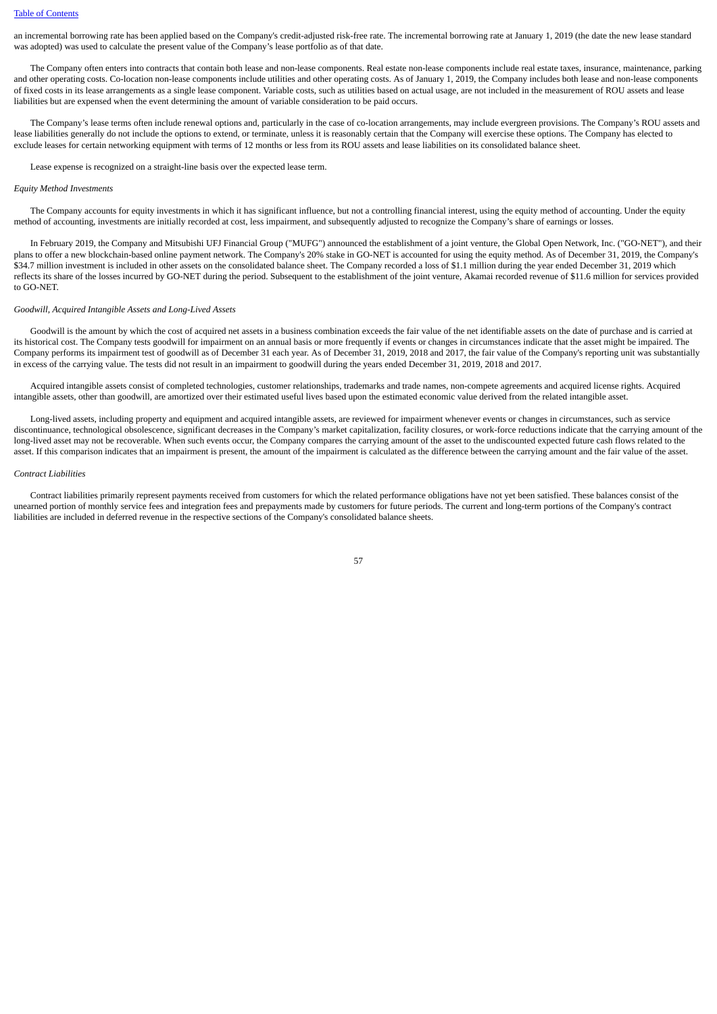an incremental borrowing rate has been applied based on the Company's credit-adjusted risk-free rate. The incremental borrowing rate at January 1, 2019 (the date the new lease standard was adopted) was used to calculate the present value of the Company's lease portfolio as of that date.

The Company often enters into contracts that contain both lease and non-lease components. Real estate non-lease components include real estate taxes, insurance, maintenance, parking and other operating costs. Co-location non-lease components include utilities and other operating costs. As of January 1, 2019, the Company includes both lease and non-lease components of fixed costs in its lease arrangements as a single lease component. Variable costs, such as utilities based on actual usage, are not included in the measurement of ROU assets and lease liabilities but are expensed when the event determining the amount of variable consideration to be paid occurs.

The Company's lease terms often include renewal options and, particularly in the case of co-location arrangements, may include evergreen provisions. The Company's ROU assets and lease liabilities generally do not include the options to extend, or terminate, unless it is reasonably certain that the Company will exercise these options. The Company has elected to exclude leases for certain networking equipment with terms of 12 months or less from its ROU assets and lease liabilities on its consolidated balance sheet.

Lease expense is recognized on a straight-line basis over the expected lease term.

#### *Equity Method Investments*

The Company accounts for equity investments in which it has significant influence, but not a controlling financial interest, using the equity method of accounting. Under the equity method of accounting, investments are initially recorded at cost, less impairment, and subsequently adjusted to recognize the Company's share of earnings or losses.

In February 2019, the Company and Mitsubishi UFJ Financial Group ("MUFG") announced the establishment of a joint venture, the Global Open Network, Inc. ("GO-NET"), and their plans to offer a new blockchain-based online payment network. The Company's 20% stake in GO-NET is accounted for using the equity method. As of December 31, 2019, the Company's \$34.7 million investment is included in other assets on the consolidated balance sheet. The Company recorded a loss of \$1.1 million during the year ended December 31, 2019 which reflects its share of the losses incurred by GO-NET during the period. Subsequent to the establishment of the joint venture, Akamai recorded revenue of \$11.6 million for services provided to GO-NET.

# *Goodwill, Acquired Intangible Assets and Long-Lived Assets*

Goodwill is the amount by which the cost of acquired net assets in a business combination exceeds the fair value of the net identifiable assets on the date of purchase and is carried at its historical cost. The Company tests goodwill for impairment on an annual basis or more frequently if events or changes in circumstances indicate that the asset might be impaired. The Company performs its impairment test of goodwill as of December 31 each year. As of December 31, 2019, 2018 and 2017, the fair value of the Company's reporting unit was substantially in excess of the carrying value. The tests did not result in an impairment to goodwill during the years ended December 31, 2019, 2018 and 2017.

Acquired intangible assets consist of completed technologies, customer relationships, trademarks and trade names, non-compete agreements and acquired license rights. Acquired intangible assets, other than goodwill, are amortized over their estimated useful lives based upon the estimated economic value derived from the related intangible asset.

Long-lived assets, including property and equipment and acquired intangible assets, are reviewed for impairment whenever events or changes in circumstances, such as service discontinuance, technological obsolescence, significant decreases in the Company's market capitalization, facility closures, or work-force reductions indicate that the carrying amount of the long-lived asset may not be recoverable. When such events occur, the Company compares the carrying amount of the asset to the undiscounted expected future cash flows related to the asset. If this comparison indicates that an impairment is present, the amount of the impairment is calculated as the difference between the carrying amount and the fair value of the asset.

#### *Contract Liabilities*

Contract liabilities primarily represent payments received from customers for which the related performance obligations have not yet been satisfied. These balances consist of the unearned portion of monthly service fees and integration fees and prepayments made by customers for future periods. The current and long-term portions of the Company's contract liabilities are included in deferred revenue in the respective sections of the Company's consolidated balance sheets.

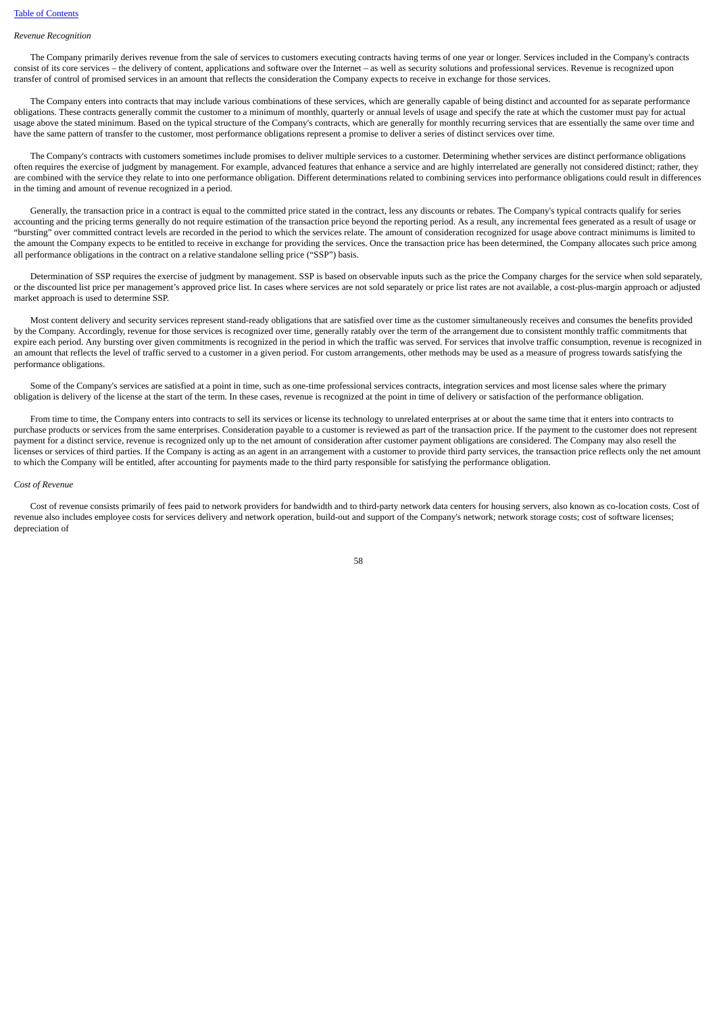#### *Revenue Recognition*

The Company primarily derives revenue from the sale of services to customers executing contracts having terms of one year or longer. Services included in the Company's contracts consist of its core services – the delivery of content, applications and software over the Internet – as well as security solutions and professional services. Revenue is recognized upon transfer of control of promised services in an amount that reflects the consideration the Company expects to receive in exchange for those services.

The Company enters into contracts that may include various combinations of these services, which are generally capable of being distinct and accounted for as separate performance obligations. These contracts generally commit the customer to a minimum of monthly, quarterly or annual levels of usage and specify the rate at which the customer must pay for actual usage above the stated minimum. Based on the typical structure of the Company's contracts, which are generally for monthly recurring services that are essentially the same over time and have the same pattern of transfer to the customer, most performance obligations represent a promise to deliver a series of distinct services over time.

The Company's contracts with customers sometimes include promises to deliver multiple services to a customer. Determining whether services are distinct performance obligations often requires the exercise of judgment by management. For example, advanced features that enhance a service and are highly interrelated are generally not considered distinct; rather, they are combined with the service they relate to into one performance obligation. Different determinations related to combining services into performance obligations could result in differences in the timing and amount of revenue recognized in a period.

Generally, the transaction price in a contract is equal to the committed price stated in the contract, less any discounts or rebates. The Company's typical contracts qualify for series accounting and the pricing terms generally do not require estimation of the transaction price beyond the reporting period. As a result, any incremental fees generated as a result of usage or "bursting" over committed contract levels are recorded in the period to which the services relate. The amount of consideration recognized for usage above contract minimums is limited to the amount the Company expects to be entitled to receive in exchange for providing the services. Once the transaction price has been determined, the Company allocates such price among all performance obligations in the contract on a relative standalone selling price ("SSP") basis.

Determination of SSP requires the exercise of judgment by management. SSP is based on observable inputs such as the price the Company charges for the service when sold separately, or the discounted list price per management's approved price list. In cases where services are not sold separately or price list rates are not available, a cost-plus-margin approach or adjusted market approach is used to determine SSP.

Most content delivery and security services represent stand-ready obligations that are satisfied over time as the customer simultaneously receives and consumes the benefits provided by the Company. Accordingly, revenue for those services is recognized over time, generally ratably over the term of the arrangement due to consistent monthly traffic commitments that expire each period. Any bursting over given commitments is recognized in the period in which the traffic was served. For services that involve traffic consumption, revenue is recognized in an amount that reflects the level of traffic served to a customer in a given period. For custom arrangements, other methods may be used as a measure of progress towards satisfying the performance obligations.

Some of the Company's services are satisfied at a point in time, such as one-time professional services contracts, integration services and most license sales where the primary obligation is delivery of the license at the start of the term. In these cases, revenue is recognized at the point in time of delivery or satisfaction of the performance obligation.

From time to time, the Company enters into contracts to sell its services or license its technology to unrelated enterprises at or about the same time that it enters into contracts to purchase products or services from the same enterprises. Consideration payable to a customer is reviewed as part of the transaction price. If the payment to the customer does not represent payment for a distinct service, revenue is recognized only up to the net amount of consideration after customer payment obligations are considered. The Company may also resell the licenses or services of third parties. If the Company is acting as an agent in an arrangement with a customer to provide third party services, the transaction price reflects only the net amount to which the Company will be entitled, after accounting for payments made to the third party responsible for satisfying the performance obligation.

#### *Cost of Revenue*

Cost of revenue consists primarily of fees paid to network providers for bandwidth and to third-party network data centers for housing servers, also known as co-location costs. Cost of revenue also includes employee costs for services delivery and network operation, build-out and support of the Company's network; network storage costs; cost of software licenses; depreciation of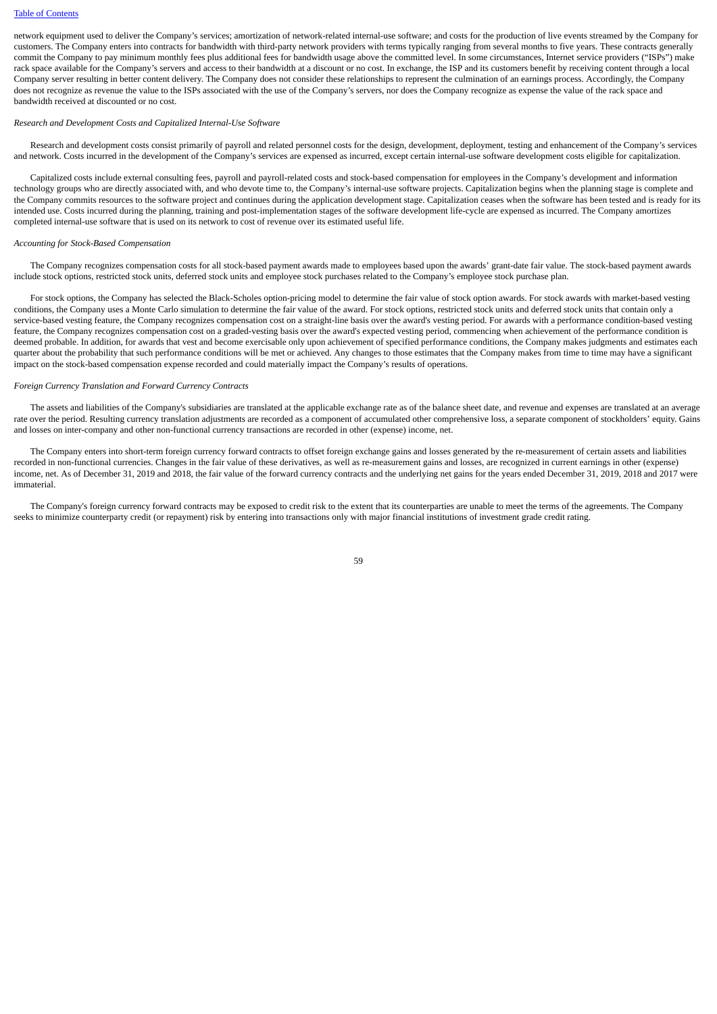network equipment used to deliver the Company's services; amortization of network-related internal-use software; and costs for the production of live events streamed by the Company for customers. The Company enters into contracts for bandwidth with third-party network providers with terms typically ranging from several months to five years. These contracts generally commit the Company to pay minimum monthly fees plus additional fees for bandwidth usage above the committed level. In some circumstances, Internet service providers ("ISPs") make rack space available for the Company's servers and access to their bandwidth at a discount or no cost. In exchange, the ISP and its customers benefit by receiving content through a local Company server resulting in better content delivery. The Company does not consider these relationships to represent the culmination of an earnings process. Accordingly, the Company does not recognize as revenue the value to the ISPs associated with the use of the Company's servers, nor does the Company recognize as expense the value of the rack space and bandwidth received at discounted or no cost.

#### *Research and Development Costs and Capitalized Internal-Use Software*

Research and development costs consist primarily of payroll and related personnel costs for the design, development, deployment, testing and enhancement of the Company's services and network. Costs incurred in the development of the Company's services are expensed as incurred, except certain internal-use software development costs eligible for capitalization.

Capitalized costs include external consulting fees, payroll and payroll-related costs and stock-based compensation for employees in the Company's development and information technology groups who are directly associated with, and who devote time to, the Company's internal-use software projects. Capitalization begins when the planning stage is complete and the Company commits resources to the software project and continues during the application development stage. Capitalization ceases when the software has been tested and is ready for its intended use. Costs incurred during the planning, training and post-implementation stages of the software development life-cycle are expensed as incurred. The Company amortizes completed internal-use software that is used on its network to cost of revenue over its estimated useful life.

# *Accounting for Stock-Based Compensation*

The Company recognizes compensation costs for all stock-based payment awards made to employees based upon the awards' grant-date fair value. The stock-based payment awards include stock options, restricted stock units, deferred stock units and employee stock purchases related to the Company's employee stock purchase plan.

For stock options, the Company has selected the Black-Scholes option-pricing model to determine the fair value of stock option awards. For stock awards with market-based vesting conditions, the Company uses a Monte Carlo simulation to determine the fair value of the award. For stock options, restricted stock units and deferred stock units that contain only a service-based vesting feature, the Company recognizes compensation cost on a straight-line basis over the award's vesting period. For awards with a performance condition-based vesting feature, the Company recognizes compensation cost on a graded-vesting basis over the award's expected vesting period, commencing when achievement of the performance condition is deemed probable. In addition, for awards that vest and become exercisable only upon achievement of specified performance conditions, the Company makes judgments and estimates each quarter about the probability that such performance conditions will be met or achieved. Any changes to those estimates that the Company makes from time to time may have a significant impact on the stock-based compensation expense recorded and could materially impact the Company's results of operations.

# *Foreign Currency Translation and Forward Currency Contracts*

The assets and liabilities of the Company's subsidiaries are translated at the applicable exchange rate as of the balance sheet date, and revenue and expenses are translated at an average rate over the period. Resulting currency translation adjustments are recorded as a component of accumulated other comprehensive loss, a separate component of stockholders' equity. Gains and losses on inter-company and other non-functional currency transactions are recorded in other (expense) income, net.

The Company enters into short-term foreign currency forward contracts to offset foreign exchange gains and losses generated by the re-measurement of certain assets and liabilities recorded in non-functional currencies. Changes in the fair value of these derivatives, as well as re-measurement gains and losses, are recognized in current earnings in other (expense) income, net. As of December 31, 2019 and 2018, the fair value of the forward currency contracts and the underlying net gains for the years ended December 31, 2019, 2018 and 2017 were immaterial.

The Company's foreign currency forward contracts may be exposed to credit risk to the extent that its counterparties are unable to meet the terms of the agreements. The Company seeks to minimize counterparty credit (or repayment) risk by entering into transactions only with major financial institutions of investment grade credit rating.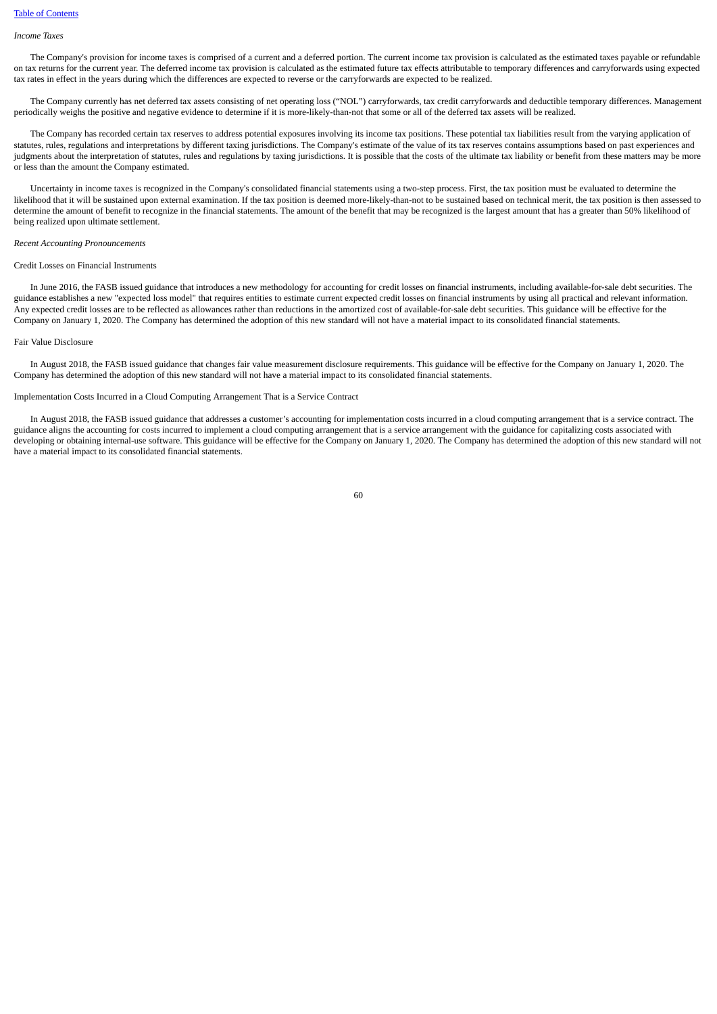#### *Income Taxes*

The Company's provision for income taxes is comprised of a current and a deferred portion. The current income tax provision is calculated as the estimated taxes payable or refundable on tax returns for the current year. The deferred income tax provision is calculated as the estimated future tax effects attributable to temporary differences and carryforwards using expected tax rates in effect in the years during which the differences are expected to reverse or the carryforwards are expected to be realized.

The Company currently has net deferred tax assets consisting of net operating loss ("NOL") carryforwards, tax credit carryforwards and deductible temporary differences. Management periodically weighs the positive and negative evidence to determine if it is more-likely-than-not that some or all of the deferred tax assets will be realized.

The Company has recorded certain tax reserves to address potential exposures involving its income tax positions. These potential tax liabilities result from the varying application of statutes, rules, regulations and interpretations by different taxing jurisdictions. The Company's estimate of the value of its tax reserves contains assumptions based on past experiences and judgments about the interpretation of statutes, rules and regulations by taxing jurisdictions. It is possible that the costs of the ultimate tax liability or benefit from these matters may be more or less than the amount the Company estimated.

Uncertainty in income taxes is recognized in the Company's consolidated financial statements using a two-step process. First, the tax position must be evaluated to determine the likelihood that it will be sustained upon external examination. If the tax position is deemed more-likely-than-not to be sustained based on technical merit, the tax position is then assessed to determine the amount of benefit to recognize in the financial statements. The amount of the benefit that may be recognized is the largest amount that has a greater than 50% likelihood of being realized upon ultimate settlement.

#### *Recent Accounting Pronouncements*

#### Credit Losses on Financial Instruments

In June 2016, the FASB issued guidance that introduces a new methodology for accounting for credit losses on financial instruments, including available-for-sale debt securities. The guidance establishes a new "expected loss model" that requires entities to estimate current expected credit losses on financial instruments by using all practical and relevant information. Any expected credit losses are to be reflected as allowances rather than reductions in the amortized cost of available-for-sale debt securities. This guidance will be effective for the Company on January 1, 2020. The Company has determined the adoption of this new standard will not have a material impact to its consolidated financial statements.

#### Fair Value Disclosure

In August 2018, the FASB issued guidance that changes fair value measurement disclosure requirements. This guidance will be effective for the Company on January 1, 2020. The Company has determined the adoption of this new standard will not have a material impact to its consolidated financial statements.

#### Implementation Costs Incurred in a Cloud Computing Arrangement That is a Service Contract

In August 2018, the FASB issued guidance that addresses a customer's accounting for implementation costs incurred in a cloud computing arrangement that is a service contract. The guidance aligns the accounting for costs incurred to implement a cloud computing arrangement that is a service arrangement with the guidance for capitalizing costs associated with developing or obtaining internal-use software. This guidance will be effective for the Company on January 1, 2020. The Company has determined the adoption of this new standard will not have a material impact to its consolidated financial statements.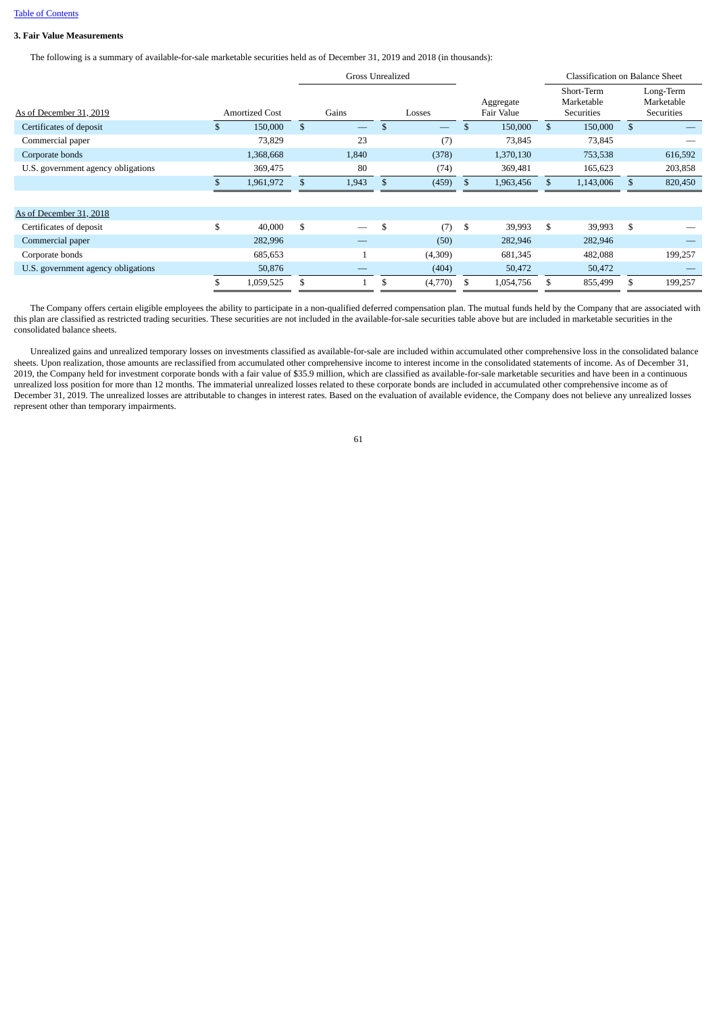# **3. Fair Value Measurements**

The following is a summary of available-for-sale marketable securities held as of December 31, 2019 and 2018 (in thousands):

|                                    |                       |                 | Gross Unrealized |    |         |                         |           |    |                                        | <b>Classification on Balance Sheet</b> |                                       |  |  |
|------------------------------------|-----------------------|-----------------|------------------|----|---------|-------------------------|-----------|----|----------------------------------------|----------------------------------------|---------------------------------------|--|--|
| As of December 31, 2019            | <b>Amortized Cost</b> | Gains<br>Losses |                  |    |         | Aggregate<br>Fair Value |           |    | Short-Term<br>Marketable<br>Securities |                                        | Long-Term<br>Marketable<br>Securities |  |  |
| Certificates of deposit            | \$<br>150,000         | \$              |                  | £. |         | \$                      | 150,000   | \$ | 150,000                                | \$                                     |                                       |  |  |
| Commercial paper                   | 73,829                |                 | 23               |    | (7)     |                         | 73,845    |    | 73,845                                 |                                        |                                       |  |  |
| Corporate bonds                    | 1,368,668             |                 | 1,840            |    | (378)   |                         | 1,370,130 |    | 753,538                                |                                        | 616,592                               |  |  |
| U.S. government agency obligations | 369,475               |                 | 80               |    | (74)    |                         | 369,481   |    | 165,623                                |                                        | 203,858                               |  |  |
|                                    | 1,961,972             |                 | 1,943            |    | (459)   | -SS                     | 1,963,456 |    | 1,143,006                              |                                        | 820,450                               |  |  |
|                                    |                       |                 |                  |    |         |                         |           |    |                                        |                                        |                                       |  |  |
| As of December 31, 2018            |                       |                 |                  |    |         |                         |           |    |                                        |                                        |                                       |  |  |
| Certificates of deposit            | \$<br>40,000          | \$              |                  | \$ | (7)     | \$                      | 39,993    | \$ | 39,993                                 | \$                                     |                                       |  |  |
| Commercial paper                   | 282,996               |                 |                  |    | (50)    |                         | 282,946   |    | 282,946                                |                                        |                                       |  |  |
| Corporate bonds                    | 685,653               |                 |                  |    | (4,309) |                         | 681,345   |    | 482,088                                |                                        | 199,257                               |  |  |
| U.S. government agency obligations | 50,876                |                 |                  |    | (404)   |                         | 50,472    |    | 50,472                                 |                                        |                                       |  |  |
|                                    | 1,059,525             | \$              |                  |    | (4,770) |                         | 1,054,756 |    | 855,499                                |                                        | 199,257                               |  |  |

The Company offers certain eligible employees the ability to participate in a non-qualified deferred compensation plan. The mutual funds held by the Company that are associated with this plan are classified as restricted trading securities. These securities are not included in the available-for-sale securities table above but are included in marketable securities in the consolidated balance sheets.

Unrealized gains and unrealized temporary losses on investments classified as available-for-sale are included within accumulated other comprehensive loss in the consolidated balance sheets. Upon realization, those amounts are reclassified from accumulated other comprehensive income to interest income in the consolidated statements of income. As of December 31, 2019, the Company held for investment corporate bonds with a fair value of \$35.9 million, which are classified as available-for-sale marketable securities and have been in a continuous unrealized loss position for more than 12 months. The immaterial unrealized losses related to these corporate bonds are included in accumulated other comprehensive income as of December 31, 2019. The unrealized losses are attributable to changes in interest rates. Based on the evaluation of available evidence, the Company does not believe any unrealized losses represent other than temporary impairments.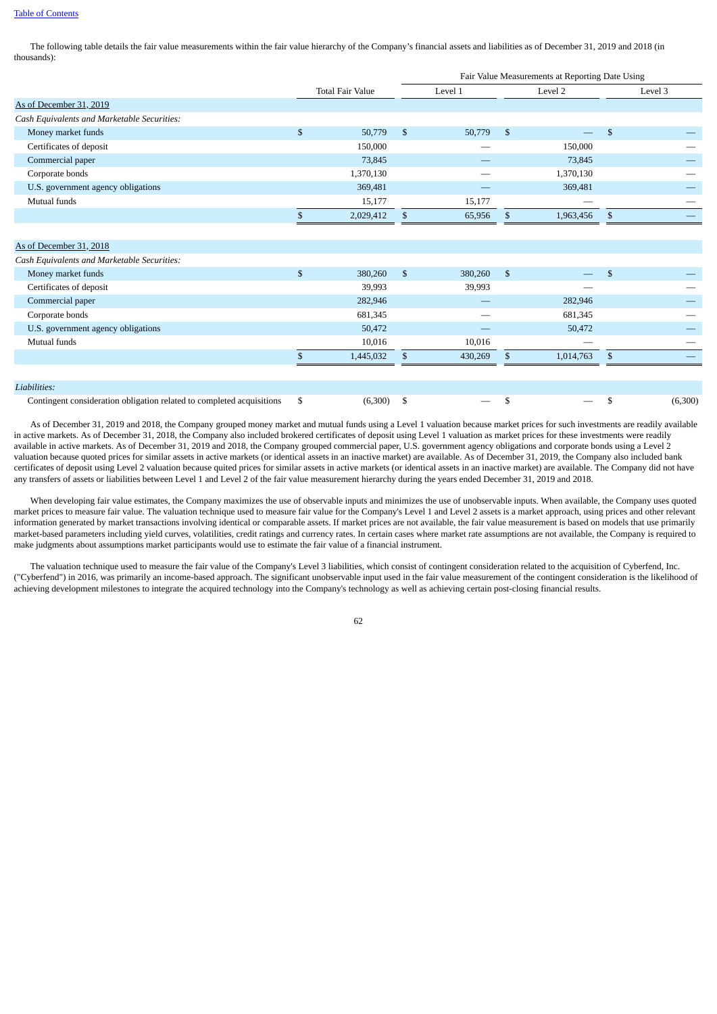The following table details the fair value measurements within the fair value hierarchy of the Company's financial assets and liabilities as of December 31, 2019 and 2018 (in thousands):

|                                             |    |                         | Fair Value Measurements at Reporting Date Using |         |                                |  |         |
|---------------------------------------------|----|-------------------------|-------------------------------------------------|---------|--------------------------------|--|---------|
|                                             |    | <b>Total Fair Value</b> |                                                 | Level 1 | Level 2                        |  | Level 3 |
| As of December 31, 2019                     |    |                         |                                                 |         |                                |  |         |
| Cash Equivalents and Marketable Securities: |    |                         |                                                 |         |                                |  |         |
| Money market funds                          | S. | 50,779                  | $\mathbf{s}$                                    | 50,779  | \$<br>$\overline{\phantom{m}}$ |  |         |
| Certificates of deposit                     |    | 150,000                 |                                                 |         | 150,000                        |  |         |
| Commercial paper                            |    | 73,845                  |                                                 |         | 73,845                         |  |         |
| Corporate bonds                             |    | 1,370,130               |                                                 |         | 1,370,130                      |  |         |
| U.S. government agency obligations          |    | 369,481                 |                                                 |         | 369,481                        |  |         |
| Mutual funds                                |    | 15,177                  |                                                 | 15,177  | __                             |  |         |
|                                             |    | 2,029,412               |                                                 | 65,956  | 1,963,456                      |  |         |
|                                             |    |                         |                                                 |         |                                |  |         |

# As of December 31, 2018

| Cash Equivalents and Marketable Securities: |           |    |         |      |                          |   |
|---------------------------------------------|-----------|----|---------|------|--------------------------|---|
| Money market funds                          | 380,260   | -S | 380,260 | - \$ | $\overline{\phantom{m}}$ |   |
| Certificates of deposit                     | 39,993    |    | 39,993  |      |                          |   |
| Commercial paper                            | 282,946   |    |         |      | 282,946                  |   |
| Corporate bonds                             | 681,345   |    |         |      | 681,345                  | _ |
| U.S. government agency obligations          | 50,472    |    |         |      | 50,472                   |   |
| Mutual funds                                | 10,016    |    | 10,016  |      | $\overline{\phantom{a}}$ |   |
|                                             | 1,445,032 |    | 430,269 |      | 1,014,763                |   |
|                                             |           |    |         |      |                          |   |
| Liabilities:                                |           |    |         |      |                          |   |

Contingent consideration obligation related to completed acquisitions \$ (6,300) \$ - \$ - \$ (6,300) \$ (6,300)

As of December 31, 2019 and 2018, the Company grouped money market and mutual funds using a Level 1 valuation because market prices for such investments are readily available in active markets. As of December 31, 2018, the Company also included brokered certificates of deposit using Level 1 valuation as market prices for these investments were readily available in active markets. As of December 31, 2019 and 2018, the Company grouped commercial paper, U.S. government agency obligations and corporate bonds using a Level 2 valuation because quoted prices for similar assets in active markets (or identical assets in an inactive market) are available. As of December 31, 2019, the Company also included bank certificates of deposit using Level 2 valuation because quited prices for similar assets in active markets (or identical assets in an inactive market) are available. The Company did not have any transfers of assets or liabilities between Level 1 and Level 2 of the fair value measurement hierarchy during the years ended December 31, 2019 and 2018.

When developing fair value estimates, the Company maximizes the use of observable inputs and minimizes the use of unobservable inputs. When available, the Company uses quoted market prices to measure fair value. The valuation technique used to measure fair value for the Company's Level 1 and Level 2 assets is a market approach, using prices and other relevant information generated by market transactions involving identical or comparable assets. If market prices are not available, the fair value measurement is based on models that use primarily market-based parameters including yield curves, volatilities, credit ratings and currency rates. In certain cases where market rate assumptions are not available, the Company is required to make judgments about assumptions market participants would use to estimate the fair value of a financial instrument.

The valuation technique used to measure the fair value of the Company's Level 3 liabilities, which consist of contingent consideration related to the acquisition of Cyberfend, Inc. ("Cyberfend") in 2016, was primarily an income-based approach. The significant unobservable input used in the fair value measurement of the contingent consideration is the likelihood of achieving development milestones to integrate the acquired technology into the Company's technology as well as achieving certain post-closing financial results.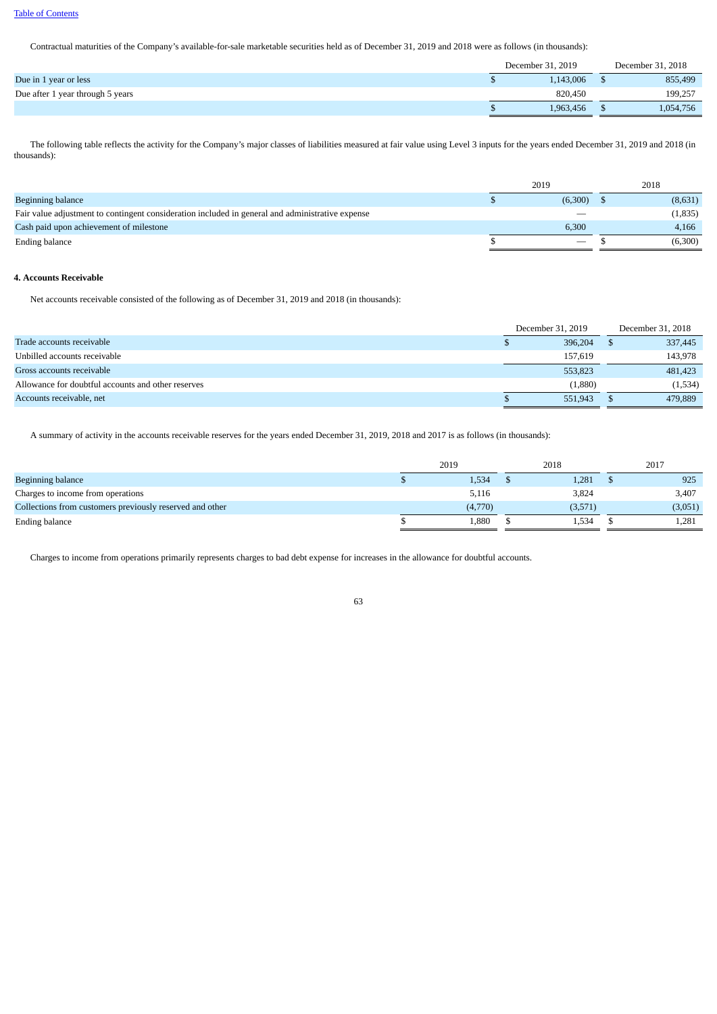Contractual maturities of the Company's available-for-sale marketable securities held as of December 31, 2019 and 2018 were as follows (in thousands):

|                                  | December 31, 2019 | December 31, 2018 |
|----------------------------------|-------------------|-------------------|
| Due in 1 year or less            | .143.006          | 855,499           |
| Due after 1 year through 5 years | 820,450           | 199,257           |
|                                  | .963.456          | 1,054,756         |

The following table reflects the activity for the Company's major classes of liabilities measured at fair value using Level 3 inputs for the years ended December 31, 2019 and 2018 (in thousands):

|                                                                                                  | 2019                           | 2018    |
|--------------------------------------------------------------------------------------------------|--------------------------------|---------|
| Beginning balance                                                                                | (6,300)                        | (8,631) |
| Fair value adjustment to contingent consideration included in general and administrative expense | -                              | (1,835) |
| Cash paid upon achievement of milestone                                                          | 6.300                          | 4,166   |
| Ending balance                                                                                   | $\overbrace{\hspace{25mm}}^{}$ | (6,300) |

# **4. Accounts Receivable**

Net accounts receivable consisted of the following as of December 31, 2019 and 2018 (in thousands):

|                                                    | December 31, 2019 | December 31, 2018 |
|----------------------------------------------------|-------------------|-------------------|
| Trade accounts receivable                          | 396,204           | 337,445           |
| Unbilled accounts receivable                       | 157.619           | 143,978           |
| Gross accounts receivable                          | 553,823           | 481,423           |
| Allowance for doubtful accounts and other reserves | (1,880)           | (1,534)           |
| Accounts receivable, net                           | 551,943           | 479,889           |

A summary of activity in the accounts receivable reserves for the years ended December 31, 2019, 2018 and 2017 is as follows (in thousands):

|                                                          | 2019    | 2018    | 2017    |
|----------------------------------------------------------|---------|---------|---------|
| Beginning balance                                        | 1,534   | 1,281   | 925     |
| Charges to income from operations                        | 5,116   | 3,824   | 3,407   |
| Collections from customers previously reserved and other | (4,770) | (3,571) | (3,051) |
| Ending balance                                           | 1,880   | 1.534   | 1.281   |

Charges to income from operations primarily represents charges to bad debt expense for increases in the allowance for doubtful accounts.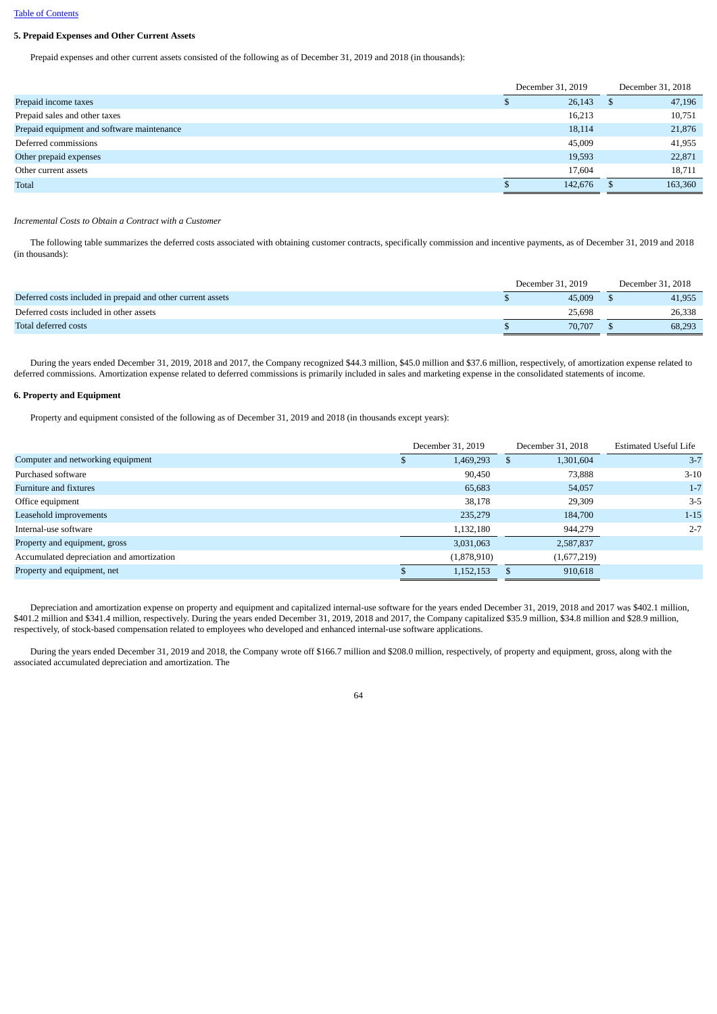# **5. Prepaid Expenses and Other Current Assets**

Prepaid expenses and other current assets consisted of the following as of December 31, 2019 and 2018 (in thousands):

|                                            | December 31, 2019 |  | December 31, 2018 |
|--------------------------------------------|-------------------|--|-------------------|
| Prepaid income taxes                       | 26,143            |  | 47,196            |
| Prepaid sales and other taxes              | 16,213            |  | 10,751            |
| Prepaid equipment and software maintenance | 18,114            |  | 21,876            |
| Deferred commissions                       | 45,009            |  | 41,955            |
| Other prepaid expenses                     | 19,593            |  | 22,871            |
| Other current assets                       | 17.604            |  | 18,711            |
| <b>Total</b>                               | 142,676           |  | 163,360           |

# *Incremental Costs to Obtain a Contract with a Customer*

The following table summarizes the deferred costs associated with obtaining customer contracts, specifically commission and incentive payments, as of December 31, 2019 and 2018 (in thousands):

| December 31, 2019 | December 31, 2018 |
|-------------------|-------------------|
| 45,009            | 41,955            |
| 25,698            | 26,338            |
| 70.707            | 68.293            |
|                   |                   |

During the years ended December 31, 2019, 2018 and 2017, the Company recognized \$44.3 million, \$45.0 million and \$37.6 million, respectively, of amortization expense related to deferred commissions. Amortization expense related to deferred commissions is primarily included in sales and marketing expense in the consolidated statements of income.

# **6. Property and Equipment**

Property and equipment consisted of the following as of December 31, 2019 and 2018 (in thousands except years):

|                                           | December 31, 2019 | December 31, 2018         | Estimated Useful Life |
|-------------------------------------------|-------------------|---------------------------|-----------------------|
| Computer and networking equipment         | 1,469,293<br>Ф    | 1,301,604<br><sup>S</sup> | $3 - 7$               |
| Purchased software                        | 90,450            | 73,888                    | $3 - 10$              |
| Furniture and fixtures                    | 65,683            | 54,057                    | $1 - 7$               |
| Office equipment                          | 38,178            | 29,309                    | $3 - 5$               |
| Leasehold improvements                    | 235,279           | 184,700                   | $1 - 15$              |
| Internal-use software                     | 1,132,180         | 944,279                   | $2 - 7$               |
| Property and equipment, gross             | 3,031,063         | 2,587,837                 |                       |
| Accumulated depreciation and amortization | (1,878,910)       | (1,677,219)               |                       |
| Property and equipment, net               | 1,152,153         | 910,618                   |                       |

Depreciation and amortization expense on property and equipment and capitalized internal-use software for the years ended December 31, 2019, 2018 and 2017 was \$402.1 million, \$401.2 million and \$341.4 million, respectively. During the years ended December 31, 2019, 2018 and 2017, the Company capitalized \$35.9 million, \$34.8 million and \$28.9 million, respectively, of stock-based compensation related to employees who developed and enhanced internal-use software applications.

During the years ended December 31, 2019 and 2018, the Company wrote off \$166.7 million and \$208.0 million, respectively, of property and equipment, gross, along with the associated accumulated depreciation and amortization. The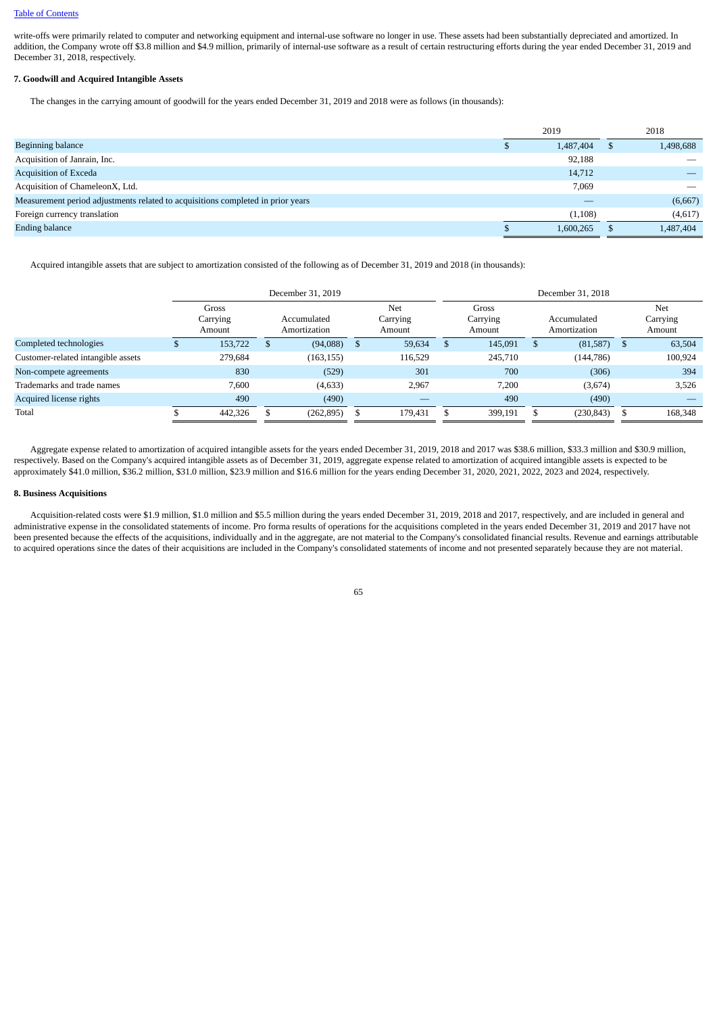write-offs were primarily related to computer and networking equipment and internal-use software no longer in use. These assets had been substantially depreciated and amortized. In addition, the Company wrote off \$3.8 million and \$4.9 million, primarily of internal-use software as a result of certain restructuring efforts during the year ended December 31, 2019 and December 31, 2018, respectively.

# **7. Goodwill and Acquired Intangible Assets**

The changes in the carrying amount of goodwill for the years ended December 31, 2019 and 2018 were as follows (in thousands):

|                                                                                 | 2019      | 2018      |
|---------------------------------------------------------------------------------|-----------|-----------|
| Beginning balance                                                               | 1,487,404 | 1,498,688 |
| Acquisition of Janrain, Inc.                                                    | 92,188    | __        |
| <b>Acquisition of Exceda</b>                                                    | 14,712    |           |
| Acquisition of ChameleonX, Ltd.                                                 | 7,069     |           |
| Measurement period adjustments related to acquisitions completed in prior years |           | (6,667)   |
| Foreign currency translation                                                    | (1,108)   | (4,617)   |
| <b>Ending balance</b>                                                           | 1,600,265 | 1,487,404 |

Acquired intangible assets that are subject to amortization consisted of the following as of December 31, 2019 and 2018 (in thousands):

|                                    | December 31, 2019 |                             |      |                             |   |                           |   |                             | December 31, 2018           |            |                           |         |
|------------------------------------|-------------------|-----------------------------|------|-----------------------------|---|---------------------------|---|-----------------------------|-----------------------------|------------|---------------------------|---------|
|                                    |                   | Gross<br>Carrying<br>Amount |      | Accumulated<br>Amortization |   | Net<br>Carrying<br>Amount |   | Gross<br>Carrying<br>Amount | Accumulated<br>Amortization |            | Net<br>Carrying<br>Amount |         |
| Completed technologies             |                   | 153,722                     | - \$ | (94,088)                    | S | 59,634                    | D | 145,091                     | - \$                        | (81,587)   | -\$                       | 63,504  |
| Customer-related intangible assets |                   | 279,684                     |      | (163, 155)                  |   | 116.529                   |   | 245,710                     |                             | (144, 786) |                           | 100,924 |
| Non-compete agreements             |                   | 830                         |      | (529)                       |   | 301                       |   | 700                         |                             | (306)      |                           | 394     |
| Trademarks and trade names         |                   | 7,600                       |      | (4,633)                     |   | 2,967                     |   | 7,200                       |                             | (3,674)    |                           | 3,526   |
| Acquired license rights            |                   | 490                         |      | (490)                       |   |                           |   | 490                         |                             | (490)      |                           |         |
| Total                              |                   | 442,326                     |      | (262, 895)                  |   | 179,431                   |   | 399,191                     |                             | (230, 843) |                           | 168,348 |

Aggregate expense related to amortization of acquired intangible assets for the years ended December 31, 2019, 2018 and 2017 was \$38.6 million, \$33.3 million and \$30.9 million, respectively. Based on the Company's acquired intangible assets as of December 31, 2019, aggregate expense related to amortization of acquired intangible assets is expected to be respectively. Based on the Company's acquir approximately \$41.0 million, \$36.2 million, \$31.0 million, \$23.9 million and \$16.6 million for the years ending December 31, 2020, 2021, 2022, 2023 and 2024, respectively.

# **8. Business Acquisitions**

Acquisition-related costs were \$1.9 million, \$1.0 million and \$5.5 million during the years ended December 31, 2019, 2018 and 2017, respectively, and are included in general and administrative expense in the consolidated statements of income. Pro forma results of operations for the acquisitions completed in the years ended December 31, 2019 and 2017 have not been presented because the effects of the acquisitions, individually and in the aggregate, are not material to the Company's consolidated financial results. Revenue and earnings attributable to acquired operations since the dates of their acquisitions are included in the Company's consolidated statements of income and not presented separately because they are not material.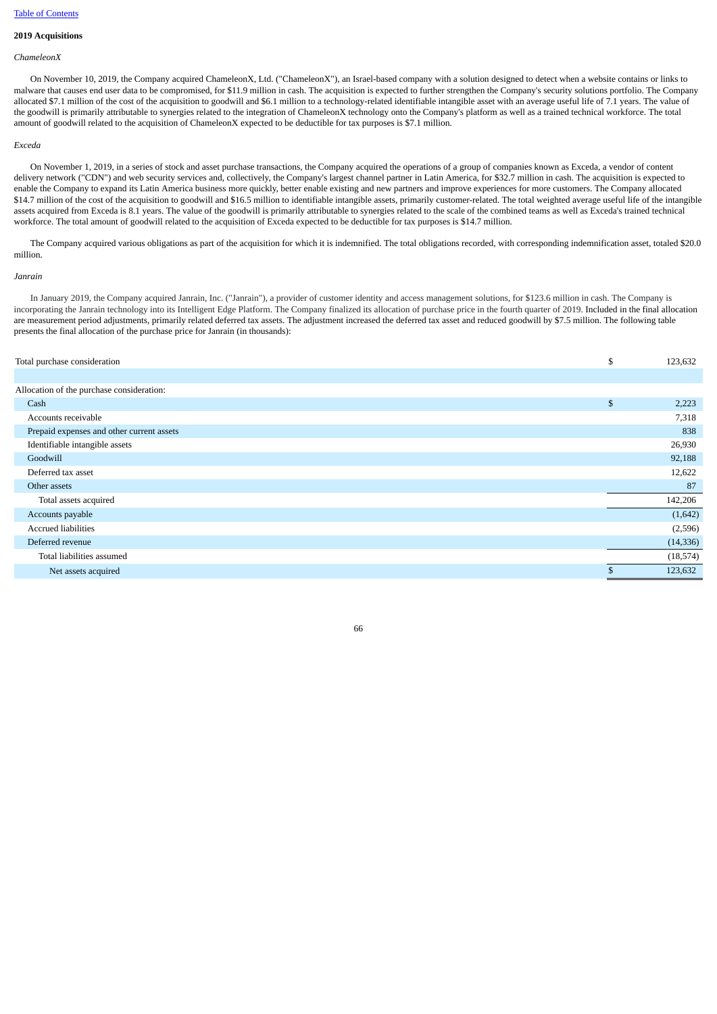# **2019 Acquisitions**

# *ChameleonX*

On November 10, 2019, the Company acquired ChameleonX, Ltd. ("ChameleonX"), an Israel-based company with a solution designed to detect when a website contains or links to malware that causes end user data to be compromised, for \$11.9 million in cash. The acquisition is expected to further strengthen the Company's security solutions portfolio. The Company allocated \$7.1 million of the cost of the acquisition to goodwill and \$6.1 million to a technology-related identifiable intangible asset with an average useful life of 7.1 years. The value of the goodwill is primarily attributable to synergies related to the integration of ChameleonX technology onto the Company's platform as well as a trained technical workforce. The total amount of goodwill related to the acquisition of ChameleonX expected to be deductible for tax purposes is \$7.1 million.

#### *Exceda*

On November 1, 2019, in a series of stock and asset purchase transactions, the Company acquired the operations of a group of companies known as Exceda, a vendor of content delivery network ("CDN") and web security services and, collectively, the Company's largest channel partner in Latin America, for \$32.7 million in cash. The acquisition is expected to enable the Company to expand its Latin America business more quickly, better enable existing and new partners and improve experiences for more customers. The Company allocated \$14.7 million of the cost of the acquisition to goodwill and \$16.5 million to identifiable intangible assets, primarily customer-related. The total weighted average useful life of the intangible assets acquired from Exceda is 8.1 years. The value of the goodwill is primarily attributable to synergies related to the scale of the combined teams as well as Exceda's trained technical workforce. The total amount of goodwill related to the acquisition of Exceda expected to be deductible for tax purposes is \$14.7 million.

The Company acquired various obligations as part of the acquisition for which it is indemnified. The total obligations recorded, with corresponding indemnification asset, totaled \$20.0 million.

# *Janrain*

In January 2019, the Company acquired Janrain, Inc. ("Janrain"), a provider of customer identity and access management solutions, for \$123.6 million in cash. The Company is incorporating the Janrain technology into its Intelligent Edge Platform. The Company finalized its allocation of purchase price in the fourth quarter of 2019. Included in the final allocation are measurement period adjustments, primarily related deferred tax assets. The adjustment increased the deferred tax asset and reduced goodwill by \$7.5 million. The following table presents the final allocation of the purchase price for Janrain (in thousands):

| Total purchase consideration              | \$<br>123,632 |
|-------------------------------------------|---------------|
|                                           |               |
| Allocation of the purchase consideration: |               |
| Cash                                      | \$<br>2,223   |
| Accounts receivable                       | 7,318         |
| Prepaid expenses and other current assets | 838           |
| Identifiable intangible assets            | 26,930        |
| Goodwill                                  | 92,188        |
| Deferred tax asset                        | 12,622        |
| Other assets                              | 87            |
| Total assets acquired                     | 142,206       |
| Accounts payable                          | (1,642)       |
| <b>Accrued liabilities</b>                | (2,596)       |
| Deferred revenue                          | (14, 336)     |
| Total liabilities assumed                 | (18, 574)     |
| Net assets acquired                       | 123,632       |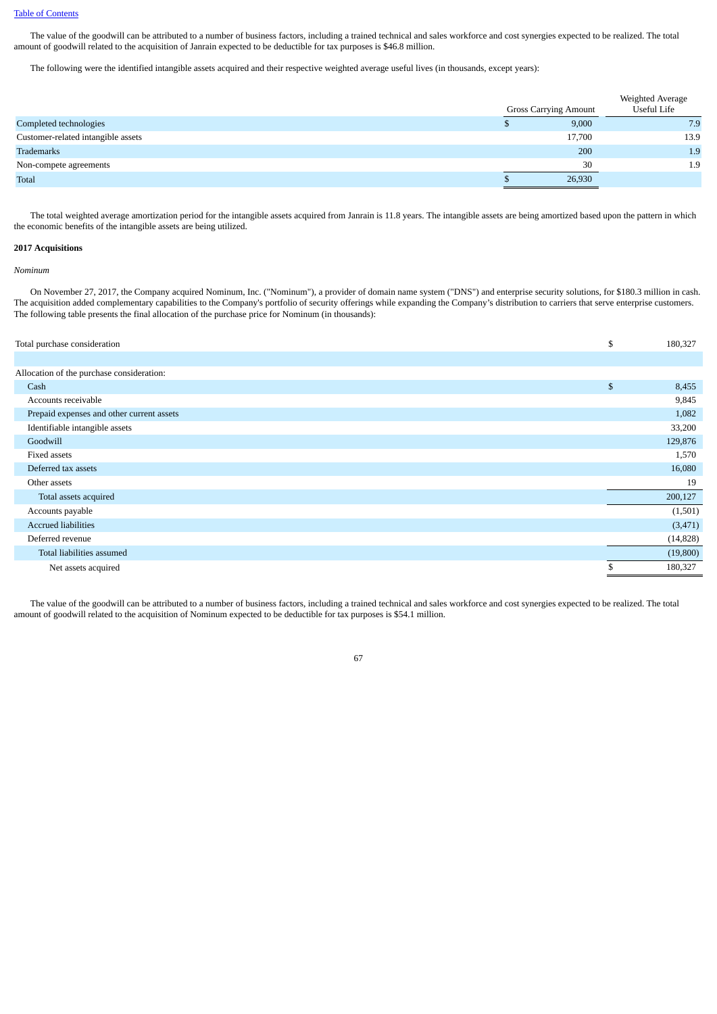The value of the goodwill can be attributed to a number of business factors, including a trained technical and sales workforce and cost synergies expected to be realized. The total amount of goodwill related to the acquisition of Janrain expected to be deductible for tax purposes is \$46.8 million.

The following were the identified intangible assets acquired and their respective weighted average useful lives (in thousands, except years):

|                                    | Gross Carrying Amount | Weighted Average<br>Useful Life |      |
|------------------------------------|-----------------------|---------------------------------|------|
| Completed technologies             |                       | 9,000                           | 7.9  |
| Customer-related intangible assets |                       | 17,700                          | 13.9 |
| <b>Trademarks</b>                  |                       | 200                             | 1.9  |
| Non-compete agreements             |                       | 30                              | 1.9  |
| <b>Total</b>                       |                       | 26,930                          |      |

The total weighted average amortization period for the intangible assets acquired from Janrain is 11.8 years. The intangible assets are being amortized based upon the pattern in which the economic benefits of the intangible assets are being utilized.

#### **2017 Acquisitions**

*Nominum*

On November 27, 2017, the Company acquired Nominum, Inc. ("Nominum"), a provider of domain name system ("DNS") and enterprise security solutions, for \$180.3 million in cash. The acquisition added complementary capabilities to the Company's portfolio of security offerings while expanding the Company's distribution to carriers that serve enterprise customers. The following table presents the final allocation of the purchase price for Nominum (in thousands):

| Total purchase consideration              | \$<br>180,327 |
|-------------------------------------------|---------------|
|                                           |               |
| Allocation of the purchase consideration: |               |
| Cash                                      | \$<br>8,455   |
| Accounts receivable                       | 9,845         |
| Prepaid expenses and other current assets | 1,082         |
| Identifiable intangible assets            | 33,200        |
| Goodwill                                  | 129,876       |
| Fixed assets                              | 1,570         |
| Deferred tax assets                       | 16,080        |
| Other assets                              | 19            |
| Total assets acquired                     | 200,127       |
| Accounts payable                          | (1,501)       |
| <b>Accrued liabilities</b>                | (3, 471)      |
| Deferred revenue                          | (14, 828)     |
| Total liabilities assumed                 | (19,800)      |
| Net assets acquired                       | \$<br>180,327 |

The value of the goodwill can be attributed to a number of business factors, including a trained technical and sales workforce and cost synergies expected to be realized. The total amount of goodwill related to the acquisition of Nominum expected to be deductible for tax purposes is \$54.1 million.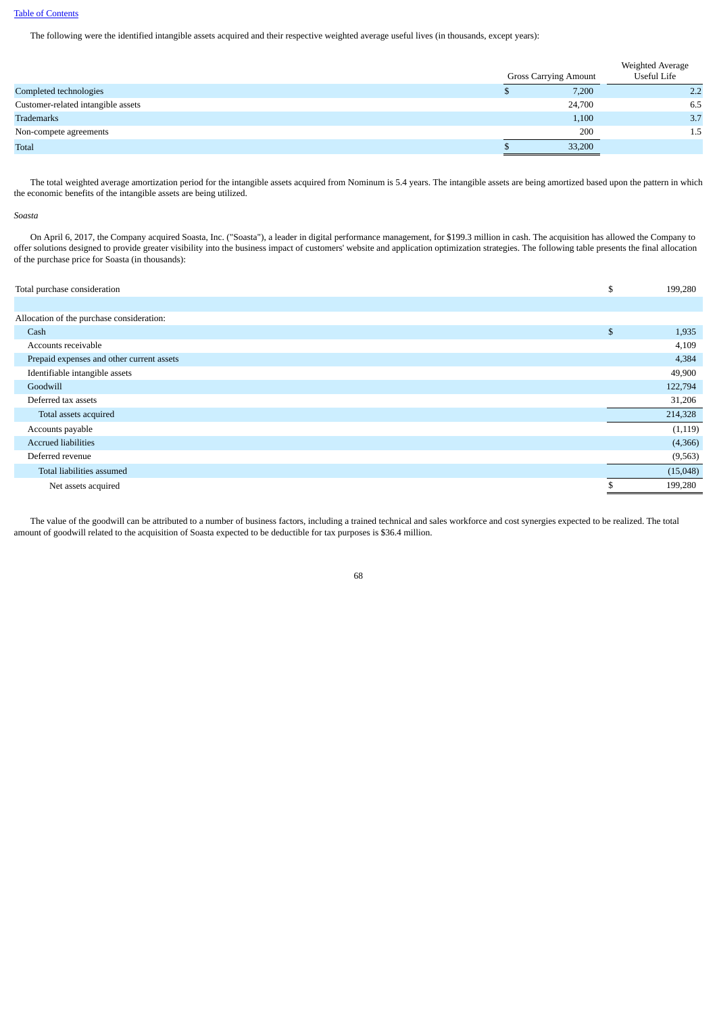The following were the identified intangible assets acquired and their respective weighted average useful lives (in thousands, except years):

|                                    | <b>Gross Carrying Amount</b> | Weighted Average<br>Useful Life |     |
|------------------------------------|------------------------------|---------------------------------|-----|
| Completed technologies             |                              | 7,200                           | 2.2 |
| Customer-related intangible assets |                              | 24,700                          | 6.5 |
| Trademarks                         |                              | 1,100                           | 3.7 |
| Non-compete agreements             |                              | 200                             | 1.5 |
| <b>Total</b>                       |                              | 33,200                          |     |

The total weighted average amortization period for the intangible assets acquired from Nominum is 5.4 years. The intangible assets are being amortized based upon the pattern in which the economic benefits of the intangible assets are being utilized.

# *Soasta*

On April 6, 2017, the Company acquired Soasta, Inc. ("Soasta"), a leader in digital performance management, for \$199.3 million in cash. The acquisition has allowed the Company to offer solutions designed to provide greater visibility into the business impact of customers' website and application optimization strategies. The following table presents the final allocation of the purchase price for Soasta (in thousands):

| Total purchase consideration              | \$           | 199,280  |
|-------------------------------------------|--------------|----------|
|                                           |              |          |
| Allocation of the purchase consideration: |              |          |
| Cash                                      | $\mathbb{S}$ | 1,935    |
| Accounts receivable                       |              | 4,109    |
| Prepaid expenses and other current assets |              | 4,384    |
| Identifiable intangible assets            |              | 49,900   |
| Goodwill                                  |              | 122,794  |
| Deferred tax assets                       |              | 31,206   |
| Total assets acquired                     |              | 214,328  |
| Accounts payable                          |              | (1, 119) |
| <b>Accrued liabilities</b>                |              | (4,366)  |
| Deferred revenue                          |              | (9,563)  |
| Total liabilities assumed                 |              | (15,048) |
| Net assets acquired                       |              | 199,280  |
|                                           |              |          |

The value of the goodwill can be attributed to a number of business factors, including a trained technical and sales workforce and cost synergies expected to be realized. The total amount of goodwill related to the acquisition of Soasta expected to be deductible for tax purposes is \$36.4 million.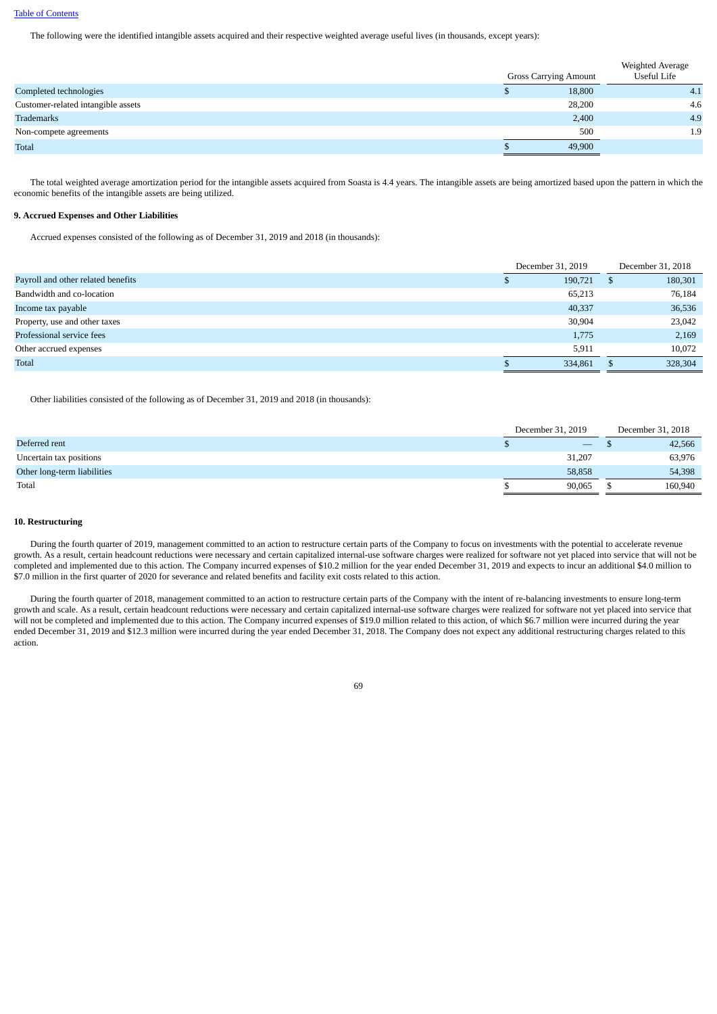The following were the identified intangible assets acquired and their respective weighted average useful lives (in thousands, except years):

|                                    | Gross Carrying Amount | Weighted Average<br>Useful Life |  |
|------------------------------------|-----------------------|---------------------------------|--|
| Completed technologies             | 18,800                | 4.1                             |  |
| Customer-related intangible assets | 28,200                | 4.6                             |  |
| <b>Trademarks</b>                  | 2,400                 | 4.9                             |  |
| Non-compete agreements             | 500                   | 1.9                             |  |
| <b>Total</b>                       | 49,900                |                                 |  |

The total weighted average amortization period for the intangible assets acquired from Soasta is 4.4 years. The intangible assets are being amortized based upon the pattern in which the economic benefits of the intangible assets are being utilized.

# **9. Accrued Expenses and Other Liabilities**

Accrued expenses consisted of the following as of December 31, 2019 and 2018 (in thousands):

|                                    | December 31, 2019 |  | December 31, 2018 |  |
|------------------------------------|-------------------|--|-------------------|--|
| Payroll and other related benefits | 190,721           |  | 180,301           |  |
| Bandwidth and co-location          | 65,213            |  | 76,184            |  |
| Income tax payable                 | 40,337            |  | 36,536            |  |
| Property, use and other taxes      | 30,904            |  | 23,042            |  |
| Professional service fees          | 1,775             |  | 2,169             |  |
| Other accrued expenses             | 5,911             |  | 10,072            |  |
| <b>Total</b>                       | 334,861           |  | 328,304           |  |

Other liabilities consisted of the following as of December 31, 2019 and 2018 (in thousands):

|                             | December 31, 2019        |  | December 31, 2018 |  |
|-----------------------------|--------------------------|--|-------------------|--|
| Deferred rent               | $\overline{\phantom{a}}$ |  | 42,566            |  |
| Uncertain tax positions     | 31,207                   |  | 63,976            |  |
| Other long-term liabilities | 58,858                   |  | 54,398            |  |
| Total                       | 90,065                   |  | 160,940           |  |

# **10. Restructuring**

During the fourth quarter of 2019, management committed to an action to restructure certain parts of the Company to focus on investments with the potential to accelerate revenue growth. As a result, certain headcount reductions were necessary and certain capitalized internal-use software charges were realized for software not yet placed into service that will not be completed and implemented due to this action. The Company incurred expenses of \$10.2 million for the year ended December 31, 2019 and expects to incur an additional \$4.0 million to \$7.0 million in the first quarter of 2020 for severance and related benefits and facility exit costs related to this action.

During the fourth quarter of 2018, management committed to an action to restructure certain parts of the Company with the intent of re-balancing investments to ensure long-term growth and scale. As a result, certain headcount reductions were necessary and certain capitalized internal-use software charges were realized for software not yet placed into service that will not be completed and implemented due to this action. The Company incurred expenses of \$19.0 million related to this action, of which \$6.7 million were incurred during the year ended December 31, 2019 and \$12.3 million were incurred during the year ended December 31, 2018. The Company does not expect any additional restructuring charges related to this action.

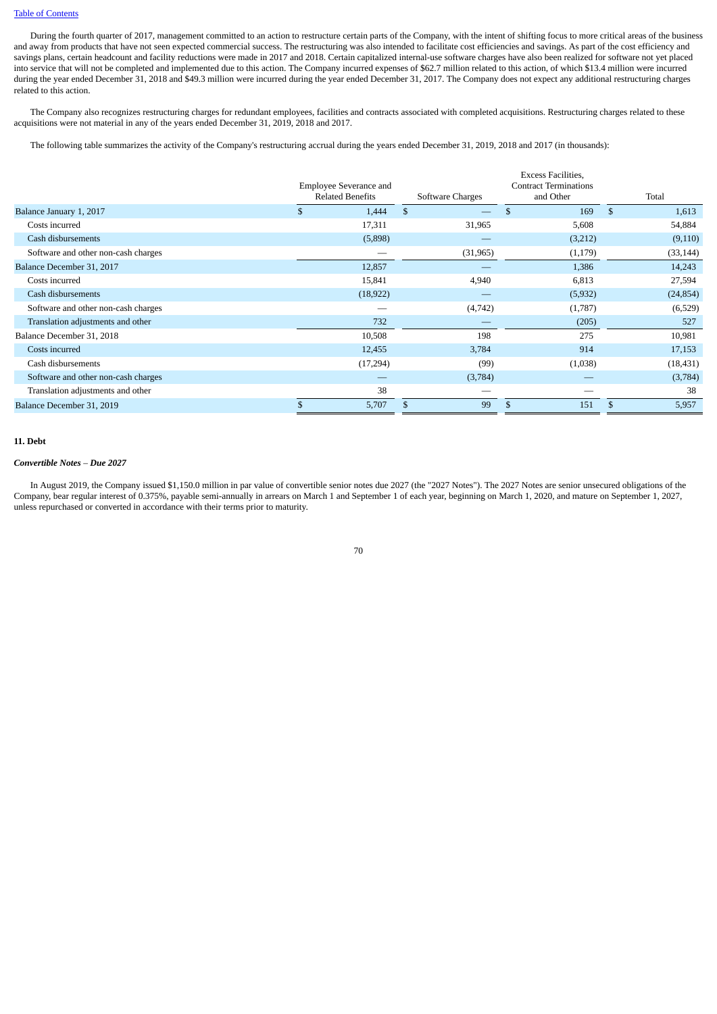During the fourth quarter of 2017, management committed to an action to restructure certain parts of the Company, with the intent of shifting focus to more critical areas of the business and away from products that have not seen expected commercial success. The restructuring was also intended to facilitate cost efficiencies and savings. As part of the cost efficiency and savings plans, certain headcount and facility reductions were made in 2017 and 2018. Certain capitalized internal-use software charges have also been realized for software not yet placed into service that will not be completed and implemented due to this action. The Company incurred expenses of \$62.7 million related to this action, of which \$13.4 million were incurred during the year ended December 31, 2018 and \$49.3 million were incurred during the year ended December 31, 2017. The Company does not expect any additional restructuring charges related to this action.

The Company also recognizes restructuring charges for redundant employees, facilities and contracts associated with completed acquisitions. Restructuring charges related to these acquisitions were not material in any of the years ended December 31, 2019, 2018 and 2017.

The following table summarizes the activity of the Company's restructuring accrual during the years ended December 31, 2019, 2018 and 2017 (in thousands):

|                                     |     | <b>Employee Severance and</b> |                                 | <b>Excess Facilities,</b><br><b>Contract Terminations</b> |              |           |
|-------------------------------------|-----|-------------------------------|---------------------------------|-----------------------------------------------------------|--------------|-----------|
|                                     |     | <b>Related Benefits</b>       | Software Charges                | and Other                                                 |              | Total     |
| Balance January 1, 2017             | Эħ. | 1,444                         | $\mathbf{s}$                    | 169<br>\$                                                 | $\mathbf{s}$ | 1,613     |
| Costs incurred                      |     | 17,311                        | 31,965                          | 5,608                                                     |              | 54,884    |
| Cash disbursements                  |     | (5,898)                       |                                 | (3,212)                                                   |              | (9,110)   |
| Software and other non-cash charges |     |                               | (31, 965)                       | (1,179)                                                   |              | (33, 144) |
| Balance December 31, 2017           |     | 12,857                        |                                 | 1,386                                                     |              | 14,243    |
| Costs incurred                      |     | 15,841                        | 4,940                           | 6,813                                                     |              | 27,594    |
| Cash disbursements                  |     | (18, 922)                     | $\hspace{0.1mm}-\hspace{0.1mm}$ | (5, 932)                                                  |              | (24, 854) |
| Software and other non-cash charges |     |                               | (4,742)                         | (1,787)                                                   |              | (6,529)   |
| Translation adjustments and other   |     | 732                           |                                 | (205)                                                     |              | 527       |
| Balance December 31, 2018           |     | 10,508                        | 198                             | 275                                                       |              | 10,981    |
| Costs incurred                      |     | 12,455                        | 3,784                           | 914                                                       |              | 17,153    |
| Cash disbursements                  |     | (17, 294)                     | (99)                            | (1,038)                                                   |              | (18, 431) |
| Software and other non-cash charges |     |                               | (3,784)                         |                                                           |              | (3,784)   |
| Translation adjustments and other   |     | 38                            | –                               |                                                           |              | 38        |
| Balance December 31, 2019           |     | 5,707                         | 99<br>\$                        | 151                                                       |              | 5,957     |

# **11. Debt**

# *Convertible Notes* – *Due 2027*

In August 2019, the Company issued \$1,150.0 million in par value of convertible senior notes due 2027 (the "2027 Notes"). The 2027 Notes are senior unsecured obligations of the Company, bear regular interest of 0.375%, payable semi-annually in arrears on March 1 and September 1 of each year, beginning on March 1, 2020, and mature on September 1, 2027, unless repurchased or converted in accordance with their terms prior to maturity.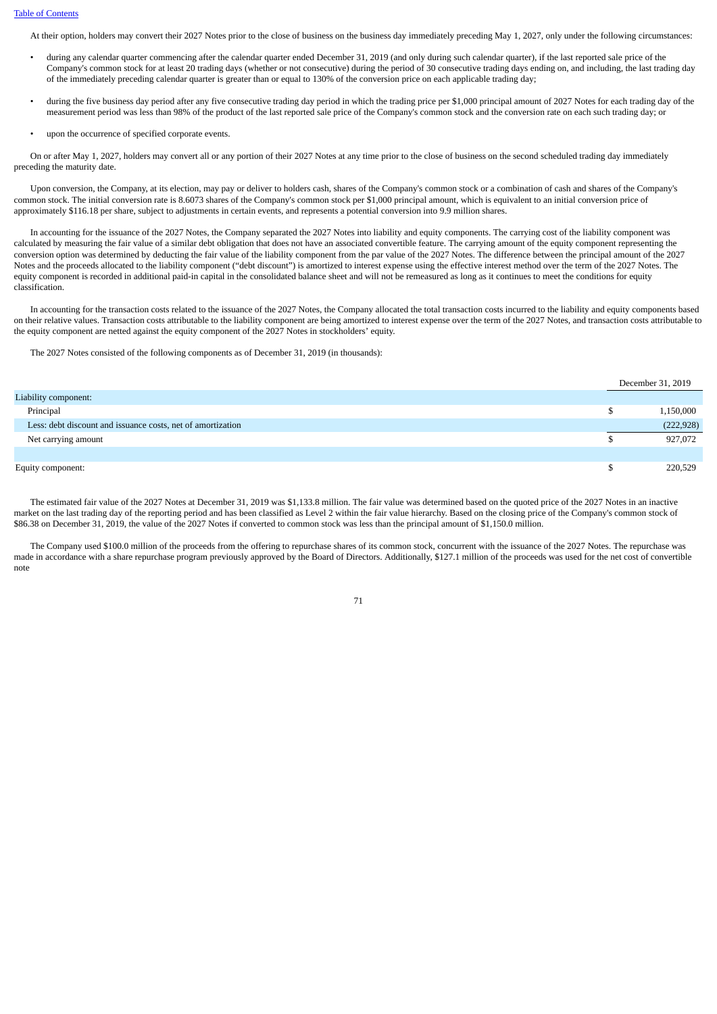At their option, holders may convert their 2027 Notes prior to the close of business on the business day immediately preceding May 1, 2027, only under the following circumstances:

- during any calendar quarter commencing after the calendar quarter ended December 31, 2019 (and only during such calendar quarter), if the last reported sale price of the Company's common stock for at least 20 trading days (whether or not consecutive) during the period of 30 consecutive trading days ending on, and including, the last trading day of the immediately preceding calendar quarter is greater than or equal to 130% of the conversion price on each applicable trading day;
- during the five business day period after any five consecutive trading day period in which the trading price per \$1,000 principal amount of 2027 Notes for each trading day of the measurement period was less than 98% of the product of the last reported sale price of the Company's common stock and the conversion rate on each such trading day; or
- upon the occurrence of specified corporate events.

On or after May 1, 2027, holders may convert all or any portion of their 2027 Notes at any time prior to the close of business on the second scheduled trading day immediately preceding the maturity date.

Upon conversion, the Company, at its election, may pay or deliver to holders cash, shares of the Company's common stock or a combination of cash and shares of the Company's common stock. The initial conversion rate is 8.6073 shares of the Company's common stock per \$1,000 principal amount, which is equivalent to an initial conversion price of approximately \$116.18 per share, subject to adjustments in certain events, and represents a potential conversion into 9.9 million shares.

In accounting for the issuance of the 2027 Notes, the Company separated the 2027 Notes into liability and equity components. The carrying cost of the liability component was calculated by measuring the fair value of a similar debt obligation that does not have an associated convertible feature. The carrying amount of the equity component representing the conversion option was determined by deducting the fair value of the liability component from the par value of the 2027 Notes. The difference between the principal amount of the 2027 Notes and the proceeds allocated to the liability component ("debt discount") is amortized to interest expense using the effective interest method over the term of the 2027 Notes. The equity component is recorded in additional paid-in capital in the consolidated balance sheet and will not be remeasured as long as it continues to meet the conditions for equity classification.

In accounting for the transaction costs related to the issuance of the 2027 Notes, the Company allocated the total transaction costs incurred to the liability and equity components based on their relative values. Transaction costs attributable to the liability component are being amortized to interest expense over the term of the 2027 Notes, and transaction costs attributable to the equity component are netted against the equity component of the 2027 Notes in stockholders' equity.

The 2027 Notes consisted of the following components as of December 31, 2019 (in thousands):

|                                                             | December 31, 2019 |            |
|-------------------------------------------------------------|-------------------|------------|
| Liability component:                                        |                   |            |
| Principal                                                   |                   | 1,150,000  |
| Less: debt discount and issuance costs, net of amortization |                   | (222, 928) |
| Net carrying amount                                         |                   | 927,072    |
|                                                             |                   |            |
| Equity component:                                           |                   | 220,529    |

The estimated fair value of the 2027 Notes at December 31, 2019 was \$1,133.8 million. The fair value was determined based on the quoted price of the 2027 Notes in an inactive market on the last trading day of the reporting period and has been classified as Level 2 within the fair value hierarchy. Based on the closing price of the Company's common stock of \$86.38 on December 31, 2019, the value of the 2027 Notes if converted to common stock was less than the principal amount of \$1,150.0 million.

The Company used \$100.0 million of the proceeds from the offering to repurchase shares of its common stock, concurrent with the issuance of the 2027 Notes. The repurchase was made in accordance with a share repurchase program previously approved by the Board of Directors. Additionally, \$127.1 million of the proceeds was used for the net cost of convertible note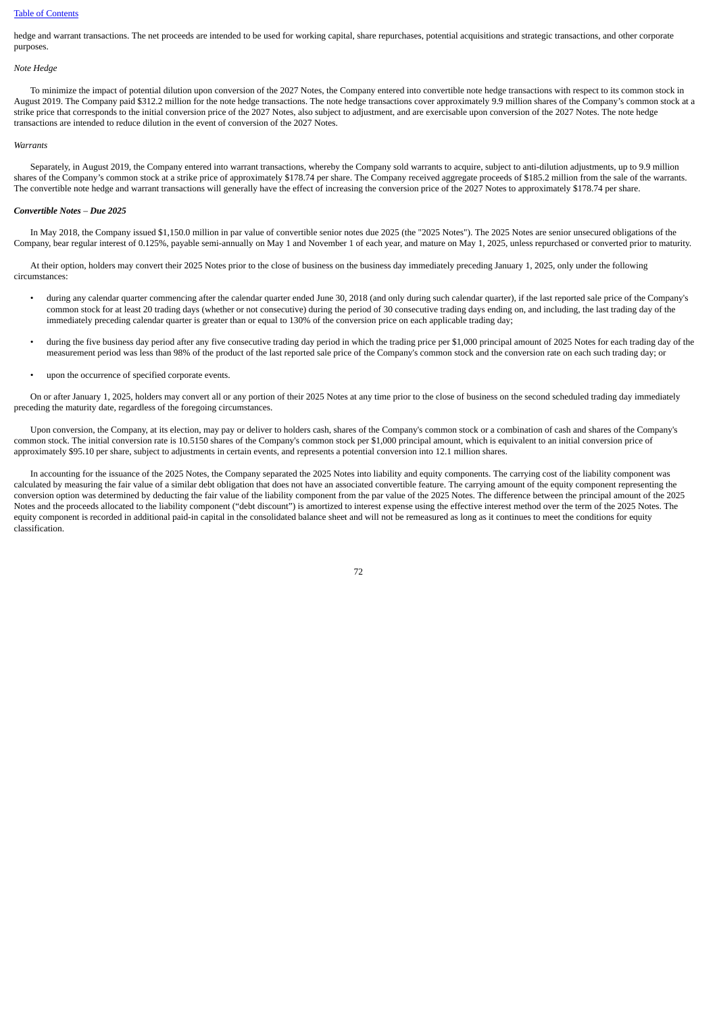hedge and warrant transactions. The net proceeds are intended to be used for working capital, share repurchases, potential acquisitions and strategic transactions, and other corporate purposes.

#### *Note Hedge*

To minimize the impact of potential dilution upon conversion of the 2027 Notes, the Company entered into convertible note hedge transactions with respect to its common stock in August 2019. The Company paid \$312.2 million for the note hedge transactions. The note hedge transactions cover approximately 9.9 million shares of the Company's common stock at a strike price that corresponds to the initial conversion price of the 2027 Notes, also subject to adjustment, and are exercisable upon conversion of the 2027 Notes. The note hedge transactions are intended to reduce dilution in the event of conversion of the 2027 Notes.

#### *Warrants*

Separately, in August 2019, the Company entered into warrant transactions, whereby the Company sold warrants to acquire, subject to anti-dilution adjustments, up to 9.9 million shares of the Company's common stock at a strike price of approximately \$178.74 per share. The Company received aggregate proceeds of \$185.2 million from the sale of the warrants. The convertible note hedge and warrant transactions will generally have the effect of increasing the conversion price of the 2027 Notes to approximately \$178.74 per share.

#### *Convertible Notes* – *Due 2025*

In May 2018, the Company issued \$1,150.0 million in par value of convertible senior notes due 2025 (the "2025 Notes"). The 2025 Notes are senior unsecured obligations of the Company, bear regular interest of 0.125%, payable semi-annually on May 1 and November 1 of each year, and mature on May 1, 2025, unless repurchased or converted prior to maturity.

At their option, holders may convert their 2025 Notes prior to the close of business on the business day immediately preceding January 1, 2025, only under the following circumstances:

- during any calendar quarter commencing after the calendar quarter ended June 30, 2018 (and only during such calendar quarter), if the last reported sale price of the Company's common stock for at least 20 trading days (whether or not consecutive) during the period of 30 consecutive trading days ending on, and including, the last trading day of the immediately preceding calendar quarter is greater than or equal to 130% of the conversion price on each applicable trading day;
- during the five business day period after any five consecutive trading day period in which the trading price per \$1,000 principal amount of 2025 Notes for each trading day of the measurement period was less than 98% of the product of the last reported sale price of the Company's common stock and the conversion rate on each such trading day; or
- upon the occurrence of specified corporate events.

On or after January 1, 2025, holders may convert all or any portion of their 2025 Notes at any time prior to the close of business on the second scheduled trading day immediately preceding the maturity date, regardless of the foregoing circumstances.

Upon conversion, the Company, at its election, may pay or deliver to holders cash, shares of the Company's common stock or a combination of cash and shares of the Company's common stock. The initial conversion rate is 10.5150 shares of the Company's common stock per \$1,000 principal amount, which is equivalent to an initial conversion price of approximately \$95.10 per share, subject to adjustments in certain events, and represents a potential conversion into 12.1 million shares.

In accounting for the issuance of the 2025 Notes, the Company separated the 2025 Notes into liability and equity components. The carrying cost of the liability component was calculated by measuring the fair value of a similar debt obligation that does not have an associated convertible feature. The carrying amount of the equity component representing the conversion option was determined by deducting the fair value of the liability component from the par value of the 2025 Notes. The difference between the principal amount of the 2025 Notes and the proceeds allocated to the liability component ("debt discount") is amortized to interest expense using the effective interest method over the term of the 2025 Notes. The equity component is recorded in additional paid-in capital in the consolidated balance sheet and will not be remeasured as long as it continues to meet the conditions for equity classification.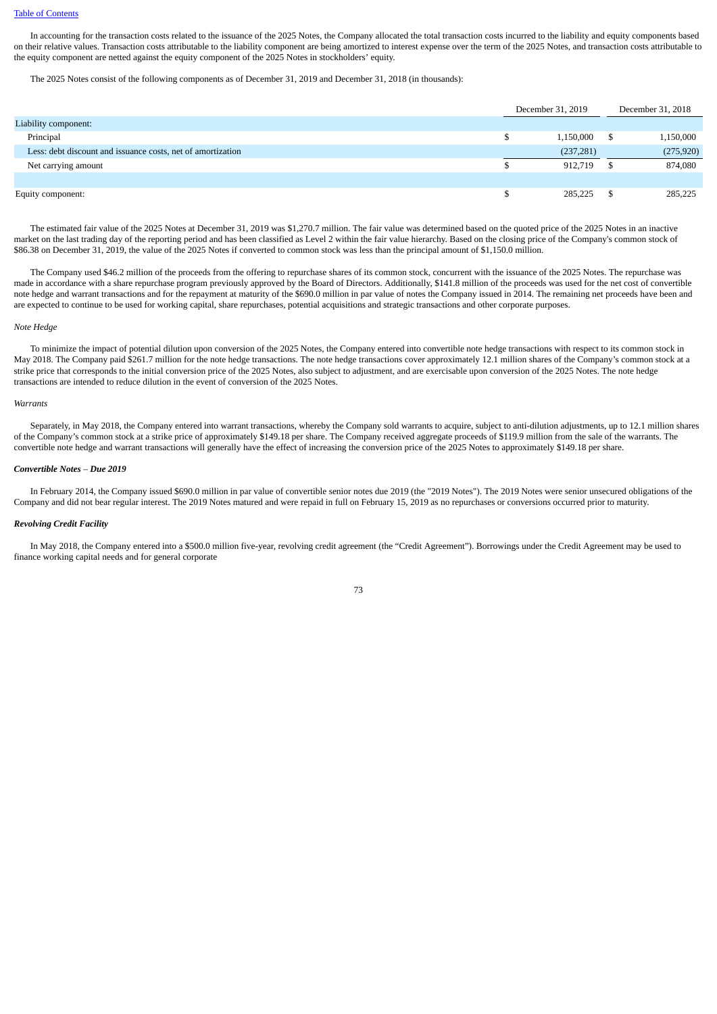In accounting for the transaction costs related to the issuance of the 2025 Notes, the Company allocated the total transaction costs incurred to the liability and equity components based on their relative values. Transaction costs attributable to the liability component are being amortized to interest expense over the term of the 2025 Notes, and transaction costs attributable to the equity component are netted against the equity component of the 2025 Notes in stockholders' equity.

The 2025 Notes consist of the following components as of December 31, 2019 and December 31, 2018 (in thousands):

|                                                             | December 31, 2019 |            | December 31, 2018 |  |
|-------------------------------------------------------------|-------------------|------------|-------------------|--|
| Liability component:                                        |                   |            |                   |  |
| Principal                                                   | D                 | 1,150,000  | 1,150,000         |  |
| Less: debt discount and issuance costs, net of amortization |                   | (237, 281) | (275, 920)        |  |
| Net carrying amount                                         |                   | 912,719    | 874,080           |  |
|                                                             |                   |            |                   |  |
| Equity component:                                           |                   | 285,225    | 285,225           |  |

The estimated fair value of the 2025 Notes at December 31, 2019 was \$1,270.7 million. The fair value was determined based on the quoted price of the 2025 Notes in an inactive market on the last trading day of the reporting period and has been classified as Level 2 within the fair value hierarchy. Based on the closing price of the Company's common stock of \$86.38 on December 31, 2019, the value of the 2025 Notes if converted to common stock was less than the principal amount of \$1,150.0 million.

The Company used \$46.2 million of the proceeds from the offering to repurchase shares of its common stock, concurrent with the issuance of the 2025 Notes. The repurchase was made in accordance with a share repurchase program previously approved by the Board of Directors. Additionally, \$141.8 million of the proceeds was used for the net cost of convertible note hedge and warrant transactions and for the repayment at maturity of the \$690.0 million in par value of notes the Company issued in 2014. The remaining net proceeds have been and are expected to continue to be used for working capital, share repurchases, potential acquisitions and strategic transactions and other corporate purposes.

### *Note Hedge*

To minimize the impact of potential dilution upon conversion of the 2025 Notes, the Company entered into convertible note hedge transactions with respect to its common stock in May 2018. The Company paid \$261.7 million for the note hedge transactions. The note hedge transactions cover approximately 12.1 million shares of the Company's common stock at a strike price that corresponds to the initial conversion price of the 2025 Notes, also subject to adjustment, and are exercisable upon conversion of the 2025 Notes. The note hedge transactions are intended to reduce dilution in the event of conversion of the 2025 Notes.

#### *Warrants*

Separately, in May 2018, the Company entered into warrant transactions, whereby the Company sold warrants to acquire, subject to anti-dilution adjustments, up to 12.1 million shares of the Company's common stock at a strike price of approximately \$149.18 per share. The Company received aggregate proceeds of \$119.9 million from the sale of the warrants. The convertible note hedge and warrant transactions will generally have the effect of increasing the conversion price of the 2025 Notes to approximately \$149.18 per share.

### *Convertible Notes* – *Due 2019*

In February 2014, the Company issued \$690.0 million in par value of convertible senior notes due 2019 (the "2019 Notes"). The 2019 Notes were senior unsecured obligations of the Company and did not bear regular interest. The 2019 Notes matured and were repaid in full on February 15, 2019 as no repurchases or conversions occurred prior to maturity.

#### *Revolving Credit Facility*

In May 2018, the Company entered into a \$500.0 million five-year, revolving credit agreement (the "Credit Agreement"). Borrowings under the Credit Agreement may be used to finance working capital needs and for general corporate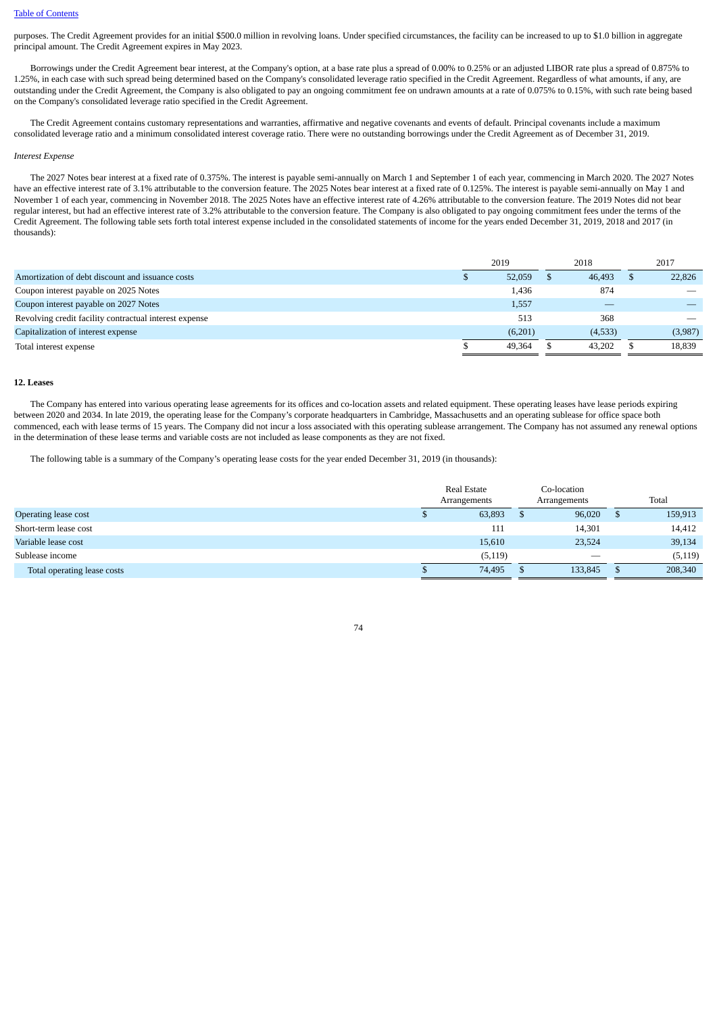purposes. The Credit Agreement provides for an initial \$500.0 million in revolving loans. Under specified circumstances, the facility can be increased to up to \$1.0 billion in aggregate principal amount. The Credit Agreement expires in May 2023.

Borrowings under the Credit Agreement bear interest, at the Company's option, at a base rate plus a spread of 0.00% to 0.25% or an adjusted LIBOR rate plus a spread of 0.875% to 1.25%, in each case with such spread being determined based on the Company's consolidated leverage ratio specified in the Credit Agreement. Regardless of what amounts, if any, are outstanding under the Credit Agreement, the Company is also obligated to pay an ongoing commitment fee on undrawn amounts at a rate of 0.075% to 0.15%, with such rate being based on the Company's consolidated leverage ratio specified in the Credit Agreement.

The Credit Agreement contains customary representations and warranties, affirmative and negative covenants and events of default. Principal covenants include a maximum consolidated leverage ratio and a minimum consolidated interest coverage ratio. There were no outstanding borrowings under the Credit Agreement as of December 31, 2019.

#### *Interest Expense*

The 2027 Notes bear interest at a fixed rate of 0.375%. The interest is payable semi-annually on March 1 and September 1 of each year, commencing in March 2020. The 2027 Notes have an effective interest rate of 3.1% attributable to the conversion feature. The 2025 Notes bear interest at a fixed rate of 0.125%. The interest is payable semi-annually on May 1 and November 1 of each year, commencing in November 2018. The 2025 Notes have an effective interest rate of 4.26% attributable to the conversion feature. The 2019 Notes did not bear regular interest, but had an effective interest rate of 3.2% attributable to the conversion feature. The Company is also obligated to pay ongoing commitment fees under the terms of the Credit Agreement. The following table sets forth total interest expense included in the consolidated statements of income for the years ended December 31, 2019, 2018 and 2017 (in thousands):

|                                                        | 2019    |  | 2018                     |  | 2017              |
|--------------------------------------------------------|---------|--|--------------------------|--|-------------------|
| Amortization of debt discount and issuance costs       | 52,059  |  | 46,493                   |  | 22,826            |
| Coupon interest payable on 2025 Notes                  | 1,436   |  | 874                      |  |                   |
| Coupon interest payable on 2027 Notes                  | 1,557   |  | $\overline{\phantom{a}}$ |  |                   |
| Revolving credit facility contractual interest expense | 513     |  | 368                      |  | $\hspace{0.05cm}$ |
| Capitalization of interest expense                     | (6,201) |  | (4,533)                  |  | (3,987)           |
| Total interest expense                                 | 49.364  |  | 43.202                   |  | 18,839            |

## **12. Leases**

The Company has entered into various operating lease agreements for its offices and co-location assets and related equipment. These operating leases have lease periods expiring between 2020 and 2034. In late 2019, the operating lease for the Company's corporate headquarters in Cambridge, Massachusetts and an operating sublease for office space both commenced, each with lease terms of 15 years. The Company did not incur a loss associated with this operating sublease arrangement. The Company has not assumed any renewal options in the determination of these lease terms and variable costs are not included as lease components as they are not fixed.

The following table is a summary of the Company's operating lease costs for the year ended December 31, 2019 (in thousands):

|                             |   | Real Estate<br>Arrangements | Co-location<br>Arrangements |                          |    | Total    |
|-----------------------------|---|-----------------------------|-----------------------------|--------------------------|----|----------|
| Operating lease cost        | Φ | 63,893                      |                             | 96,020                   | \$ | 159,913  |
| Short-term lease cost       |   | 111                         |                             | 14,301                   |    | 14,412   |
| Variable lease cost         |   | 15,610                      |                             | 23,524                   |    | 39,134   |
| Sublease income             |   | (5, 119)                    |                             | $\overline{\phantom{a}}$ |    | (5, 119) |
| Total operating lease costs |   | 74.495                      |                             | 133,845                  | S  | 208,340  |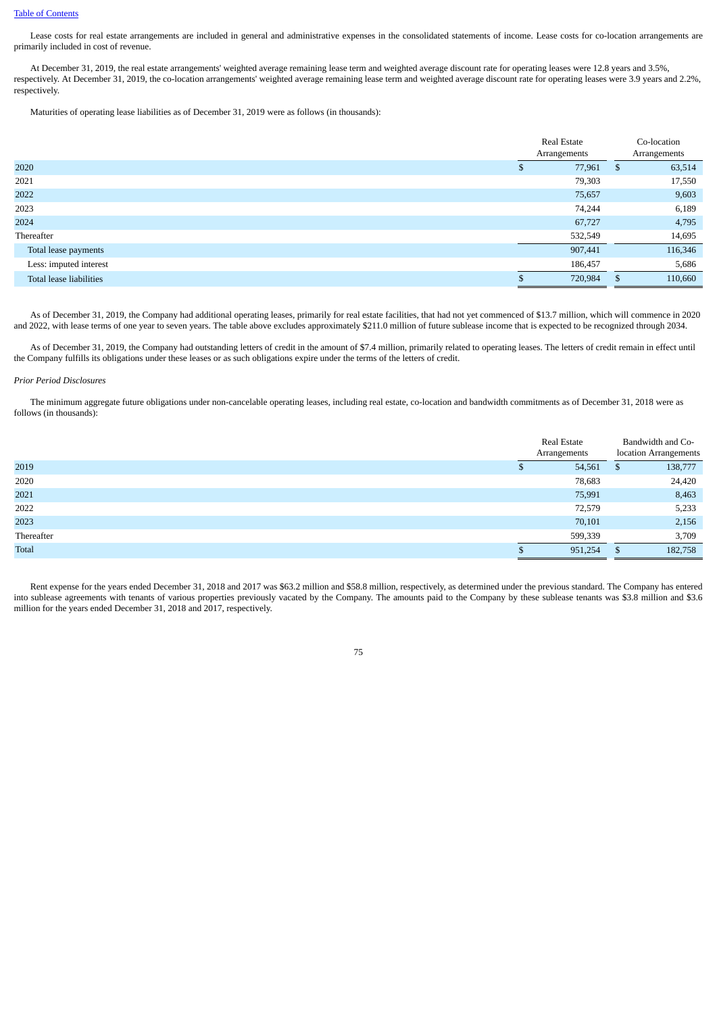Lease costs for real estate arrangements are included in general and administrative expenses in the consolidated statements of income. Lease costs for co-location arrangements are primarily included in cost of revenue.

At December 31, 2019, the real estate arrangements' weighted average remaining lease term and weighted average discount rate for operating leases were 12.8 years and 3.5%, respectively. At December 31, 2019, the co-location arrangements' weighted average remaining lease term and weighted average discount rate for operating leases were 3.9 years and 2.2%, respectively.

Maturities of operating lease liabilities as of December 31, 2019 were as follows (in thousands):

|                         | Real Estate<br>Arrangements |          | Co-location<br>Arrangements |
|-------------------------|-----------------------------|----------|-----------------------------|
| 2020                    | 77,961                      | \$       | 63,514                      |
| 2021                    | 79,303                      |          | 17,550                      |
| 2022                    | 75,657                      |          | 9,603                       |
| 2023                    | 74,244                      |          | 6,189                       |
| 2024                    | 67,727                      |          | 4,795                       |
| Thereafter              | 532,549                     |          | 14,695                      |
| Total lease payments    | 907,441                     |          | 116,346                     |
| Less: imputed interest  | 186,457                     |          | 5,686                       |
| Total lease liabilities | 720,984                     | <b>S</b> | 110,660                     |

As of December 31, 2019, the Company had additional operating leases, primarily for real estate facilities, that had not yet commenced of \$13.7 million, which will commence in 2020 and 2022, with lease terms of one year to seven years. The table above excludes approximately \$211.0 million of future sublease income that is expected to be recognized through 2034.

As of December 31, 2019, the Company had outstanding letters of credit in the amount of \$7.4 million, primarily related to operating leases. The letters of credit remain in effect until the Company fulfills its obligations under these leases or as such obligations expire under the terms of the letters of credit.

#### *Prior Period Disclosures*

The minimum aggregate future obligations under non-cancelable operating leases, including real estate, co-location and bandwidth commitments as of December 31, 2018 were as follows (in thousands):

|            | Real Estate<br>Arrangements |    | Bandwidth and Co-<br>location Arrangements |  |
|------------|-----------------------------|----|--------------------------------------------|--|
| 2019       | 54,561                      | -S | 138,777                                    |  |
| 2020       | 78,683                      |    | 24,420                                     |  |
| 2021       | 75,991                      |    | 8,463                                      |  |
| 2022       | 72,579                      |    | 5,233                                      |  |
| 2023       | 70,101                      |    | 2,156                                      |  |
| Thereafter | 599,339                     |    | 3,709                                      |  |
| Total      | 951,254                     |    | 182,758                                    |  |

Rent expense for the years ended December 31, 2018 and 2017 was \$63.2 million and \$58.8 million, respectively, as determined under the previous standard. The Company has entered into sublease agreements with tenants of various properties previously vacated by the Company. The amounts paid to the Company by these sublease tenants was \$3.8 million and \$3.6 million for the years ended December 31, 2018 and 2017, respectively.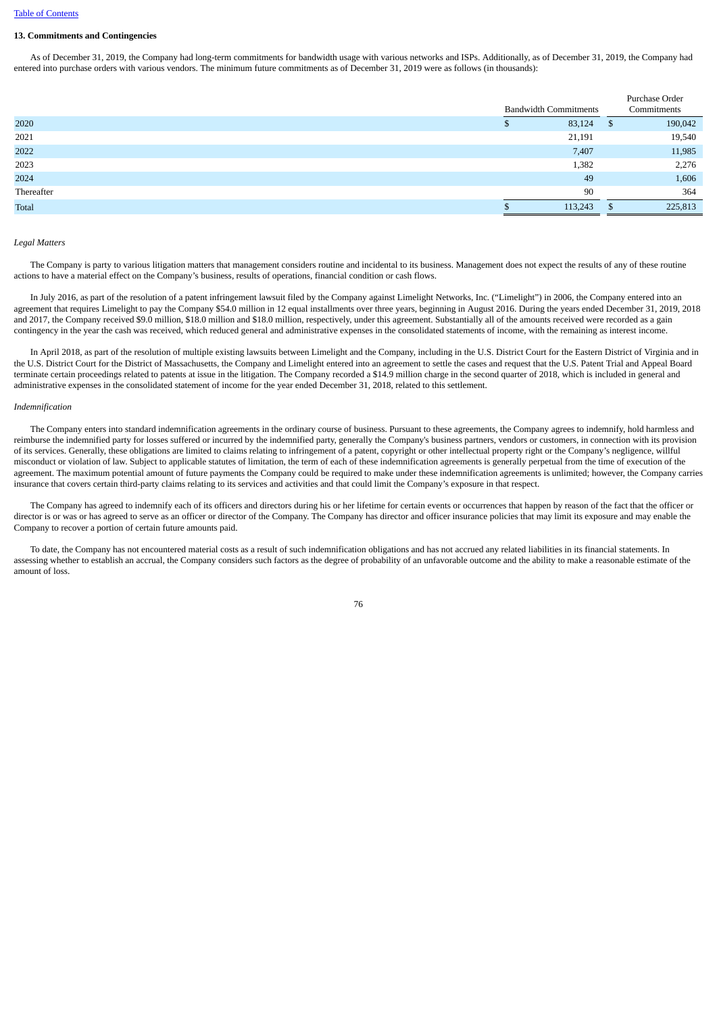### **13. Commitments and Contingencies**

As of December 31, 2019, the Company had long-term commitments for bandwidth usage with various networks and ISPs. Additionally, as of December 31, 2019, the Company had entered into purchase orders with various vendors. The minimum future commitments as of December 31, 2019 were as follows (in thousands):

|            |   |                              | Purchase Order |             |  |
|------------|---|------------------------------|----------------|-------------|--|
|            |   | <b>Bandwidth Commitments</b> |                | Commitments |  |
| 2020       | Φ | 83,124                       | - S            | 190,042     |  |
| 2021       |   | 21,191                       |                | 19,540      |  |
| 2022       |   | 7,407                        |                | 11,985      |  |
| 2023       |   | 1,382                        |                | 2,276       |  |
| 2024       |   | 49                           |                | 1,606       |  |
| Thereafter |   | 90                           |                | 364         |  |
| Total      |   | 113,243                      |                | 225,813     |  |
|            |   |                              |                |             |  |

### *Legal Matters*

The Company is party to various litigation matters that management considers routine and incidental to its business. Management does not expect the results of any of these routine actions to have a material effect on the Company's business, results of operations, financial condition or cash flows.

In July 2016, as part of the resolution of a patent infringement lawsuit filed by the Company against Limelight Networks, Inc. ("Limelight") in 2006, the Company entered into an agreement that requires Limelight to pay the Company \$54.0 million in 12 equal installments over three years, beginning in August 2016. During the years ended December 31, 2019, 2018 and 2017, the Company received \$9.0 million, \$18.0 million and \$18.0 million, respectively, under this agreement. Substantially all of the amounts received were recorded as a gain contingency in the year the cash was received, which reduced general and administrative expenses in the consolidated statements of income, with the remaining as interest income.

In April 2018, as part of the resolution of multiple existing lawsuits between Limelight and the Company, including in the U.S. District Court for the Eastern District of Virginia and in the U.S. District Court for the District of Massachusetts, the Company and Limelight entered into an agreement to settle the cases and request that the U.S. Patent Trial and Appeal Board terminate certain proceedings related to patents at issue in the litigation. The Company recorded a \$14.9 million charge in the second quarter of 2018, which is included in general and administrative expenses in the consolidated statement of income for the year ended December 31, 2018, related to this settlement.

### *Indemnification*

The Company enters into standard indemnification agreements in the ordinary course of business. Pursuant to these agreements, the Company agrees to indemnify, hold harmless and reimburse the indemnified party for losses suffered or incurred by the indemnified party, generally the Company's business partners, vendors or customers, in connection with its provision of its services. Generally, these obligations are limited to claims relating to infringement of a patent, copyright or other intellectual property right or the Company's negligence, willful misconduct or violation of law. Subject to applicable statutes of limitation, the term of each of these indemnification agreements is generally perpetual from the time of execution of the agreement. The maximum potential amount of future payments the Company could be required to make under these indemnification agreements is unlimited; however, the Company carries insurance that covers certain third-party claims relating to its services and activities and that could limit the Company's exposure in that respect.

The Company has agreed to indemnify each of its officers and directors during his or her lifetime for certain events or occurrences that happen by reason of the fact that the officer or director is or was or has agreed to serve as an officer or director of the Company. The Company has director and officer insurance policies that may limit its exposure and may enable the Company to recover a portion of certain future amounts paid.

To date, the Company has not encountered material costs as a result of such indemnification obligations and has not accrued any related liabilities in its financial statements. In assessing whether to establish an accrual, the Company considers such factors as the degree of probability of an unfavorable outcome and the ability to make a reasonable estimate of the amount of loss.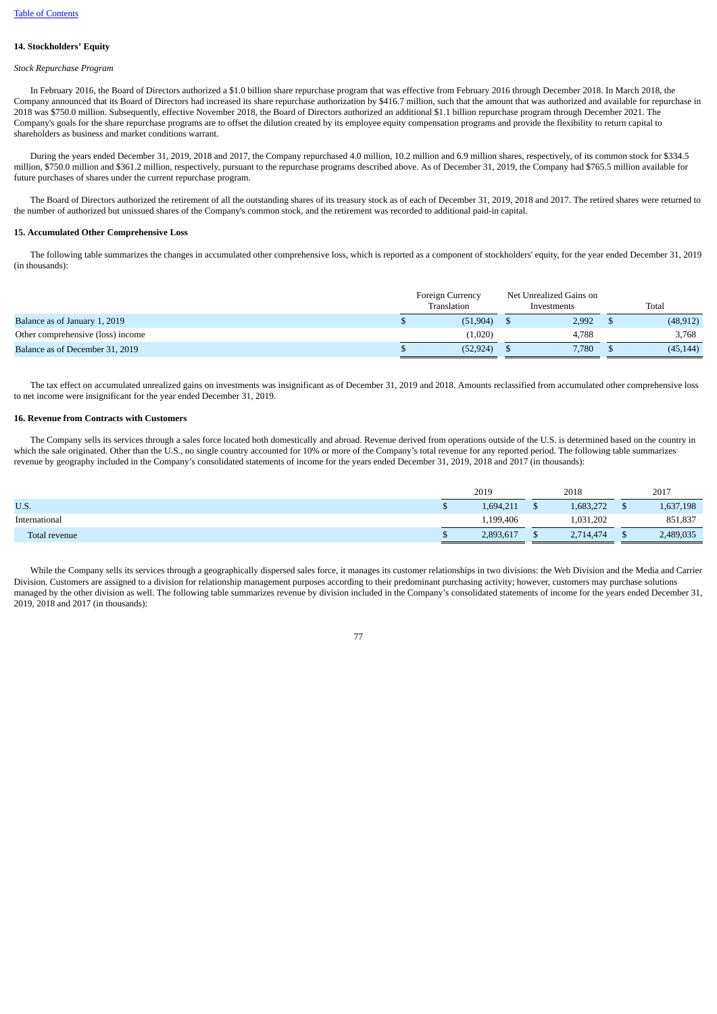# **14. Stockholders' Equity**

## *Stock Repurchase Program*

In February 2016, the Board of Directors authorized a \$1.0 billion share repurchase program that was effective from February 2016 through December 2018. In March 2018, the Company announced that its Board of Directors had increased its share repurchase authorization by \$416.7 million, such that the amount that was authorized and available for repurchase in 2018 was \$750.0 million. Subsequently, effective November 2018, the Board of Directors authorized an additional \$1.1 billion repurchase program through December 2021. The Company's goals for the share repurchase programs are to offset the dilution created by its employee equity compensation programs and provide the flexibility to return capital to shareholders as business and market conditions warrant.

During the years ended December 31, 2019, 2018 and 2017, the Company repurchased 4.0 million, 10.2 million and 6.9 million shares, respectively, of its common stock for \$334.5 million, \$750.0 million and \$361.2 million, respectively, pursuant to the repurchase programs described above. As of December 31, 2019, the Company had \$765.5 million available for future purchases of shares under the current repurchase program.

The Board of Directors authorized the retirement of all the outstanding shares of its treasury stock as of each of December 31, 2019, 2018 and 2017. The retired shares were returned to the number of authorized but unissued shares of the Company's common stock, and the retirement was recorded to additional paid-in capital.

## **15. Accumulated Other Comprehensive Loss**

The following table summarizes the changes in accumulated other comprehensive loss, which is reported as a component of stockholders' equity, for the year ended December 31, 2019 (in thousands):

|                                   | <b>Foreign Currency</b><br>Translation | Net Unrealized Gains on<br>Investments | Total     |  |  |
|-----------------------------------|----------------------------------------|----------------------------------------|-----------|--|--|
| Balance as of January 1, 2019     | (51,904)                               | 2,992                                  | (48, 912) |  |  |
| Other comprehensive (loss) income | (1,020)                                | 4,788                                  | 3,768     |  |  |
| Balance as of December 31, 2019   | (52, 924)                              | 7.780                                  | (45, 144) |  |  |

The tax effect on accumulated unrealized gains on investments was insignificant as of December 31, 2019 and 2018. Amounts reclassified from accumulated other comprehensive loss to net income were insignificant for the year ended December 31, 2019.

## **16. Revenue from Contracts with Customers**

The Company sells its services through a sales force located both domestically and abroad. Revenue derived from operations outside of the U.S. is determined based on the country in which the sale originated. Other than the U.S., no single country accounted for 10% or more of the Company's total revenue for any reported period. The following table summarizes revenue by geography included in the Company's consolidated statements of income for the years ended December 31, 2019, 2018 and 2017 (in thousands):

|               | 2019 |           | 2018     |           | 2017 |           |
|---------------|------|-----------|----------|-----------|------|-----------|
| U.S.          |      | 1,694,211 | D        | .683,272  |      | 1,637,198 |
| International |      | .199.406  |          | 1,031,202 |      | 851,837   |
| Total revenue |      | 2.893.617 | <b>D</b> | 2.714.474 |      | 2,489,035 |
|               |      |           |          |           |      |           |

While the Company sells its services through a geographically dispersed sales force, it manages its customer relationships in two divisions: the Web Division and the Media and Carrier Division. Customers are assigned to a division for relationship management purposes according to their predominant purchasing activity; however, customers may purchase solutions managed by the other division as well. The following table summarizes revenue by division included in the Company's consolidated statements of income for the years ended December 31, 2019, 2018 and 2017 (in thousands):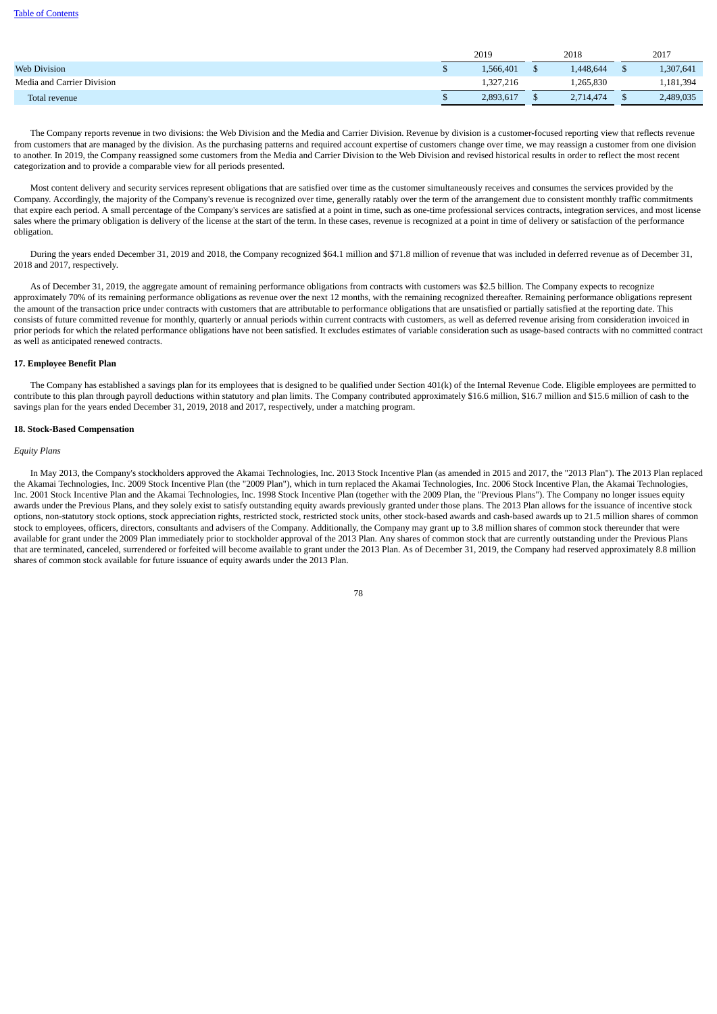|                            | 2019 |           | 2018 |           | 2017 |           |
|----------------------------|------|-----------|------|-----------|------|-----------|
| <b>Web Division</b>        |      | .566.401  |      | .448.644  |      | 1,307,641 |
| Media and Carrier Division |      | .327.216  |      | .265.830  |      | .181,394  |
| Total revenue              |      | 2.893.617 |      | 2.714.474 |      | 2,489,035 |

The Company reports revenue in two divisions: the Web Division and the Media and Carrier Division. Revenue by division is a customer-focused reporting view that reflects revenue from customers that are managed by the division. As the purchasing patterns and required account expertise of customers change over time, we may reassign a customer from one division to another. In 2019, the Company reassigned some customers from the Media and Carrier Division to the Web Division and revised historical results in order to reflect the most recent categorization and to provide a comparable view for all periods presented.

Most content delivery and security services represent obligations that are satisfied over time as the customer simultaneously receives and consumes the services provided by the Company. Accordingly, the majority of the Company's revenue is recognized over time, generally ratably over the term of the arrangement due to consistent monthly traffic commitments that expire each period. A small percentage of the Company's services are satisfied at a point in time, such as one-time professional services contracts, integration services, and most license sales where the primary obligation is delivery of the license at the start of the term. In these cases, revenue is recognized at a point in time of delivery or satisfaction of the performance obligation.

During the years ended December 31, 2019 and 2018, the Company recognized \$64.1 million and \$71.8 million of revenue that was included in deferred revenue as of December 31, 2018 and 2017, respectively.

As of December 31, 2019, the aggregate amount of remaining performance obligations from contracts with customers was \$2.5 billion. The Company expects to recognize approximately 70% of its remaining performance obligations as revenue over the next 12 months, with the remaining recognized thereafter. Remaining performance obligations represent the amount of the transaction price under contracts with customers that are attributable to performance obligations that are unsatisfied or partially satisfied at the reporting date. This consists of future committed revenue for monthly, quarterly or annual periods within current contracts with customers, as well as deferred revenue arising from consideration invoiced in prior periods for which the related performance obligations have not been satisfied. It excludes estimates of variable consideration such as usage-based contracts with no committed contract as well as anticipated renewed contracts.

### **17. Employee Benefit Plan**

The Company has established a savings plan for its employees that is designed to be qualified under Section 401(k) of the Internal Revenue Code. Eligible employees are permitted to contribute to this plan through payroll deductions within statutory and plan limits. The Company contributed approximately \$16.6 million, \$16.7 million and \$15.6 million of cash to the savings plan for the years ended December 31, 2019, 2018 and 2017, respectively, under a matching program.

### **18. Stock-Based Compensation**

#### *Equity Plans*

In May 2013, the Company's stockholders approved the Akamai Technologies, Inc. 2013 Stock Incentive Plan (as amended in 2015 and 2017, the "2013 Plan"). The 2013 Plan replaced the Akamai Technologies, Inc. 2009 Stock Incentive Plan (the "2009 Plan"), which in turn replaced the Akamai Technologies, Inc. 2006 Stock Incentive Plan, the Akamai Technologies, Inc. 2001 Stock Incentive Plan and the Akamai Technologies, Inc. 1998 Stock Incentive Plan (together with the 2009 Plan, the "Previous Plans"). The Company no longer issues equity awards under the Previous Plans, and they solely exist to satisfy outstanding equity awards previously granted under those plans. The 2013 Plan allows for the issuance of incentive stock options, non-statutory stock options, stock appreciation rights, restricted stock, restricted stock units, other stock-based awards and cash-based awards up to 21.5 million shares of common stock to employees, officers, directors, consultants and advisers of the Company. Additionally, the Company may grant up to 3.8 million shares of common stock thereunder that were available for grant under the 2009 Plan immediately prior to stockholder approval of the 2013 Plan. Any shares of common stock that are currently outstanding under the Previous Plans that are terminated, canceled, surrendered or forfeited will become available to grant under the 2013 Plan. As of December 31, 2019, the Company had reserved approximately 8.8 million shares of common stock available for future issuance of equity awards under the 2013 Plan.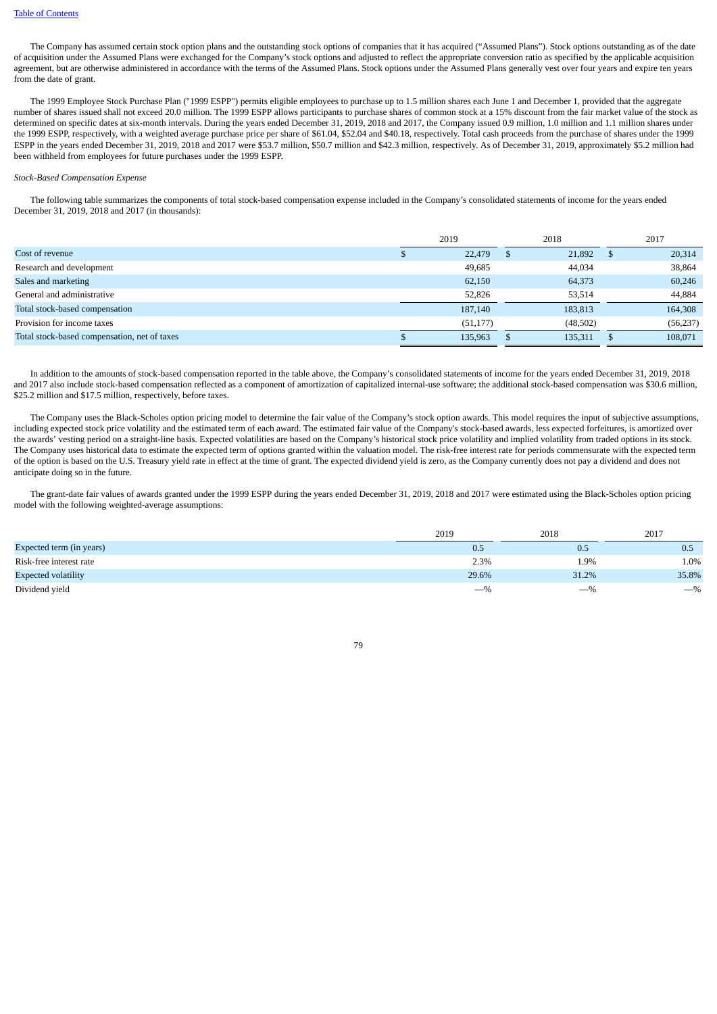The Company has assumed certain stock option plans and the outstanding stock options of companies that it has acquired ("Assumed Plans"). Stock options outstanding as of the date of acquisition under the Assumed Plans were exchanged for the Company's stock options and adjusted to reflect the appropriate conversion ratio as specified by the applicable acquisition agreement, but are otherwise administered in accordance with the terms of the Assumed Plans. Stock options under the Assumed Plans generally vest over four years and expire ten years from the date of grant.

The 1999 Employee Stock Purchase Plan ("1999 ESPP") permits eligible employees to purchase up to 1.5 million shares each June 1 and December 1, provided that the aggregate number of shares issued shall not exceed 20.0 million. The 1999 ESPP allows participants to purchase shares of common stock at a 15% discount from the fair market value of the stock as determined on specific dates at six-month intervals. During the years ended December 31, 2019, 2018 and 2017, the Company issued 0.9 million, 1.0 million and 1.1 million shares under the 1999 ESPP, respectively, with a weighted average purchase price per share of \$61.04, \$52.04 and \$40.18, respectively. Total cash proceeds from the purchase of shares under the 1999 ESPP in the years ended December 31, 2019, 2018 and 2017 were \$53.7 million, \$50.7 million and \$42.3 million, respectively. As of December 31, 2019, approximately \$5.2 million had been withheld from employees for future purchases under the 1999 ESPP.

#### *Stock-Based Compensation Expense*

The following table summarizes the components of total stock-based compensation expense included in the Company's consolidated statements of income for the years ended December 31, 2019, 2018 and 2017 (in thousands):

|                                              | 2019      | 2018     | 2017      |
|----------------------------------------------|-----------|----------|-----------|
| Cost of revenue                              | 22,479    | 21,892   | 20,314    |
| Research and development                     | 49,685    | 44,034   | 38,864    |
| Sales and marketing                          | 62,150    | 64,373   | 60,246    |
| General and administrative                   | 52,826    | 53,514   | 44,884    |
| Total stock-based compensation               | 187,140   | 183,813  | 164,308   |
| Provision for income taxes                   | (51, 177) | (48,502) | (56, 237) |
| Total stock-based compensation, net of taxes | 135,963   | 135,311  | 108,071   |

In addition to the amounts of stock-based compensation reported in the table above, the Company's consolidated statements of income for the years ended December 31, 2019, 2018 and 2017 also include stock-based compensation reflected as a component of amortization of capitalized internal-use software; the additional stock-based compensation was \$30.6 million, \$25.2 million and \$17.5 million, respectively, before taxes.

The Company uses the Black-Scholes option pricing model to determine the fair value of the Company's stock option awards. This model requires the input of subjective assumptions, including expected stock price volatility and the estimated term of each award. The estimated fair value of the Company's stock-based awards, less expected forfeitures, is amortized over the awards' vesting period on a straight-line basis. Expected volatilities are based on the Company's historical stock price volatility and implied volatility from traded options in its stock. The Company uses historical data to estimate the expected term of options granted within the valuation model. The risk-free interest rate for periods commensurate with the expected term of the option is based on the U.S. Treasury yield rate in effect at the time of grant. The expected dividend yield is zero, as the Company currently does not pay a dividend and does not anticipate doing so in the future.

The grant-date fair values of awards granted under the 1999 ESPP during the years ended December 31, 2019, 2018 and 2017 were estimated using the Black-Scholes option pricing model with the following weighted-average assumptions:

|                            | 2019  | 2018  | 2017    |
|----------------------------|-------|-------|---------|
| Expected term (in years)   | 0.5   | 0.5   | 0.5     |
| Risk-free interest rate    | 2.3%  | 1.9%  | $1.0\%$ |
| <b>Expected volatility</b> | 29.6% | 31.2% | 35.8%   |
| Dividend yield             | $-$ % | $-$ % | $-$ %   |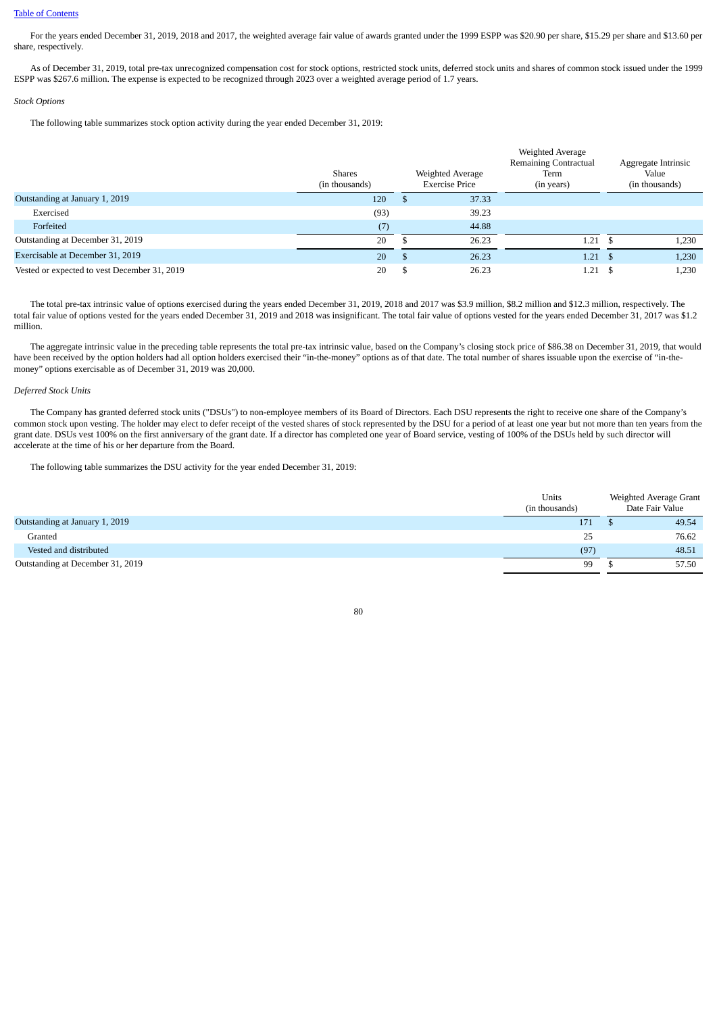For the years ended December 31, 2019, 2018 and 2017, the weighted average fair value of awards granted under the 1999 ESPP was \$20.90 per share, \$15.29 per share and \$13.60 per share, respectively.

As of December 31, 2019, total pre-tax unrecognized compensation cost for stock options, restricted stock units, deferred stock units and shares of common stock issued under the 1999 ESPP was \$267.6 million. The expense is expected to be recognized through 2023 over a weighted average period of 1.7 years.

### *Stock Options*

The following table summarizes stock option activity during the year ended December 31, 2019:

|                                              | <b>Shares</b><br>(in thousands) | Weighted Average<br><b>Exercise Price</b> | Weighted Average<br><b>Remaining Contractual</b><br>Term<br>(in years) |      | Aggregate Intrinsic<br>Value<br>(in thousands) |
|----------------------------------------------|---------------------------------|-------------------------------------------|------------------------------------------------------------------------|------|------------------------------------------------|
| Outstanding at January 1, 2019               | 120                             | 37.33                                     |                                                                        |      |                                                |
| Exercised                                    | (93)                            | 39.23                                     |                                                                        |      |                                                |
| Forfeited                                    | (7)                             | 44.88                                     |                                                                        |      |                                                |
| Outstanding at December 31, 2019             | 20                              | 26.23                                     | 1.21                                                                   |      | 1,230                                          |
| Exercisable at December 31, 2019             | 20                              | 26.23                                     | 1.21                                                                   | - \$ | 1,230                                          |
| Vested or expected to vest December 31, 2019 | 20                              | 26.23                                     | 1.21                                                                   |      | 1,230                                          |

The total pre-tax intrinsic value of options exercised during the years ended December 31, 2019, 2018 and 2017 was \$3.9 million, \$8.2 million and \$12.3 million, respectively. The total fair value of options vested for the years ended December 31, 2019 and 2018 was insignificant. The total fair value of options vested for the years ended December 31, 2017 was \$1.2 million.

The aggregate intrinsic value in the preceding table represents the total pre-tax intrinsic value, based on the Company's closing stock price of \$86.38 on December 31, 2019, that would have been received by the option holders had all option holders exercised their "in-the-money" options as of that date. The total number of shares issuable upon the exercise of "in-themoney" options exercisable as of December 31, 2019 was 20,000.

### *Deferred Stock Units*

The Company has granted deferred stock units ("DSUs") to non-employee members of its Board of Directors. Each DSU represents the right to receive one share of the Company's common stock upon vesting. The holder may elect to defer receipt of the vested shares of stock represented by the DSU for a period of at least one year but not more than ten years from the grant date. DSUs vest 100% on the first anniversary of the grant date. If a director has completed one year of Board service, vesting of 100% of the DSUs held by such director will accelerate at the time of his or her departure from the Board.

The following table summarizes the DSU activity for the year ended December 31, 2019:

|                                  | Units<br>(in thousands) | Weighted Average Grant<br>Date Fair Value |  |
|----------------------------------|-------------------------|-------------------------------------------|--|
| Outstanding at January 1, 2019   | 171                     | 49.54                                     |  |
| Granted                          | 25                      | 76.62                                     |  |
| Vested and distributed           | (97)                    | 48.51                                     |  |
| Outstanding at December 31, 2019 | 99                      | 57.50                                     |  |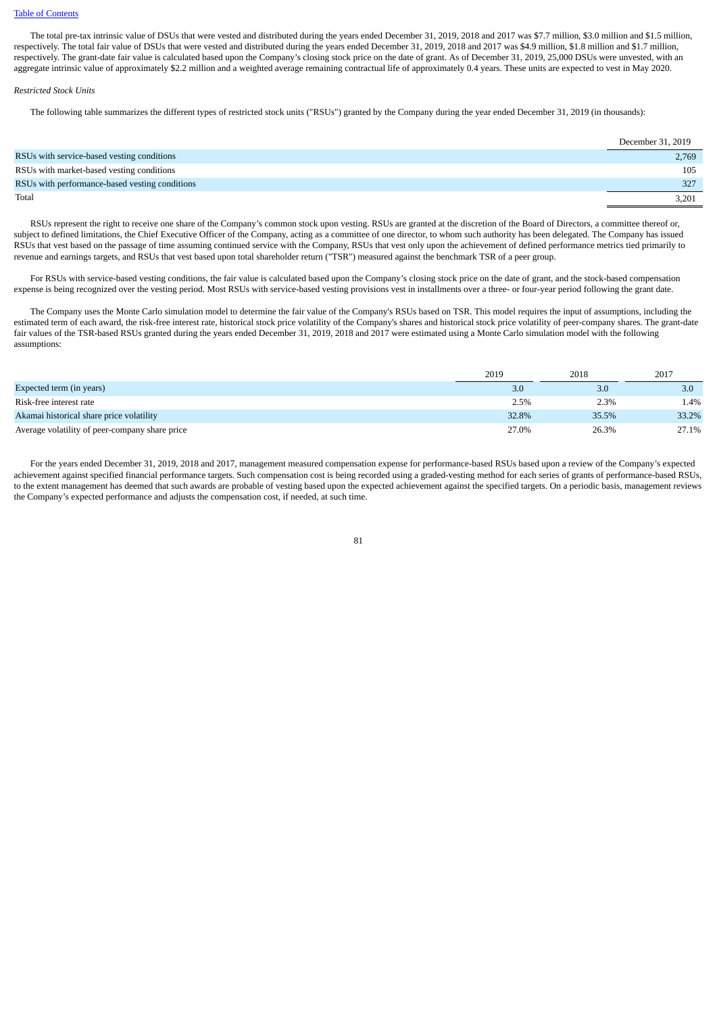The total pre-tax intrinsic value of DSUs that were vested and distributed during the years ended December 31, 2019, 2018 and 2017 was \$7.7 million, \$3.0 million and \$1.5 million, respectively. The total fair value of DSUs that were vested and distributed during the years ended December 31, 2019, 2018 and 2017 was \$4.9 million, \$1.8 million and \$1.7 million, respectively. The grant-date fair value is calculated based upon the Company's closing stock price on the date of grant. As of December 31, 2019, 25,000 DSUs were unvested, with an aggregate intrinsic value of approximately \$2.2 million and a weighted average remaining contractual life of approximately 0.4 years. These units are expected to vest in May 2020.

#### *Restricted Stock Units*

The following table summarizes the different types of restricted stock units ("RSUs") granted by the Company during the year ended December 31, 2019 (in thousands):

|                                                | December 31, 2019 |
|------------------------------------------------|-------------------|
| RSUs with service-based vesting conditions     | 2,769             |
| RSUs with market-based vesting conditions      | 105               |
| RSUs with performance-based vesting conditions | 327               |
| Total                                          | 3,201             |

RSUs represent the right to receive one share of the Company's common stock upon vesting. RSUs are granted at the discretion of the Board of Directors, a committee thereof or, subject to defined limitations, the Chief Executive Officer of the Company, acting as a committee of one director, to whom such authority has been delegated. The Company has issued RSUs that vest based on the passage of time assuming continued service with the Company, RSUs that vest only upon the achievement of defined performance metrics tied primarily to revenue and earnings targets, and RSUs that vest based upon total shareholder return ("TSR") measured against the benchmark TSR of a peer group.

For RSUs with service-based vesting conditions, the fair value is calculated based upon the Company's closing stock price on the date of grant, and the stock-based compensation expense is being recognized over the vesting period. Most RSUs with service-based vesting provisions vest in installments over a three- or four-year period following the grant date.

The Company uses the Monte Carlo simulation model to determine the fair value of the Company's RSUs based on TSR. This model requires the input of assumptions, including the estimated term of each award, the risk-free interest rate, historical stock price volatility of the Company's shares and historical stock price volatility of peer-company shares. The grant-date fair values of the TSR-based RSUs granted during the years ended December 31, 2019, 2018 and 2017 were estimated using a Monte Carlo simulation model with the following assumptions:

|                                                | 2019  | 2018  | 2017  |
|------------------------------------------------|-------|-------|-------|
| Expected term (in years)                       | 3.0   | 3.0   | 3.0   |
| Risk-free interest rate                        | 2.5%  | 2.3%  | 1.4%  |
| Akamai historical share price volatility       | 32.8% | 35.5% | 33.2% |
| Average volatility of peer-company share price | 27.0% | 26.3% | 27.1% |

For the years ended December 31, 2019, 2018 and 2017, management measured compensation expense for performance-based RSUs based upon a review of the Company's expected achievement against specified financial performance targets. Such compensation cost is being recorded using a graded-vesting method for each series of grants of performance-based RSUs, to the extent management has deemed that such awards are probable of vesting based upon the expected achievement against the specified targets. On a periodic basis, management reviews the Company's expected performance and adjusts the compensation cost, if needed, at such time.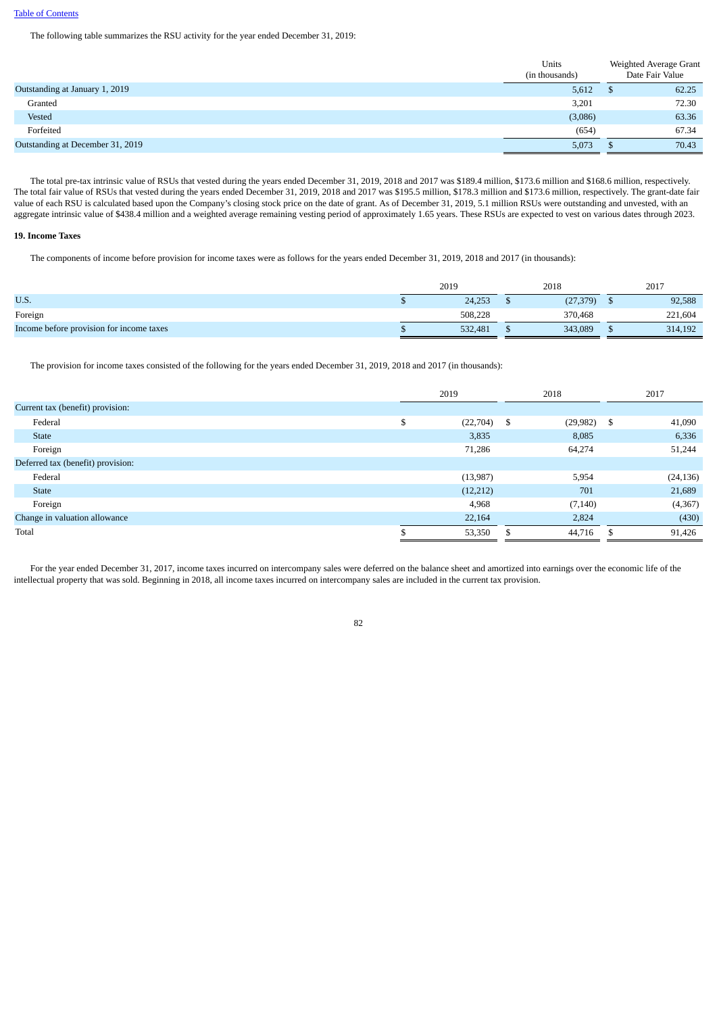The following table summarizes the RSU activity for the year ended December 31, 2019:

|                                  | Units<br>(in thousands) | Weighted Average Grant<br>Date Fair Value |
|----------------------------------|-------------------------|-------------------------------------------|
| Outstanding at January 1, 2019   | 5,612                   | 62.25                                     |
| Granted                          | 3,201                   | 72.30                                     |
| Vested                           | (3,086)                 | 63.36                                     |
| Forfeited                        | (654)                   | 67.34                                     |
| Outstanding at December 31, 2019 | 5,073                   | 70.43                                     |

The total pre-tax intrinsic value of RSUs that vested during the years ended December 31, 2019, 2018 and 2017 was \$189.4 million, \$173.6 million and \$168.6 million, respectively. The total fair value of RSUs that vested during the years ended December 31, 2019, 2018 and 2017 was \$195.5 million, \$178.3 million and \$173.6 million, respectively. The grant-date fair value of each RSU is calculated based upon the Company's closing stock price on the date of grant. As of December 31, 2019, 5.1 million RSUs were outstanding and unvested, with an aggregate intrinsic value of \$438.4 million and a weighted average remaining vesting period of approximately 1.65 years. These RSUs are expected to vest on various dates through 2023.

### **19. Income Taxes**

The components of income before provision for income taxes were as follows for the years ended December 31, 2019, 2018 and 2017 (in thousands):

|                                          | 2019    | 2018      | 2017    |
|------------------------------------------|---------|-----------|---------|
| U.S.                                     | 24,253  | (27, 379) | 92,588  |
| Foreign                                  | 508,228 | 370.468   | 221,604 |
| Income before provision for income taxes | 532,481 | 343,089   | 314,192 |

The provision for income taxes consisted of the following for the years ended December 31, 2019, 2018 and 2017 (in thousands):

|                                   | 2019 |           | 2018 |           |      | 2017      |
|-----------------------------------|------|-----------|------|-----------|------|-----------|
| Current tax (benefit) provision:  |      |           |      |           |      |           |
| Federal                           | \$   | (22,704)  | - \$ | (29, 982) | - \$ | 41,090    |
| <b>State</b>                      |      | 3,835     |      | 8,085     |      | 6,336     |
| Foreign                           |      | 71,286    |      | 64,274    |      | 51,244    |
| Deferred tax (benefit) provision: |      |           |      |           |      |           |
| Federal                           |      | (13,987)  |      | 5,954     |      | (24, 136) |
| State                             |      | (12, 212) |      | 701       |      | 21,689    |
| Foreign                           |      | 4,968     |      | (7, 140)  |      | (4,367)   |
| Change in valuation allowance     |      | 22,164    |      | 2,824     |      | (430)     |
| Total                             |      | 53,350    | -86  | 44,716    |      | 91,426    |
|                                   |      |           |      |           |      |           |

For the year ended December 31, 2017, income taxes incurred on intercompany sales were deferred on the balance sheet and amortized into earnings over the economic life of the intellectual property that was sold. Beginning in 2018, all income taxes incurred on intercompany sales are included in the current tax provision.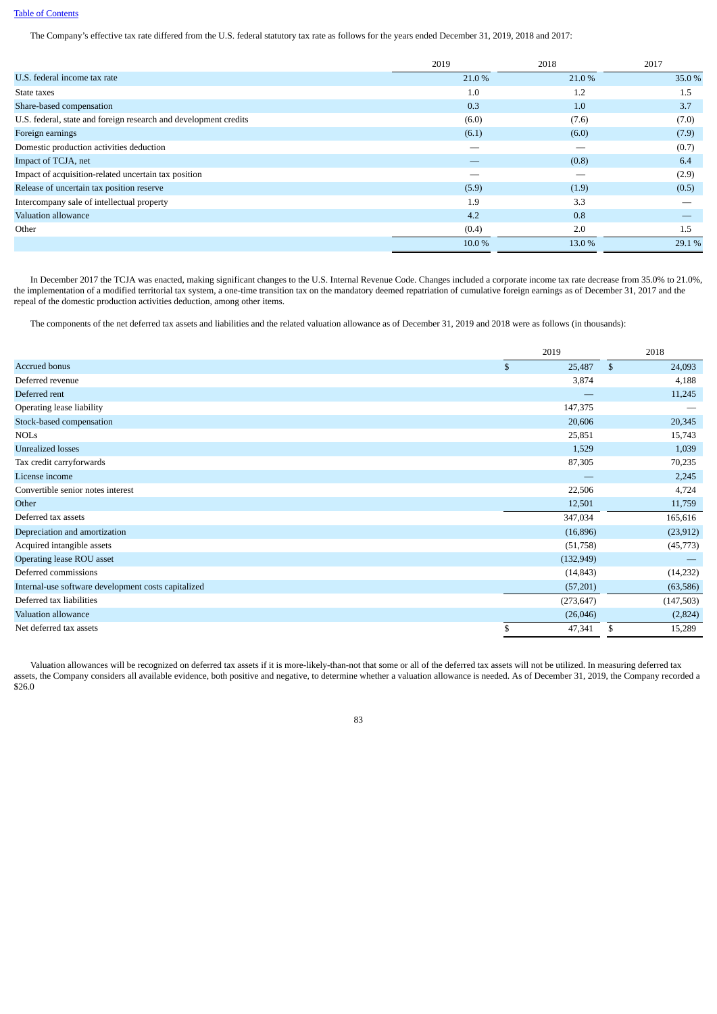The Company's effective tax rate differed from the U.S. federal statutory tax rate as follows for the years ended December 31, 2019, 2018 and 2017:

|                                                                  | 2019   | 2018   | 2017   |
|------------------------------------------------------------------|--------|--------|--------|
| U.S. federal income tax rate                                     | 21.0 % | 21.0%  | 35.0%  |
| State taxes                                                      | 1.0    | 1.2    | 1.5    |
| Share-based compensation                                         | 0.3    | 1.0    | 3.7    |
| U.S. federal, state and foreign research and development credits | (6.0)  | (7.6)  | (7.0)  |
| Foreign earnings                                                 | (6.1)  | (6.0)  | (7.9)  |
| Domestic production activities deduction                         |        |        | (0.7)  |
| Impact of TCJA, net                                              |        | (0.8)  | 6.4    |
| Impact of acquisition-related uncertain tax position             |        |        | (2.9)  |
| Release of uncertain tax position reserve                        | (5.9)  | (1.9)  | (0.5)  |
| Intercompany sale of intellectual property                       | 1.9    | 3.3    |        |
| Valuation allowance                                              | 4.2    | 0.8    |        |
| Other                                                            | (0.4)  | 2.0    | 1.5    |
|                                                                  | 10.0%  | 13.0 % | 29.1 % |

In December 2017 the TCJA was enacted, making significant changes to the U.S. Internal Revenue Code. Changes included a corporate income tax rate decrease from 35.0% to 21.0%, the implementation of a modified territorial tax system, a one-time transition tax on the mandatory deemed repatriation of cumulative foreign earnings as of December 31, 2017 and the repeal of the domestic production activities deduction, among other items.

The components of the net deferred tax assets and liabilities and the related valuation allowance as of December 31, 2019 and 2018 were as follows (in thousands):

|                                                     | 2019         |            | 2018         |           |
|-----------------------------------------------------|--------------|------------|--------------|-----------|
| Accrued bonus                                       | $\mathbb{S}$ | 25,487     | $\mathbb{S}$ | 24,093    |
| Deferred revenue                                    |              | 3,874      |              | 4,188     |
| Deferred rent                                       |              |            |              | 11,245    |
| Operating lease liability                           |              | 147,375    |              |           |
| Stock-based compensation                            |              | 20,606     |              | 20,345    |
| <b>NOLs</b>                                         |              | 25,851     |              | 15,743    |
| <b>Unrealized losses</b>                            |              | 1,529      |              | 1,039     |
| Tax credit carryforwards                            |              | 87,305     |              | 70,235    |
| License income                                      |              |            |              | 2,245     |
| Convertible senior notes interest                   |              | 22,506     |              | 4,724     |
| Other                                               |              | 12,501     |              | 11,759    |
| Deferred tax assets                                 |              | 347,034    |              | 165,616   |
| Depreciation and amortization                       |              | (16,896)   |              | (23, 912) |
| Acquired intangible assets                          |              | (51,758)   |              | (45, 773) |
| Operating lease ROU asset                           |              | (132, 949) |              |           |
| Deferred commissions                                |              | (14, 843)  |              | (14,232)  |
| Internal-use software development costs capitalized |              | (57,201)   |              | (63, 586) |
| Deferred tax liabilities                            |              | (273, 647) |              | (147,503) |
| Valuation allowance                                 |              | (26, 046)  |              | (2,824)   |
| Net deferred tax assets                             | \$           | 47,341     |              | 15,289    |

Valuation allowances will be recognized on deferred tax assets if it is more-likely-than-not that some or all of the deferred tax assets will not be utilized. In measuring deferred tax assets, the Company considers all available evidence, both positive and negative, to determine whether a valuation allowance is needed. As of December 31, 2019, the Company recorded a \$26.0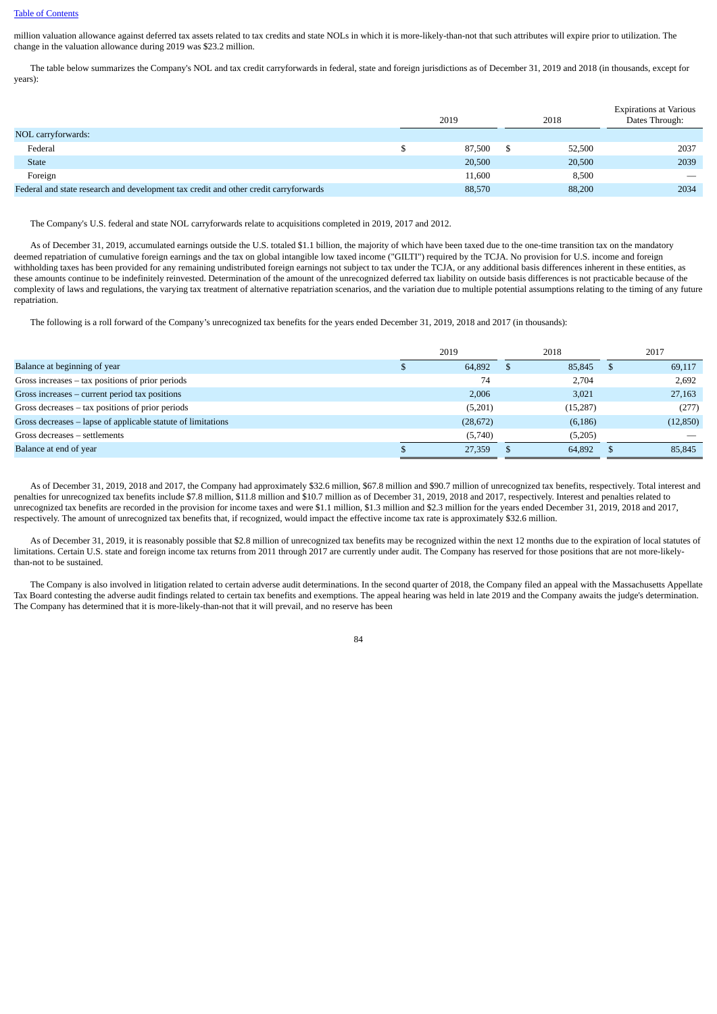million valuation allowance against deferred tax assets related to tax credits and state NOLs in which it is more-likely-than-not that such attributes will expire prior to utilization. The change in the valuation allowance during 2019 was \$23.2 million.

The table below summarizes the Company's NOL and tax credit carryforwards in federal, state and foreign jurisdictions as of December 31, 2019 and 2018 (in thousands, except for years):

|                                                                                      | 2018<br>2019 |     |        | <b>Expirations at Various</b><br>Dates Through: |
|--------------------------------------------------------------------------------------|--------------|-----|--------|-------------------------------------------------|
| NOL carryforwards:                                                                   |              |     |        |                                                 |
| Federal                                                                              | 87,500       | -\$ | 52,500 | 2037                                            |
| <b>State</b>                                                                         | 20,500       |     | 20,500 | 2039                                            |
| Foreign                                                                              | 11,600       |     | 8,500  |                                                 |
| Federal and state research and development tax credit and other credit carryforwards | 88,570       |     | 88,200 | 2034                                            |

The Company's U.S. federal and state NOL carryforwards relate to acquisitions completed in 2019, 2017 and 2012.

As of December 31, 2019, accumulated earnings outside the U.S. totaled \$1.1 billion, the majority of which have been taxed due to the one-time transition tax on the mandatory deemed repatriation of cumulative foreign earnings and the tax on global intangible low taxed income ("GILTI") required by the TCJA. No provision for U.S. income and foreign withholding taxes has been provided for any remaining undistributed foreign earnings not subject to tax under the TCJA, or any additional basis differences inherent in these entities, as these amounts continue to be indefinitely reinvested. Determination of the amount of the unrecognized deferred tax liability on outside basis differences is not practicable because of the complexity of laws and regulations, the varying tax treatment of alternative repatriation scenarios, and the variation due to multiple potential assumptions relating to the timing of any future repatriation.

The following is a roll forward of the Company's unrecognized tax benefits for the years ended December 31, 2019, 2018 and 2017 (in thousands):

|                                                              | 2019      |      | 2018     | 2017      |
|--------------------------------------------------------------|-----------|------|----------|-----------|
| Balance at beginning of year                                 | 64,892    | - 35 | 85,845   | 69,117    |
| Gross increases $-$ tax positions of prior periods           | 74        |      | 2,704    | 2,692     |
| Gross increases – current period tax positions               | 2,006     |      | 3,021    | 27,163    |
| Gross decreases – tax positions of prior periods             | (5,201)   |      | (15,287) | (277)     |
| Gross decreases – lapse of applicable statute of limitations | (28, 672) |      | (6, 186) | (12, 850) |
| Gross decreases – settlements                                | (5,740)   |      | (5,205)  |           |
| Balance at end of year                                       | 27,359    |      | 64,892   | 85,845    |

As of December 31, 2019, 2018 and 2017, the Company had approximately \$32.6 million, \$67.8 million and \$90.7 million of unrecognized tax benefits, respectively. Total interest and penalties for unrecognized tax benefits include \$7.8 million, \$11.8 million and \$10.7 million as of December 31, 2019, 2018 and 2017, respectively. Interest and penalties related to unrecognized tax benefits are recorded in the provision for income taxes and were \$1.1 million, \$1.3 million and \$2.3 million for the years ended December 31, 2019, 2018 and 2017, respectively. The amount of unrecognized tax benefits that, if recognized, would impact the effective income tax rate is approximately \$32.6 million.

As of December 31, 2019, it is reasonably possible that \$2.8 million of unrecognized tax benefits may be recognized within the next 12 months due to the expiration of local statutes of limitations. Certain U.S. state and foreign income tax returns from 2011 through 2017 are currently under audit. The Company has reserved for those positions that are not more-likelythan-not to be sustained.

The Company is also involved in litigation related to certain adverse audit determinations. In the second quarter of 2018, the Company filed an appeal with the Massachusetts Appellate Tax Board contesting the adverse audit findings related to certain tax benefits and exemptions. The appeal hearing was held in late 2019 and the Company awaits the judge's determination. The Company has determined that it is more-likely-than-not that it will prevail, and no reserve has been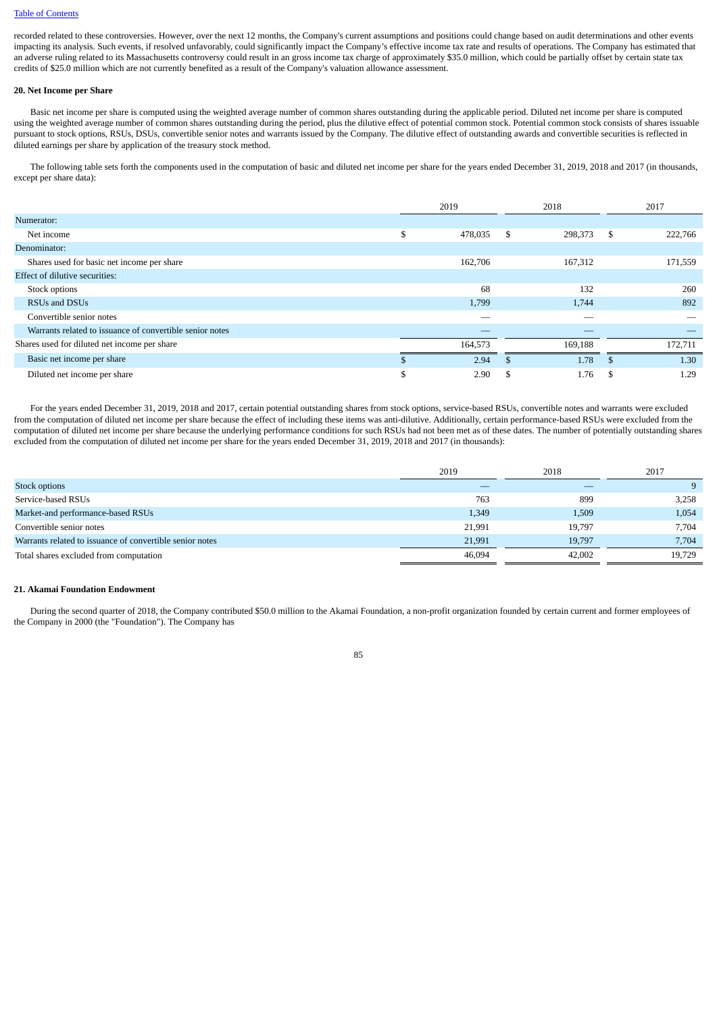recorded related to these controversies. However, over the next 12 months, the Company's current assumptions and positions could change based on audit determinations and other events impacting its analysis. Such events, if resolved unfavorably, could significantly impact the Company's effective income tax rate and results of operations. The Company has estimated that an adverse ruling related to its Massachusetts controversy could result in an gross income tax charge of approximately \$35.0 million, which could be partially offset by certain state tax credits of \$25.0 million which are not currently benefited as a result of the Company's valuation allowance assessment.

### **20. Net Income per Share**

Basic net income per share is computed using the weighted average number of common shares outstanding during the applicable period. Diluted net income per share is computed using the weighted average number of common shares outstanding during the period, plus the dilutive effect of potential common stock. Potential common stock consists of shares issuable pursuant to stock options, RSUs, DSUs, convertible senior notes and warrants issued by the Company. The dilutive effect of outstanding awards and convertible securities is reflected in diluted earnings per share by application of the treasury stock method.

The following table sets forth the components used in the computation of basic and diluted net income per share for the years ended December 31, 2019, 2018 and 2017 (in thousands, except per share data):

|                                                          | 2019 |         | 2018         |         |     | 2017    |
|----------------------------------------------------------|------|---------|--------------|---------|-----|---------|
| Numerator:                                               |      |         |              |         |     |         |
| Net income                                               | \$   | 478,035 | \$           | 298,373 | S.  | 222,766 |
| Denominator:                                             |      |         |              |         |     |         |
| Shares used for basic net income per share               |      | 162,706 |              | 167,312 |     | 171,559 |
| Effect of dilutive securities:                           |      |         |              |         |     |         |
| Stock options                                            |      | 68      |              | 132     |     | 260     |
| RSUs and DSUs                                            |      | 1,799   |              | 1,744   |     | 892     |
| Convertible senior notes                                 |      |         |              |         |     |         |
| Warrants related to issuance of convertible senior notes |      |         |              |         |     |         |
| Shares used for diluted net income per share             |      | 164,573 |              | 169,188 |     | 172,711 |
| Basic net income per share                               |      | 2.94    | $\mathbf{s}$ | 1.78    | -\$ | 1.30    |
| Diluted net income per share                             | \$   | 2.90    | \$           | 1.76    |     | 1.29    |

For the years ended December 31, 2019, 2018 and 2017, certain potential outstanding shares from stock options, service-based RSUs, convertible notes and warrants were excluded from the computation of diluted net income per share because the effect of including these items was anti-dilutive. Additionally, certain performance-based RSUs were excluded from the computation of diluted net income per share because the underlying performance conditions for such RSUs had not been met as of these dates. The number of potentially outstanding shares excluded from the computation of diluted net income per share for the years ended December 31, 2019, 2018 and 2017 (in thousands):

|                                                          | 2019   | 2018   | 2017   |
|----------------------------------------------------------|--------|--------|--------|
| Stock options                                            |        | _      | Q      |
| Service-based RSUs                                       | 763    | 899    | 3,258  |
| Market-and performance-based RSUs                        | 1,349  | 1,509  | 1,054  |
| Convertible senior notes                                 | 21,991 | 19,797 | 7.704  |
| Warrants related to issuance of convertible senior notes | 21,991 | 19,797 | 7.704  |
| Total shares excluded from computation                   | 46,094 | 42,002 | 19.729 |

### **21. Akamai Foundation Endowment**

During the second quarter of 2018, the Company contributed \$50.0 million to the Akamai Foundation, a non-profit organization founded by certain current and former employees of the Company in 2000 (the "Foundation"). The Company has

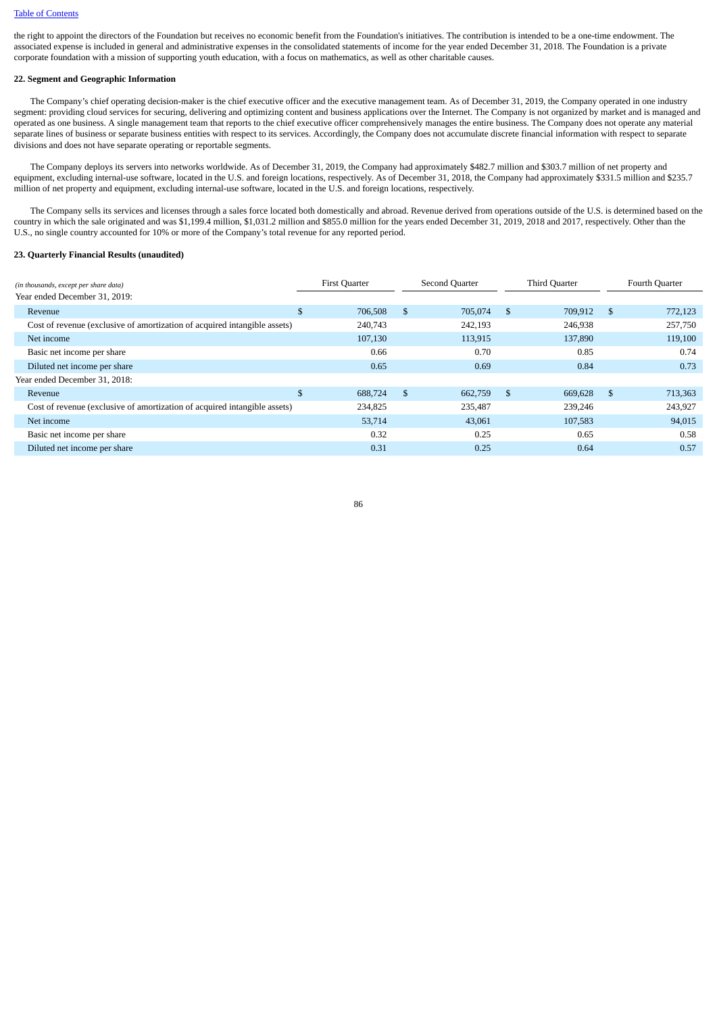the right to appoint the directors of the Foundation but receives no economic benefit from the Foundation's initiatives. The contribution is intended to be a one-time endowment. The associated expense is included in general and administrative expenses in the consolidated statements of income for the year ended December 31, 2018. The Foundation is a private corporate foundation with a mission of supporting youth education, with a focus on mathematics, as well as other charitable causes.

### **22. Segment and Geographic Information**

The Company's chief operating decision-maker is the chief executive officer and the executive management team. As of December 31, 2019, the Company operated in one industry segment: providing cloud services for securing, delivering and optimizing content and business applications over the Internet. The Company is not organized by market and is managed and operated as one business. A single management team that reports to the chief executive officer comprehensively manages the entire business. The Company does not operate any material separate lines of business or separate business entities with respect to its services. Accordingly, the Company does not accumulate discrete financial information with respect to separate divisions and does not have separate operating or reportable segments.

The Company deploys its servers into networks worldwide. As of December 31, 2019, the Company had approximately \$482.7 million and \$303.7 million of net property and equipment, excluding internal-use software, located in the U.S. and foreign locations, respectively. As of December 31, 2018, the Company had approximately \$331.5 million and \$235.7 million of net property and equipment, excluding internal-use software, located in the U.S. and foreign locations, respectively.

The Company sells its services and licenses through a sales force located both domestically and abroad. Revenue derived from operations outside of the U.S. is determined based on the country in which the sale originated and was \$1,199.4 million, \$1,031.2 million and \$855.0 million for the years ended December 31, 2019, 2018 and 2017, respectively. Other than the U.S., no single country accounted for 10% or more of the Company's total revenue for any reported period.

### **23. Quarterly Financial Results (unaudited)**

| (in thousands, except per share data)                                     |    | First Quarter |              | Second Quarter |     | Third Quarter |     | Fourth Quarter |
|---------------------------------------------------------------------------|----|---------------|--------------|----------------|-----|---------------|-----|----------------|
| Year ended December 31, 2019:                                             |    |               |              |                |     |               |     |                |
| Revenue                                                                   | \$ | 706,508       | $\mathbb{S}$ | 705,074        | -\$ | 709,912       | \$. | 772,123        |
| Cost of revenue (exclusive of amortization of acquired intangible assets) |    | 240,743       |              | 242,193        |     | 246,938       |     | 257,750        |
| Net income                                                                |    | 107,130       |              | 113,915        |     | 137,890       |     | 119,100        |
| Basic net income per share                                                |    | 0.66          |              | 0.70           |     | 0.85          |     | 0.74           |
| Diluted net income per share                                              |    | 0.65          |              | 0.69           |     | 0.84          |     | 0.73           |
| Year ended December 31, 2018:                                             |    |               |              |                |     |               |     |                |
| Revenue                                                                   | \$ | 688,724       | $\mathbb{S}$ | 662,759        | -\$ | 669,628       | \$. | 713,363        |
| Cost of revenue (exclusive of amortization of acquired intangible assets) |    | 234,825       |              | 235,487        |     | 239,246       |     | 243,927        |
| Net income                                                                |    | 53,714        |              | 43,061         |     | 107.583       |     | 94,015         |
| Basic net income per share                                                |    | 0.32          |              | 0.25           |     | 0.65          |     | 0.58           |
| Diluted net income per share                                              |    | 0.31          |              | 0.25           |     | 0.64          |     | 0.57           |
|                                                                           |    |               |              |                |     |               |     |                |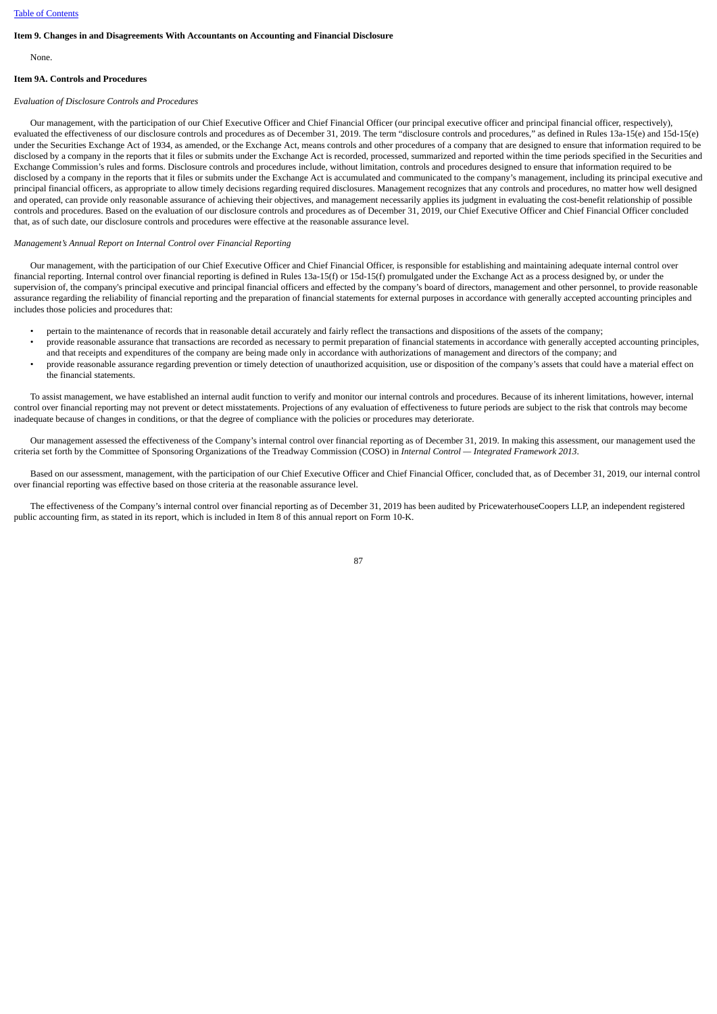#### **Item 9. Changes in and Disagreements With Accountants on Accounting and Financial Disclosure**

None.

#### **Item 9A. Controls and Procedures**

## *Evaluation of Disclosure Controls and Procedures*

Our management, with the participation of our Chief Executive Officer and Chief Financial Officer (our principal executive officer and principal financial officer, respectively), evaluated the effectiveness of our disclosure controls and procedures as of December 31, 2019. The term "disclosure controls and procedures," as defined in Rules 13a-15(e) and 15d-15(e) under the Securities Exchange Act of 1934, as amended, or the Exchange Act, means controls and other procedures of a company that are designed to ensure that information required to be disclosed by a company in the reports that it files or submits under the Exchange Act is recorded, processed, summarized and reported within the time periods specified in the Securities and Exchange Commission's rules and forms. Disclosure controls and procedures include, without limitation, controls and procedures designed to ensure that information required to be disclosed by a company in the reports that it files or submits under the Exchange Act is accumulated and communicated to the company's management, including its principal executive and principal financial officers, as appropriate to allow timely decisions regarding required disclosures. Management recognizes that any controls and procedures, no matter how well designed and operated, can provide only reasonable assurance of achieving their objectives, and management necessarily applies its judgment in evaluating the cost-benefit relationship of possible controls and procedures. Based on the evaluation of our disclosure controls and procedures as of December 31, 2019, our Chief Executive Officer and Chief Financial Officer concluded that, as of such date, our disclosure controls and procedures were effective at the reasonable assurance level.

### *Management's Annual Report on Internal Control over Financial Reporting*

Our management, with the participation of our Chief Executive Officer and Chief Financial Officer, is responsible for establishing and maintaining adequate internal control over financial reporting. Internal control over financial reporting is defined in Rules 13a-15(f) or 15d-15(f) promulgated under the Exchange Act as a process designed by, or under the supervision of, the company's principal executive and principal financial officers and effected by the company's board of directors, management and other personnel, to provide reasonable assurance regarding the reliability of financial reporting and the preparation of financial statements for external purposes in accordance with generally accepted accounting principles and includes those policies and procedures that:

- pertain to the maintenance of records that in reasonable detail accurately and fairly reflect the transactions and dispositions of the assets of the company;
- provide reasonable assurance that transactions are recorded as necessary to permit preparation of financial statements in accordance with generally accepted accounting principles, and that receipts and expenditures of the company are being made only in accordance with authorizations of management and directors of the company; and
- provide reasonable assurance regarding prevention or timely detection of unauthorized acquisition, use or disposition of the company's assets that could have a material effect on the financial statements.

To assist management, we have established an internal audit function to verify and monitor our internal controls and procedures. Because of its inherent limitations, however, internal control over financial reporting may not prevent or detect misstatements. Projections of any evaluation of effectiveness to future periods are subject to the risk that controls may become inadequate because of changes in conditions, or that the degree of compliance with the policies or procedures may deteriorate.

Our management assessed the effectiveness of the Company's internal control over financial reporting as of December 31, 2019. In making this assessment, our management used the criteria set forth by the Committee of Sponsoring Organizations of the Treadway Commission (COSO) in *Internal Control — Integrated Framework 2013*.

Based on our assessment, management, with the participation of our Chief Executive Officer and Chief Financial Officer, concluded that, as of December 31, 2019, our internal control over financial reporting was effective based on those criteria at the reasonable assurance level.

The effectiveness of the Company's internal control over financial reporting as of December 31, 2019 has been audited by PricewaterhouseCoopers LLP, an independent registered public accounting firm, as stated in its report, which is included in Item 8 of this annual report on Form 10-K.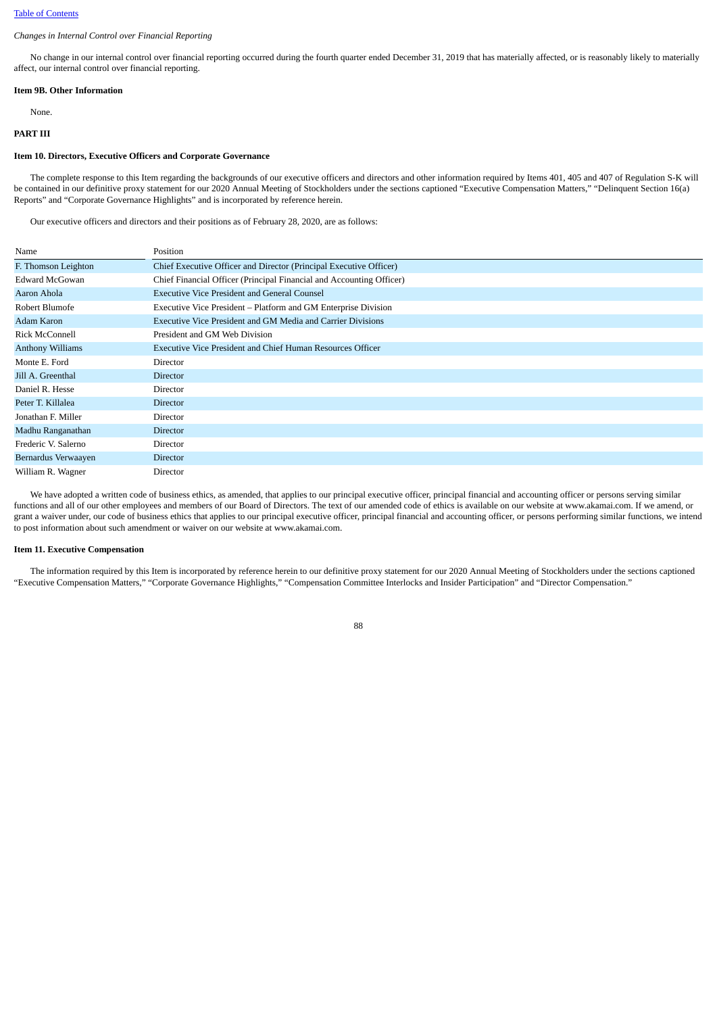## *Changes in Internal Control over Financial Reporting*

No change in our internal control over financial reporting occurred during the fourth quarter ended December 31, 2019 that has materially affected, or is reasonably likely to materially affect, our internal control over financial reporting.

#### **Item 9B. Other Information**

None.

### **PART III**

## **Item 10. Directors, Executive Officers and Corporate Governance**

The complete response to this Item regarding the backgrounds of our executive officers and directors and other information required by Items 401, 405 and 407 of Regulation S-K will be contained in our definitive proxy statement for our 2020 Annual Meeting of Stockholders under the sections captioned "Executive Compensation Matters," "Delinquent Section 16(a) Reports" and "Corporate Governance Highlights" and is incorporated by reference herein.

Our executive officers and directors and their positions as of February 28, 2020, are as follows:

| Name                    | Position                                                             |
|-------------------------|----------------------------------------------------------------------|
| F. Thomson Leighton     | Chief Executive Officer and Director (Principal Executive Officer)   |
| Edward McGowan          | Chief Financial Officer (Principal Financial and Accounting Officer) |
| Aaron Ahola             | <b>Executive Vice President and General Counsel</b>                  |
| Robert Blumofe          | Executive Vice President - Platform and GM Enterprise Division       |
| Adam Karon              | Executive Vice President and GM Media and Carrier Divisions          |
| Rick McConnell          | President and GM Web Division                                        |
| <b>Anthony Williams</b> | <b>Executive Vice President and Chief Human Resources Officer</b>    |
| Monte E. Ford           | Director                                                             |
| Jill A. Greenthal       | <b>Director</b>                                                      |
| Daniel R. Hesse         | Director                                                             |
| Peter T. Killalea       | <b>Director</b>                                                      |
| Jonathan F. Miller      | Director                                                             |
| Madhu Ranganathan       | <b>Director</b>                                                      |
| Frederic V. Salerno     | Director                                                             |
| Bernardus Verwaayen     | <b>Director</b>                                                      |
| William R. Wagner       | Director                                                             |

We have adopted a written code of business ethics, as amended, that applies to our principal executive officer, principal financial and accounting officer or persons serving similar functions and all of our other employees and members of our Board of Directors. The text of our amended code of ethics is available on our website at www.akamai.com. If we amend, or grant a waiver under, our code of business ethics that applies to our principal executive officer, principal financial and accounting officer, or persons performing similar functions, we intend to post information about such amendment or waiver on our website at www.akamai.com.

### **Item 11. Executive Compensation**

The information required by this Item is incorporated by reference herein to our definitive proxy statement for our 2020 Annual Meeting of Stockholders under the sections captioned "Executive Compensation Matters," "Corporate Governance Highlights," "Compensation Committee Interlocks and Insider Participation" and "Director Compensation."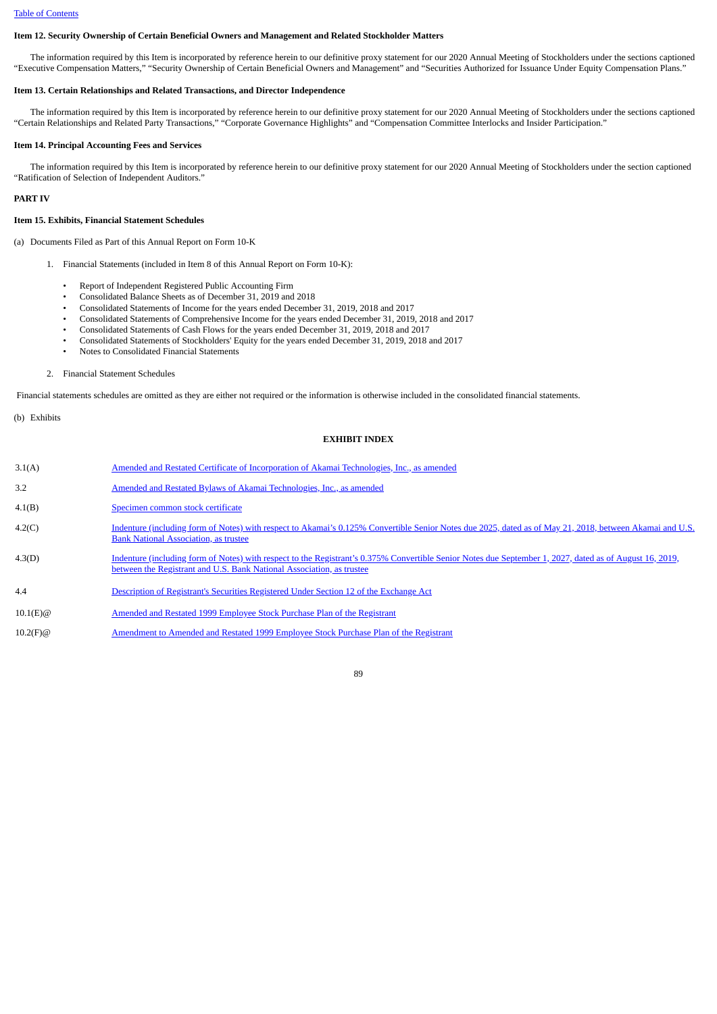### **Item 12. Security Ownership of Certain Beneficial Owners and Management and Related Stockholder Matters**

The information required by this Item is incorporated by reference herein to our definitive proxy statement for our 2020 Annual Meeting of Stockholders under the sections captioned "Executive Compensation Matters," "Security Ownership of Certain Beneficial Owners and Management" and "Securities Authorized for Issuance Under Equity Compensation Plans."

#### **Item 13. Certain Relationships and Related Transactions, and Director Independence**

The information required by this Item is incorporated by reference herein to our definitive proxy statement for our 2020 Annual Meeting of Stockholders under the sections captioned "Certain Relationships and Related Party Transactions," "Corporate Governance Highlights" and "Compensation Committee Interlocks and Insider Participation."

### **Item 14. Principal Accounting Fees and Services**

The information required by this Item is incorporated by reference herein to our definitive proxy statement for our 2020 Annual Meeting of Stockholders under the section captioned "Ratification of Selection of Independent Auditors."

#### **PART IV**

## **Item 15. Exhibits, Financial Statement Schedules**

(a) Documents Filed as Part of this Annual Report on Form 10-K

- 1. Financial Statements (included in Item 8 of this Annual Report on Form 10-K):
	- Report of Independent Registered Public Accounting Firm
	- Consolidated Balance Sheets as of December 31, 2019 and 2018
	- Consolidated Statements of Income for the years ended December 31, 2019, 2018 and 2017
	- Consolidated Statements of Comprehensive Income for the years ended December 31, 2019, 2018 and 2017
	- Consolidated Statements of Cash Flows for the years ended December 31, 2019, 2018 and 2017
	- Consolidated Statements of Stockholders' Equity for the years ended December 31, 2019, 2018 and 2017
	- Notes to Consolidated Financial Statements
- 2. Financial Statement Schedules

Financial statements schedules are omitted as they are either not required or the information is otherwise included in the consolidated financial statements.

(b) Exhibits

### **EXHIBIT INDEX**

| 3.1(A)      | Amended and Restated Certificate of Incorporation of Akamai Technologies, Inc., as amended                                                                                                                                        |
|-------------|-----------------------------------------------------------------------------------------------------------------------------------------------------------------------------------------------------------------------------------|
| 3.2         | Amended and Restated Bylaws of Akamai Technologies, Inc., as amended                                                                                                                                                              |
| 4.1(B)      | Specimen common stock certificate                                                                                                                                                                                                 |
| 4.2(C)      | Indenture (including form of Notes) with respect to Akamai's 0.125% Convertible Senior Notes due 2025, dated as of May 21, 2018, between Akamai and U.S.<br><b>Bank National Association, as trustee</b>                          |
| 4.3(D)      | Indenture (including form of Notes) with respect to the Registrant's 0.375% Convertible Senior Notes due September 1, 2027, dated as of August 16, 2019,<br>between the Registrant and U.S. Bank National Association, as trustee |
| 4.4         | Description of Registrant's Securities Registered Under Section 12 of the Exchange Act                                                                                                                                            |
| $10.1(E)$ @ | Amended and Restated 1999 Employee Stock Purchase Plan of the Registrant                                                                                                                                                          |
| $10.2(F)$ @ | Amendment to Amended and Restated 1999 Employee Stock Purchase Plan of the Registrant                                                                                                                                             |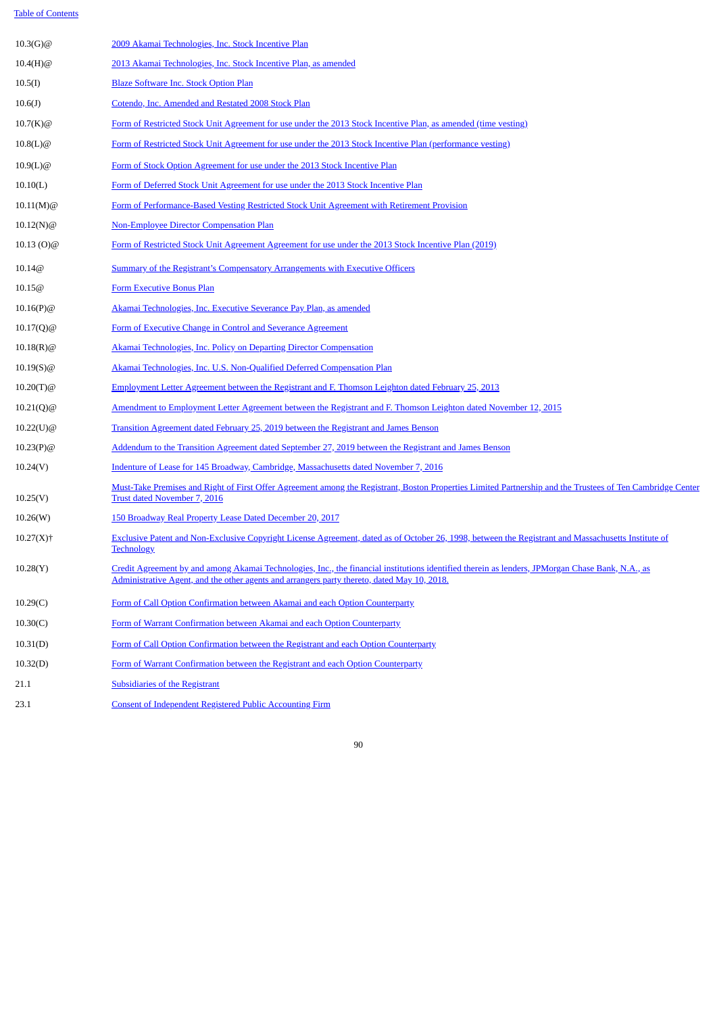| $10.3(G)$ @             | 2009 Akamai Technologies, Inc. Stock Incentive Plan                                                                                                                                                                                   |
|-------------------------|---------------------------------------------------------------------------------------------------------------------------------------------------------------------------------------------------------------------------------------|
| $10.4(H)$ @             | 2013 Akamai Technologies, Inc. Stock Incentive Plan, as amended                                                                                                                                                                       |
| 10.5(I)                 | <b>Blaze Software Inc. Stock Option Plan</b>                                                                                                                                                                                          |
| 10.6(J)                 | Cotendo, Inc. Amended and Restated 2008 Stock Plan                                                                                                                                                                                    |
| $10.7(K)$ @             | Form of Restricted Stock Unit Agreement for use under the 2013 Stock Incentive Plan, as amended (time vesting)                                                                                                                        |
| $10.8(L)$ @             | Form of Restricted Stock Unit Agreement for use under the 2013 Stock Incentive Plan (performance vesting)                                                                                                                             |
| $10.9(L)$ @             | Form of Stock Option Agreement for use under the 2013 Stock Incentive Plan                                                                                                                                                            |
| 10.10(L)                | Form of Deferred Stock Unit Agreement for use under the 2013 Stock Incentive Plan                                                                                                                                                     |
| $10.11(M)$ @            | Form of Performance-Based Vesting Restricted Stock Unit Agreement with Retirement Provision                                                                                                                                           |
| $10.12(N)$ @            | <b>Non-Employee Director Compensation Plan</b>                                                                                                                                                                                        |
| $10.13(0)$ @            | Form of Restricted Stock Unit Agreement Agreement for use under the 2013 Stock Incentive Plan (2019)                                                                                                                                  |
| 10.14@                  | <b>Summary of the Registrant's Compensatory Arrangements with Executive Officers</b>                                                                                                                                                  |
| 10.15@                  | <b>Form Executive Bonus Plan</b>                                                                                                                                                                                                      |
| $10.16(P)$ @            | Akamai Technologies, Inc. Executive Severance Pay Plan, as amended                                                                                                                                                                    |
| $10.17(Q)$ @            | Form of Executive Change in Control and Severance Agreement                                                                                                                                                                           |
| $10.18(R)$ @            | <b>Akamai Technologies, Inc. Policy on Departing Director Compensation</b>                                                                                                                                                            |
| $10.19(S)$ @            | <u>Akamai Technologies, Inc. U.S. Non-Qualified Deferred Compensation Plan</u>                                                                                                                                                        |
| $10.20(T)$ @            | <b>Employment Letter Agreement between the Registrant and F. Thomson Leighton dated February 25, 2013</b>                                                                                                                             |
| $10.21(Q)$ @            | <u>Amendment to Employment Letter Agreement between the Registrant and F. Thomson Leighton dated November 12, 2015</u>                                                                                                                |
| $10.22(U)$ @            | <u>Transition Agreement dated February 25, 2019 between the Registrant and James Benson</u>                                                                                                                                           |
| $10.23(P)$ @            | Addendum to the Transition Agreement dated September 27, 2019 between the Registrant and James Benson                                                                                                                                 |
| 10.24(V)                | <u>Indenture of Lease for 145 Broadway, Cambridge, Massachusetts dated November 7, 2016</u>                                                                                                                                           |
| 10.25(V)                | <u>Must-Take Premises and Right of First Offer Agreement among the Registrant, Boston Properties Limited Partnership and the Trustees of Ten Cambridge Center</u><br><b>Trust dated November 7, 2016</b>                              |
| 10.26(W)                | 150 Broadway Real Property Lease Dated December 20, 2017                                                                                                                                                                              |
| $10.27(X)$ <sup>+</sup> | Exclusive Patent and Non-Exclusive Copyright License Agreement, dated as of October 26, 1998, between the Registrant and Massachusetts Institute of<br><b>Technology</b>                                                              |
| 10.28(Y)                | Credit Agreement by and among Akamai Technologies Inc the financial institutions identified therein as lenders IPMorgan Chase Bank N A<br>Administrative Agent, and the other agents and arrangers party thereto, dated May 10, 2018. |
| 10.29(C)                | Form of Call Option Confirmation between Akamai and each Option Counterparty                                                                                                                                                          |
| 10.30(C)                | Form of Warrant Confirmation between Akamai and each Option Counterparty                                                                                                                                                              |
| 10.31(D)                | Form of Call Option Confirmation between the Registrant and each Option Counterparty                                                                                                                                                  |
| 10.32(D)                | Form of Warrant Confirmation between the Registrant and each Option Counterparty                                                                                                                                                      |
| 21.1                    | <b>Subsidiaries of the Registrant</b>                                                                                                                                                                                                 |
| 23.1                    | <b>Consent of Independent Registered Public Accounting Firm</b>                                                                                                                                                                       |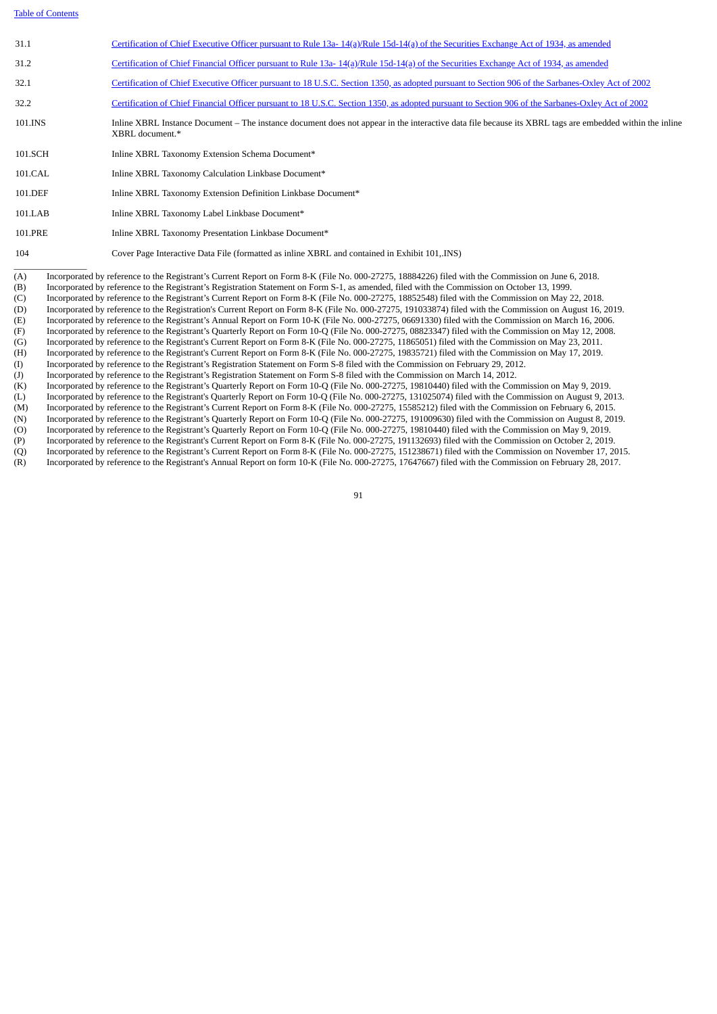| 31.1                                          |                                                                                                                                                                                                                                                                                        | Certification of Chief Executive Officer pursuant to Rule 13a-14(a)/Rule 15d-14(a) of the Securities Exchange Act of 1934, as amended                                                                                                                                                                                                                                                                                                                                                                                                                                                                                                                                                                                                                                                                                                                                                                                                                                                                                                                                                       |  |  |  |
|-----------------------------------------------|----------------------------------------------------------------------------------------------------------------------------------------------------------------------------------------------------------------------------------------------------------------------------------------|---------------------------------------------------------------------------------------------------------------------------------------------------------------------------------------------------------------------------------------------------------------------------------------------------------------------------------------------------------------------------------------------------------------------------------------------------------------------------------------------------------------------------------------------------------------------------------------------------------------------------------------------------------------------------------------------------------------------------------------------------------------------------------------------------------------------------------------------------------------------------------------------------------------------------------------------------------------------------------------------------------------------------------------------------------------------------------------------|--|--|--|
| 31.2                                          |                                                                                                                                                                                                                                                                                        | Certification of Chief Financial Officer pursuant to Rule 13a-14(a)/Rule 15d-14(a) of the Securities Exchange Act of 1934, as amended                                                                                                                                                                                                                                                                                                                                                                                                                                                                                                                                                                                                                                                                                                                                                                                                                                                                                                                                                       |  |  |  |
| 32.1                                          |                                                                                                                                                                                                                                                                                        | Certification of Chief Executive Officer pursuant to 18 U.S.C. Section 1350, as adopted pursuant to Section 906 of the Sarbanes-Oxley Act of 2002                                                                                                                                                                                                                                                                                                                                                                                                                                                                                                                                                                                                                                                                                                                                                                                                                                                                                                                                           |  |  |  |
| 32.2                                          |                                                                                                                                                                                                                                                                                        | Certification of Chief Financial Officer pursuant to 18 U.S.C. Section 1350, as adopted pursuant to Section 906 of the Sarbanes-Oxley Act of 2002                                                                                                                                                                                                                                                                                                                                                                                                                                                                                                                                                                                                                                                                                                                                                                                                                                                                                                                                           |  |  |  |
| 101.INS                                       |                                                                                                                                                                                                                                                                                        | Inline XBRL Instance Document – The instance document does not appear in the interactive data file because its XBRL tags are embedded within the inline<br>XBRL document.*                                                                                                                                                                                                                                                                                                                                                                                                                                                                                                                                                                                                                                                                                                                                                                                                                                                                                                                  |  |  |  |
| 101.SCH                                       |                                                                                                                                                                                                                                                                                        | Inline XBRL Taxonomy Extension Schema Document*                                                                                                                                                                                                                                                                                                                                                                                                                                                                                                                                                                                                                                                                                                                                                                                                                                                                                                                                                                                                                                             |  |  |  |
| 101.CAL                                       |                                                                                                                                                                                                                                                                                        | Inline XBRL Taxonomy Calculation Linkbase Document*                                                                                                                                                                                                                                                                                                                                                                                                                                                                                                                                                                                                                                                                                                                                                                                                                                                                                                                                                                                                                                         |  |  |  |
| 101.DEF                                       |                                                                                                                                                                                                                                                                                        | Inline XBRL Taxonomy Extension Definition Linkbase Document*                                                                                                                                                                                                                                                                                                                                                                                                                                                                                                                                                                                                                                                                                                                                                                                                                                                                                                                                                                                                                                |  |  |  |
| 101.LAB                                       |                                                                                                                                                                                                                                                                                        | Inline XBRL Taxonomy Label Linkbase Document*                                                                                                                                                                                                                                                                                                                                                                                                                                                                                                                                                                                                                                                                                                                                                                                                                                                                                                                                                                                                                                               |  |  |  |
| 101.PRE                                       |                                                                                                                                                                                                                                                                                        | Inline XBRL Taxonomy Presentation Linkbase Document*                                                                                                                                                                                                                                                                                                                                                                                                                                                                                                                                                                                                                                                                                                                                                                                                                                                                                                                                                                                                                                        |  |  |  |
| 104                                           |                                                                                                                                                                                                                                                                                        | Cover Page Interactive Data File (formatted as inline XBRL and contained in Exhibit 101, INS)                                                                                                                                                                                                                                                                                                                                                                                                                                                                                                                                                                                                                                                                                                                                                                                                                                                                                                                                                                                               |  |  |  |
| (A)<br>(B)<br>(C)<br>(D)<br>(E)<br>(F)<br>(G) |                                                                                                                                                                                                                                                                                        | Incorporated by reference to the Registrant's Current Report on Form 8-K (File No. 000-27275, 18884226) filed with the Commission on June 6, 2018.<br>Incorporated by reference to the Registrant's Registration Statement on Form S-1, as amended, filed with the Commission on October 13, 1999.<br>Incorporated by reference to the Registrant's Current Report on Form 8-K (File No. 000-27275, 18852548) filed with the Commission on May 22, 2018.<br>Incorporated by reference to the Registration's Current Report on Form 8-K (File No. 000-27275, 191033874) filed with the Commission on August 16, 2019.<br>Incorporated by reference to the Registrant's Annual Report on Form 10-K (File No. 000-27275, 06691330) filed with the Commission on March 16, 2006.<br>Incorporated by reference to the Registrant's Quarterly Report on Form 10-Q (File No. 000-27275, 08823347) filed with the Commission on May 12, 2008.<br>Incorporated by reference to the Registrant's Current Report on Form 8-K (File No. 000-27275, 11865051) filed with the Commission on May 23, 2011. |  |  |  |
| (H)<br>(I)                                    | Incorporated by reference to the Registrant's Current Report on Form 8-K (File No. 000-27275, 19835721) filed with the Commission on May 17, 2019.<br>Incorporated by reference to the Registrant's Registration Statement on Form S-8 filed with the Commission on February 29, 2012. |                                                                                                                                                                                                                                                                                                                                                                                                                                                                                                                                                                                                                                                                                                                                                                                                                                                                                                                                                                                                                                                                                             |  |  |  |
| (J)<br>(TZ)                                   |                                                                                                                                                                                                                                                                                        | Incorporated by reference to the Registrant's Registration Statement on Form S-8 filed with the Commission on March 14, 2012.                                                                                                                                                                                                                                                                                                                                                                                                                                                                                                                                                                                                                                                                                                                                                                                                                                                                                                                                                               |  |  |  |

(K) Incorporated by reference to the Registrant's Quarterly Report on Form 10-Q (File No. 000-27275, 19810440) filed with the Commission on May 9, 2019.

(L) Incorporated by reference to the Registrant's Quarterly Report on Form 10-Q (File No. 000-27275, 131025074) filed with the Commission on August 9, 2013.

(M) Incorporated by reference to the Registrant's Current Report on Form 8-K (File No. 000-27275, 15585212) filed with the Commission on February 6, 2015. (K) Incorporated by reference to the Registrant's Quarterly Report on Form 10-Q (File No. 000-27275, 19810440) filed with the Commission on May 9, 2019.<br>
(L) Incorporated by reference to the Registrant's Quarterly Report o

(O) Incorporated by reference to the Registrant's Quarterly Report on Form 10-Q (File No. 000-27275, 19810440) filed with the Commission on May 9, 2019.<br>(P) Incorporated by reference to the Registrant's Current Report on F (P) Incorporated by reference to the Registrant's Current Report on Form 8-K (File No. 000-27275, 191132693) filed with the Commission on October 2, 2019.

(Q) Incorporated by reference to the Registrant's Current Report on Form 8-K (File No. 000-27275, 151238671) filed with the Commission on November 17, 2015.

(R) Incorporated by reference to the Registrant's Annual Report on form 10-K (File No. 000-27275, 17647667) filed with the Commission on February 28, 2017.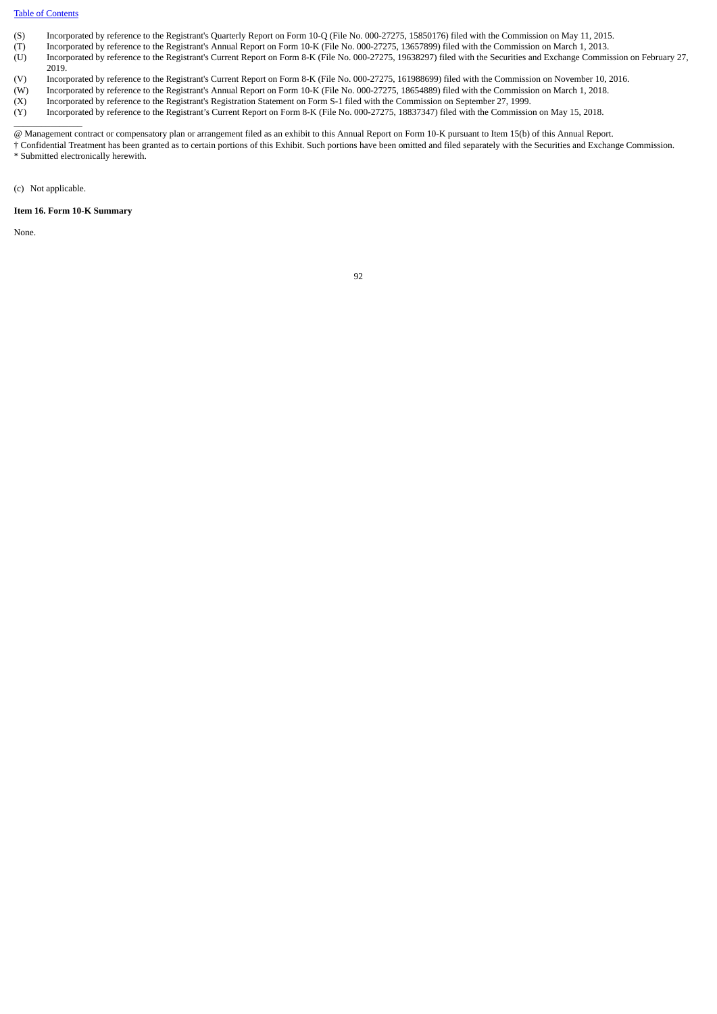- (S) Incorporated by reference to the Registrant's Quarterly Report on Form 10-Q (File No. 000-27275, 15850176) filed with the Commission on May 11, 2015.
- (T) Incorporated by reference to the Registrant's Annual Report on Form 10-K (File No. 000-27275, 13657899) filed with the Commission on March 1, 2013.
- (U) Incorporated by reference to the Registrant's Current Report on Form 8-K (File No. 000-27275, 19638297) filed with the Securities and Exchange Commission on February 27, 2019.
- (V) Incorporated by reference to the Registrant's Current Report on Form 8-K (File No. 000-27275, 161988699) filed with the Commission on November 10, 2016.<br>(W) Incorporated by reference to the Registrant's Annual Report o
- (W) Incorporated by reference to the Registrant's Annual Report on Form 10-K (File No. 000-27275, 18654889) filed with the Commission on March 1, 2018.<br>(X) Incorporated by reference to the Registrant's Registration Stateme
- (X) Incorporated by reference to the Registrant's Registration Statement on Form S-1 filed with the Commission on September 27, 1999.<br>(Y) Incorporated by reference to the Registrant's Current Report on Form 8-K (File No. 0
- (Y) Incorporated by reference to the Registrant's Current Report on Form 8-K (File No. 000-27275, 18837347) filed with the Commission on May 15, 2018.  $\overline{\phantom{a}}$  , we can consider the constant of  $\overline{\phantom{a}}$

@ Management contract or compensatory plan or arrangement filed as an exhibit to this Annual Report on Form 10-K pursuant to Item 15(b) of this Annual Report. † Confidential Treatment has been granted as to certain portions of this Exhibit. Such portions have been omitted and filed separately with the Securities and Exchange Commission. \* Submitted electronically herewith.

(c) Not applicable.

### **Item 16. Form 10-K Summary**

None.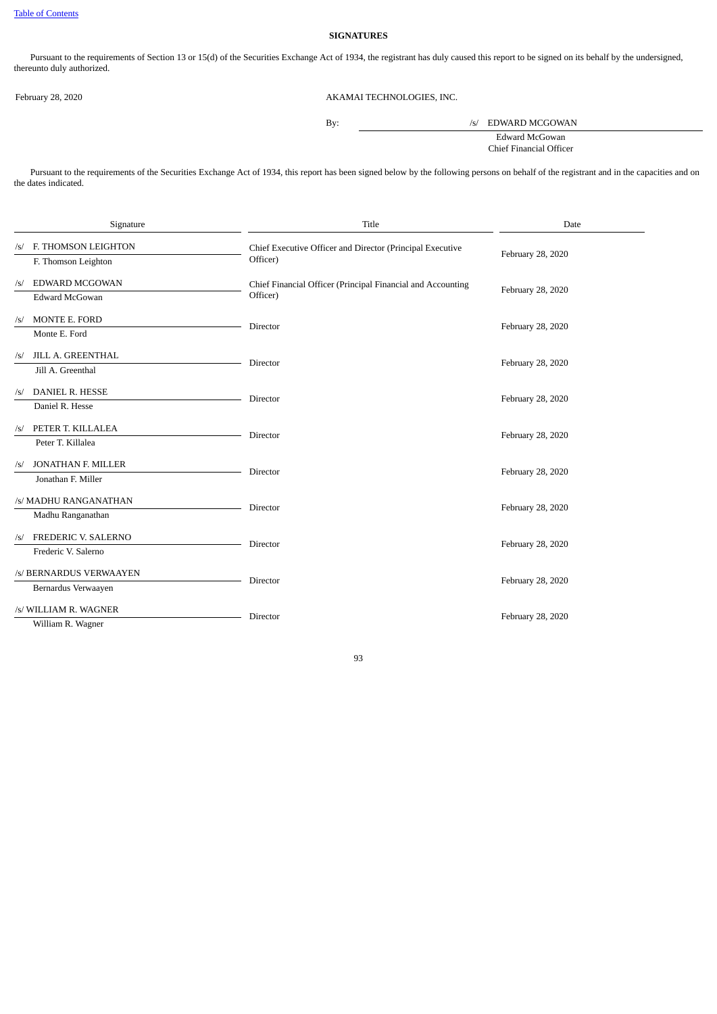# **SIGNATURES**

Pursuant to the requirements of Section 13 or 15(d) of the Securities Exchange Act of 1934, the registrant has duly caused this report to be signed on its behalf by the undersigned, thereunto duly authorized.

February 28, 2020 AKAMAI TECHNOLOGIES, INC.

By: /s/ EDWARD MCGOWAN

Edward McGowan Chief Financial Officer

Pursuant to the requirements of the Securities Exchange Act of 1934, this report has been signed below by the following persons on behalf of the registrant and in the capacities and on the dates indicated.

| Signature                                                     | Title                                                                   | Date              |  |  |
|---------------------------------------------------------------|-------------------------------------------------------------------------|-------------------|--|--|
| F. THOMSON LEIGHTON<br>/s/<br>F. Thomson Leighton             | Chief Executive Officer and Director (Principal Executive<br>Officer)   | February 28, 2020 |  |  |
| EDWARD MCGOWAN<br>$\sqrt{s}$<br><b>Edward McGowan</b>         | Chief Financial Officer (Principal Financial and Accounting<br>Officer) | February 28, 2020 |  |  |
| MONTE E. FORD<br>$\sqrt{s}$<br>Monte E. Ford                  | Director                                                                | February 28, 2020 |  |  |
| JILL A. GREENTHAL<br>$\sqrt{s}$<br>Jill A. Greenthal          | Director                                                                | February 28, 2020 |  |  |
| DANIEL R. HESSE<br>$\sqrt{s}$<br>Daniel R. Hesse              | Director                                                                | February 28, 2020 |  |  |
| PETER T. KILLALEA<br>$\sqrt{s}$<br>Peter T. Killalea          | Director                                                                | February 28, 2020 |  |  |
| <b>JONATHAN F. MILLER</b><br>$\sqrt{s}$<br>Jonathan F. Miller | Director                                                                | February 28, 2020 |  |  |
| /s/ MADHU RANGANATHAN<br>Madhu Ranganathan                    | Director                                                                | February 28, 2020 |  |  |
| FREDERIC V. SALERNO<br>$\sqrt{s}$<br>Frederic V. Salerno      | Director                                                                | February 28, 2020 |  |  |
| /s/ BERNARDUS VERWAAYEN<br>Bernardus Verwaayen                | Director                                                                | February 28, 2020 |  |  |
| /s/ WILLIAM R. WAGNER<br>William R. Wagner                    | Director                                                                | February 28, 2020 |  |  |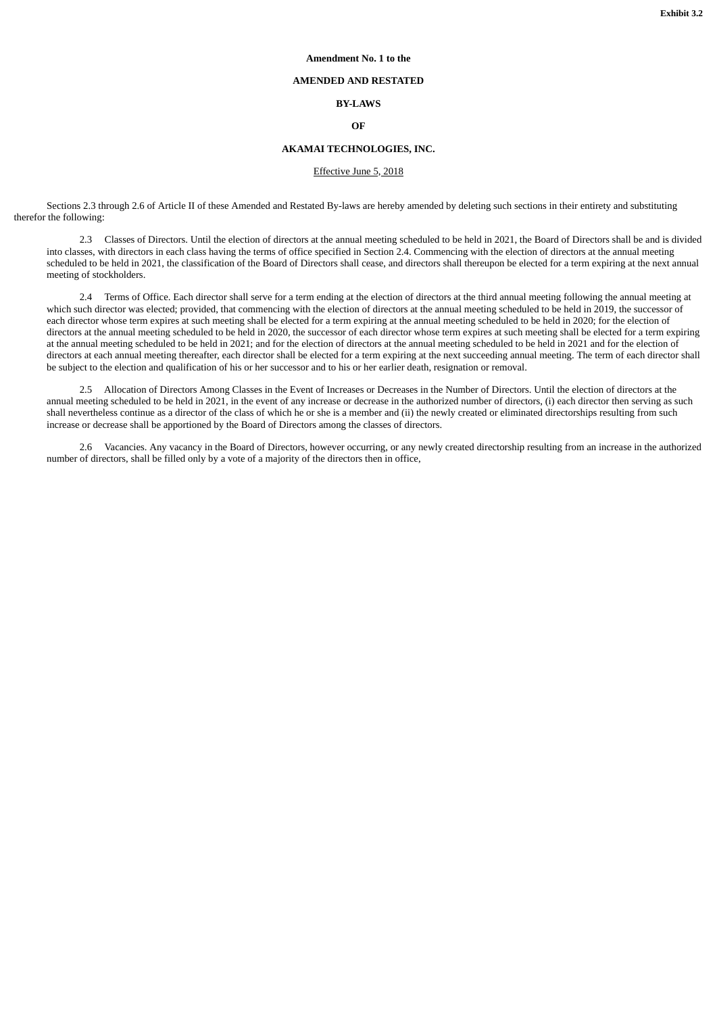## **Amendment No. 1 to the**

#### **AMENDED AND RESTATED**

# **BY-LAWS**

# **OF**

## **AKAMAI TECHNOLOGIES, INC.**

### Effective June 5, 2018

<span id="page-93-0"></span>Sections 2.3 through 2.6 of Article II of these Amended and Restated By-laws are hereby amended by deleting such sections in their entirety and substituting therefor the following:

2.3 Classes of Directors. Until the election of directors at the annual meeting scheduled to be held in 2021, the Board of Directors shall be and is divided into classes, with directors in each class having the terms of office specified in Section 2.4. Commencing with the election of directors at the annual meeting scheduled to be held in 2021, the classification of the Board of Directors shall cease, and directors shall thereupon be elected for a term expiring at the next annual meeting of stockholders.

Terms of Office. Each director shall serve for a term ending at the election of directors at the third annual meeting following the annual meeting at which such director was elected; provided, that commencing with the election of directors at the annual meeting scheduled to be held in 2019, the successor of each director whose term expires at such meeting shall be elected for a term expiring at the annual meeting scheduled to be held in 2020; for the election of directors at the annual meeting scheduled to be held in 2020, the successor of each director whose term expires at such meeting shall be elected for a term expiring at the annual meeting scheduled to be held in 2021; and for the election of directors at the annual meeting scheduled to be held in 2021 and for the election of directors at each annual meeting thereafter, each director shall be elected for a term expiring at the next succeeding annual meeting. The term of each director shall be subject to the election and qualification of his or her successor and to his or her earlier death, resignation or removal.

2.5 Allocation of Directors Among Classes in the Event of Increases or Decreases in the Number of Directors. Until the election of directors at the annual meeting scheduled to be held in 2021, in the event of any increase or decrease in the authorized number of directors, (i) each director then serving as such shall nevertheless continue as a director of the class of which he or she is a member and (ii) the newly created or eliminated directorships resulting from such increase or decrease shall be apportioned by the Board of Directors among the classes of directors.

2.6 Vacancies. Any vacancy in the Board of Directors, however occurring, or any newly created directorship resulting from an increase in the authorized number of directors, shall be filled only by a vote of a majority of the directors then in office,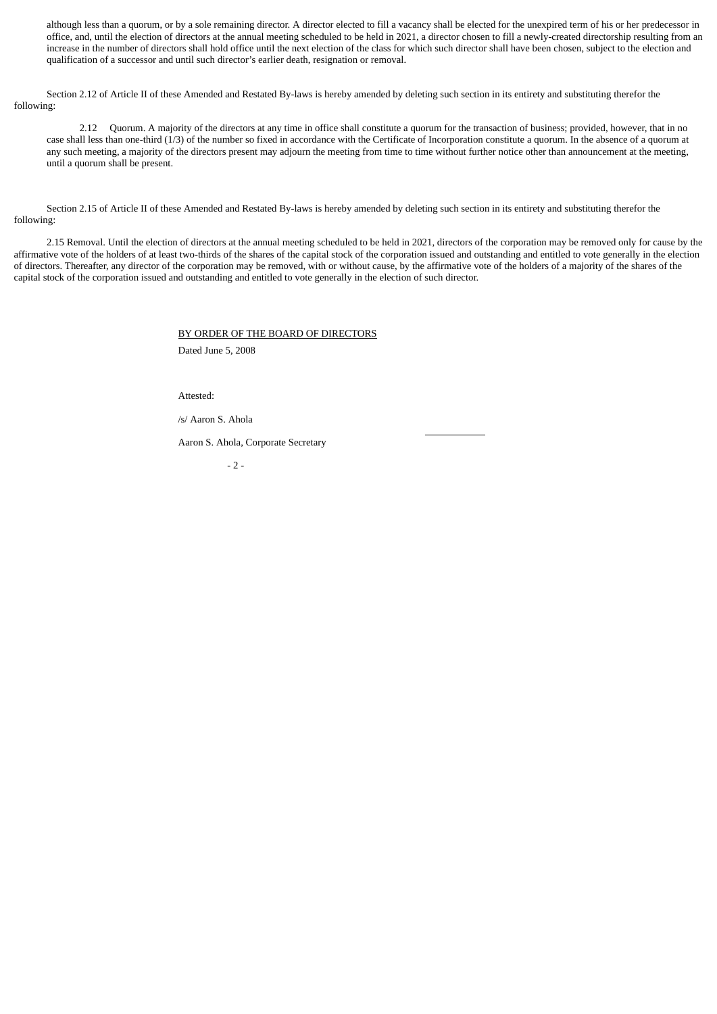although less than a quorum, or by a sole remaining director. A director elected to fill a vacancy shall be elected for the unexpired term of his or her predecessor in office, and, until the election of directors at the annual meeting scheduled to be held in 2021, a director chosen to fill a newly-created directorship resulting from an increase in the number of directors shall hold office until the next election of the class for which such director shall have been chosen, subject to the election and qualification of a successor and until such director's earlier death, resignation or removal.

Section 2.12 of Article II of these Amended and Restated By-laws is hereby amended by deleting such section in its entirety and substituting therefor the following:

2.12 Quorum. A majority of the directors at any time in office shall constitute a quorum for the transaction of business; provided, however, that in no case shall less than one-third (1/3) of the number so fixed in accordance with the Certificate of Incorporation constitute a quorum. In the absence of a quorum at any such meeting, a majority of the directors present may adjourn the meeting from time to time without further notice other than announcement at the meeting, until a quorum shall be present.

Section 2.15 of Article II of these Amended and Restated By-laws is hereby amended by deleting such section in its entirety and substituting therefor the following:

2.15 Removal. Until the election of directors at the annual meeting scheduled to be held in 2021, directors of the corporation may be removed only for cause by the affirmative vote of the holders of at least two-thirds of the shares of the capital stock of the corporation issued and outstanding and entitled to vote generally in the election of directors. Thereafter, any director of the corporation may be removed, with or without cause, by the affirmative vote of the holders of a majority of the shares of the capital stock of the corporation issued and outstanding and entitled to vote generally in the election of such director.

## BY ORDER OF THE BOARD OF DIRECTORS

Dated June 5, 2008

Attested:

/s/ Aaron S. Ahola

Aaron S. Ahola, Corporate Secretary

 $-2 -$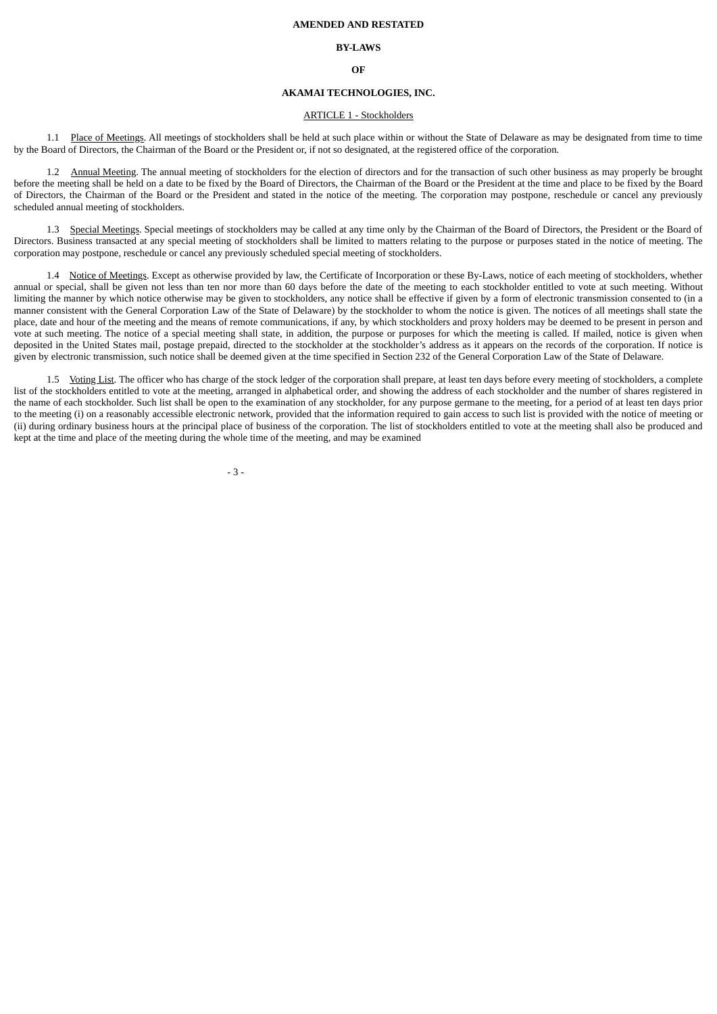# **AMENDED AND RESTATED**

## **BY-LAWS**

### **OF**

## **AKAMAI TECHNOLOGIES, INC.**

# ARTICLE 1 - Stockholders

1.1 Place of Meetings. All meetings of stockholders shall be held at such place within or without the State of Delaware as may be designated from time to time by the Board of Directors, the Chairman of the Board or the President or, if not so designated, at the registered office of the corporation.

1.2 Annual Meeting. The annual meeting of stockholders for the election of directors and for the transaction of such other business as may properly be brought before the meeting shall be held on a date to be fixed by the Board of Directors, the Chairman of the Board or the President at the time and place to be fixed by the Board of Directors, the Chairman of the Board or the President and stated in the notice of the meeting. The corporation may postpone, reschedule or cancel any previously scheduled annual meeting of stockholders.

1.3 Special Meetings. Special meetings of stockholders may be called at any time only by the Chairman of the Board of Directors, the President or the Board of Directors. Business transacted at any special meeting of stockholders shall be limited to matters relating to the purpose or purposes stated in the notice of meeting. The corporation may postpone, reschedule or cancel any previously scheduled special meeting of stockholders.

1.4 Notice of Meetings. Except as otherwise provided by law, the Certificate of Incorporation or these By-Laws, notice of each meeting of stockholders, whether annual or special, shall be given not less than ten nor more than 60 days before the date of the meeting to each stockholder entitled to vote at such meeting. Without limiting the manner by which notice otherwise may be given to stockholders, any notice shall be effective if given by a form of electronic transmission consented to (in a manner consistent with the General Corporation Law of the State of Delaware) by the stockholder to whom the notice is given. The notices of all meetings shall state the place, date and hour of the meeting and the means of remote communications, if any, by which stockholders and proxy holders may be deemed to be present in person and vote at such meeting. The notice of a special meeting shall state, in addition, the purpose or purposes for which the meeting is called. If mailed, notice is given when deposited in the United States mail, postage prepaid, directed to the stockholder at the stockholder's address as it appears on the records of the corporation. If notice is given by electronic transmission, such notice shall be deemed given at the time specified in Section 232 of the General Corporation Law of the State of Delaware.

1.5 Voting List. The officer who has charge of the stock ledger of the corporation shall prepare, at least ten days before every meeting of stockholders, a complete list of the stockholders entitled to vote at the meeting, arranged in alphabetical order, and showing the address of each stockholder and the number of shares registered in the name of each stockholder. Such list shall be open to the examination of any stockholder, for any purpose germane to the meeting, for a period of at least ten days prior to the meeting (i) on a reasonably accessible electronic network, provided that the information required to gain access to such list is provided with the notice of meeting or (ii) during ordinary business hours at the principal place of business of the corporation. The list of stockholders entitled to vote at the meeting shall also be produced and kept at the time and place of the meeting during the whole time of the meeting, and may be examined

- 3 -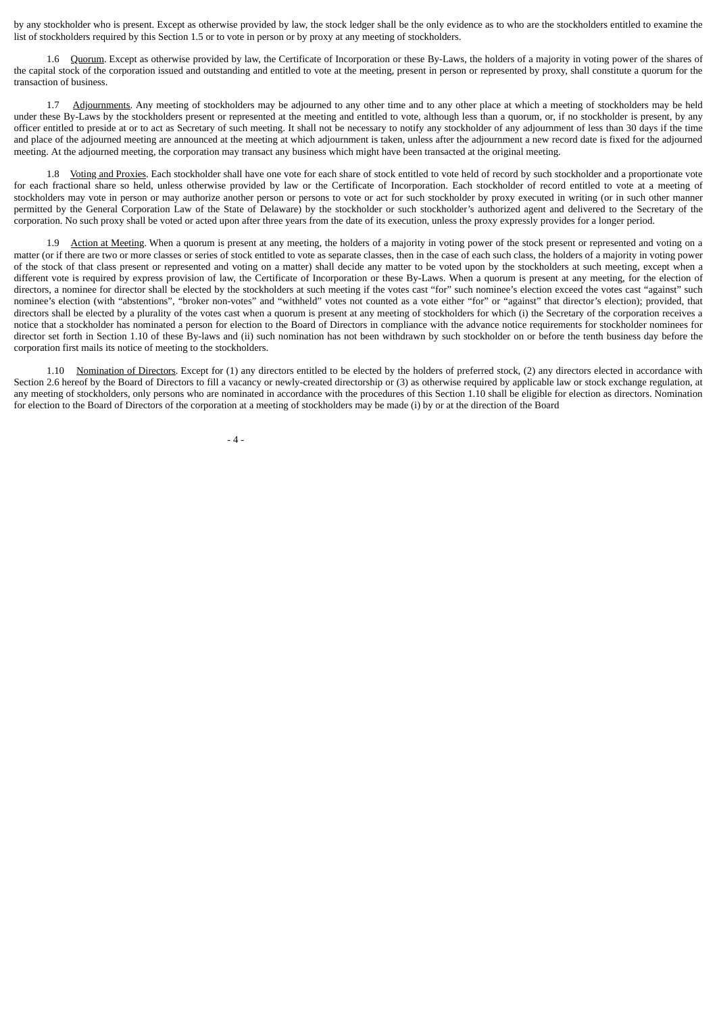by any stockholder who is present. Except as otherwise provided by law, the stock ledger shall be the only evidence as to who are the stockholders entitled to examine the list of stockholders required by this Section 1.5 or to vote in person or by proxy at any meeting of stockholders.

1.6 Quorum. Except as otherwise provided by law, the Certificate of Incorporation or these By-Laws, the holders of a majority in voting power of the shares of the capital stock of the corporation issued and outstanding and entitled to vote at the meeting, present in person or represented by proxy, shall constitute a quorum for the transaction of business.

1.7 Adjournments. Any meeting of stockholders may be adjourned to any other time and to any other place at which a meeting of stockholders may be held under these By-Laws by the stockholders present or represented at the meeting and entitled to vote, although less than a quorum, or, if no stockholder is present, by any officer entitled to preside at or to act as Secretary of such meeting. It shall not be necessary to notify any stockholder of any adjournment of less than 30 days if the time and place of the adjourned meeting are announced at the meeting at which adjournment is taken, unless after the adjournment a new record date is fixed for the adjourned meeting. At the adjourned meeting, the corporation may transact any business which might have been transacted at the original meeting.

1.8 Voting and Proxies. Each stockholder shall have one vote for each share of stock entitled to vote held of record by such stockholder and a proportionate vote for each fractional share so held, unless otherwise provided by law or the Certificate of Incorporation. Each stockholder of record entitled to vote at a meeting of stockholders may vote in person or may authorize another person or persons to vote or act for such stockholder by proxy executed in writing (or in such other manner permitted by the General Corporation Law of the State of Delaware) by the stockholder or such stockholder's authorized agent and delivered to the Secretary of the corporation. No such proxy shall be voted or acted upon after three years from the date of its execution, unless the proxy expressly provides for a longer period.

Action at Meeting. When a quorum is present at any meeting, the holders of a majority in voting power of the stock present or represented and voting on a matter (or if there are two or more classes or series of stock entitled to vote as separate classes, then in the case of each such class, the holders of a majority in voting power of the stock of that class present or represented and voting on a matter) shall decide any matter to be voted upon by the stockholders at such meeting, except when a different vote is required by express provision of law, the Certificate of Incorporation or these By-Laws. When a quorum is present at any meeting, for the election of directors, a nominee for director shall be elected by the stockholders at such meeting if the votes cast "for" such nominee's election exceed the votes cast "against" such nominee's election (with "abstentions", "broker non-votes" and "withheld" votes not counted as a vote either "for" or "against" that director's election); provided, that directors shall be elected by a plurality of the votes cast when a quorum is present at any meeting of stockholders for which (i) the Secretary of the corporation receives a notice that a stockholder has nominated a person for election to the Board of Directors in compliance with the advance notice requirements for stockholder nominees for director set forth in Section 1.10 of these By-laws and (ii) such nomination has not been withdrawn by such stockholder on or before the tenth business day before the corporation first mails its notice of meeting to the stockholders.

1.10 Nomination of Directors. Except for (1) any directors entitled to be elected by the holders of preferred stock, (2) any directors elected in accordance with Section 2.6 hereof by the Board of Directors to fill a vacancy or newly-created directorship or (3) as otherwise required by applicable law or stock exchange regulation, at any meeting of stockholders, only persons who are nominated in accordance with the procedures of this Section 1.10 shall be eligible for election as directors. Nomination for election to the Board of Directors of the corporation at a meeting of stockholders may be made (i) by or at the direction of the Board

 $-4$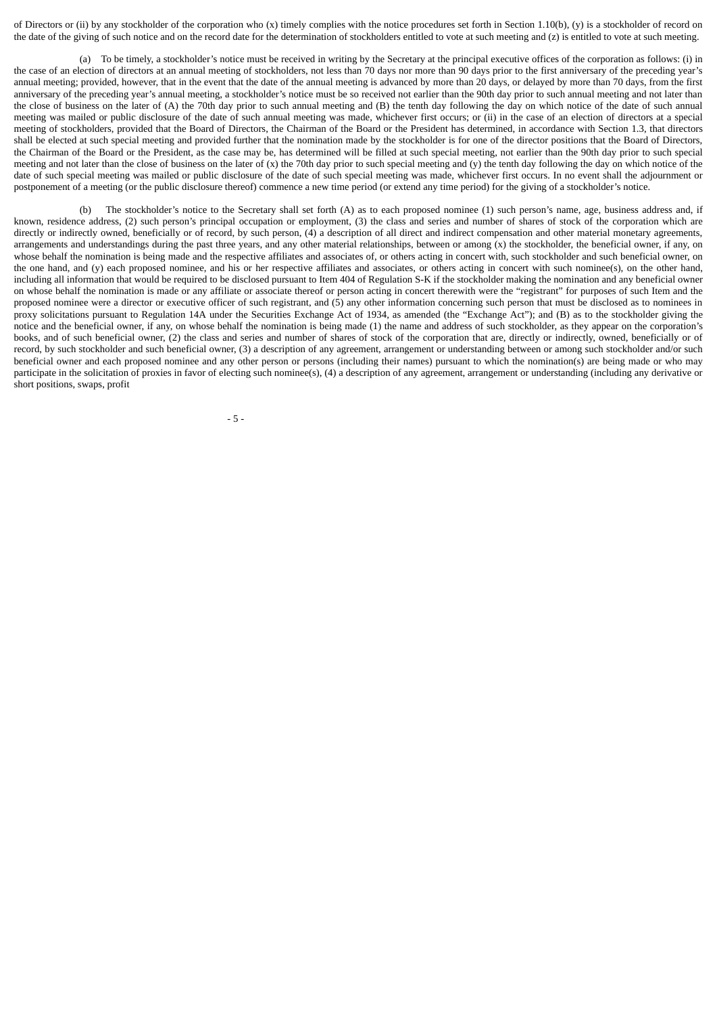of Directors or (ii) by any stockholder of the corporation who (x) timely complies with the notice procedures set forth in Section 1.10(b), (y) is a stockholder of record on the date of the giving of such notice and on the record date for the determination of stockholders entitled to vote at such meeting and (z) is entitled to vote at such meeting.

(a) To be timely, a stockholder's notice must be received in writing by the Secretary at the principal executive offices of the corporation as follows: (i) in the case of an election of directors at an annual meeting of stockholders, not less than 70 days nor more than 90 days prior to the first anniversary of the preceding year's annual meeting; provided, however, that in the event that the date of the annual meeting is advanced by more than 20 days, or delayed by more than 70 days, from the first anniversary of the preceding year's annual meeting, a stockholder's notice must be so received not earlier than the 90th day prior to such annual meeting and not later than the close of business on the later of (A) the 70th day prior to such annual meeting and (B) the tenth day following the day on which notice of the date of such annual meeting was mailed or public disclosure of the date of such annual meeting was made, whichever first occurs; or (ii) in the case of an election of directors at a special meeting of stockholders, provided that the Board of Directors, the Chairman of the Board or the President has determined, in accordance with Section 1.3, that directors shall be elected at such special meeting and provided further that the nomination made by the stockholder is for one of the director positions that the Board of Directors, the Chairman of the Board or the President, as the case may be, has determined will be filled at such special meeting, not earlier than the 90th day prior to such special meeting and not later than the close of business on the later of (x) the 70th day prior to such special meeting and (y) the tenth day following the day on which notice of the date of such special meeting was mailed or public disclosure of the date of such special meeting was made, whichever first occurs. In no event shall the adjournment or postponement of a meeting (or the public disclosure thereof) commence a new time period (or extend any time period) for the giving of a stockholder's notice.

(b) The stockholder's notice to the Secretary shall set forth (A) as to each proposed nominee (1) such person's name, age, business address and, if known, residence address, (2) such person's principal occupation or employment, (3) the class and series and number of shares of stock of the corporation which are directly or indirectly owned, beneficially or of record, by such person, (4) a description of all direct and indirect compensation and other material monetary agreements, arrangements and understandings during the past three years, and any other material relationships, between or among (x) the stockholder, the beneficial owner, if any, on whose behalf the nomination is being made and the respective affiliates and associates of, or others acting in concert with, such stockholder and such beneficial owner, on the one hand, and (y) each proposed nominee, and his or her respective affiliates and associates, or others acting in concert with such nominee(s), on the other hand, including all information that would be required to be disclosed pursuant to Item 404 of Regulation S-K if the stockholder making the nomination and any beneficial owner on whose behalf the nomination is made or any affiliate or associate thereof or person acting in concert therewith were the "registrant" for purposes of such Item and the proposed nominee were a director or executive officer of such registrant, and (5) any other information concerning such person that must be disclosed as to nominees in proxy solicitations pursuant to Regulation 14A under the Securities Exchange Act of 1934, as amended (the "Exchange Act"); and (B) as to the stockholder giving the notice and the beneficial owner, if any, on whose behalf the nomination is being made (1) the name and address of such stockholder, as they appear on the corporation's books, and of such beneficial owner, (2) the class and series and number of shares of stock of the corporation that are, directly or indirectly, owned, beneficially or of record, by such stockholder and such beneficial owner, (3) a description of any agreement, arrangement or understanding between or among such stockholder and/or such beneficial owner and each proposed nominee and any other person or persons (including their names) pursuant to which the nomination(s) are being made or who may participate in the solicitation of proxies in favor of electing such nominee(s), (4) a description of any agreement, arrangement or understanding (including any derivative or short positions, swaps, profit

- 5 -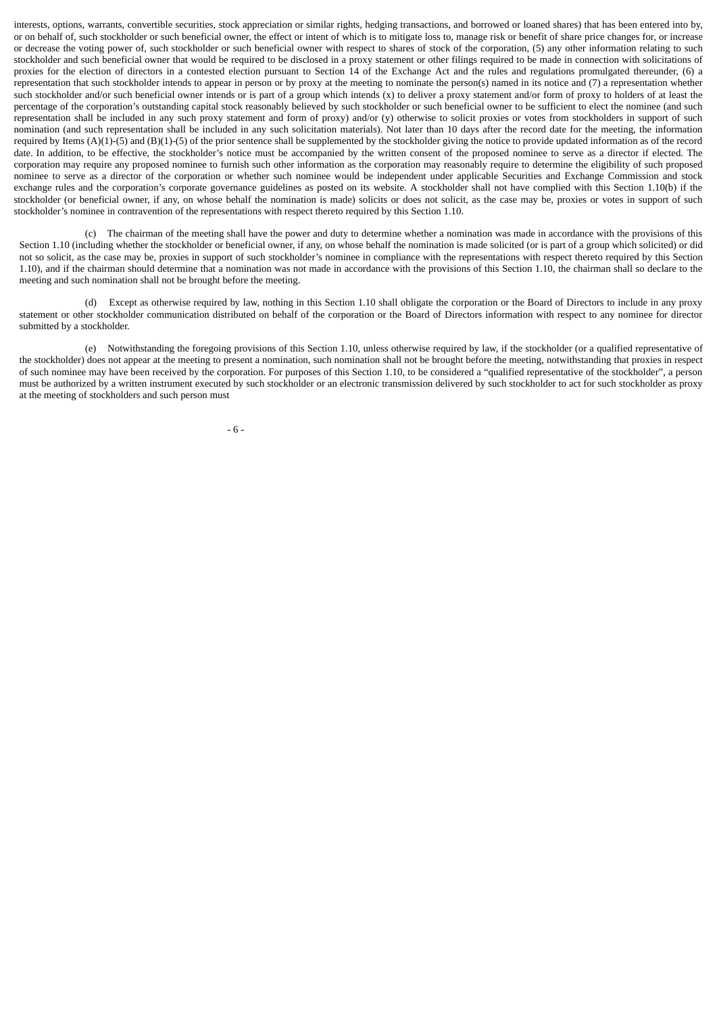interests, options, warrants, convertible securities, stock appreciation or similar rights, hedging transactions, and borrowed or loaned shares) that has been entered into by, or on behalf of, such stockholder or such beneficial owner, the effect or intent of which is to mitigate loss to, manage risk or benefit of share price changes for, or increase or decrease the voting power of, such stockholder or such beneficial owner with respect to shares of stock of the corporation, (5) any other information relating to such stockholder and such beneficial owner that would be required to be disclosed in a proxy statement or other filings required to be made in connection with solicitations of proxies for the election of directors in a contested election pursuant to Section 14 of the Exchange Act and the rules and regulations promulgated thereunder, (6) a representation that such stockholder intends to appear in person or by proxy at the meeting to nominate the person(s) named in its notice and (7) a representation whether such stockholder and/or such beneficial owner intends or is part of a group which intends (x) to deliver a proxy statement and/or form of proxy to holders of at least the percentage of the corporation's outstanding capital stock reasonably believed by such stockholder or such beneficial owner to be sufficient to elect the nominee (and such representation shall be included in any such proxy statement and form of proxy) and/or (y) otherwise to solicit proxies or votes from stockholders in support of such nomination (and such representation shall be included in any such solicitation materials). Not later than 10 days after the record date for the meeting, the information required by Items  $(A)(1)-(5)$  and  $(B)(1)-(5)$  of the prior sentence shall be supplemented by the stockholder giving the notice to provide updated information as of the record date. In addition, to be effective, the stockholder's notice must be accompanied by the written consent of the proposed nominee to serve as a director if elected. The corporation may require any proposed nominee to furnish such other information as the corporation may reasonably require to determine the eligibility of such proposed nominee to serve as a director of the corporation or whether such nominee would be independent under applicable Securities and Exchange Commission and stock exchange rules and the corporation's corporate governance guidelines as posted on its website. A stockholder shall not have complied with this Section 1.10(b) if the stockholder (or beneficial owner, if any, on whose behalf the nomination is made) solicits or does not solicit, as the case may be, proxies or votes in support of such stockholder's nominee in contravention of the representations with respect thereto required by this Section 1.10.

(c) The chairman of the meeting shall have the power and duty to determine whether a nomination was made in accordance with the provisions of this Section 1.10 (including whether the stockholder or beneficial owner, if any, on whose behalf the nomination is made solicited (or is part of a group which solicited) or did not so solicit, as the case may be, proxies in support of such stockholder's nominee in compliance with the representations with respect thereto required by this Section 1.10), and if the chairman should determine that a nomination was not made in accordance with the provisions of this Section 1.10, the chairman shall so declare to the meeting and such nomination shall not be brought before the meeting.

(d) Except as otherwise required by law, nothing in this Section 1.10 shall obligate the corporation or the Board of Directors to include in any proxy statement or other stockholder communication distributed on behalf of the corporation or the Board of Directors information with respect to any nominee for director submitted by a stockholder.

(e) Notwithstanding the foregoing provisions of this Section 1.10, unless otherwise required by law, if the stockholder (or a qualified representative of the stockholder) does not appear at the meeting to present a nomination, such nomination shall not be brought before the meeting, notwithstanding that proxies in respect of such nominee may have been received by the corporation. For purposes of this Section 1.10, to be considered a "qualified representative of the stockholder", a person must be authorized by a written instrument executed by such stockholder or an electronic transmission delivered by such stockholder to act for such stockholder as proxy at the meeting of stockholders and such person must

- 6 -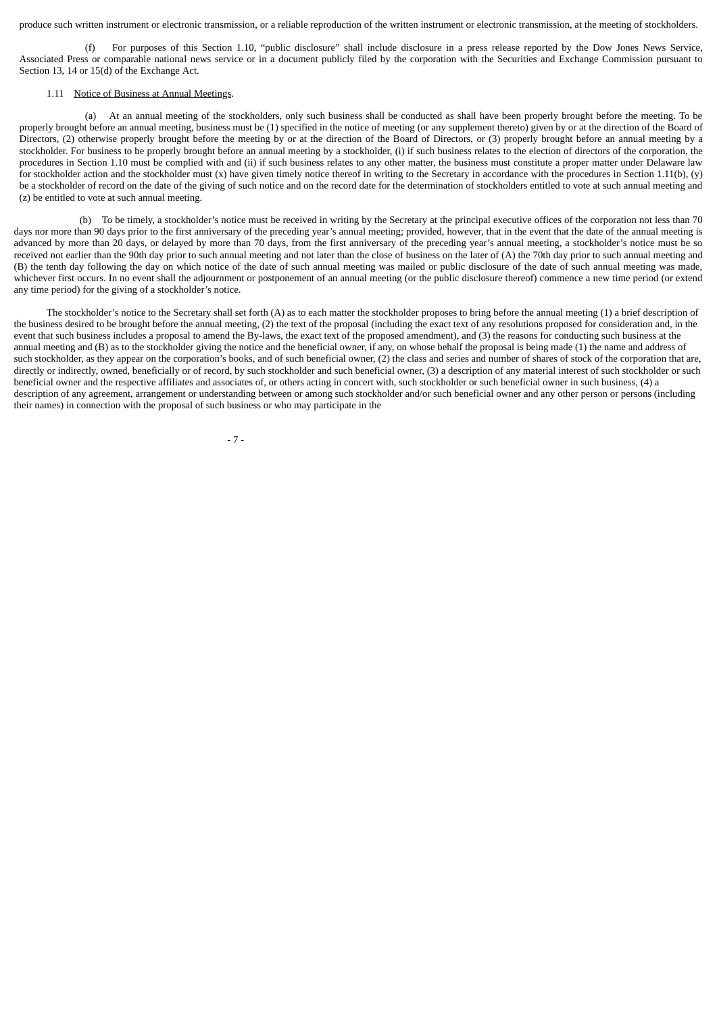produce such written instrument or electronic transmission, or a reliable reproduction of the written instrument or electronic transmission, at the meeting of stockholders.

(f) For purposes of this Section 1.10, "public disclosure" shall include disclosure in a press release reported by the Dow Jones News Service, Associated Press or comparable national news service or in a document publicly filed by the corporation with the Securities and Exchange Commission pursuant to Section 13, 14 or 15(d) of the Exchange Act.

### 1.11 Notice of Business at Annual Meetings.

(a) At an annual meeting of the stockholders, only such business shall be conducted as shall have been properly brought before the meeting. To be properly brought before an annual meeting, business must be (1) specified in the notice of meeting (or any supplement thereto) given by or at the direction of the Board of Directors, (2) otherwise properly brought before the meeting by or at the direction of the Board of Directors, or (3) properly brought before an annual meeting by a stockholder. For business to be properly brought before an annual meeting by a stockholder, (i) if such business relates to the election of directors of the corporation, the procedures in Section 1.10 must be complied with and (ii) if such business relates to any other matter, the business must constitute a proper matter under Delaware law for stockholder action and the stockholder must (x) have given timely notice thereof in writing to the Secretary in accordance with the procedures in Section 1.11(b), (y) be a stockholder of record on the date of the giving of such notice and on the record date for the determination of stockholders entitled to vote at such annual meeting and (z) be entitled to vote at such annual meeting.

(b) To be timely, a stockholder's notice must be received in writing by the Secretary at the principal executive offices of the corporation not less than 70 days nor more than 90 days prior to the first anniversary of the preceding year's annual meeting; provided, however, that in the event that the date of the annual meeting is advanced by more than 20 days, or delayed by more than 70 days, from the first anniversary of the preceding year's annual meeting, a stockholder's notice must be so received not earlier than the 90th day prior to such annual meeting and not later than the close of business on the later of (A) the 70th day prior to such annual meeting and (B) the tenth day following the day on which notice of the date of such annual meeting was mailed or public disclosure of the date of such annual meeting was made, whichever first occurs. In no event shall the adjournment or postponement of an annual meeting (or the public disclosure thereof) commence a new time period (or extend any time period) for the giving of a stockholder's notice.

The stockholder's notice to the Secretary shall set forth (A) as to each matter the stockholder proposes to bring before the annual meeting (1) a brief description of the business desired to be brought before the annual meeting, (2) the text of the proposal (including the exact text of any resolutions proposed for consideration and, in the event that such business includes a proposal to amend the By-laws, the exact text of the proposed amendment), and (3) the reasons for conducting such business at the annual meeting and (B) as to the stockholder giving the notice and the beneficial owner, if any, on whose behalf the proposal is being made (1) the name and address of such stockholder, as they appear on the corporation's books, and of such beneficial owner, (2) the class and series and number of shares of stock of the corporation that are, directly or indirectly, owned, beneficially or of record, by such stockholder and such beneficial owner, (3) a description of any material interest of such stockholder or such beneficial owner and the respective affiliates and associates of, or others acting in concert with, such stockholder or such beneficial owner in such business, (4) a description of any agreement, arrangement or understanding between or among such stockholder and/or such beneficial owner and any other person or persons (including their names) in connection with the proposal of such business or who may participate in the

- 7 -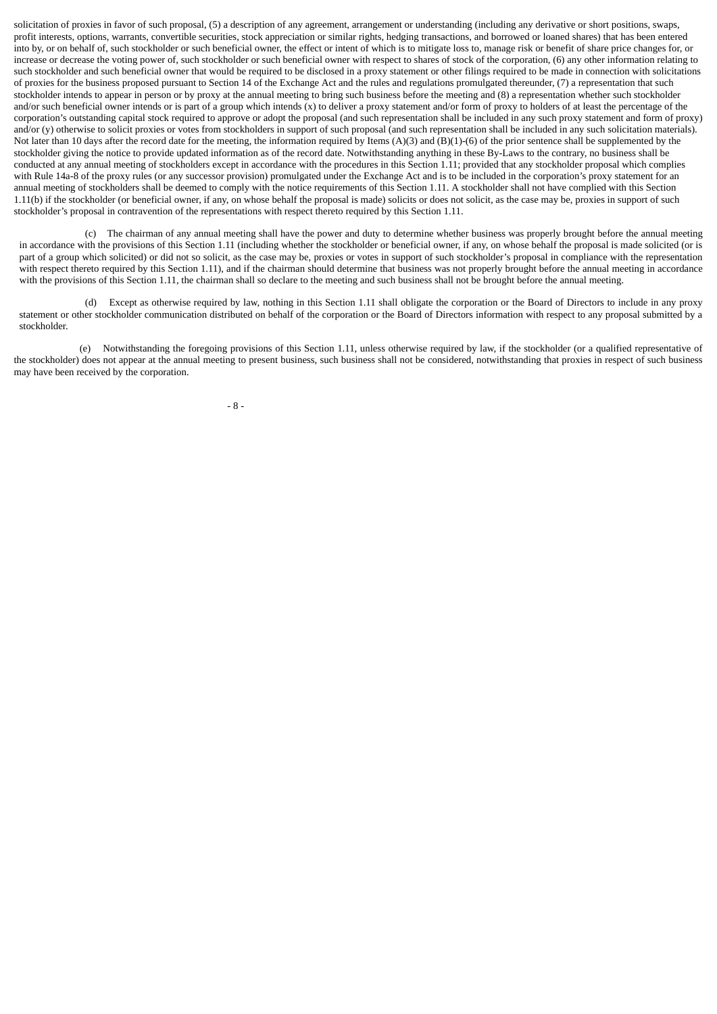solicitation of proxies in favor of such proposal, (5) a description of any agreement, arrangement or understanding (including any derivative or short positions, swaps, profit interests, options, warrants, convertible securities, stock appreciation or similar rights, hedging transactions, and borrowed or loaned shares) that has been entered into by, or on behalf of, such stockholder or such beneficial owner, the effect or intent of which is to mitigate loss to, manage risk or benefit of share price changes for, or increase or decrease the voting power of, such stockholder or such beneficial owner with respect to shares of stock of the corporation, (6) any other information relating to such stockholder and such beneficial owner that would be required to be disclosed in a proxy statement or other filings required to be made in connection with solicitations of proxies for the business proposed pursuant to Section 14 of the Exchange Act and the rules and regulations promulgated thereunder, (7) a representation that such stockholder intends to appear in person or by proxy at the annual meeting to bring such business before the meeting and (8) a representation whether such stockholder and/or such beneficial owner intends or is part of a group which intends  $(x)$  to deliver a proxy statement and/or form of proxy to holders of at least the percentage of the corporation's outstanding capital stock required to approve or adopt the proposal (and such representation shall be included in any such proxy statement and form of proxy) and/or (y) otherwise to solicit proxies or votes from stockholders in support of such proposal (and such representation shall be included in any such solicitation materials). Not later than 10 days after the record date for the meeting, the information required by Items (A)(3) and (B)(1)-(6) of the prior sentence shall be supplemented by the stockholder giving the notice to provide updated information as of the record date. Notwithstanding anything in these By-Laws to the contrary, no business shall be conducted at any annual meeting of stockholders except in accordance with the procedures in this Section 1.11; provided that any stockholder proposal which complies with Rule 14a-8 of the proxy rules (or any successor provision) promulgated under the Exchange Act and is to be included in the corporation's proxy statement for an annual meeting of stockholders shall be deemed to comply with the notice requirements of this Section 1.11. A stockholder shall not have complied with this Section 1.11(b) if the stockholder (or beneficial owner, if any, on whose behalf the proposal is made) solicits or does not solicit, as the case may be, proxies in support of such stockholder's proposal in contravention of the representations with respect thereto required by this Section 1.11.

(c) The chairman of any annual meeting shall have the power and duty to determine whether business was properly brought before the annual meeting in accordance with the provisions of this Section 1.11 (including whether the stockholder or beneficial owner, if any, on whose behalf the proposal is made solicited (or is part of a group which solicited) or did not so solicit, as the case may be, proxies or votes in support of such stockholder's proposal in compliance with the representation with respect thereto required by this Section 1.11), and if the chairman should determine that business was not properly brought before the annual meeting in accordance with the provisions of this Section 1.11, the chairman shall so declare to the meeting and such business shall not be brought before the annual meeting.

(d) Except as otherwise required by law, nothing in this Section 1.11 shall obligate the corporation or the Board of Directors to include in any proxy statement or other stockholder communication distributed on behalf of the corporation or the Board of Directors information with respect to any proposal submitted by a stockholder.

(e) Notwithstanding the foregoing provisions of this Section 1.11, unless otherwise required by law, if the stockholder (or a qualified representative of the stockholder) does not appear at the annual meeting to present business, such business shall not be considered, notwithstanding that proxies in respect of such business may have been received by the corporation.

- 8 -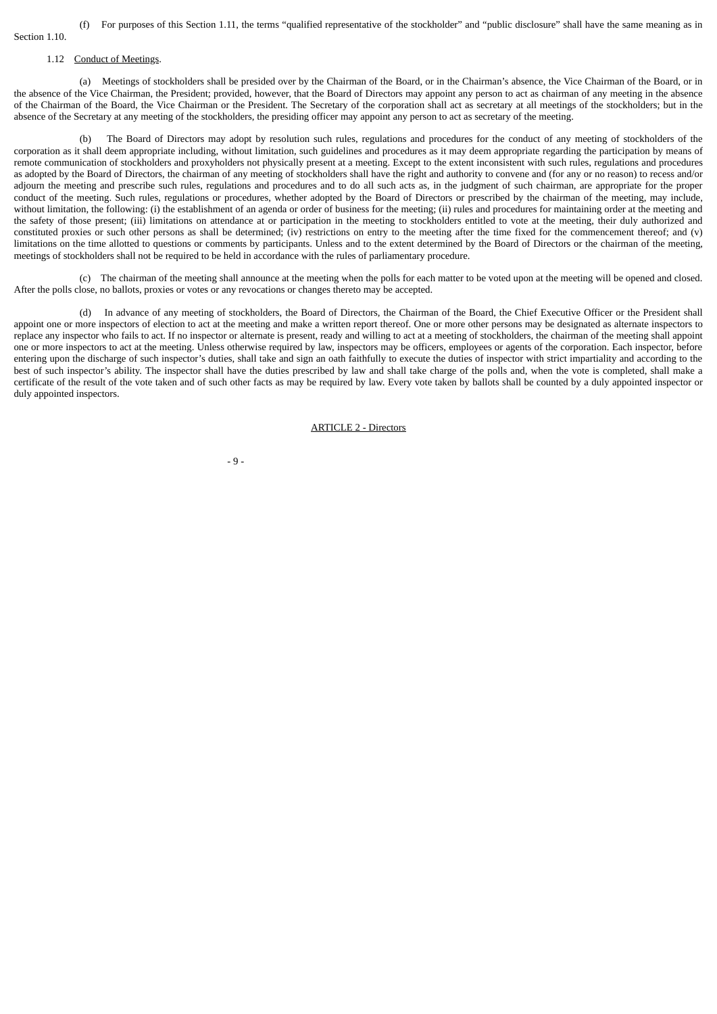(f) For purposes of this Section 1.11, the terms "qualified representative of the stockholder" and "public disclosure" shall have the same meaning as in

Section 1.10.

## 1.12 Conduct of Meetings.

(a) Meetings of stockholders shall be presided over by the Chairman of the Board, or in the Chairman's absence, the Vice Chairman of the Board, or in the absence of the Vice Chairman, the President; provided, however, that the Board of Directors may appoint any person to act as chairman of any meeting in the absence of the Chairman of the Board, the Vice Chairman or the President. The Secretary of the corporation shall act as secretary at all meetings of the stockholders; but in the absence of the Secretary at any meeting of the stockholders, the presiding officer may appoint any person to act as secretary of the meeting.

(b) The Board of Directors may adopt by resolution such rules, regulations and procedures for the conduct of any meeting of stockholders of the corporation as it shall deem appropriate including, without limitation, such guidelines and procedures as it may deem appropriate regarding the participation by means of remote communication of stockholders and proxyholders not physically present at a meeting. Except to the extent inconsistent with such rules, regulations and procedures as adopted by the Board of Directors, the chairman of any meeting of stockholders shall have the right and authority to convene and (for any or no reason) to recess and/or adjourn the meeting and prescribe such rules, regulations and procedures and to do all such acts as, in the judgment of such chairman, are appropriate for the proper conduct of the meeting. Such rules, regulations or procedures, whether adopted by the Board of Directors or prescribed by the chairman of the meeting, may include, without limitation, the following: (i) the establishment of an agenda or order of business for the meeting; (ii) rules and procedures for maintaining order at the meeting and the safety of those present; (iii) limitations on attendance at or participation in the meeting to stockholders entitled to vote at the meeting, their duly authorized and constituted proxies or such other persons as shall be determined; (iv) restrictions on entry to the meeting after the time fixed for the commencement thereof; and (v) limitations on the time allotted to questions or comments by participants. Unless and to the extent determined by the Board of Directors or the chairman of the meeting, meetings of stockholders shall not be required to be held in accordance with the rules of parliamentary procedure.

(c) The chairman of the meeting shall announce at the meeting when the polls for each matter to be voted upon at the meeting will be opened and closed. After the polls close, no ballots, proxies or votes or any revocations or changes thereto may be accepted.

(d) In advance of any meeting of stockholders, the Board of Directors, the Chairman of the Board, the Chief Executive Officer or the President shall appoint one or more inspectors of election to act at the meeting and make a written report thereof. One or more other persons may be designated as alternate inspectors to replace any inspector who fails to act. If no inspector or alternate is present, ready and willing to act at a meeting of stockholders, the chairman of the meeting shall appoint one or more inspectors to act at the meeting. Unless otherwise required by law, inspectors may be officers, employees or agents of the corporation. Each inspector, before entering upon the discharge of such inspector's duties, shall take and sign an oath faithfully to execute the duties of inspector with strict impartiality and according to the best of such inspector's ability. The inspector shall have the duties prescribed by law and shall take charge of the polls and, when the vote is completed, shall make a certificate of the result of the vote taken and of such other facts as may be required by law. Every vote taken by ballots shall be counted by a duly appointed inspector or duly appointed inspectors.

ARTICLE 2 - Directors

 $-9 -$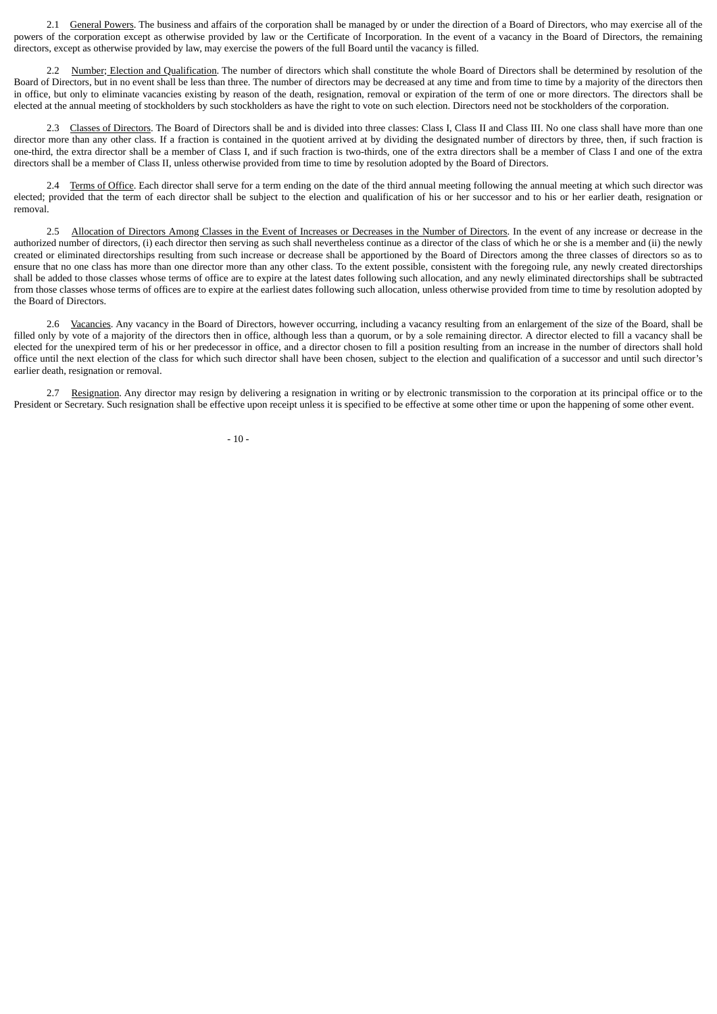2.1 General Powers. The business and affairs of the corporation shall be managed by or under the direction of a Board of Directors, who may exercise all of the powers of the corporation except as otherwise provided by law or the Certificate of Incorporation. In the event of a vacancy in the Board of Directors, the remaining directors, except as otherwise provided by law, may exercise the powers of the full Board until the vacancy is filled.

2.2 Number; Election and Qualification. The number of directors which shall constitute the whole Board of Directors shall be determined by resolution of the Board of Directors, but in no event shall be less than three. The number of directors may be decreased at any time and from time to time by a majority of the directors then in office, but only to eliminate vacancies existing by reason of the death, resignation, removal or expiration of the term of one or more directors. The directors shall be elected at the annual meeting of stockholders by such stockholders as have the right to vote on such election. Directors need not be stockholders of the corporation.

2.3 Classes of Directors. The Board of Directors shall be and is divided into three classes: Class I, Class II and Class III. No one class shall have more than one director more than any other class. If a fraction is contained in the quotient arrived at by dividing the designated number of directors by three, then, if such fraction is one-third, the extra director shall be a member of Class I, and if such fraction is two-thirds, one of the extra directors shall be a member of Class I and one of the extra directors shall be a member of Class II, unless otherwise provided from time to time by resolution adopted by the Board of Directors.

2.4 Terms of Office. Each director shall serve for a term ending on the date of the third annual meeting following the annual meeting at which such director was elected; provided that the term of each director shall be subject to the election and qualification of his or her successor and to his or her earlier death, resignation or removal.

2.5 Allocation of Directors Among Classes in the Event of Increases or Decreases in the Number of Directors. In the event of any increase or decrease in the authorized number of directors, (i) each director then serving as such shall nevertheless continue as a director of the class of which he or she is a member and (ii) the newly created or eliminated directorships resulting from such increase or decrease shall be apportioned by the Board of Directors among the three classes of directors so as to ensure that no one class has more than one director more than any other class. To the extent possible, consistent with the foregoing rule, any newly created directorships shall be added to those classes whose terms of office are to expire at the latest dates following such allocation, and any newly eliminated directorships shall be subtracted from those classes whose terms of offices are to expire at the earliest dates following such allocation, unless otherwise provided from time to time by resolution adopted by the Board of Directors.

2.6 Vacancies. Any vacancy in the Board of Directors, however occurring, including a vacancy resulting from an enlargement of the size of the Board, shall be filled only by vote of a majority of the directors then in office, although less than a quorum, or by a sole remaining director. A director elected to fill a vacancy shall be elected for the unexpired term of his or her predecessor in office, and a director chosen to fill a position resulting from an increase in the number of directors shall hold office until the next election of the class for which such director shall have been chosen, subject to the election and qualification of a successor and until such director's earlier death, resignation or removal.

2.7 Resignation. Any director may resign by delivering a resignation in writing or by electronic transmission to the corporation at its principal office or to the President or Secretary. Such resignation shall be effective upon receipt unless it is specified to be effective at some other time or upon the happening of some other event.

- 10 -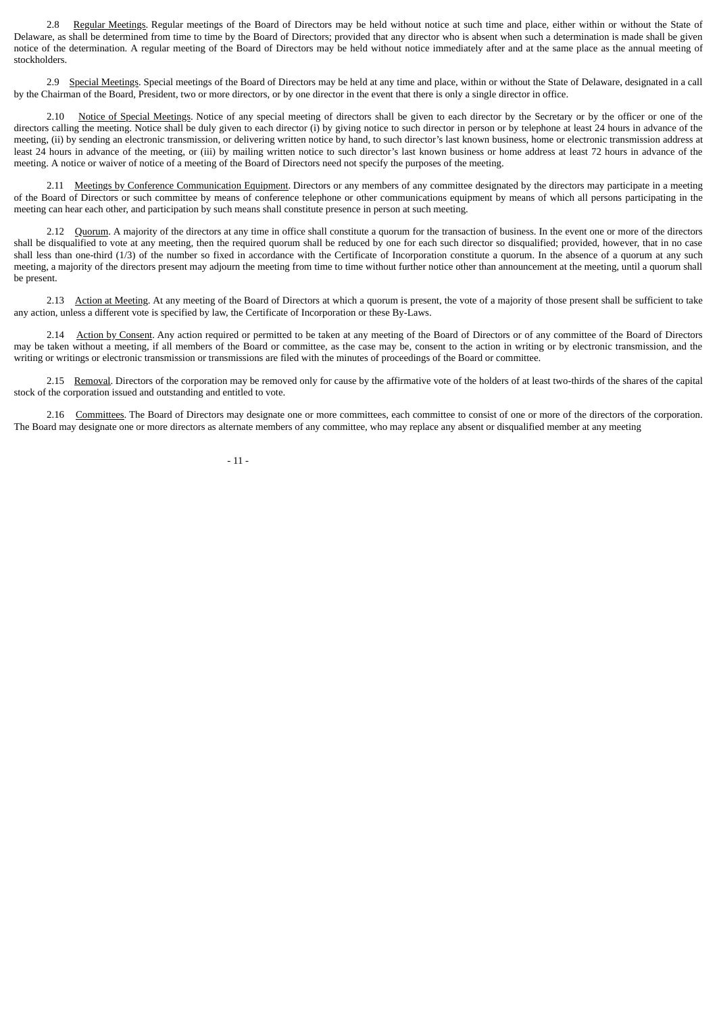2.8 Regular Meetings. Regular meetings of the Board of Directors may be held without notice at such time and place, either within or without the State of Delaware, as shall be determined from time to time by the Board of Directors; provided that any director who is absent when such a determination is made shall be given notice of the determination. A regular meeting of the Board of Directors may be held without notice immediately after and at the same place as the annual meeting of stockholders.

2.9 Special Meetings. Special meetings of the Board of Directors may be held at any time and place, within or without the State of Delaware, designated in a call by the Chairman of the Board, President, two or more directors, or by one director in the event that there is only a single director in office.

2.10 Notice of Special Meetings. Notice of any special meeting of directors shall be given to each director by the Secretary or by the officer or one of the directors calling the meeting. Notice shall be duly given to each director (i) by giving notice to such director in person or by telephone at least 24 hours in advance of the meeting, (ii) by sending an electronic transmission, or delivering written notice by hand, to such director's last known business, home or electronic transmission address at least 24 hours in advance of the meeting, or (iii) by mailing written notice to such director's last known business or home address at least 72 hours in advance of the meeting. A notice or waiver of notice of a meeting of the Board of Directors need not specify the purposes of the meeting.

2.11 Meetings by Conference Communication Equipment. Directors or any members of any committee designated by the directors may participate in a meeting of the Board of Directors or such committee by means of conference telephone or other communications equipment by means of which all persons participating in the meeting can hear each other, and participation by such means shall constitute presence in person at such meeting.

2.12 Quorum. A majority of the directors at any time in office shall constitute a quorum for the transaction of business. In the event one or more of the directors shall be disqualified to vote at any meeting, then the required quorum shall be reduced by one for each such director so disqualified; provided, however, that in no case shall less than one-third (1/3) of the number so fixed in accordance with the Certificate of Incorporation constitute a quorum. In the absence of a quorum at any such meeting, a majority of the directors present may adjourn the meeting from time to time without further notice other than announcement at the meeting, until a quorum shall be present.

2.13 Action at Meeting. At any meeting of the Board of Directors at which a quorum is present, the vote of a majority of those present shall be sufficient to take any action, unless a different vote is specified by law, the Certificate of Incorporation or these By-Laws.

2.14 Action by Consent. Any action required or permitted to be taken at any meeting of the Board of Directors or of any committee of the Board of Directors may be taken without a meeting, if all members of the Board or committee, as the case may be, consent to the action in writing or by electronic transmission, and the writing or writings or electronic transmission or transmissions are filed with the minutes of proceedings of the Board or committee.

2.15 Removal. Directors of the corporation may be removed only for cause by the affirmative vote of the holders of at least two-thirds of the shares of the capital stock of the corporation issued and outstanding and entitled to vote.

2.16 Committees. The Board of Directors may designate one or more committees, each committee to consist of one or more of the directors of the corporation. The Board may designate one or more directors as alternate members of any committee, who may replace any absent or disqualified member at any meeting

 $-11-$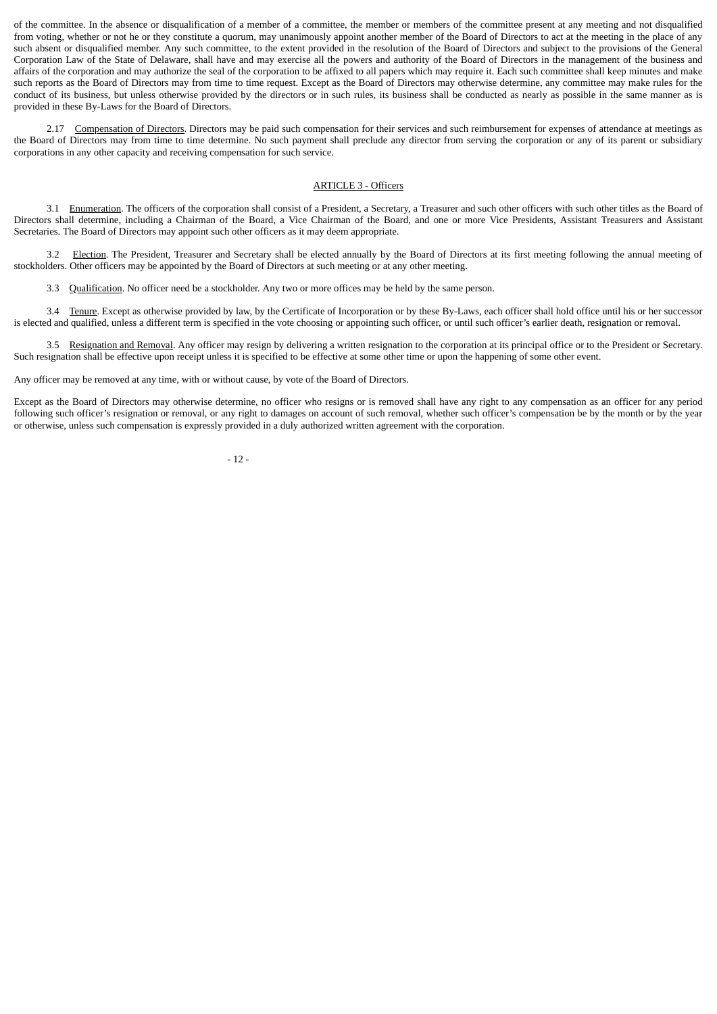of the committee. In the absence or disqualification of a member of a committee, the member or members of the committee present at any meeting and not disqualified from voting, whether or not he or they constitute a quorum, may unanimously appoint another member of the Board of Directors to act at the meeting in the place of any such absent or disqualified member. Any such committee, to the extent provided in the resolution of the Board of Directors and subject to the provisions of the General Corporation Law of the State of Delaware, shall have and may exercise all the powers and authority of the Board of Directors in the management of the business and affairs of the corporation and may authorize the seal of the corporation to be affixed to all papers which may require it. Each such committee shall keep minutes and make such reports as the Board of Directors may from time to time request. Except as the Board of Directors may otherwise determine, any committee may make rules for the conduct of its business, but unless otherwise provided by the directors or in such rules, its business shall be conducted as nearly as possible in the same manner as is provided in these By‑Laws for the Board of Directors.

2.17 Compensation of Directors. Directors may be paid such compensation for their services and such reimbursement for expenses of attendance at meetings as the Board of Directors may from time to time determine. No such payment shall preclude any director from serving the corporation or any of its parent or subsidiary corporations in any other capacity and receiving compensation for such service.

## ARTICLE 3 - Officers

3.1 Enumeration. The officers of the corporation shall consist of a President, a Secretary, a Treasurer and such other officers with such other titles as the Board of Directors shall determine, including a Chairman of the Board, a Vice Chairman of the Board, and one or more Vice Presidents, Assistant Treasurers and Assistant Secretaries. The Board of Directors may appoint such other officers as it may deem appropriate.

3.2 Election. The President, Treasurer and Secretary shall be elected annually by the Board of Directors at its first meeting following the annual meeting of stockholders. Other officers may be appointed by the Board of Directors at such meeting or at any other meeting.

3.3 Qualification. No officer need be a stockholder. Any two or more offices may be held by the same person.

3.4 Tenure. Except as otherwise provided by law, by the Certificate of Incorporation or by these By-Laws, each officer shall hold office until his or her successor is elected and qualified, unless a different term is specified in the vote choosing or appointing such officer, or until such officer's earlier death, resignation or removal.

3.5 Resignation and Removal. Any officer may resign by delivering a written resignation to the corporation at its principal office or to the President or Secretary. Such resignation shall be effective upon receipt unless it is specified to be effective at some other time or upon the happening of some other event.

Any officer may be removed at any time, with or without cause, by vote of the Board of Directors.

Except as the Board of Directors may otherwise determine, no officer who resigns or is removed shall have any right to any compensation as an officer for any period following such officer's resignation or removal, or any right to damages on account of such removal, whether such officer's compensation be by the month or by the year or otherwise, unless such compensation is expressly provided in a duly authorized written agreement with the corporation.

- 12 -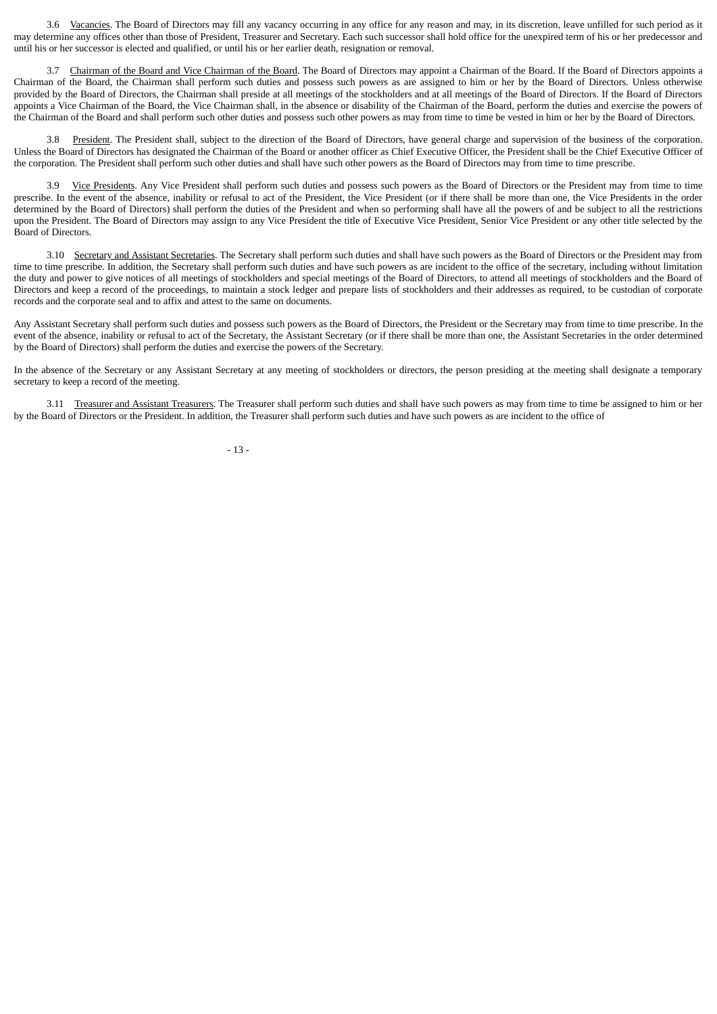3.6 Vacancies. The Board of Directors may fill any vacancy occurring in any office for any reason and may, in its discretion, leave unfilled for such period as it may determine any offices other than those of President, Treasurer and Secretary. Each such successor shall hold office for the unexpired term of his or her predecessor and until his or her successor is elected and qualified, or until his or her earlier death, resignation or removal.

3.7 Chairman of the Board and Vice Chairman of the Board. The Board of Directors may appoint a Chairman of the Board. If the Board of Directors appoints a Chairman of the Board, the Chairman shall perform such duties and possess such powers as are assigned to him or her by the Board of Directors. Unless otherwise provided by the Board of Directors, the Chairman shall preside at all meetings of the stockholders and at all meetings of the Board of Directors. If the Board of Directors appoints a Vice Chairman of the Board, the Vice Chairman shall, in the absence or disability of the Chairman of the Board, perform the duties and exercise the powers of the Chairman of the Board and shall perform such other duties and possess such other powers as may from time to time be vested in him or her by the Board of Directors.

3.8 President. The President shall, subject to the direction of the Board of Directors, have general charge and supervision of the business of the corporation. Unless the Board of Directors has designated the Chairman of the Board or another officer as Chief Executive Officer, the President shall be the Chief Executive Officer of the corporation. The President shall perform such other duties and shall have such other powers as the Board of Directors may from time to time prescribe.

3.9 Vice Presidents. Any Vice President shall perform such duties and possess such powers as the Board of Directors or the President may from time to time prescribe. In the event of the absence, inability or refusal to act of the President, the Vice President (or if there shall be more than one, the Vice Presidents in the order determined by the Board of Directors) shall perform the duties of the President and when so performing shall have all the powers of and be subject to all the restrictions upon the President. The Board of Directors may assign to any Vice President the title of Executive Vice President, Senior Vice President or any other title selected by the Board of Directors.

3.10 Secretary and Assistant Secretaries. The Secretary shall perform such duties and shall have such powers as the Board of Directors or the President may from time to time prescribe. In addition, the Secretary shall perform such duties and have such powers as are incident to the office of the secretary, including without limitation the duty and power to give notices of all meetings of stockholders and special meetings of the Board of Directors, to attend all meetings of stockholders and the Board of Directors and keep a record of the proceedings, to maintain a stock ledger and prepare lists of stockholders and their addresses as required, to be custodian of corporate records and the corporate seal and to affix and attest to the same on documents.

Any Assistant Secretary shall perform such duties and possess such powers as the Board of Directors, the President or the Secretary may from time to time prescribe. In the event of the absence, inability or refusal to act of the Secretary, the Assistant Secretary (or if there shall be more than one, the Assistant Secretaries in the order determined by the Board of Directors) shall perform the duties and exercise the powers of the Secretary.

In the absence of the Secretary or any Assistant Secretary at any meeting of stockholders or directors, the person presiding at the meeting shall designate a temporary secretary to keep a record of the meeting.

3.11 Treasurer and Assistant Treasurers. The Treasurer shall perform such duties and shall have such powers as may from time to time be assigned to him or her by the Board of Directors or the President. In addition, the Treasurer shall perform such duties and have such powers as are incident to the office of

- 13 -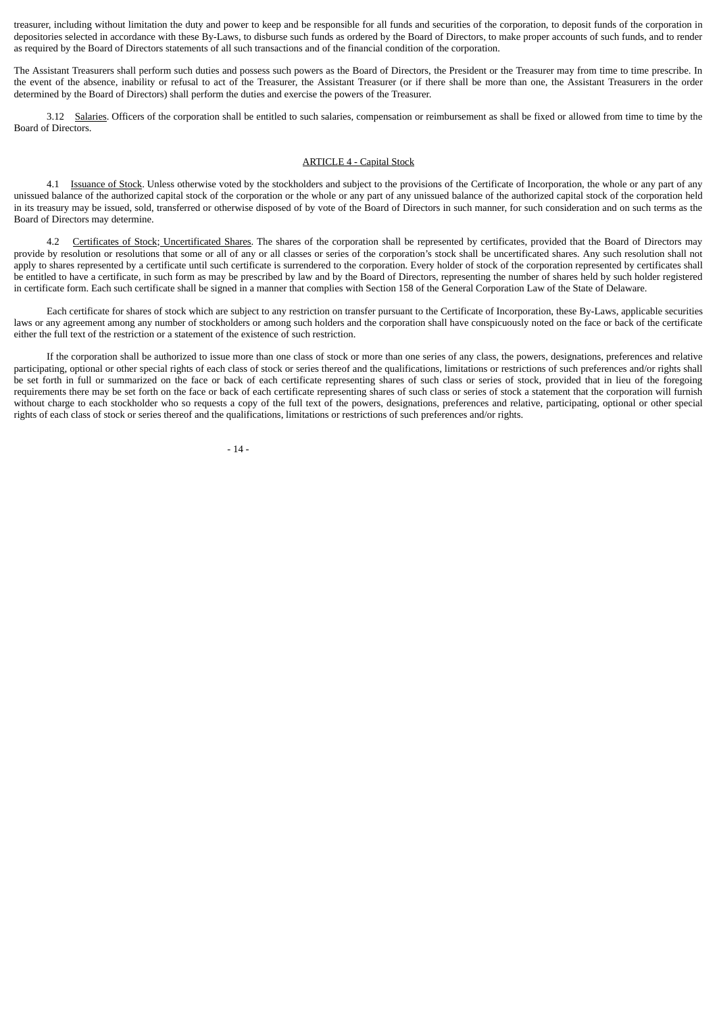treasurer, including without limitation the duty and power to keep and be responsible for all funds and securities of the corporation, to deposit funds of the corporation in depositories selected in accordance with these By-Laws, to disburse such funds as ordered by the Board of Directors, to make proper accounts of such funds, and to render as required by the Board of Directors statements of all such transactions and of the financial condition of the corporation.

The Assistant Treasurers shall perform such duties and possess such powers as the Board of Directors, the President or the Treasurer may from time to time prescribe. In the event of the absence, inability or refusal to act of the Treasurer, the Assistant Treasurer (or if there shall be more than one, the Assistant Treasurers in the order determined by the Board of Directors) shall perform the duties and exercise the powers of the Treasurer.

3.12 Salaries. Officers of the corporation shall be entitled to such salaries, compensation or reimbursement as shall be fixed or allowed from time to time by the Board of Directors.

## ARTICLE 4 - Capital Stock

4.1 Issuance of Stock. Unless otherwise voted by the stockholders and subject to the provisions of the Certificate of Incorporation, the whole or any part of any unissued balance of the authorized capital stock of the corporation or the whole or any part of any unissued balance of the authorized capital stock of the corporation held in its treasury may be issued, sold, transferred or otherwise disposed of by vote of the Board of Directors in such manner, for such consideration and on such terms as the Board of Directors may determine.

4.2 Certificates of Stock; Uncertificated Shares. The shares of the corporation shall be represented by certificates, provided that the Board of Directors may provide by resolution or resolutions that some or all of any or all classes or series of the corporation's stock shall be uncertificated shares. Any such resolution shall not apply to shares represented by a certificate until such certificate is surrendered to the corporation. Every holder of stock of the corporation represented by certificates shall be entitled to have a certificate, in such form as may be prescribed by law and by the Board of Directors, representing the number of shares held by such holder registered in certificate form. Each such certificate shall be signed in a manner that complies with Section 158 of the General Corporation Law of the State of Delaware.

Each certificate for shares of stock which are subject to any restriction on transfer pursuant to the Certificate of Incorporation, these By-Laws, applicable securities laws or any agreement among any number of stockholders or among such holders and the corporation shall have conspicuously noted on the face or back of the certificate either the full text of the restriction or a statement of the existence of such restriction.

If the corporation shall be authorized to issue more than one class of stock or more than one series of any class, the powers, designations, preferences and relative participating, optional or other special rights of each class of stock or series thereof and the qualifications, limitations or restrictions of such preferences and/or rights shall be set forth in full or summarized on the face or back of each certificate representing shares of such class or series of stock, provided that in lieu of the foregoing requirements there may be set forth on the face or back of each certificate representing shares of such class or series of stock a statement that the corporation will furnish without charge to each stockholder who so requests a copy of the full text of the powers, designations, preferences and relative, participating, optional or other special rights of each class of stock or series thereof and the qualifications, limitations or restrictions of such preferences and/or rights.

 $-14$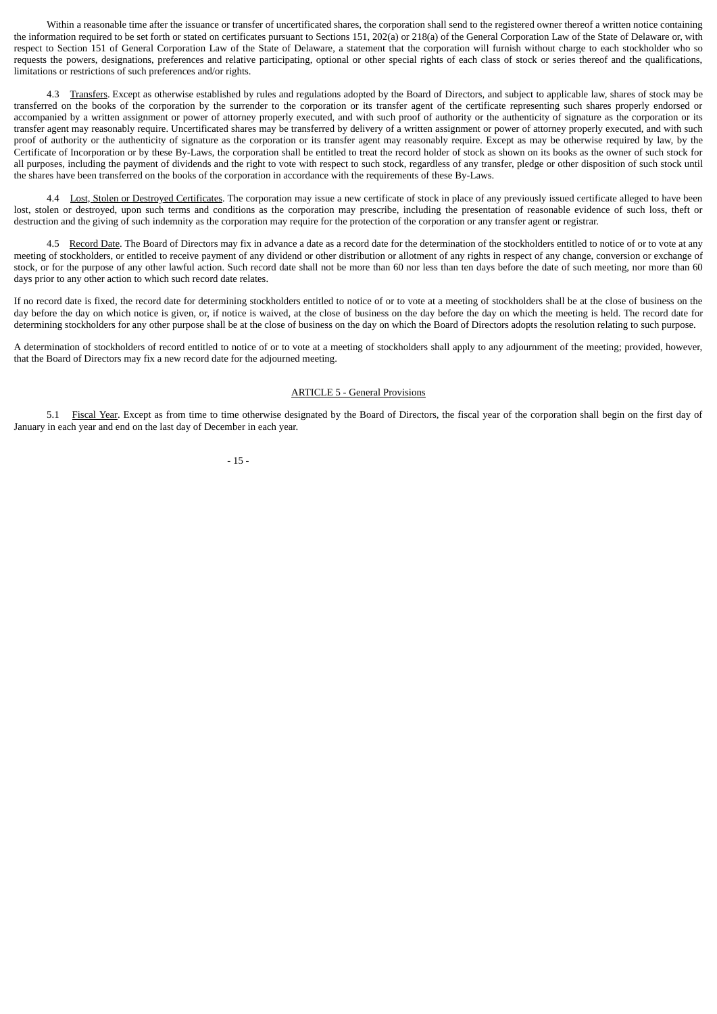Within a reasonable time after the issuance or transfer of uncertificated shares, the corporation shall send to the registered owner thereof a written notice containing the information required to be set forth or stated on certificates pursuant to Sections 151, 202(a) or 218(a) of the General Corporation Law of the State of Delaware or, with respect to Section 151 of General Corporation Law of the State of Delaware, a statement that the corporation will furnish without charge to each stockholder who so requests the powers, designations, preferences and relative participating, optional or other special rights of each class of stock or series thereof and the qualifications, limitations or restrictions of such preferences and/or rights.

4.3 Transfers. Except as otherwise established by rules and regulations adopted by the Board of Directors, and subject to applicable law, shares of stock may be transferred on the books of the corporation by the surrender to the corporation or its transfer agent of the certificate representing such shares properly endorsed or accompanied by a written assignment or power of attorney properly executed, and with such proof of authority or the authenticity of signature as the corporation or its transfer agent may reasonably require. Uncertificated shares may be transferred by delivery of a written assignment or power of attorney properly executed, and with such proof of authority or the authenticity of signature as the corporation or its transfer agent may reasonably require. Except as may be otherwise required by law, by the Certificate of Incorporation or by these By-Laws, the corporation shall be entitled to treat the record holder of stock as shown on its books as the owner of such stock for all purposes, including the payment of dividends and the right to vote with respect to such stock, regardless of any transfer, pledge or other disposition of such stock until the shares have been transferred on the books of the corporation in accordance with the requirements of these By-Laws.

4.4 Lost, Stolen or Destroyed Certificates. The corporation may issue a new certificate of stock in place of any previously issued certificate alleged to have been lost, stolen or destroyed, upon such terms and conditions as the corporation may prescribe, including the presentation of reasonable evidence of such loss, theft or destruction and the giving of such indemnity as the corporation may require for the protection of the corporation or any transfer agent or registrar.

4.5 Record Date. The Board of Directors may fix in advance a date as a record date for the determination of the stockholders entitled to notice of or to vote at any meeting of stockholders, or entitled to receive payment of any dividend or other distribution or allotment of any rights in respect of any change, conversion or exchange of stock, or for the purpose of any other lawful action. Such record date shall not be more than 60 nor less than ten days before the date of such meeting, nor more than 60 days prior to any other action to which such record date relates.

If no record date is fixed, the record date for determining stockholders entitled to notice of or to vote at a meeting of stockholders shall be at the close of business on the day before the day on which notice is given, or, if notice is waived, at the close of business on the day before the day on which the meeting is held. The record date for determining stockholders for any other purpose shall be at the close of business on the day on which the Board of Directors adopts the resolution relating to such purpose.

A determination of stockholders of record entitled to notice of or to vote at a meeting of stockholders shall apply to any adjournment of the meeting; provided, however, that the Board of Directors may fix a new record date for the adjourned meeting.

## ARTICLE 5 - General Provisions

5.1 Fiscal Year. Except as from time to time otherwise designated by the Board of Directors, the fiscal year of the corporation shall begin on the first day of January in each year and end on the last day of December in each year.

- 15 -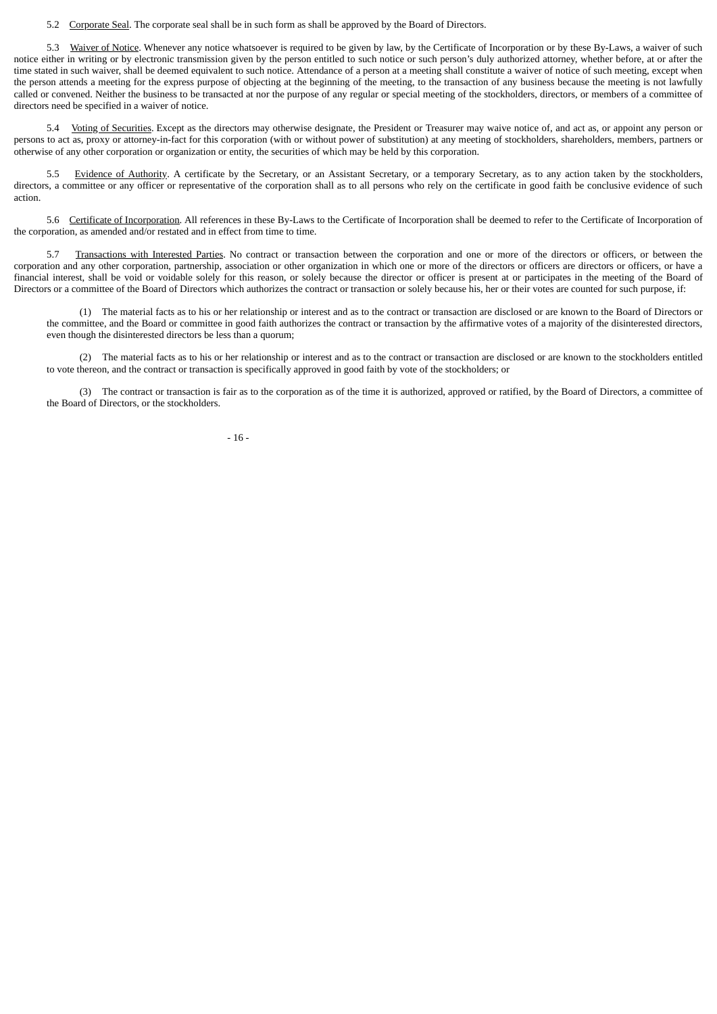5.2 Corporate Seal. The corporate seal shall be in such form as shall be approved by the Board of Directors.

5.3 Waiver of Notice. Whenever any notice whatsoever is required to be given by law, by the Certificate of Incorporation or by these By-Laws, a waiver of such notice either in writing or by electronic transmission given by the person entitled to such notice or such person's duly authorized attorney, whether before, at or after the time stated in such waiver, shall be deemed equivalent to such notice. Attendance of a person at a meeting shall constitute a waiver of notice of such meeting, except when the person attends a meeting for the express purpose of objecting at the beginning of the meeting, to the transaction of any business because the meeting is not lawfully called or convened. Neither the business to be transacted at nor the purpose of any regular or special meeting of the stockholders, directors, or members of a committee of directors need be specified in a waiver of notice.

5.4 Voting of Securities. Except as the directors may otherwise designate, the President or Treasurer may waive notice of, and act as, or appoint any person or persons to act as, proxy or attorney-in-fact for this corporation (with or without power of substitution) at any meeting of stockholders, shareholders, members, partners or otherwise of any other corporation or organization or entity, the securities of which may be held by this corporation.

5.5 Evidence of Authority. A certificate by the Secretary, or an Assistant Secretary, or a temporary Secretary, as to any action taken by the stockholders, directors, a committee or any officer or representative of the corporation shall as to all persons who rely on the certificate in good faith be conclusive evidence of such action.

5.6 Certificate of Incorporation. All references in these By-Laws to the Certificate of Incorporation shall be deemed to refer to the Certificate of Incorporation of the corporation, as amended and/or restated and in effect from time to time.

5.7 Transactions with Interested Parties. No contract or transaction between the corporation and one or more of the directors or officers, or between the corporation and any other corporation, partnership, association or other organization in which one or more of the directors or officers are directors or officers, or have a financial interest, shall be void or voidable solely for this reason, or solely because the director or officer is present at or participates in the meeting of the Board of Directors or a committee of the Board of Directors which authorizes the contract or transaction or solely because his, her or their votes are counted for such purpose, if:

(1) The material facts as to his or her relationship or interest and as to the contract or transaction are disclosed or are known to the Board of Directors or the committee, and the Board or committee in good faith authorizes the contract or transaction by the affirmative votes of a majority of the disinterested directors, even though the disinterested directors be less than a quorum;

(2) The material facts as to his or her relationship or interest and as to the contract or transaction are disclosed or are known to the stockholders entitled to vote thereon, and the contract or transaction is specifically approved in good faith by vote of the stockholders; or

(3) The contract or transaction is fair as to the corporation as of the time it is authorized, approved or ratified, by the Board of Directors, a committee of the Board of Directors, or the stockholders.

- 16 -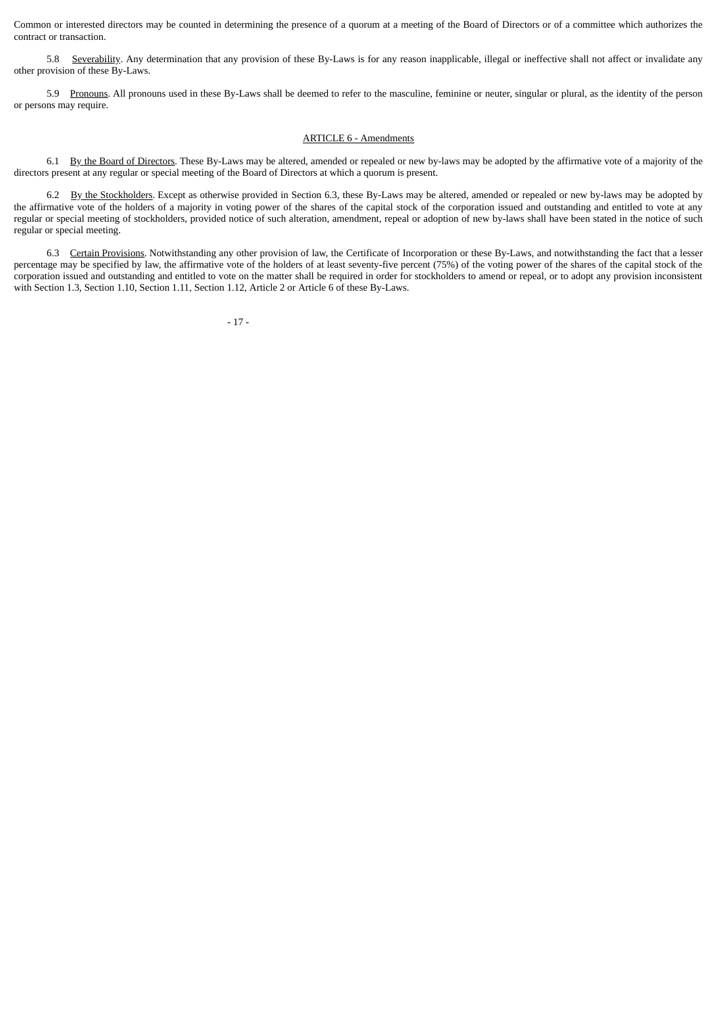Common or interested directors may be counted in determining the presence of a quorum at a meeting of the Board of Directors or of a committee which authorizes the contract or transaction.

5.8 Severability. Any determination that any provision of these By-Laws is for any reason inapplicable, illegal or ineffective shall not affect or invalidate any other provision of these By-Laws.

5.9 Pronouns. All pronouns used in these By-Laws shall be deemed to refer to the masculine, feminine or neuter, singular or plural, as the identity of the person or persons may require.

# ARTICLE 6 - Amendments

6.1 By the Board of Directors. These By-Laws may be altered, amended or repealed or new by-laws may be adopted by the affirmative vote of a majority of the directors present at any regular or special meeting of the Board of Directors at which a quorum is present.

6.2 By the Stockholders. Except as otherwise provided in Section 6.3, these By-Laws may be altered, amended or repealed or new by-laws may be adopted by the affirmative vote of the holders of a majority in voting power of the shares of the capital stock of the corporation issued and outstanding and entitled to vote at any regular or special meeting of stockholders, provided notice of such alteration, amendment, repeal or adoption of new by-laws shall have been stated in the notice of such regular or special meeting.

6.3 Certain Provisions. Notwithstanding any other provision of law, the Certificate of Incorporation or these By-Laws, and notwithstanding the fact that a lesser percentage may be specified by law, the affirmative vote of the holders of at least seventy-five percent (75%) of the voting power of the shares of the capital stock of the corporation issued and outstanding and entitled to vote on the matter shall be required in order for stockholders to amend or repeal, or to adopt any provision inconsistent with Section 1.3, Section 1.10, Section 1.11, Section 1.12, Article 2 or Article 6 of these By-Laws.

- 17 -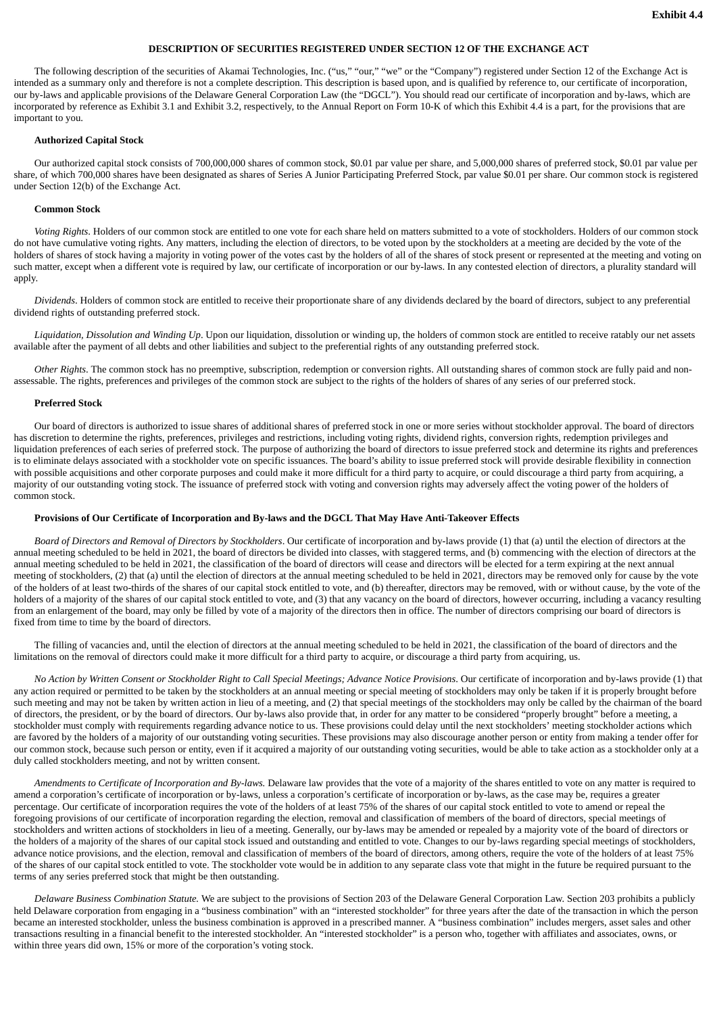# **DESCRIPTION OF SECURITIES REGISTERED UNDER SECTION 12 OF THE EXCHANGE ACT**

The following description of the securities of Akamai Technologies, Inc. ("us," "our," "we" or the "Company") registered under Section 12 of the Exchange Act is intended as a summary only and therefore is not a complete description. This description is based upon, and is qualified by reference to, our certificate of incorporation, our by-laws and applicable provisions of the Delaware General Corporation Law (the "DGCL"). You should read our certificate of incorporation and by-laws, which are incorporated by reference as Exhibit 3.1 and Exhibit 3.2, respectively, to the Annual Report on Form 10-K of which this Exhibit 4.4 is a part, for the provisions that are important to you.

### **Authorized Capital Stock**

Our authorized capital stock consists of 700,000,000 shares of common stock, \$0.01 par value per share, and 5,000,000 shares of preferred stock, \$0.01 par value per share, of which 700,000 shares have been designated as shares of Series A Junior Participating Preferred Stock, par value \$0.01 per share. Our common stock is registered under Section 12(b) of the Exchange Act.

### **Common Stock**

*Voting Rights*. Holders of our common stock are entitled to one vote for each share held on matters submitted to a vote of stockholders. Holders of our common stock do not have cumulative voting rights. Any matters, including the election of directors, to be voted upon by the stockholders at a meeting are decided by the vote of the holders of shares of stock having a majority in voting power of the votes cast by the holders of all of the shares of stock present or represented at the meeting and voting on such matter, except when a different vote is required by law, our certificate of incorporation or our by-laws. In any contested election of directors, a plurality standard will apply.

*Dividends*. Holders of common stock are entitled to receive their proportionate share of any dividends declared by the board of directors, subject to any preferential dividend rights of outstanding preferred stock.

*Liquidation, Dissolution and Winding Up*. Upon our liquidation, dissolution or winding up, the holders of common stock are entitled to receive ratably our net assets available after the payment of all debts and other liabilities and subject to the preferential rights of any outstanding preferred stock.

*Other Rights*. The common stock has no preemptive, subscription, redemption or conversion rights. All outstanding shares of common stock are fully paid and nonassessable. The rights, preferences and privileges of the common stock are subject to the rights of the holders of shares of any series of our preferred stock.

#### **Preferred Stock**

Our board of directors is authorized to issue shares of additional shares of preferred stock in one or more series without stockholder approval. The board of directors has discretion to determine the rights, preferences, privileges and restrictions, including voting rights, dividend rights, conversion rights, redemption privileges and liquidation preferences of each series of preferred stock. The purpose of authorizing the board of directors to issue preferred stock and determine its rights and preferences is to eliminate delays associated with a stockholder vote on specific issuances. The board's ability to issue preferred stock will provide desirable flexibility in connection with possible acquisitions and other corporate purposes and could make it more difficult for a third party to acquire, or could discourage a third party from acquiring, a majority of our outstanding voting stock. The issuance of preferred stock with voting and conversion rights may adversely affect the voting power of the holders of common stock.

# **Provisions of Our Certificate of Incorporation and By-laws and the DGCL That May Have Anti-Takeover Effects**

Board of Directors and Removal of Directors by Stockholders. Our certificate of incorporation and by-laws provide (1) that (a) until the election of directors at the annual meeting scheduled to be held in 2021, the board of directors be divided into classes, with staggered terms, and (b) commencing with the election of directors at the annual meeting scheduled to be held in 2021, the classification of the board of directors will cease and directors will be elected for a term expiring at the next annual meeting of stockholders, (2) that (a) until the election of directors at the annual meeting scheduled to be held in 2021, directors may be removed only for cause by the vote of the holders of at least two-thirds of the shares of our capital stock entitled to vote, and (b) thereafter, directors may be removed, with or without cause, by the vote of the holders of a majority of the shares of our capital stock entitled to vote, and (3) that any vacancy on the board of directors, however occurring, including a vacancy resulting from an enlargement of the board, may only be filled by vote of a majority of the directors then in office. The number of directors comprising our board of directors is fixed from time to time by the board of directors.

The filling of vacancies and, until the election of directors at the annual meeting scheduled to be held in 2021, the classification of the board of directors and the limitations on the removal of directors could make it more difficult for a third party to acquire, or discourage a third party from acquiring, us.

No Action by Written Consent or Stockholder Right to Call Special Meetings; Advance Notice Provisions. Our certificate of incorporation and by-laws provide (1) that any action required or permitted to be taken by the stockholders at an annual meeting or special meeting of stockholders may only be taken if it is properly brought before such meeting and may not be taken by written action in lieu of a meeting, and (2) that special meetings of the stockholders may only be called by the chairman of the board of directors, the president, or by the board of directors. Our by-laws also provide that, in order for any matter to be considered "properly brought" before a meeting, a stockholder must comply with requirements regarding advance notice to us. These provisions could delay until the next stockholders' meeting stockholder actions which are favored by the holders of a majority of our outstanding voting securities. These provisions may also discourage another person or entity from making a tender offer for our common stock, because such person or entity, even if it acquired a majority of our outstanding voting securities, would be able to take action as a stockholder only at a duly called stockholders meeting, and not by written consent.

*Amendments to Certificate of Incorporation and By-laws.* Delaware law provides that the vote of a majority of the shares entitled to vote on any matter is required to amend a corporation's certificate of incorporation or by-laws, unless a corporation's certificate of incorporation or by-laws, as the case may be, requires a greater percentage. Our certificate of incorporation requires the vote of the holders of at least 75% of the shares of our capital stock entitled to vote to amend or repeal the foregoing provisions of our certificate of incorporation regarding the election, removal and classification of members of the board of directors, special meetings of stockholders and written actions of stockholders in lieu of a meeting. Generally, our by-laws may be amended or repealed by a majority vote of the board of directors or the holders of a majority of the shares of our capital stock issued and outstanding and entitled to vote. Changes to our by-laws regarding special meetings of stockholders, advance notice provisions, and the election, removal and classification of members of the board of directors, among others, require the vote of the holders of at least 75% of the shares of our capital stock entitled to vote. The stockholder vote would be in addition to any separate class vote that might in the future be required pursuant to the terms of any series preferred stock that might be then outstanding.

*Delaware Business Combination Statute.* We are subject to the provisions of Section 203 of the Delaware General Corporation Law. Section 203 prohibits a publicly held Delaware corporation from engaging in a "business combination" with an "interested stockholder" for three years after the date of the transaction in which the person became an interested stockholder, unless the business combination is approved in a prescribed manner. A "business combination" includes mergers, asset sales and other transactions resulting in a financial benefit to the interested stockholder. An "interested stockholder" is a person who, together with affiliates and associates, owns, or within three years did own, 15% or more of the corporation's voting stock.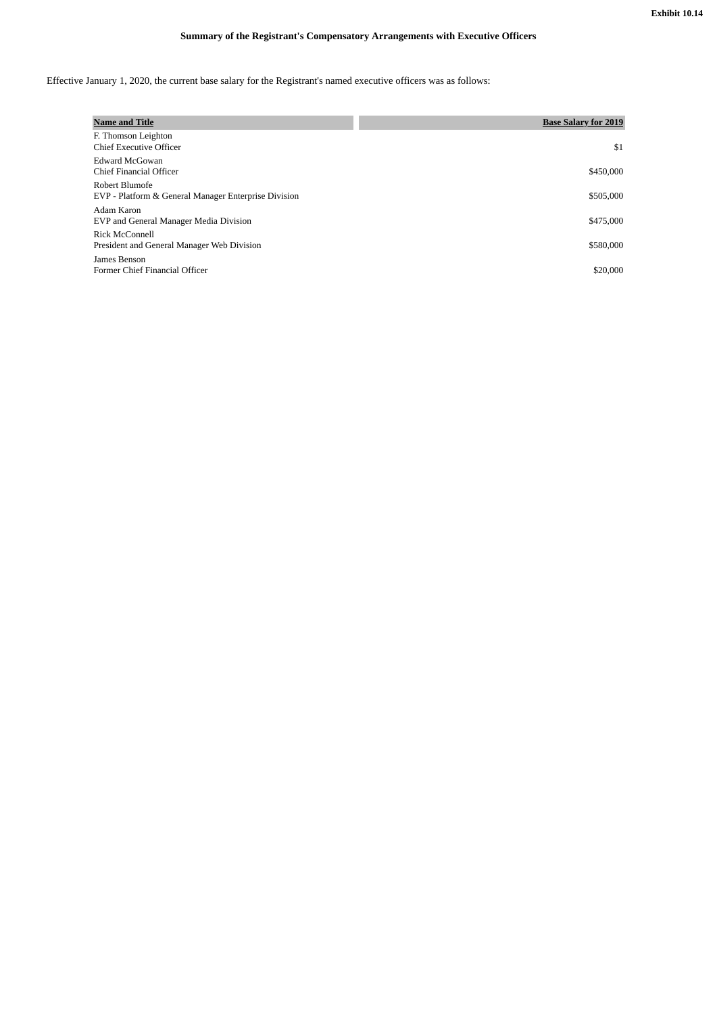# **Summary of the Registrant's Compensatory Arrangements with Executive Officers**

Effective January 1, 2020, the current base salary for the Registrant's named executive officers was as follows:

| <b>Name and Title</b>                                                  | <b>Base Salary for 2019</b> |
|------------------------------------------------------------------------|-----------------------------|
| F. Thomson Leighton<br><b>Chief Executive Officer</b>                  | \$1                         |
| Edward McGowan<br>Chief Financial Officer                              | \$450,000                   |
| Robert Blumofe<br>EVP - Platform & General Manager Enterprise Division | \$505,000                   |
| Adam Karon<br>EVP and General Manager Media Division                   | \$475,000                   |
| Rick McConnell<br>President and General Manager Web Division           | \$580,000                   |
| James Benson<br>Former Chief Financial Officer                         | \$20,000                    |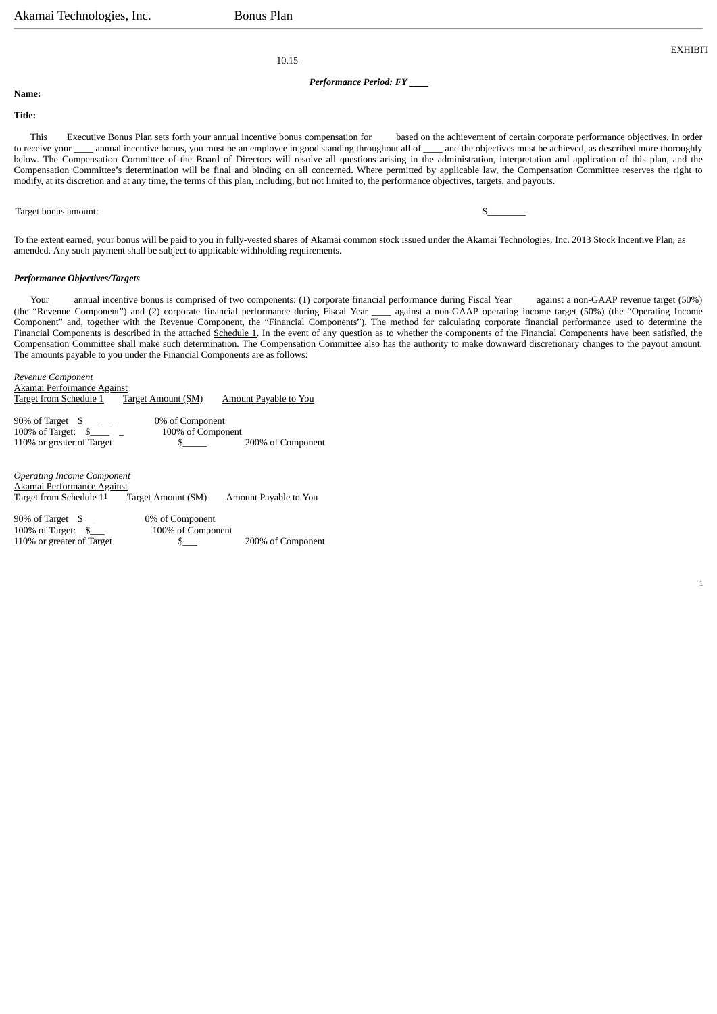10.15

#### *Performance Period: FY \_\_\_\_*

**Name:** 

**Title:** 

This \_\_\_ Executive Bonus Plan sets forth your annual incentive bonus compensation for \_\_\_\_ based on the achievement of certain corporate performance objectives. In order to receive your \_\_\_\_ annual incentive bonus, you must be an employee in good standing throughout all of \_\_\_\_ and the objectives must be achieved, as described more thoroughly below. The Compensation Committee of the Board of Directors will resolve all questions arising in the administration, interpretation and application of this plan, and the Compensation Committee's determination will be final and binding on all concerned. Where permitted by applicable law, the Compensation Committee reserves the right to modify, at its discretion and at any time, the terms of this plan, including, but not limited to, the performance objectives, targets, and payouts.

Target bonus amount:  $\frac{1}{2}$ 

To the extent earned, your bonus will be paid to you in fully-vested shares of Akamai common stock issued under the Akamai Technologies, Inc. 2013 Stock Incentive Plan, as amended. Any such payment shall be subject to applicable withholding requirements.

# *Performance Objectives/Targets*

Your \_\_\_\_ annual incentive bonus is comprised of two components: (1) corporate financial performance during Fiscal Year \_\_\_\_ against a non-GAAP revenue target (50%) (the "Revenue Component") and (2) corporate financial performance during Fiscal Year \_\_\_\_ against a non-GAAP operating income target (50%) (the "Operating Income Component" and, together with the Revenue Component, the "Financial Components"). The method for calculating corporate financial performance used to determine the Financial Components is described in the attached Schedule 1. In the event of any question as to whether the components of the Financial Components have been satisfied, the Compensation Committee shall make such determination. The Compensation Committee also has the authority to make downward discretionary changes to the payout amount. The amounts payable to you under the Financial Components are as follows:

*Revenue Component* Akamai Performance Against<br>Target from Schedule 1 Target Amount (\$M) Target from Schedule 1 Target Amount (\$M) Amount Payable to You

| 90% of Target \$          | 0% of Component   |                   |
|---------------------------|-------------------|-------------------|
| 100% of Target: $$$       | 100% of Component |                   |
| 110% or greater of Target |                   | 200% of Component |

*Operating Income Component* Akamai Performance Against<br>Target from Schedule 11 Target Amount (\$M) Target from Schedule 11 Target Amount (\$M) Amount Payable to You

90% of Target \$\_\_\_ 0% of Component 100% of Target: \$\_\_\_ 100% of Component 110% or greater of Target \$\_\_\_ 200% of Component EXHIBIT

1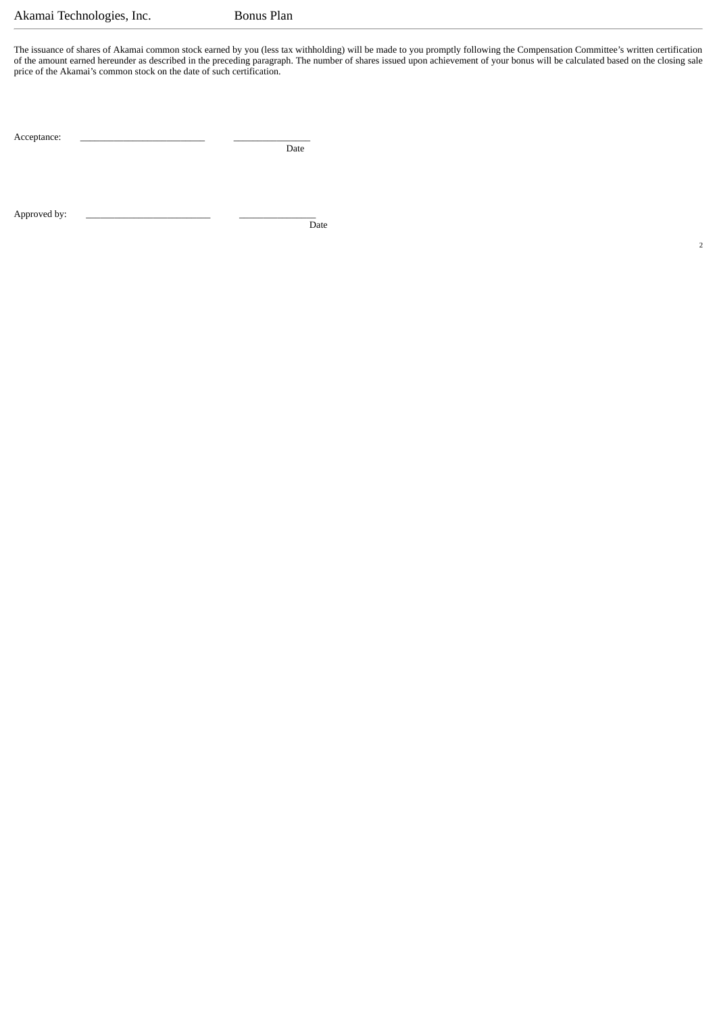Akamai Technologies, Inc. Bonus Plan

The issuance of shares of Akamai common stock earned by you (less tax withholding) will be made to you promptly following the Compensation Committee's written certification of the amount earned hereunder as described in the preceding paragraph. The number of shares issued upon achievement of your bonus will be calculated based on the closing sale price of the Akamai's common stock on the date of such certification.

2

Acceptance: Date

Approved by:

Date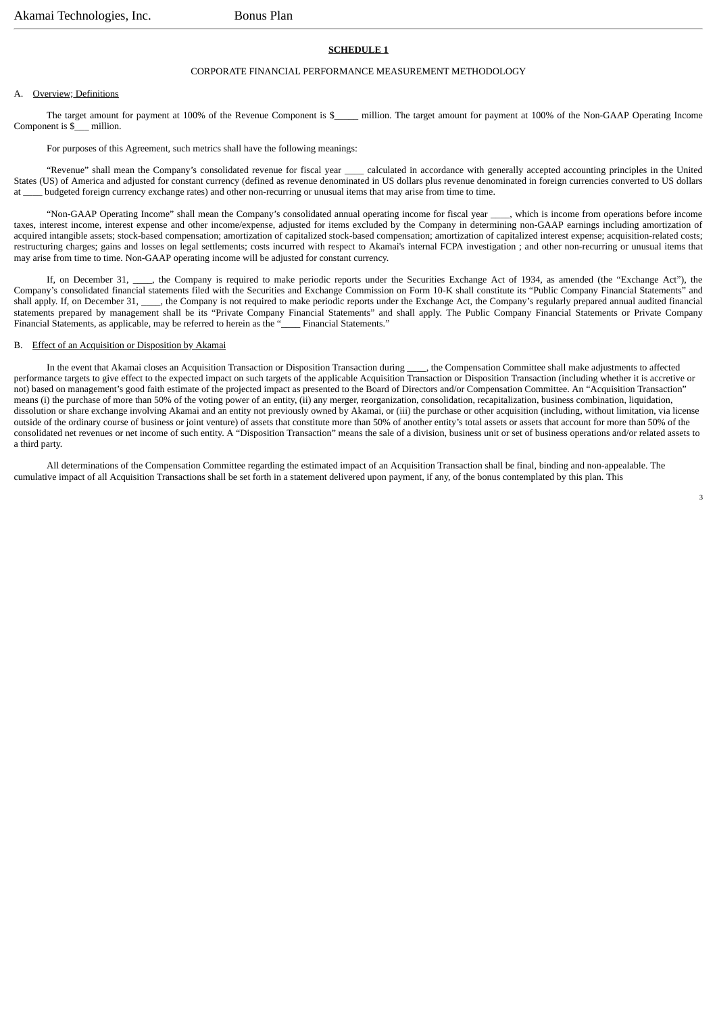#### **SCHEDULE 1**

# CORPORATE FINANCIAL PERFORMANCE MEASUREMENT METHODOLOGY

#### **Overview**; Definitions

The target amount for payment at 100% of the Revenue Component is \$ \_\_\_\_ million. The target amount for payment at 100% of the Non-GAAP Operating Income Component is \$ \_\_\_ million.

For purposes of this Agreement, such metrics shall have the following meanings:

"Revenue" shall mean the Company's consolidated revenue for fiscal year \_\_\_\_ calculated in accordance with generally accepted accounting principles in the United States (US) of America and adjusted for constant currency (defined as revenue denominated in US dollars plus revenue denominated in foreign currencies converted to US dollars budgeted foreign currency exchange rates) and other non-recurring or unusual items that may arise from time to time.

"Non-GAAP Operating Income" shall mean the Company's consolidated annual operating income for fiscal year \_\_\_\_, which is income from operations before income taxes, interest income, interest expense and other income/expense, adjusted for items excluded by the Company in determining non-GAAP earnings including amortization of acquired intangible assets; stock-based compensation; amortization of capitalized stock-based compensation; amortization of capitalized interest expense; acquisition-related costs; restructuring charges; gains and losses on legal settlements; costs incurred with respect to Akamai's internal FCPA investigation ; and other non-recurring or unusual items that may arise from time to time. Non-GAAP operating income will be adjusted for constant currency.

If, on December 31, \_\_\_, the Company is required to make periodic reports under the Securities Exchange Act of 1934, as amended (the "Exchange Act"), the Company's consolidated financial statements filed with the Securities and Exchange Commission on Form 10-K shall constitute its "Public Company Financial Statements" and shall apply. If, on December 31, \_\_\_\_, the Company is not required to make periodic reports under the Exchange Act, the Company's regularly prepared annual audited financial statements prepared by management shall be its "Private Company Financial Statements" and shall apply. The Public Company Financial Statements or Private Company Financial Statements, as applicable, may be referred to herein as the "\_\_\_\_ Financial Statements."

## B. Effect of an Acquisition or Disposition by Akamai

In the event that Akamai closes an Acquisition Transaction or Disposition Transaction during \_\_\_\_, the Compensation Committee shall make adjustments to affected performance targets to give effect to the expected impact on such targets of the applicable Acquisition Transaction or Disposition Transaction (including whether it is accretive or not) based on management's good faith estimate of the projected impact as presented to the Board of Directors and/or Compensation Committee. An "Acquisition Transaction" means (i) the purchase of more than 50% of the voting power of an entity, (ii) any merger, reorganization, consolidation, recapitalization, business combination, liquidation, dissolution or share exchange involving Akamai and an entity not previously owned by Akamai, or (iii) the purchase or other acquisition (including, without limitation, via license outside of the ordinary course of business or joint venture) of assets that constitute more than 50% of another entity's total assets or assets that account for more than 50% of the consolidated net revenues or net income of such entity. A "Disposition Transaction" means the sale of a division, business unit or set of business operations and/or related assets to a third party.

All determinations of the Compensation Committee regarding the estimated impact of an Acquisition Transaction shall be final, binding and non-appealable. The cumulative impact of all Acquisition Transactions shall be set forth in a statement delivered upon payment, if any, of the bonus contemplated by this plan. This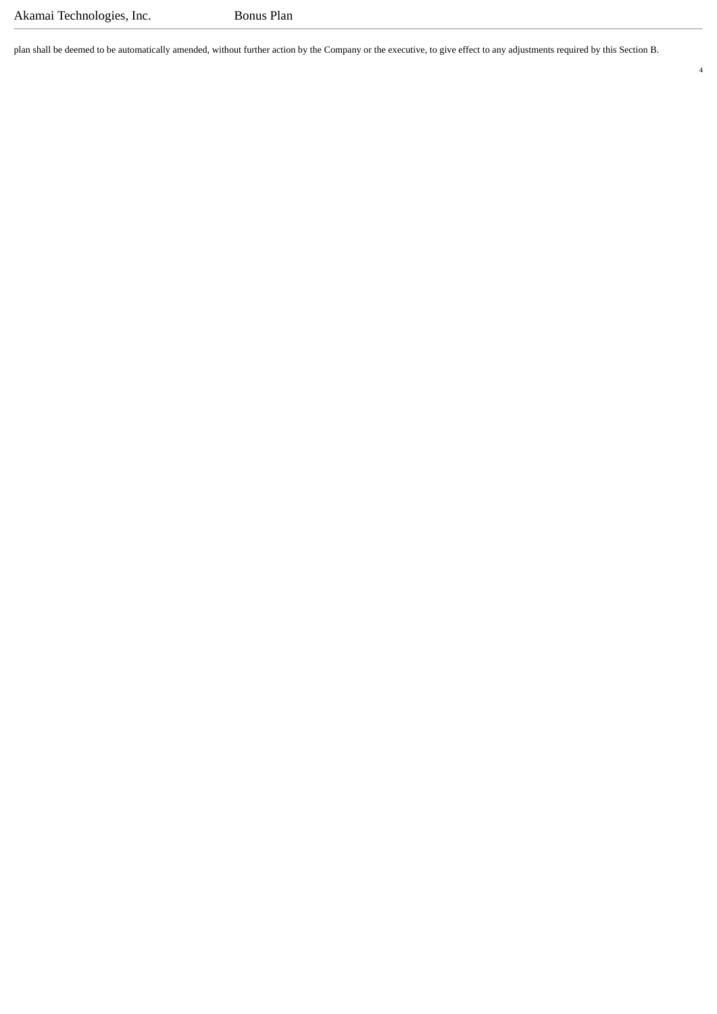plan shall be deemed to be automatically amended, without further action by the Company or the executive, to give effect to any adjustments required by this Section B.

4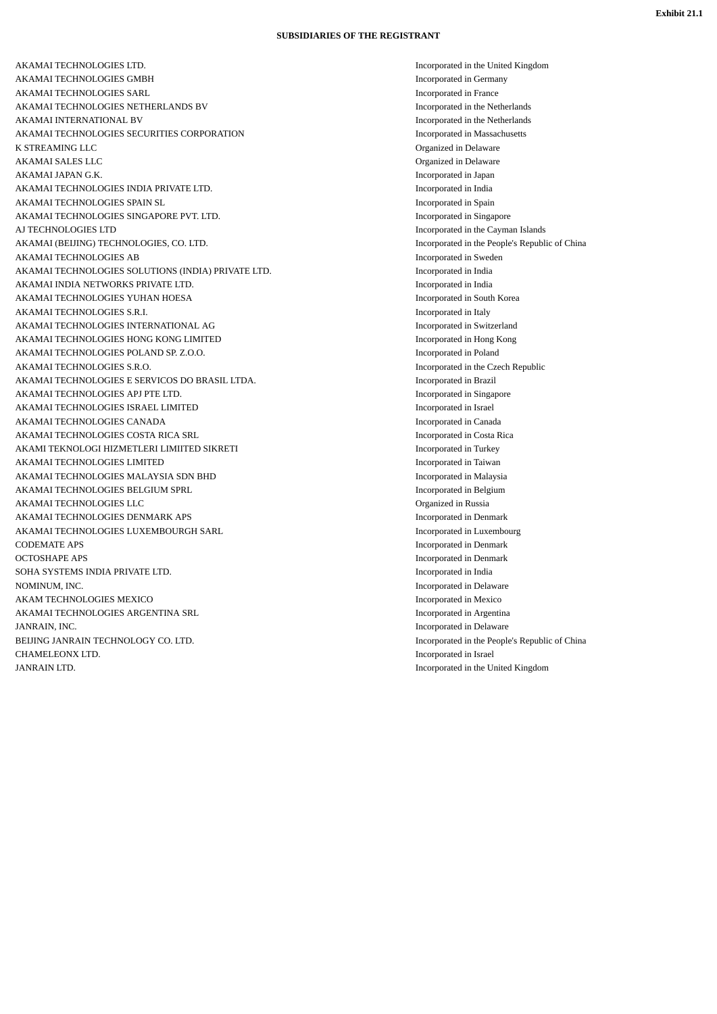# **SUBSIDIARIES OF THE REGISTRANT**

AKAMAI TECHNOLOGIES LTD. Incorporated in the United Kingdom AKAMAI TECHNOLOGIES GMBH **Incorporated in Germany** Incorporated in Germany AKAMAI TECHNOLOGIES SARL Incorporated in France AKAMAI TECHNOLOGIES NETHERLANDS BV **Incorporated in the Netherlands** AKAMAI INTERNATIONAL BV **Incorporated in the Netherlands** AKAMAI TECHNOLOGIES SECURITIES CORPORATION **Incorporated in Massachusetts** K STREAMING LLC **STREAMING LET A STREAMING** LLC AKAMAI SALES LLC **Organized in Delaware Organized in Delaware** AKAMAI JAPAN G.K. Incorporated in Japan AKAMAI TECHNOLOGIES INDIA PRIVATE LTD. Incorporated in India AKAMAI TECHNOLOGIES SPAIN SL **Incorporated in Spain** AKAMAI TECHNOLOGIES SINGAPORE PVT. LTD. **Incorporated in Singapore** AJ TECHNOLOGIES LTD **Incorporated in the Cayman Islands** AKAMAI (BEIJING) TECHNOLOGIES, CO. LTD. Incorporated in the People's Republic of China AKAMAI TECHNOLOGIES AB **Incorporated in Sweden** AKAMAI TECHNOLOGIES SOLUTIONS (INDIA) PRIVATE LTD. Incorporated in India AKAMAI INDIA NETWORKS PRIVATE LTD. Incorporated in India AKAMAI TECHNOLOGIES YUHAN HOESA **Incorporated in South Korea** AKAMAI TECHNOLOGIES S.R.I. SERIES S.R.I. SERIES AND THE SERIES OF THE SERIES OF THE SERIES OF THE SERIES OF THE SERIES OF THE SERIES OF THE SERIES OF THE SERIES OF THE SERIES OF THE SERIES OF THE SERIES OF THE SERIES OF TH AKAMAI TECHNOLOGIES INTERNATIONAL AG **incorporated in Switzerland** AKAMAI TECHNOLOGIES HONG KONG LIMITED **incorporated in Hong Kong** AKAMAI TECHNOLOGIES POLAND SP. Z.O.O. **Incorporated in Poland** Incorporated in Poland AKAMAI TECHNOLOGIES S.R.O. Incorporated in the Czech Republic AKAMAI TECHNOLOGIES E SERVICOS DO BRASIL LTDA. Incorporated in Brazil AKAMAI TECHNOLOGIES APJ PTE LTD. Incorporated in Singapore AKAMAI TECHNOLOGIES ISRAEL LIMITED **Incorporated in Israel** AKAMAI TECHNOLOGIES CANADA **incorporated in Canada** in Canada AKAMAI TECHNOLOGIES COSTA RICA SRL **Incorporated in Costa Rica** Incorporated in Costa Rica AKAMI TEKNOLOGI HIZMETLERI LIMIITED SIKRETI **Incorporated in Turkey** Incorporated in Turkey AKAMAI TECHNOLOGIES LIMITED **incorporated in Taiwan** Incorporated in Taiwan AKAMAI TECHNOLOGIES MALAYSIA SDN BHD **Incorporated in Malaysia** Incorporated in Malaysia AKAMAI TECHNOLOGIES BELGIUM SPRL **Incorporated in Belgium** Incorporated in Belgium AKAMAI TECHNOLOGIES LLC **Subset of the CONSTANT OF STATE OF A CONSTANT OF STATE OF A CONSTANT OF STATE OF A CONSTANT OF STATE OF A CONSTANT OF STATE OF A CONSTANT OF A CONSTANT OF A CONSTANT OF A CONSTANT OF A CONSTANT OF** AKAMAI TECHNOLOGIES DENMARK APS **incorporated in Denmark** Incorporated in Denmark AKAMAI TECHNOLOGIES LUXEMBOURGH SARL **Incorporated in Luxembourg** Incorporated in Luxembourg CODEMATE APS Incorporated in Denmark OCTOSHAPE APS **Incorporated in Denmark** SOHA SYSTEMS INDIA PRIVATE LTD. **Incorporated in India** NOMINUM, INC. Incorporated in Delaware AKAM TECHNOLOGIES MEXICO **incorporated in Mexico** incorporated in Mexico AKAMAI TECHNOLOGIES ARGENTINA SRL Incorporated in Argentina JANRAIN, INC. Incorporated in Delaware BEIJING JANRAIN TECHNOLOGY CO. LTD. **Incorporated in the People's Republic of China** CHAMELEONX LTD. Incorporated in Israel JANRAIN LTD. Incorporated in the United Kingdom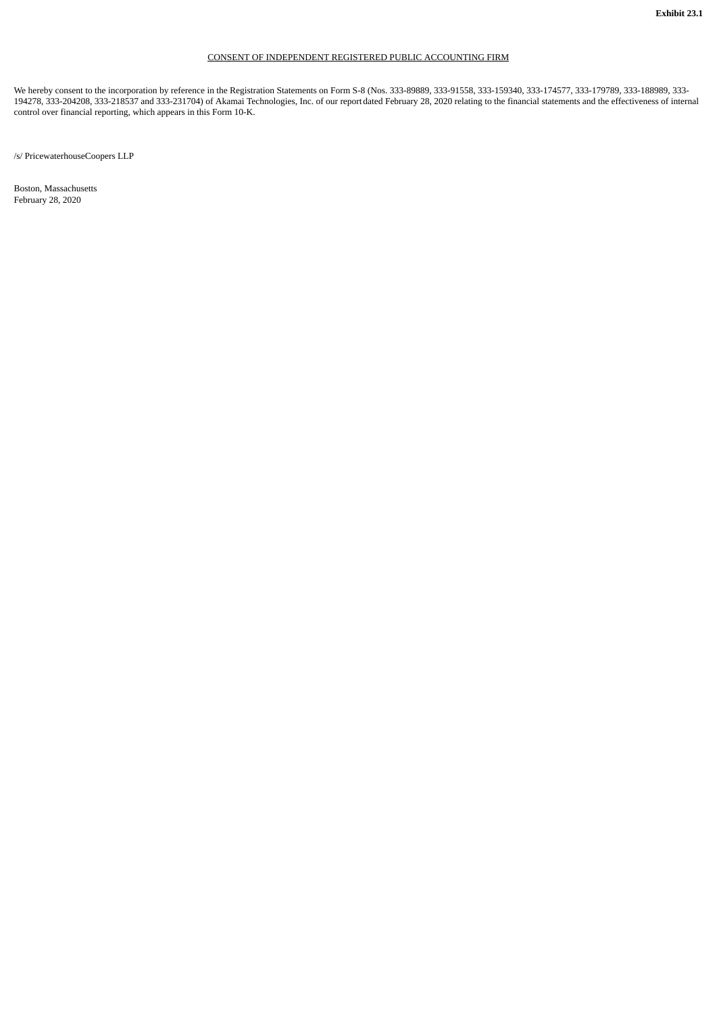# CONSENT OF INDEPENDENT REGISTERED PUBLIC ACCOUNTING FIRM

We hereby consent to the incorporation by reference in the Registration Statements on Form S-8 (Nos. 333-89889, 333-91558, 333-159340, 333-174577, 333-179789, 333-178989, 333-188989, 333-194278, 333-204208, 333-218537 and 333-231704) of Akamai Technologies, Inc. of our report dated February 28, 2020 relating to the financial statements and the effectiveness of internal control over financial reporting, which appears in this Form 10-K.

/s/ PricewaterhouseCoopers LLP

Boston, Massachusetts February 28, 2020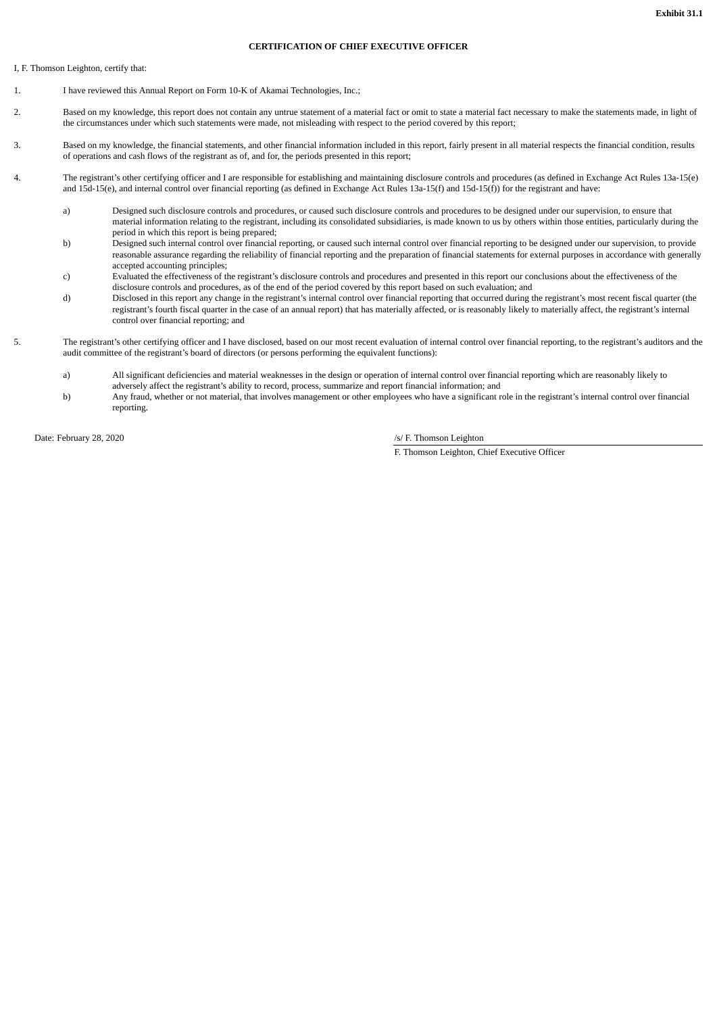# **CERTIFICATION OF CHIEF EXECUTIVE OFFICER**

#### I, F. Thomson Leighton, certify that:

- 1. I have reviewed this Annual Report on Form 10-K of Akamai Technologies, Inc.;
- 2. Based on my knowledge, this report does not contain any untrue statement of a material fact or omit to state a material fact necessary to make the statements made, in light of the circumstances under which such statements were made, not misleading with respect to the period covered by this report;
- 3. Based on my knowledge, the financial statements, and other financial information included in this report, fairly present in all material respects the financial condition, results of operations and cash flows of the registrant as of, and for, the periods presented in this report;
- 4. The registrant's other certifying officer and I are responsible for establishing and maintaining disclosure controls and procedures (as defined in Exchange Act Rules 13a-15(e) and 15d-15(e), and internal control over financial reporting (as defined in Exchange Act Rules 13a-15(f) and 15d-15(f)) for the registrant and have:
	- a) Designed such disclosure controls and procedures, or caused such disclosure controls and procedures to be designed under our supervision, to ensure that material information relating to the registrant, including its consolidated subsidiaries, is made known to us by others within those entities, particularly during the period in which this report is being prepared;
	- b) Designed such internal control over financial reporting, or caused such internal control over financial reporting to be designed under our supervision, to provide reasonable assurance regarding the reliability of financial reporting and the preparation of financial statements for external purposes in accordance with generally accepted accounting principles;
	- c) Evaluated the effectiveness of the registrant's disclosure controls and procedures and presented in this report our conclusions about the effectiveness of the disclosure controls and procedures, as of the end of the period covered by this report based on such evaluation; and
	- d) Disclosed in this report any change in the registrant's internal control over financial reporting that occurred during the registrant's most recent fiscal quarter (the registrant's fourth fiscal quarter in the case of an annual report) that has materially affected, or is reasonably likely to materially affect, the registrant's internal control over financial reporting; and
- 5. The registrant's other certifying officer and I have disclosed, based on our most recent evaluation of internal control over financial reporting, to the registrant's auditors and the audit committee of the registrant's board of directors (or persons performing the equivalent functions):
	- a) All significant deficiencies and material weaknesses in the design or operation of internal control over financial reporting which are reasonably likely to adversely affect the registrant's ability to record, process, summarize and report financial information; and
	- b) Any fraud, whether or not material, that involves management or other employees who have a significant role in the registrant's internal control over financial reporting.

Date: February 28, 2020 /s/ F. Thomson Leighton

F. Thomson Leighton, Chief Executive Officer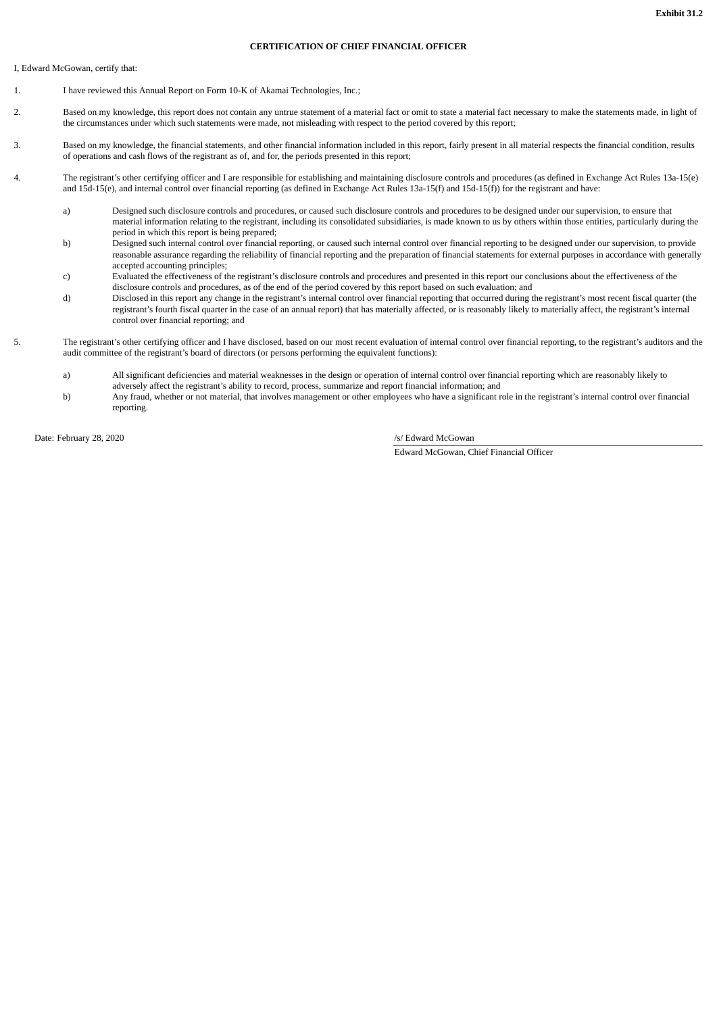# **CERTIFICATION OF CHIEF FINANCIAL OFFICER**

I, Edward McGowan, certify that:

1. I have reviewed this Annual Report on Form 10-K of Akamai Technologies, Inc.;

- 2. Based on my knowledge, this report does not contain any untrue statement of a material fact or omit to state a material fact necessary to make the statements made, in light of the circumstances under which such statements were made, not misleading with respect to the period covered by this report;
- 3. Based on my knowledge, the financial statements, and other financial information included in this report, fairly present in all material respects the financial condition, results of operations and cash flows of the registrant as of, and for, the periods presented in this report;
- 4. The registrant's other certifying officer and I are responsible for establishing and maintaining disclosure controls and procedures (as defined in Exchange Act Rules 13a-15(e) and 15d-15(e), and internal control over financial reporting (as defined in Exchange Act Rules 13a-15(f) and 15d-15(f)) for the registrant and have:
	- a) Designed such disclosure controls and procedures, or caused such disclosure controls and procedures to be designed under our supervision, to ensure that material information relating to the registrant, including its consolidated subsidiaries, is made known to us by others within those entities, particularly during the period in which this report is being prepared;
	- b) Designed such internal control over financial reporting, or caused such internal control over financial reporting to be designed under our supervision, to provide reasonable assurance regarding the reliability of financial reporting and the preparation of financial statements for external purposes in accordance with generally accepted accounting principles;
	- c) Evaluated the effectiveness of the registrant's disclosure controls and procedures and presented in this report our conclusions about the effectiveness of the disclosure controls and procedures, as of the end of the period covered by this report based on such evaluation; and
	- d) Disclosed in this report any change in the registrant's internal control over financial reporting that occurred during the registrant's most recent fiscal quarter (the registrant's fourth fiscal quarter in the case of an annual report) that has materially affected, or is reasonably likely to materially affect, the registrant's internal control over financial reporting; and
- 5. The registrant's other certifying officer and I have disclosed, based on our most recent evaluation of internal control over financial reporting, to the registrant's auditors and the audit committee of the registrant's board of directors (or persons performing the equivalent functions):
	- a) All significant deficiencies and material weaknesses in the design or operation of internal control over financial reporting which are reasonably likely to adversely affect the registrant's ability to record, process, summarize and report financial information; and
	- b) Any fraud, whether or not material, that involves management or other employees who have a significant role in the registrant's internal control over financial reporting.

Date: February 28, 2020 /s/ Edward McGowan

Edward McGowan, Chief Financial Officer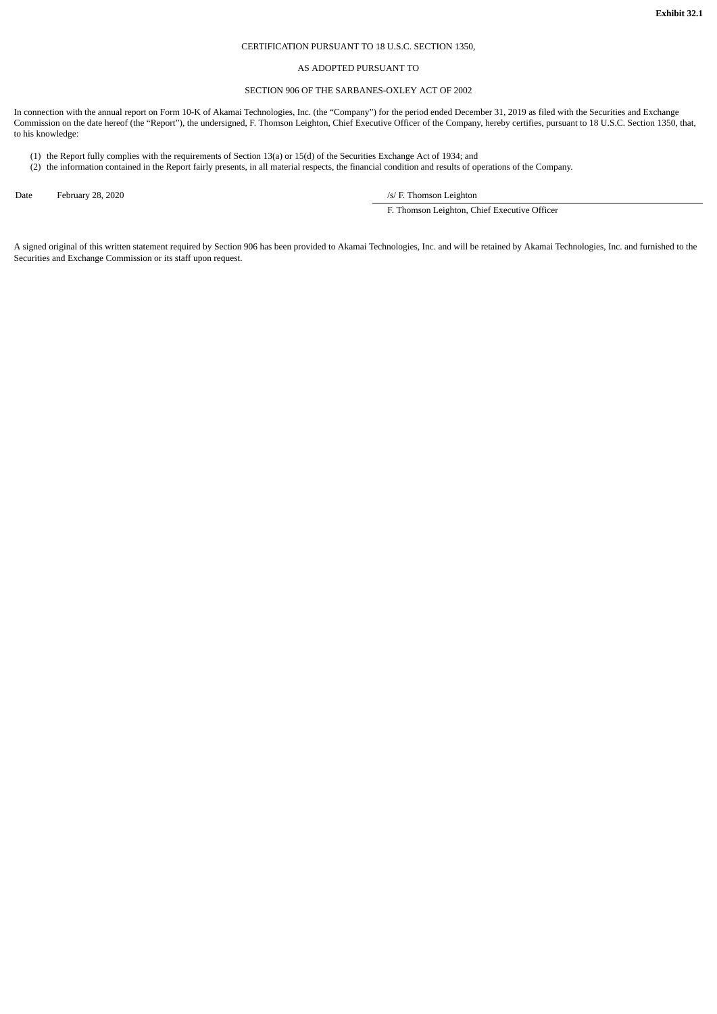# CERTIFICATION PURSUANT TO 18 U.S.C. SECTION 1350,

# AS ADOPTED PURSUANT TO

# SECTION 906 OF THE SARBANES-OXLEY ACT OF 2002

In connection with the annual report on Form 10-K of Akamai Technologies, Inc. (the "Company") for the period ended December 31, 2019 as filed with the Securities and Exchange Commission on the date hereof (the "Report"), the undersigned, F. Thomson Leighton, Chief Executive Officer of the Company, hereby certifies, pursuant to 18 U.S.C. Section 1350, that, to his knowledge:

- (1) the Report fully complies with the requirements of Section 13(a) or 15(d) of the Securities Exchange Act of 1934; and
- (2) the information contained in the Report fairly presents, in all material respects, the financial condition and results of operations of the Company.

Date February 28, 2020 **February 28, 2020** *S/S/ E. Thomson Leighton* 

F. Thomson Leighton, Chief Executive Officer

A signed original of this written statement required by Section 906 has been provided to Akamai Technologies, Inc. and will be retained by Akamai Technologies, Inc. and furnished to the Securities and Exchange Commission or its staff upon request.